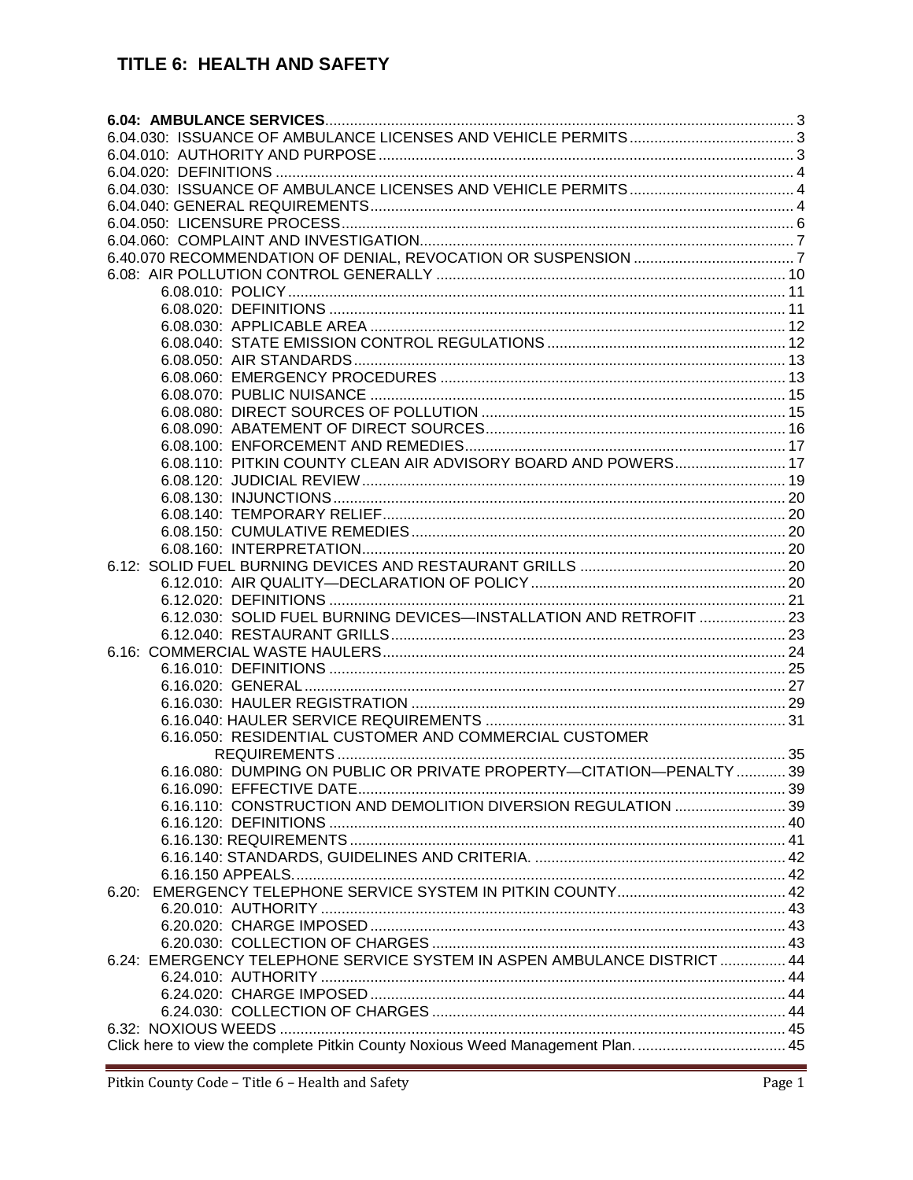# TITLE 6: HEALTH AND SAFETY

| 6.08.110: PITKIN COUNTY CLEAN AIR ADVISORY BOARD AND POWERS 17                  |  |
|---------------------------------------------------------------------------------|--|
|                                                                                 |  |
|                                                                                 |  |
|                                                                                 |  |
|                                                                                 |  |
|                                                                                 |  |
|                                                                                 |  |
|                                                                                 |  |
|                                                                                 |  |
| 6.12.030: SOLID FUEL BURNING DEVICES-INSTALLATION AND RETROFIT  23              |  |
|                                                                                 |  |
|                                                                                 |  |
|                                                                                 |  |
|                                                                                 |  |
|                                                                                 |  |
|                                                                                 |  |
| 6.16.050: RESIDENTIAL CUSTOMER AND COMMERCIAL CUSTOMER                          |  |
|                                                                                 |  |
| 6.16.080: DUMPING ON PUBLIC OR PRIVATE PROPERTY-CITATION-PENALTY  39            |  |
|                                                                                 |  |
| 6.16.110: CONSTRUCTION AND DEMOLITION DIVERSION REGULATION  39                  |  |
|                                                                                 |  |
|                                                                                 |  |
|                                                                                 |  |
|                                                                                 |  |
|                                                                                 |  |
|                                                                                 |  |
|                                                                                 |  |
|                                                                                 |  |
| 6.24: EMERGENCY TELEPHONE SERVICE SYSTEM IN ASPEN AMBULANCE DISTRICT  44        |  |
|                                                                                 |  |
|                                                                                 |  |
|                                                                                 |  |
|                                                                                 |  |
| Click here to view the complete Pitkin County Noxious Weed Management Plan.  45 |  |
|                                                                                 |  |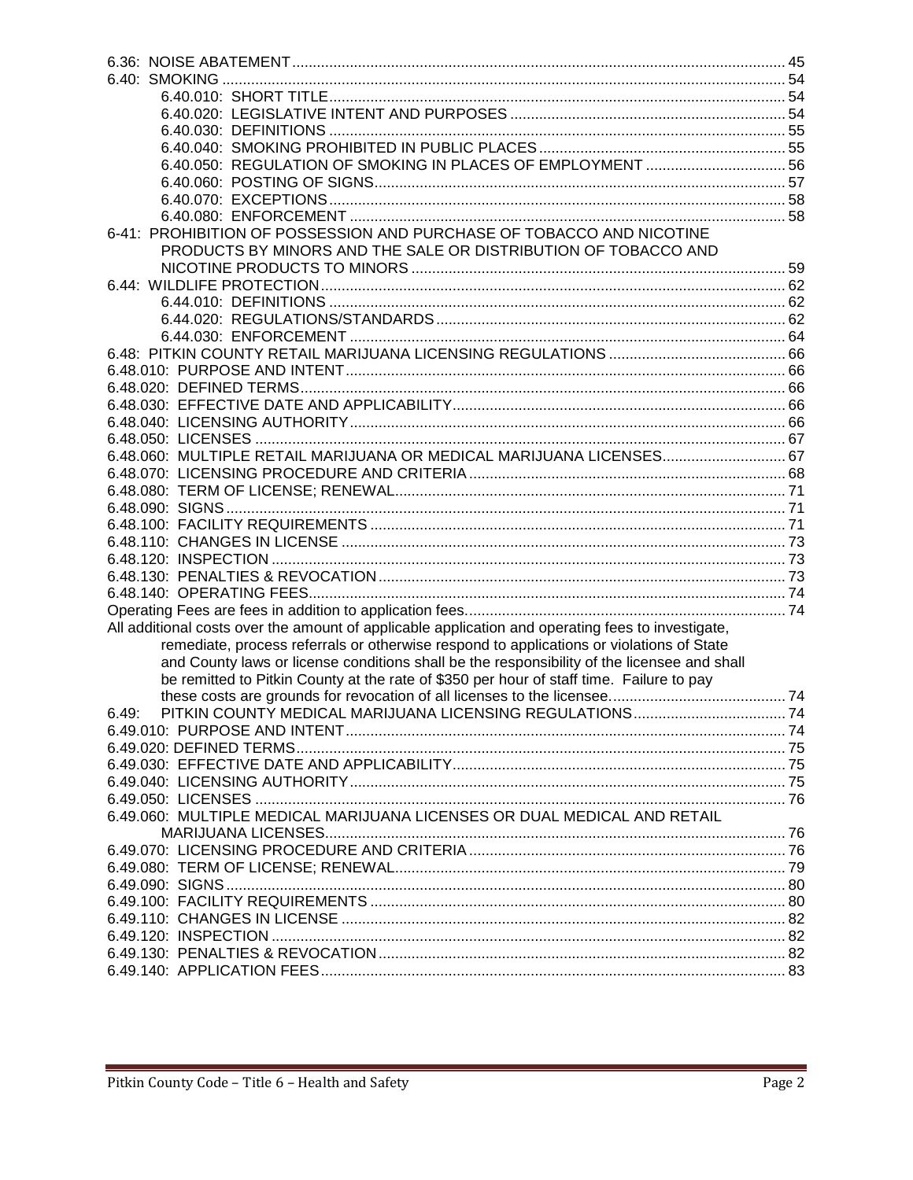| 6-41: PROHIBITION OF POSSESSION AND PURCHASE OF TOBACCO AND NICOTINE                              |  |
|---------------------------------------------------------------------------------------------------|--|
| PRODUCTS BY MINORS AND THE SALE OR DISTRIBUTION OF TOBACCO AND                                    |  |
|                                                                                                   |  |
|                                                                                                   |  |
|                                                                                                   |  |
|                                                                                                   |  |
|                                                                                                   |  |
|                                                                                                   |  |
|                                                                                                   |  |
|                                                                                                   |  |
|                                                                                                   |  |
|                                                                                                   |  |
| 6.48.060: MULTIPLE RETAIL MARIJUANA OR MEDICAL MARIJUANA LICENSES 67                              |  |
|                                                                                                   |  |
|                                                                                                   |  |
|                                                                                                   |  |
|                                                                                                   |  |
|                                                                                                   |  |
|                                                                                                   |  |
|                                                                                                   |  |
|                                                                                                   |  |
|                                                                                                   |  |
| All additional costs over the amount of applicable application and operating fees to investigate, |  |
| remediate, process referrals or otherwise respond to applications or violations of State          |  |
| and County laws or license conditions shall be the responsibility of the licensee and shall       |  |
| be remitted to Pitkin County at the rate of \$350 per hour of staff time. Failure to pay          |  |
|                                                                                                   |  |
| 6.49:                                                                                             |  |
|                                                                                                   |  |
|                                                                                                   |  |
|                                                                                                   |  |
|                                                                                                   |  |
|                                                                                                   |  |
| 6.49.060: MULTIPLE MEDICAL MARIJUANA LICENSES OR DUAL MEDICAL AND RETAIL                          |  |
|                                                                                                   |  |
|                                                                                                   |  |
|                                                                                                   |  |
|                                                                                                   |  |
|                                                                                                   |  |
|                                                                                                   |  |
|                                                                                                   |  |
|                                                                                                   |  |
|                                                                                                   |  |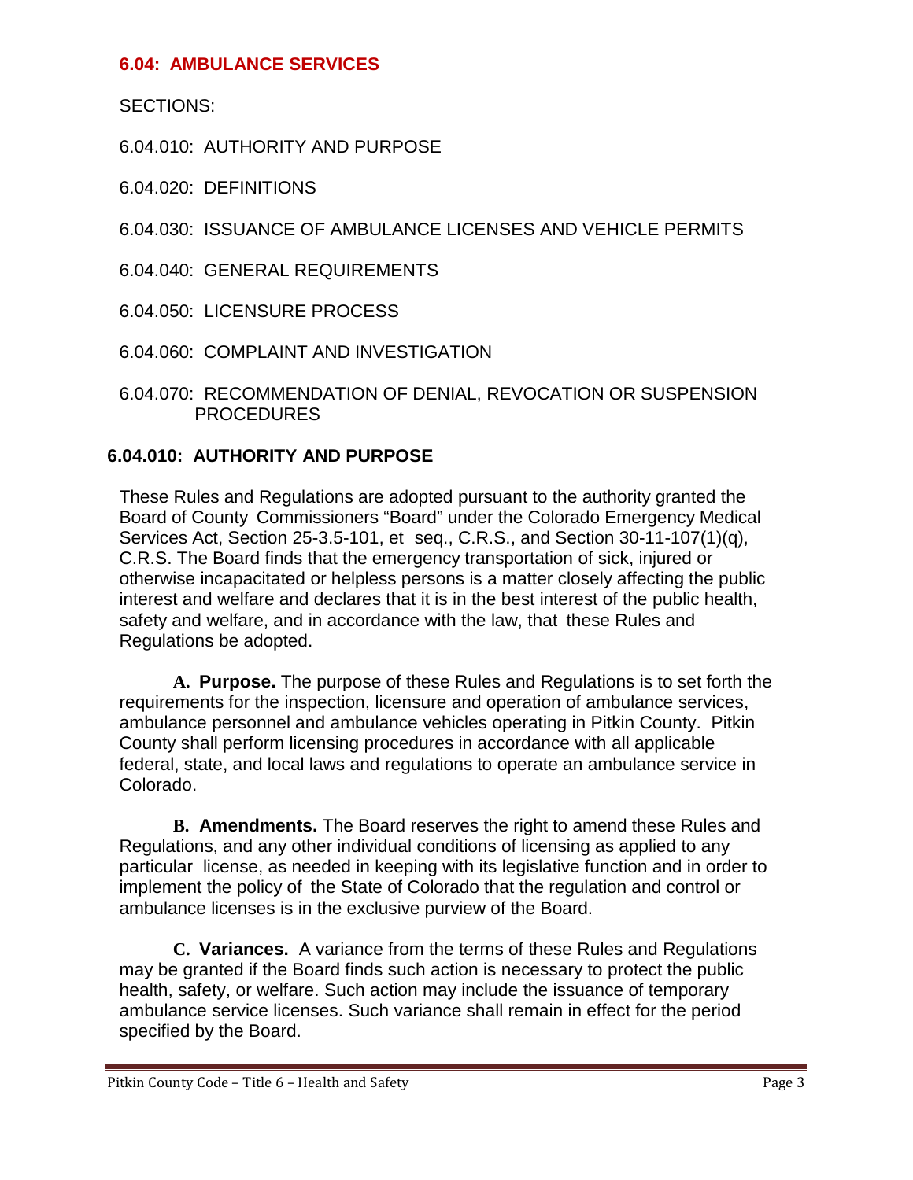## <span id="page-2-0"></span>**6.04: AMBULANCE SERVICES**

SECTIONS:

6.04.010: AUTHORITY AND PURPOSE

6.04.020: DEFINITIONS

<span id="page-2-1"></span>6.04.030: ISSUANCE OF AMBULANCE LICENSES AND VEHICLE PERMITS

6.04.040: GENERAL REQUIREMENTS

6.04.050: LICENSURE PROCESS

- 6.04.060: COMPLAINT AND INVESTIGATION
- 6.04.070: RECOMMENDATION OF DENIAL, REVOCATION OR SUSPENSION PROCEDURES

# <span id="page-2-2"></span>**6.04.010: AUTHORITY AND PURPOSE**

These Rules and Regulations are adopted pursuant to the authority granted the Board of County Commissioners "Board" under the Colorado Emergency Medical Services Act, Section 25-3.5-101, et seq., C.R.S., and Section 30-11-107(1)(q), C.R.S. The Board finds that the emergency transportation of sick, injured or otherwise incapacitated or helpless persons is a matter closely affecting the public interest and welfare and declares that it is in the best interest of the public health, safety and welfare, and in accordance with the law, that these Rules and Regulations be adopted.

**A. Purpose.** The purpose of these Rules and Regulations is to set forth the requirements for the inspection, licensure and operation of ambulance services, ambulance personnel and ambulance vehicles operating in Pitkin County. Pitkin County shall perform licensing procedures in accordance with all applicable federal, state, and local laws and regulations to operate an ambulance service in Colorado.

**B. Amendments.** The Board reserves the right to amend these Rules and Regulations, and any other individual conditions of licensing as applied to any particular license, as needed in keeping with its legislative function and in order to implement the policy of the State of Colorado that the regulation and control or ambulance licenses is in the exclusive purview of the Board.

**C. Variances.** A variance from the terms of these Rules and Regulations may be granted if the Board finds such action is necessary to protect the public health, safety, or welfare. Such action may include the issuance of temporary ambulance service licenses. Such variance shall remain in effect for the period specified by the Board.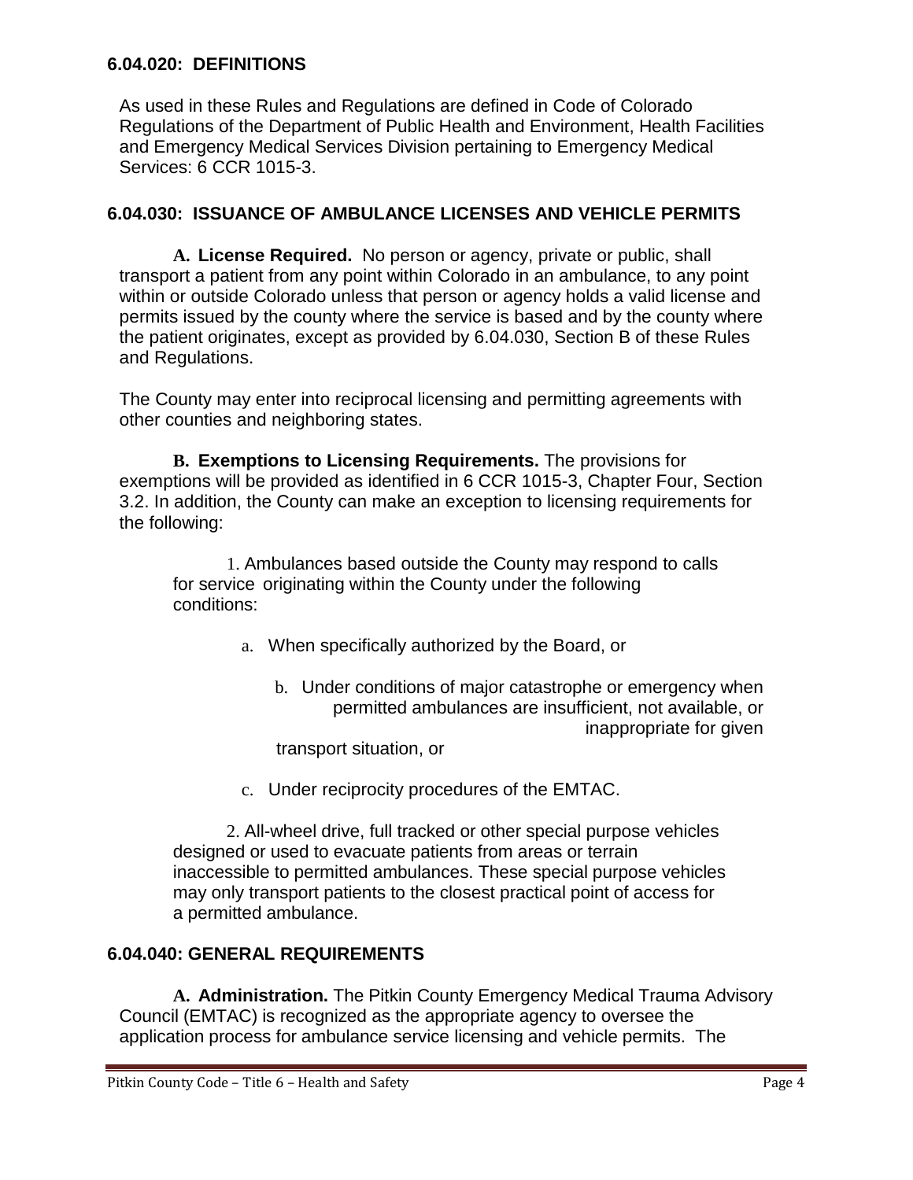#### <span id="page-3-0"></span>**6.04.020: DEFINITIONS**

As used in these Rules and Regulations are defined in Code of Colorado Regulations of the Department of Public Health and Environment, Health Facilities and Emergency Medical Services Division pertaining to Emergency Medical Services: 6 CCR 1015-3.

### <span id="page-3-1"></span>**6.04.030: ISSUANCE OF AMBULANCE LICENSES AND VEHICLE PERMITS**

**A. License Required.** No person or agency, private or public, shall transport a patient from any point within Colorado in an ambulance, to any point within or outside Colorado unless that person or agency holds a valid license and permits issued by the county where the service is based and by the county where the patient originates, except as provided by 6.04.030, Section B of these Rules and Regulations.

The County may enter into reciprocal licensing and permitting agreements with other counties and neighboring states.

**B. Exemptions to Licensing Requirements.** The provisions for exemptions will be provided as identified in 6 CCR 1015-3, Chapter Four, Section 3.2. In addition, the County can make an exception to licensing requirements for the following:

1. Ambulances based outside the County may respond to calls for service originating within the County under the following conditions:

- a. When specifically authorized by the Board, or
	- b. Under conditions of major catastrophe or emergency when permitted ambulances are insufficient, not available, or inappropriate for given transport situation, or
- c. Under reciprocity procedures of the EMTAC.

2. All-wheel drive, full tracked or other special purpose vehicles designed or used to evacuate patients from areas or terrain inaccessible to permitted ambulances. These special purpose vehicles may only transport patients to the closest practical point of access for a permitted ambulance.

## <span id="page-3-2"></span>**6.04.040: GENERAL REQUIREMENTS**

**A. Administration.** The Pitkin County Emergency Medical Trauma Advisory Council (EMTAC) is recognized as the appropriate agency to oversee the application process for ambulance service licensing and vehicle permits. The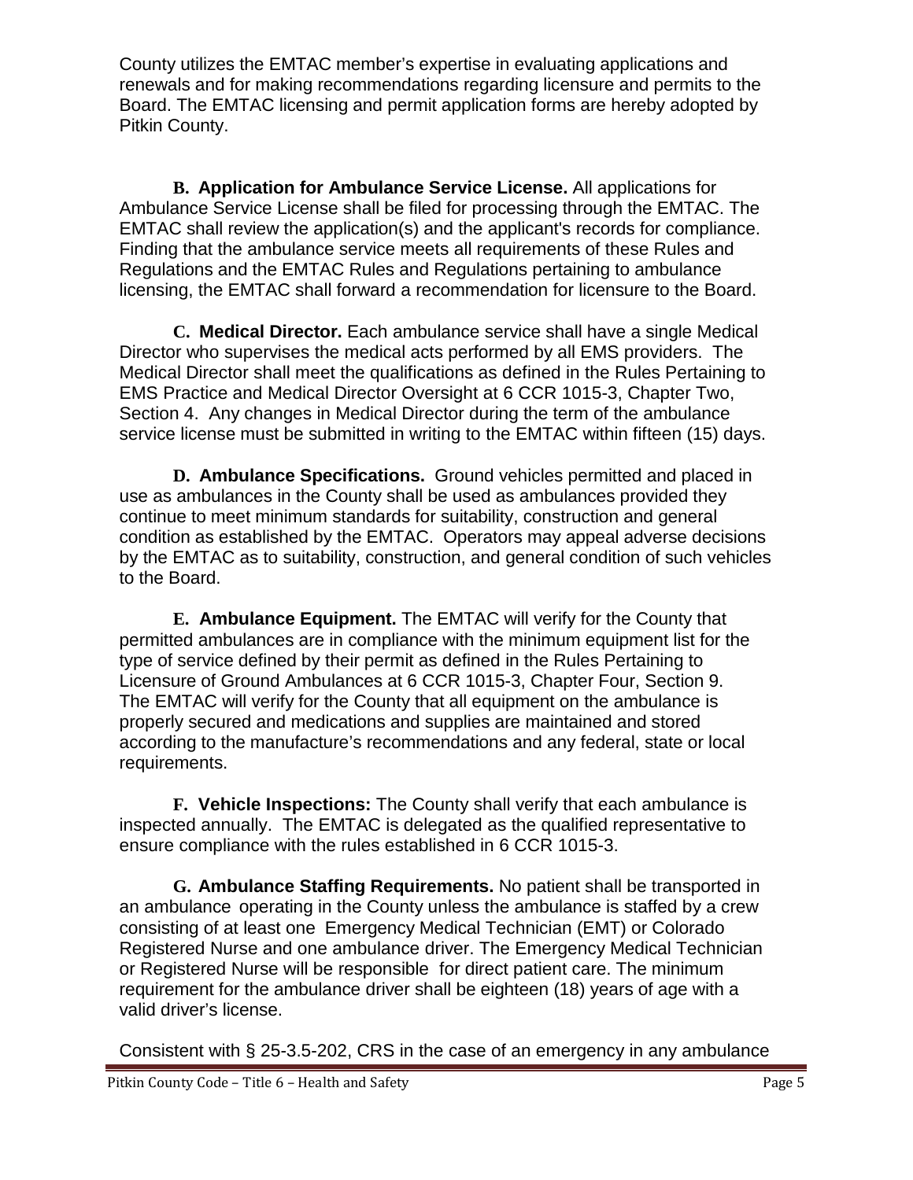County utilizes the EMTAC member's expertise in evaluating applications and renewals and for making recommendations regarding licensure and permits to the Board. The EMTAC licensing and permit application forms are hereby adopted by Pitkin County.

**B. Application for Ambulance Service License.** All applications for Ambulance Service License shall be filed for processing through the EMTAC. The EMTAC shall review the application(s) and the applicant's records for compliance. Finding that the ambulance service meets all requirements of these Rules and Regulations and the EMTAC Rules and Regulations pertaining to ambulance licensing, the EMTAC shall forward a recommendation for licensure to the Board.

**C. Medical Director.** Each ambulance service shall have a single Medical Director who supervises the medical acts performed by all EMS providers. The Medical Director shall meet the qualifications as defined in the Rules Pertaining to EMS Practice and Medical Director Oversight at 6 CCR 1015-3, Chapter Two, Section 4. Any changes in Medical Director during the term of the ambulance service license must be submitted in writing to the EMTAC within fifteen (15) days.

**D. Ambulance Specifications.** Ground vehicles permitted and placed in use as ambulances in the County shall be used as ambulances provided they continue to meet minimum standards for suitability, construction and general condition as established by the EMTAC. Operators may appeal adverse decisions by the EMTAC as to suitability, construction, and general condition of such vehicles to the Board.

**E. Ambulance Equipment.** The EMTAC will verify for the County that permitted ambulances are in compliance with the minimum equipment list for the type of service defined by their permit as defined in the Rules Pertaining to Licensure of Ground Ambulances at 6 CCR 1015-3, Chapter Four, Section 9. The EMTAC will verify for the County that all equipment on the ambulance is properly secured and medications and supplies are maintained and stored according to the manufacture's recommendations and any federal, state or local requirements.

**F. Vehicle Inspections:** The County shall verify that each ambulance is inspected annually. The EMTAC is delegated as the qualified representative to ensure compliance with the rules established in 6 CCR 1015-3.

**G. Ambulance Staffing Requirements.** No patient shall be transported in an ambulance operating in the County unless the ambulance is staffed by a crew consisting of at least one Emergency Medical Technician (EMT) or Colorado Registered Nurse and one ambulance driver. The Emergency Medical Technician or Registered Nurse will be responsible for direct patient care. The minimum requirement for the ambulance driver shall be eighteen (18) years of age with a valid driver's license.

Consistent with § 25-3.5-202, CRS in the case of an emergency in any ambulance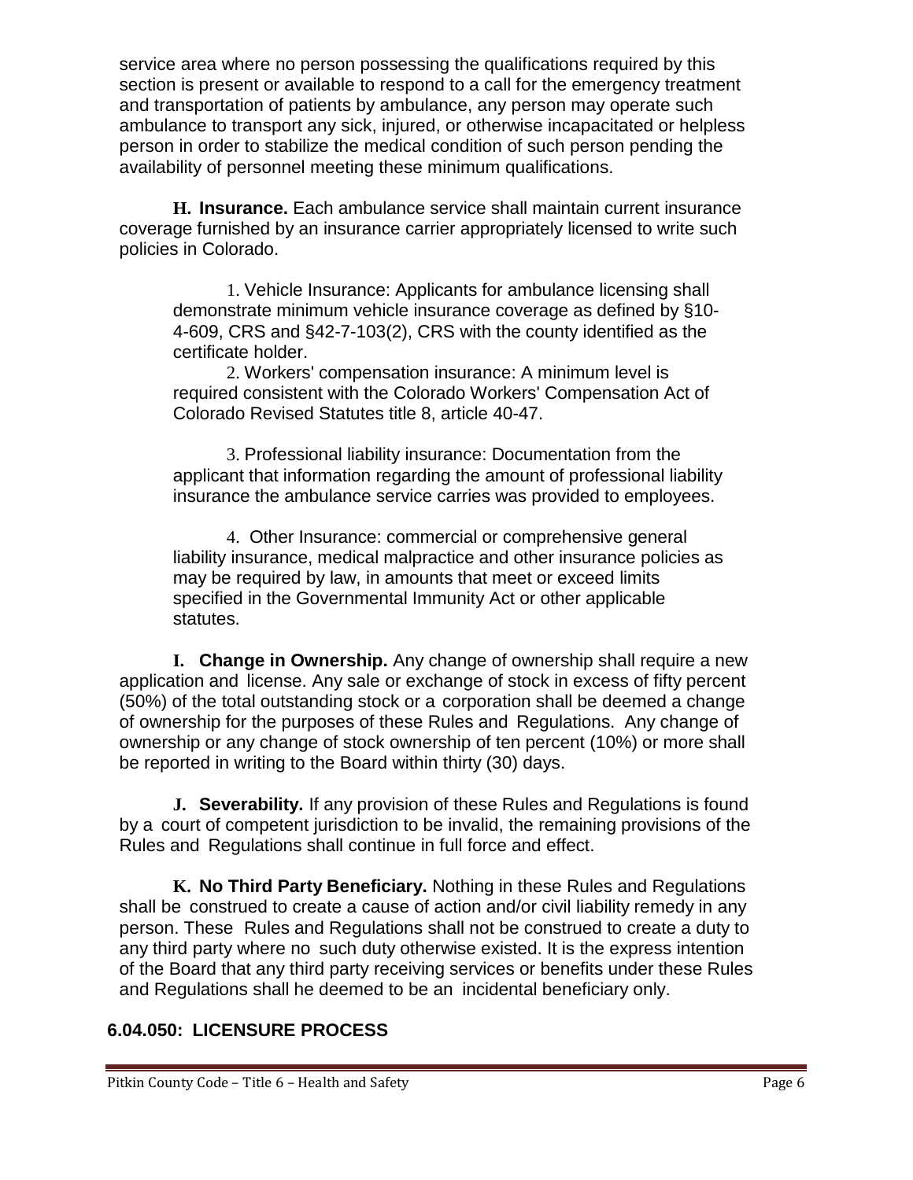service area where no person possessing the qualifications required by this section is present or available to respond to a call for the emergency treatment and transportation of patients by ambulance, any person may operate such ambulance to transport any sick, injured, or otherwise incapacitated or helpless person in order to stabilize the medical condition of such person pending the availability of personnel meeting these minimum qualifications.

**H. Insurance.** Each ambulance service shall maintain current insurance coverage furnished by an insurance carrier appropriately licensed to write such policies in Colorado.

1. Vehicle Insurance: Applicants for ambulance licensing shall demonstrate minimum vehicle insurance coverage as defined by §10- 4-609, CRS and §42-7-103(2), CRS with the county identified as the certificate holder.

2. Workers' compensation insurance: A minimum level is required consistent with the Colorado Workers' Compensation Act of Colorado Revised Statutes title 8, article 40-47.

3. Professional liability insurance: Documentation from the applicant that information regarding the amount of professional liability insurance the ambulance service carries was provided to employees.

4. Other Insurance: commercial or comprehensive general liability insurance, medical malpractice and other insurance policies as may be required by law, in amounts that meet or exceed limits specified in the Governmental Immunity Act or other applicable statutes.

**I. Change in Ownership.** Any change of ownership shall require a new application and license. Any sale or exchange of stock in excess of fifty percent (50%) of the total outstanding stock or a corporation shall be deemed a change of ownership for the purposes of these Rules and Regulations. Any change of ownership or any change of stock ownership of ten percent (10%) or more shall be reported in writing to the Board within thirty (30) days.

**J. Severability.** If any provision of these Rules and Regulations is found by a court of competent jurisdiction to be invalid, the remaining provisions of the Rules and Regulations shall continue in full force and effect.

**K. No Third Party Beneficiary.** Nothing in these Rules and Regulations shall be construed to create a cause of action and/or civil liability remedy in any person. These Rules and Regulations shall not be construed to create a duty to any third party where no such duty otherwise existed. It is the express intention of the Board that any third party receiving services or benefits under these Rules and Regulations shall he deemed to be an incidental beneficiary only.

## <span id="page-5-0"></span>**6.04.050: LICENSURE PROCESS**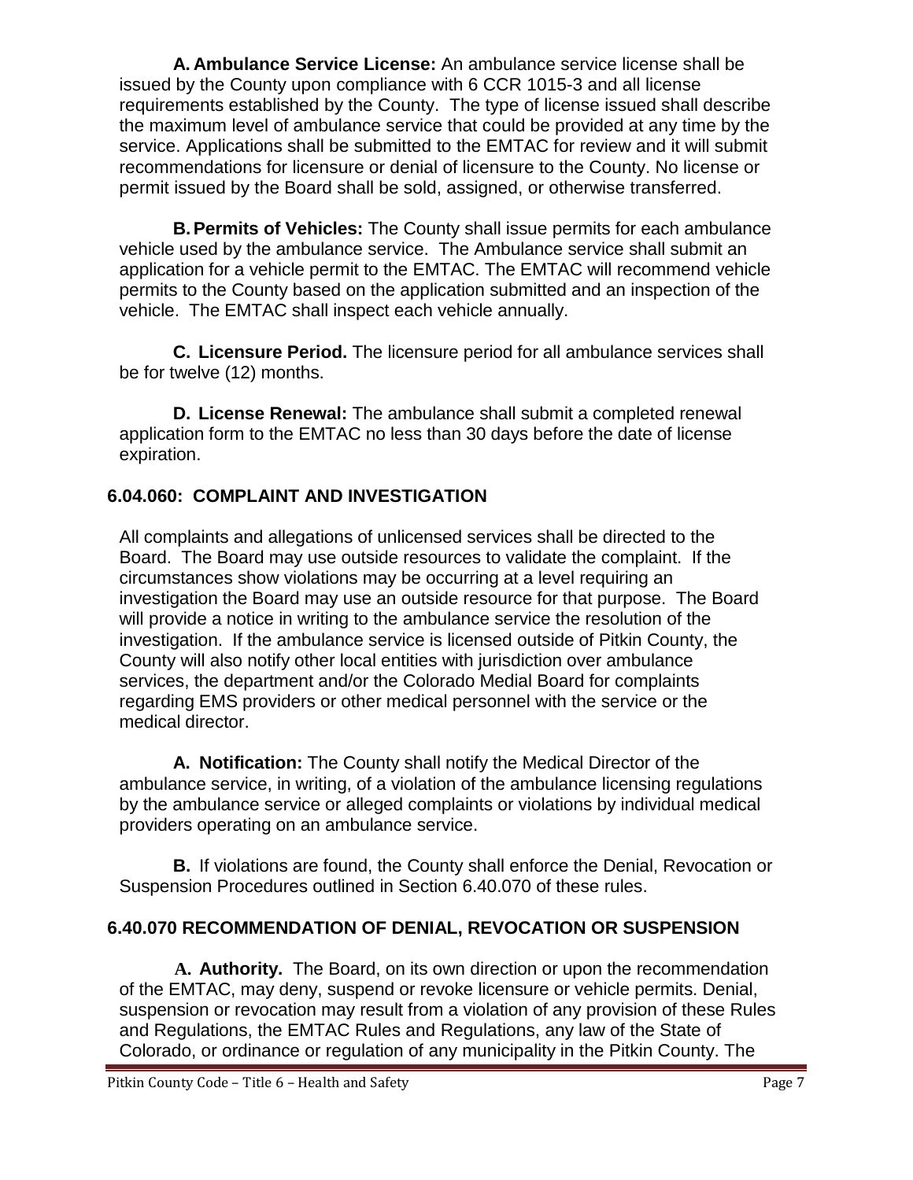**A. Ambulance Service License:** An ambulance service license shall be issued by the County upon compliance with 6 CCR 1015-3 and all license requirements established by the County. The type of license issued shall describe the maximum level of ambulance service that could be provided at any time by the service. Applications shall be submitted to the EMTAC for review and it will submit recommendations for licensure or denial of licensure to the County. No license or permit issued by the Board shall be sold, assigned, or otherwise transferred.

**B.Permits of Vehicles:** The County shall issue permits for each ambulance vehicle used by the ambulance service. The Ambulance service shall submit an application for a vehicle permit to the EMTAC. The EMTAC will recommend vehicle permits to the County based on the application submitted and an inspection of the vehicle. The EMTAC shall inspect each vehicle annually.

**C. Licensure Period.** The licensure period for all ambulance services shall be for twelve (12) months.

**D. License Renewal:** The ambulance shall submit a completed renewal application form to the EMTAC no less than 30 days before the date of license expiration.

# <span id="page-6-0"></span>**6.04.060: COMPLAINT AND INVESTIGATION**

All complaints and allegations of unlicensed services shall be directed to the Board. The Board may use outside resources to validate the complaint. If the circumstances show violations may be occurring at a level requiring an investigation the Board may use an outside resource for that purpose. The Board will provide a notice in writing to the ambulance service the resolution of the investigation. If the ambulance service is licensed outside of Pitkin County, the County will also notify other local entities with jurisdiction over ambulance services, the department and/or the Colorado Medial Board for complaints regarding EMS providers or other medical personnel with the service or the medical director.

**A. Notification:** The County shall notify the Medical Director of the ambulance service, in writing, of a violation of the ambulance licensing regulations by the ambulance service or alleged complaints or violations by individual medical providers operating on an ambulance service.

**B.** If violations are found, the County shall enforce the Denial, Revocation or Suspension Procedures outlined in Section 6.40.070 of these rules.

# <span id="page-6-1"></span>**6.40.070 RECOMMENDATION OF DENIAL, REVOCATION OR SUSPENSION**

**A. Authority.** The Board, on its own direction or upon the recommendation of the EMTAC, may deny, suspend or revoke licensure or vehicle permits. Denial, suspension or revocation may result from a violation of any provision of these Rules and Regulations, the EMTAC Rules and Regulations, any law of the State of Colorado, or ordinance or regulation of any municipality in the Pitkin County. The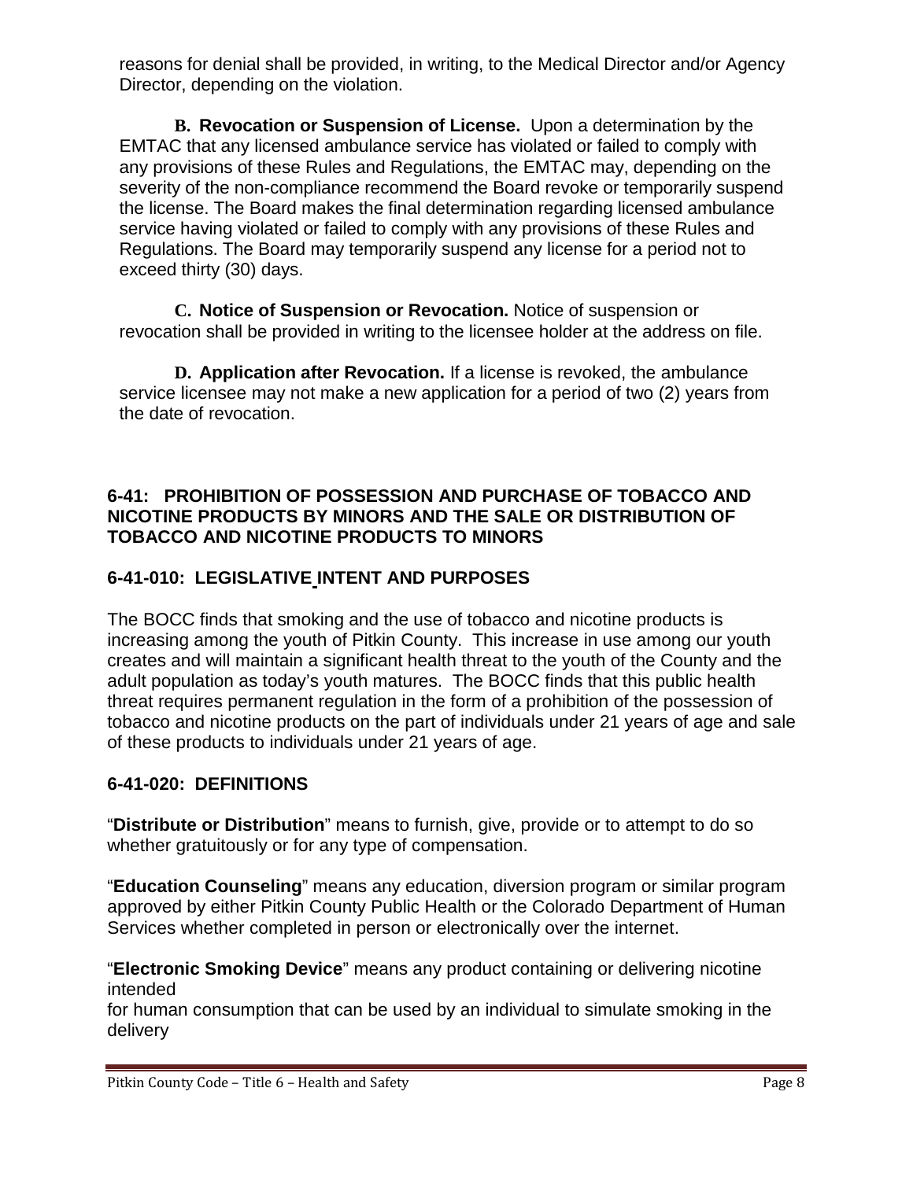reasons for denial shall be provided, in writing, to the Medical Director and/or Agency Director, depending on the violation.

**B. Revocation or Suspension of License.** Upon a determination by the EMTAC that any licensed ambulance service has violated or failed to comply with any provisions of these Rules and Regulations, the EMTAC may, depending on the severity of the non-compliance recommend the Board revoke or temporarily suspend the license. The Board makes the final determination regarding licensed ambulance service having violated or failed to comply with any provisions of these Rules and Regulations. The Board may temporarily suspend any license for a period not to exceed thirty (30) days.

**C. Notice of Suspension or Revocation.** Notice of suspension or revocation shall be provided in writing to the licensee holder at the address on file.

**D. Application after Revocation.** If a license is revoked, the ambulance service licensee may not make a new application for a period of two (2) years from the date of revocation.

## **6-41: PROHIBITION OF POSSESSION AND PURCHASE OF TOBACCO AND NICOTINE PRODUCTS BY MINORS AND THE SALE OR DISTRIBUTION OF TOBACCO AND NICOTINE PRODUCTS TO MINORS**

# **6-41-010: LEGISLATIVE INTENT AND PURPOSES**

The BOCC finds that smoking and the use of tobacco and nicotine products is increasing among the youth of Pitkin County. This increase in use among our youth creates and will maintain a significant health threat to the youth of the County and the adult population as today's youth matures. The BOCC finds that this public health threat requires permanent regulation in the form of a prohibition of the possession of tobacco and nicotine products on the part of individuals under 21 years of age and sale of these products to individuals under 21 years of age.

# **6-41-020: DEFINITIONS**

"**Distribute or Distribution**" means to furnish, give, provide or to attempt to do so whether gratuitously or for any type of compensation.

"**Education Counseling**" means any education, diversion program or similar program approved by either Pitkin County Public Health or the Colorado Department of Human Services whether completed in person or electronically over the internet.

"**Electronic Smoking Device**" means any product containing or delivering nicotine intended

for human consumption that can be used by an individual to simulate smoking in the delivery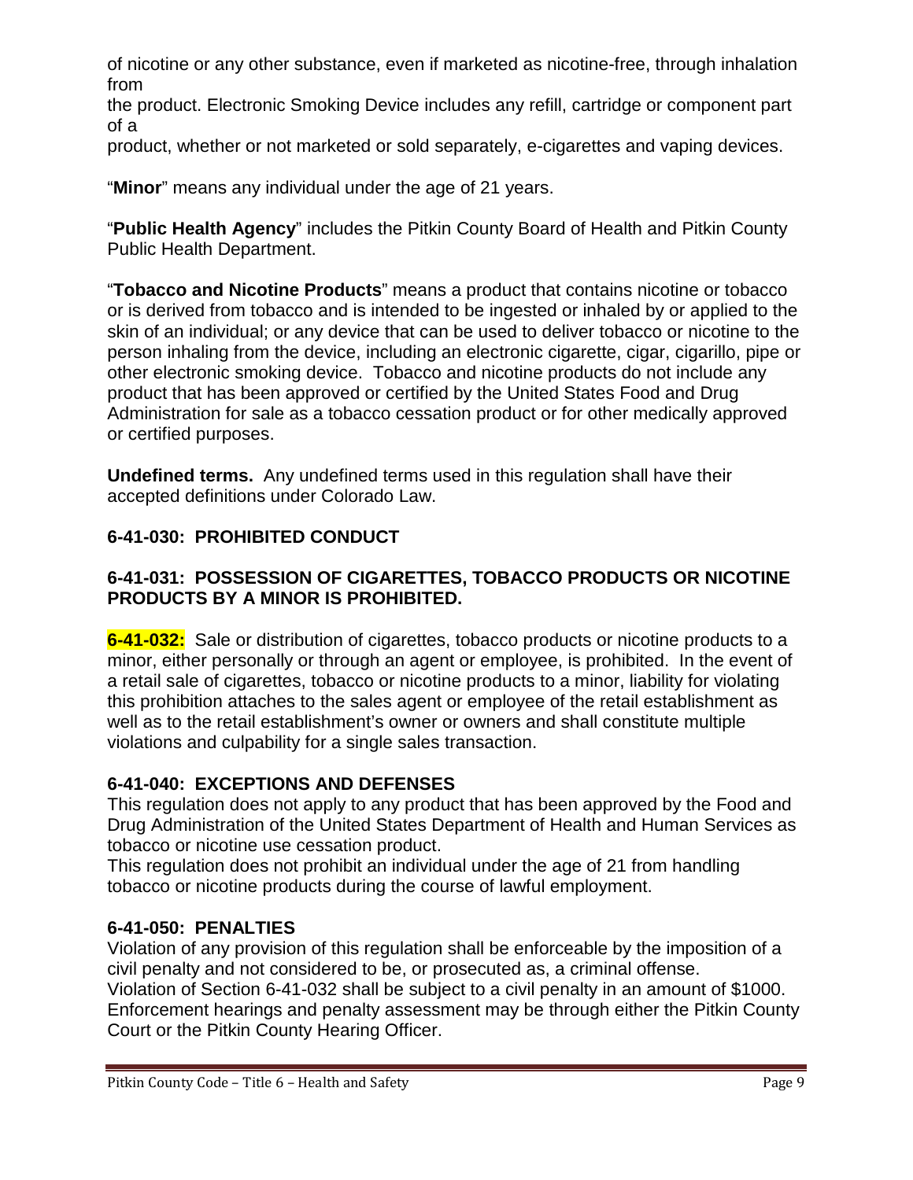of nicotine or any other substance, even if marketed as nicotine-free, through inhalation from

the product. Electronic Smoking Device includes any refill, cartridge or component part of a

product, whether or not marketed or sold separately, e-cigarettes and vaping devices.

"**Minor**" means any individual under the age of 21 years.

"**Public Health Agency**" includes the Pitkin County Board of Health and Pitkin County Public Health Department.

"**Tobacco and Nicotine Products**" means a product that contains nicotine or tobacco or is derived from tobacco and is intended to be ingested or inhaled by or applied to the skin of an individual; or any device that can be used to deliver tobacco or nicotine to the person inhaling from the device, including an electronic cigarette, cigar, cigarillo, pipe or other electronic smoking device. Tobacco and nicotine products do not include any product that has been approved or certified by the United States Food and Drug Administration for sale as a tobacco cessation product or for other medically approved or certified purposes.

**Undefined terms.** Any undefined terms used in this regulation shall have their accepted definitions under Colorado Law.

# **6-41-030: PROHIBITED CONDUCT**

## **6-41-031: POSSESSION OF CIGARETTES, TOBACCO PRODUCTS OR NICOTINE PRODUCTS BY A MINOR IS PROHIBITED.**

**6-41-032:** Sale or distribution of cigarettes, tobacco products or nicotine products to a minor, either personally or through an agent or employee, is prohibited. In the event of a retail sale of cigarettes, tobacco or nicotine products to a minor, liability for violating this prohibition attaches to the sales agent or employee of the retail establishment as well as to the retail establishment's owner or owners and shall constitute multiple violations and culpability for a single sales transaction.

## **6-41-040: EXCEPTIONS AND DEFENSES**

This regulation does not apply to any product that has been approved by the Food and Drug Administration of the United States Department of Health and Human Services as tobacco or nicotine use cessation product.

This regulation does not prohibit an individual under the age of 21 from handling tobacco or nicotine products during the course of lawful employment.

# **6-41-050: PENALTIES**

Violation of any provision of this regulation shall be enforceable by the imposition of a civil penalty and not considered to be, or prosecuted as, a criminal offense. Violation of Section 6-41-032 shall be subject to a civil penalty in an amount of \$1000. Enforcement hearings and penalty assessment may be through either the Pitkin County Court or the Pitkin County Hearing Officer.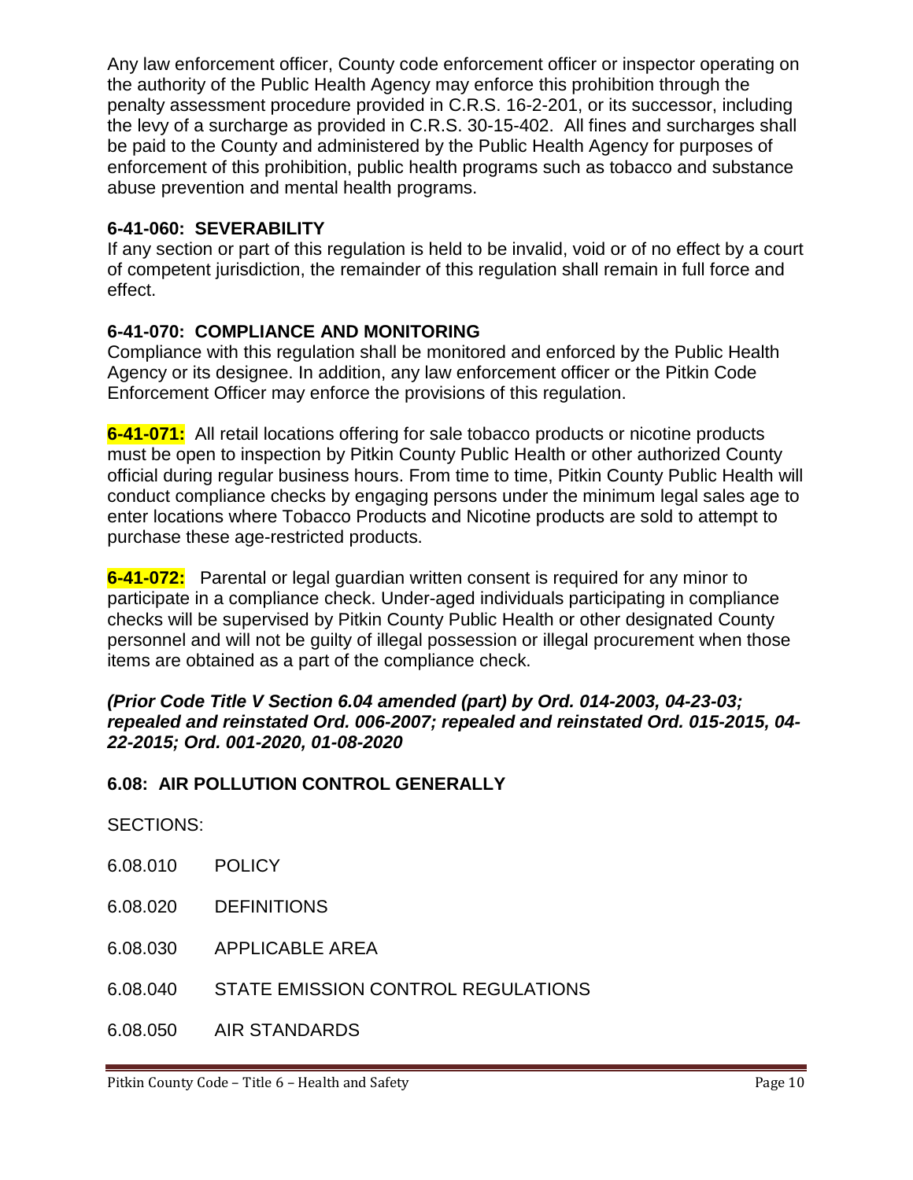Any law enforcement officer, County code enforcement officer or inspector operating on the authority of the Public Health Agency may enforce this prohibition through the penalty assessment procedure provided in C.R.S. 16-2-201, or its successor, including the levy of a surcharge as provided in C.R.S. 30-15-402. All fines and surcharges shall be paid to the County and administered by the Public Health Agency for purposes of enforcement of this prohibition, public health programs such as tobacco and substance abuse prevention and mental health programs.

### **6-41-060: SEVERABILITY**

If any section or part of this regulation is held to be invalid, void or of no effect by a court of competent jurisdiction, the remainder of this regulation shall remain in full force and effect.

## **6-41-070: COMPLIANCE AND MONITORING**

Compliance with this regulation shall be monitored and enforced by the Public Health Agency or its designee. In addition, any law enforcement officer or the Pitkin Code Enforcement Officer may enforce the provisions of this regulation.

**6-41-071:** All retail locations offering for sale tobacco products or nicotine products must be open to inspection by Pitkin County Public Health or other authorized County official during regular business hours. From time to time, Pitkin County Public Health will conduct compliance checks by engaging persons under the minimum legal sales age to enter locations where Tobacco Products and Nicotine products are sold to attempt to purchase these age-restricted products.

**6-41-072:** Parental or legal guardian written consent is required for any minor to participate in a compliance check. Under-aged individuals participating in compliance checks will be supervised by Pitkin County Public Health or other designated County personnel and will not be guilty of illegal possession or illegal procurement when those items are obtained as a part of the compliance check.

### *(Prior Code Title V Section 6.04 amended (part) by Ord. 014-2003, 04-23-03; repealed and reinstated Ord. 006-2007; repealed and reinstated Ord. 015-2015, 04- 22-2015; Ord. 001-2020, 01-08-2020*

## <span id="page-9-0"></span>**6.08: AIR POLLUTION CONTROL GENERALLY**

SECTIONS:

- 6.08.010 POLICY
- 6.08.020 DEFINITIONS
- 6.08.030 APPLICABLE AREA
- 6.08.040 STATE EMISSION CONTROL REGULATIONS
- 6.08.050 AIR STANDARDS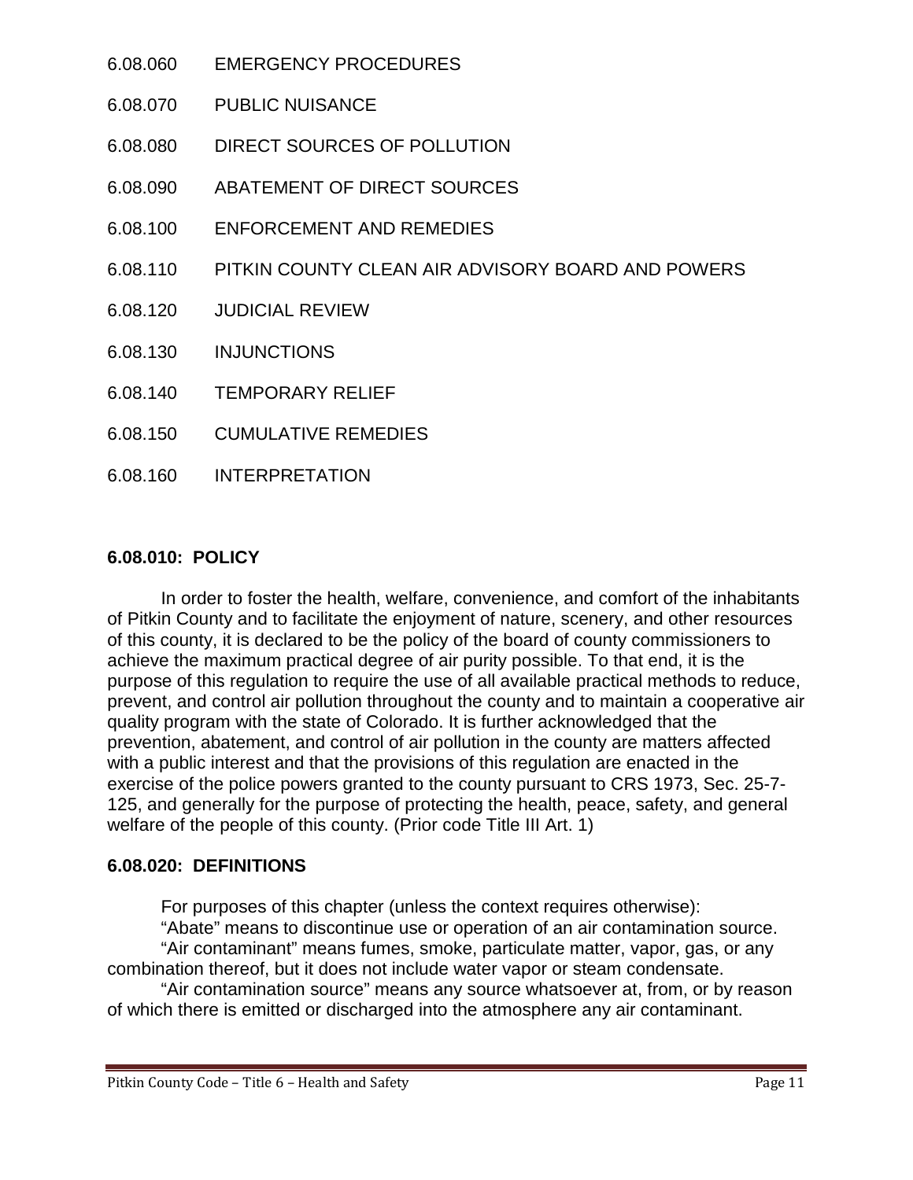- 6.08.060 EMERGENCY PROCEDURES
- 6.08.070 PUBLIC NUISANCE
- 6.08.080 DIRECT SOURCES OF POLLUTION
- 6.08.090 ABATEMENT OF DIRECT SOURCES
- 6.08.100 ENFORCEMENT AND REMEDIES
- 6.08.110 PITKIN COUNTY CLEAN AIR ADVISORY BOARD AND POWERS
- 6.08.120 JUDICIAL REVIEW
- 6.08.130 INJUNCTIONS
- 6.08.140 TEMPORARY RELIEF
- 6.08.150 CUMULATIVE REMEDIES
- 6.08.160 INTERPRETATION

#### <span id="page-10-0"></span>**6.08.010: POLICY**

In order to foster the health, welfare, convenience, and comfort of the inhabitants of Pitkin County and to facilitate the enjoyment of nature, scenery, and other resources of this county, it is declared to be the policy of the board of county commissioners to achieve the maximum practical degree of air purity possible. To that end, it is the purpose of this regulation to require the use of all available practical methods to reduce, prevent, and control air pollution throughout the county and to maintain a cooperative air quality program with the state of Colorado. It is further acknowledged that the prevention, abatement, and control of air pollution in the county are matters affected with a public interest and that the provisions of this regulation are enacted in the exercise of the police powers granted to the county pursuant to CRS 1973, Sec. 25-7- 125, and generally for the purpose of protecting the health, peace, safety, and general welfare of the people of this county. (Prior code Title III Art. 1)

#### <span id="page-10-1"></span>**6.08.020: DEFINITIONS**

For purposes of this chapter (unless the context requires otherwise):

"Abate" means to discontinue use or operation of an air contamination source. "Air contaminant" means fumes, smoke, particulate matter, vapor, gas, or any combination thereof, but it does not include water vapor or steam condensate.

"Air contamination source" means any source whatsoever at, from, or by reason of which there is emitted or discharged into the atmosphere any air contaminant.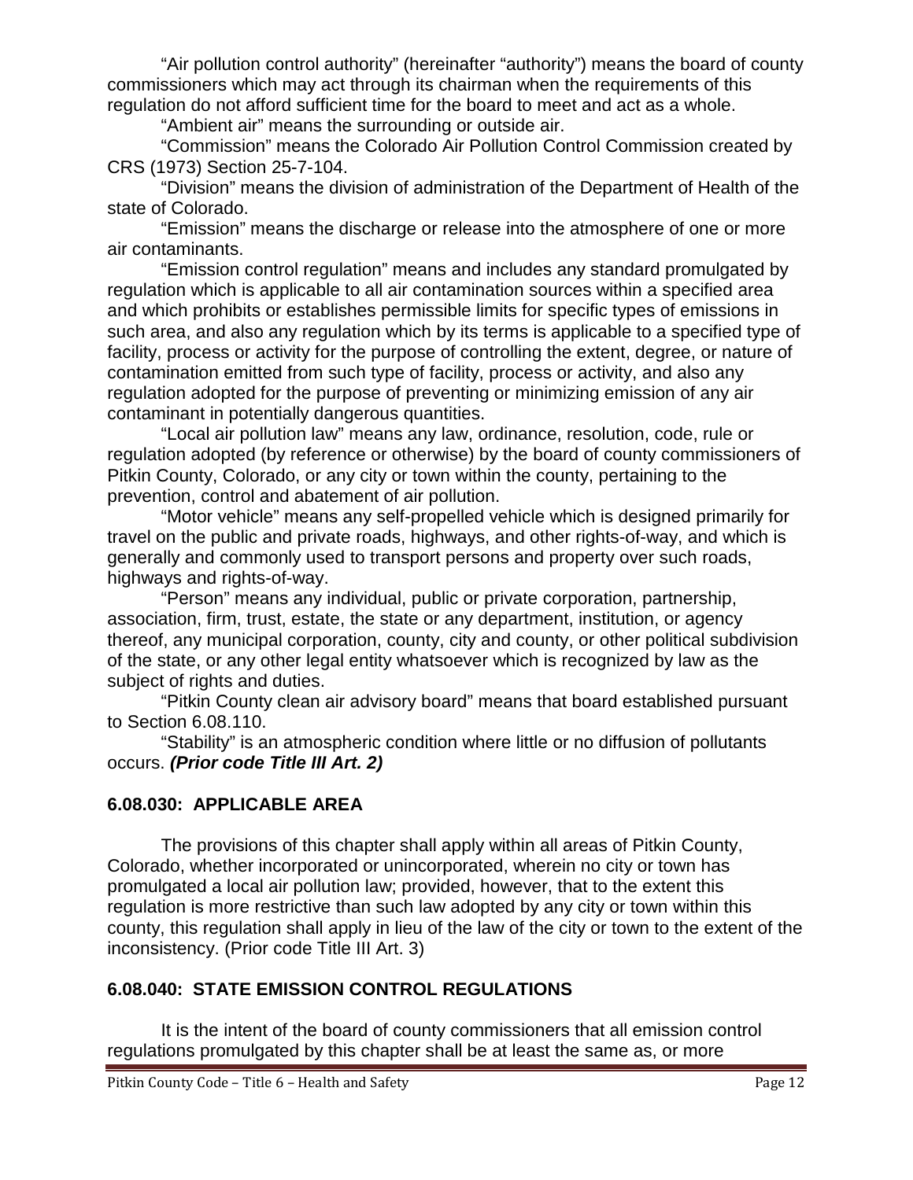"Air pollution control authority" (hereinafter "authority") means the board of county commissioners which may act through its chairman when the requirements of this regulation do not afford sufficient time for the board to meet and act as a whole.

"Ambient air" means the surrounding or outside air.

"Commission" means the Colorado Air Pollution Control Commission created by CRS (1973) Section 25-7-104.

"Division" means the division of administration of the Department of Health of the state of Colorado.

"Emission" means the discharge or release into the atmosphere of one or more air contaminants.

"Emission control regulation" means and includes any standard promulgated by regulation which is applicable to all air contamination sources within a specified area and which prohibits or establishes permissible limits for specific types of emissions in such area, and also any regulation which by its terms is applicable to a specified type of facility, process or activity for the purpose of controlling the extent, degree, or nature of contamination emitted from such type of facility, process or activity, and also any regulation adopted for the purpose of preventing or minimizing emission of any air contaminant in potentially dangerous quantities.

"Local air pollution law" means any law, ordinance, resolution, code, rule or regulation adopted (by reference or otherwise) by the board of county commissioners of Pitkin County, Colorado, or any city or town within the county, pertaining to the prevention, control and abatement of air pollution.

"Motor vehicle" means any self-propelled vehicle which is designed primarily for travel on the public and private roads, highways, and other rights-of-way, and which is generally and commonly used to transport persons and property over such roads, highways and rights-of-way.

"Person" means any individual, public or private corporation, partnership, association, firm, trust, estate, the state or any department, institution, or agency thereof, any municipal corporation, county, city and county, or other political subdivision of the state, or any other legal entity whatsoever which is recognized by law as the subject of rights and duties.

"Pitkin County clean air advisory board" means that board established pursuant to Section 6.08.110.

"Stability" is an atmospheric condition where little or no diffusion of pollutants occurs. *(Prior code Title III Art. 2)*

## <span id="page-11-0"></span>**6.08.030: APPLICABLE AREA**

The provisions of this chapter shall apply within all areas of Pitkin County, Colorado, whether incorporated or unincorporated, wherein no city or town has promulgated a local air pollution law; provided, however, that to the extent this regulation is more restrictive than such law adopted by any city or town within this county, this regulation shall apply in lieu of the law of the city or town to the extent of the inconsistency. (Prior code Title III Art. 3)

## <span id="page-11-1"></span>**6.08.040: STATE EMISSION CONTROL REGULATIONS**

It is the intent of the board of county commissioners that all emission control regulations promulgated by this chapter shall be at least the same as, or more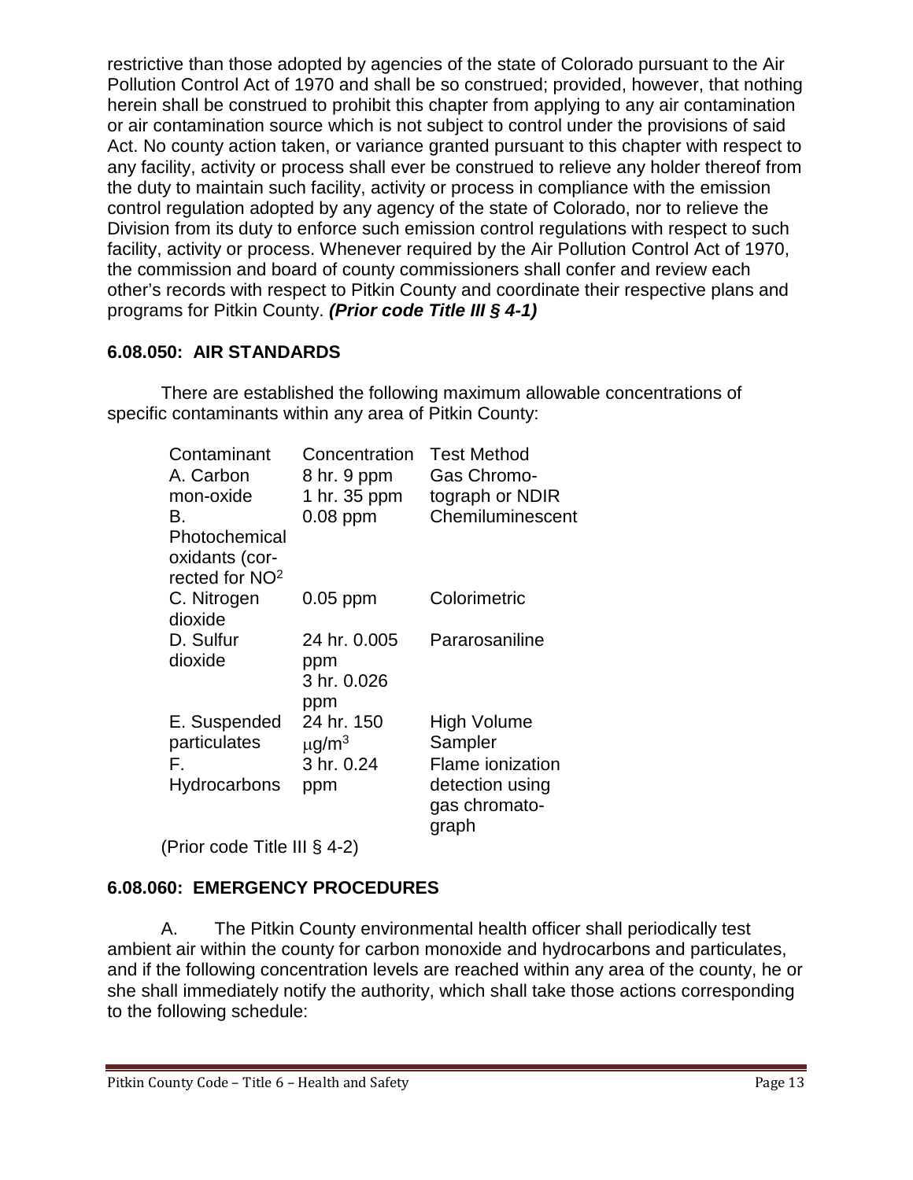restrictive than those adopted by agencies of the state of Colorado pursuant to the Air Pollution Control Act of 1970 and shall be so construed; provided, however, that nothing herein shall be construed to prohibit this chapter from applying to any air contamination or air contamination source which is not subject to control under the provisions of said Act. No county action taken, or variance granted pursuant to this chapter with respect to any facility, activity or process shall ever be construed to relieve any holder thereof from the duty to maintain such facility, activity or process in compliance with the emission control regulation adopted by any agency of the state of Colorado, nor to relieve the Division from its duty to enforce such emission control regulations with respect to such facility, activity or process. Whenever required by the Air Pollution Control Act of 1970, the commission and board of county commissioners shall confer and review each other's records with respect to Pitkin County and coordinate their respective plans and programs for Pitkin County. *(Prior code Title III § 4-1)*

## <span id="page-12-0"></span>**6.08.050: AIR STANDARDS**

There are established the following maximum allowable concentrations of specific contaminants within any area of Pitkin County:

| Contaminant<br>A. Carbon                                      | Concentration<br>8 hr. 9 ppm | <b>Test Method</b><br>Gas Chromo-         |
|---------------------------------------------------------------|------------------------------|-------------------------------------------|
| mon-oxide                                                     | 1 hr. 35 ppm                 | tograph or NDIR                           |
| В.                                                            | $0.08$ ppm                   | Chemiluminescent                          |
| Photochemical<br>oxidants (cor-<br>rected for NO <sup>2</sup> |                              |                                           |
| C. Nitrogen<br>dioxide                                        | $0.05$ ppm                   | Colorimetric                              |
| D. Sulfur<br>dioxide                                          | 24 hr. 0.005<br>ppm          | Pararosaniline                            |
|                                                               | 3 hr. 0.026<br>ppm           |                                           |
| E. Suspended                                                  | 24 hr. 150                   | High Volume                               |
| particulates                                                  | $\mu$ g/m <sup>3</sup>       | Sampler                                   |
| F.                                                            | 3 hr. 0.24                   | <b>Flame ionization</b>                   |
| <b>Hydrocarbons</b>                                           | ppm                          | detection using<br>gas chromato-<br>graph |

(Prior code Title III § 4-2)

# <span id="page-12-1"></span>**6.08.060: EMERGENCY PROCEDURES**

A. The Pitkin County environmental health officer shall periodically test ambient air within the county for carbon monoxide and hydrocarbons and particulates, and if the following concentration levels are reached within any area of the county, he or she shall immediately notify the authority, which shall take those actions corresponding to the following schedule: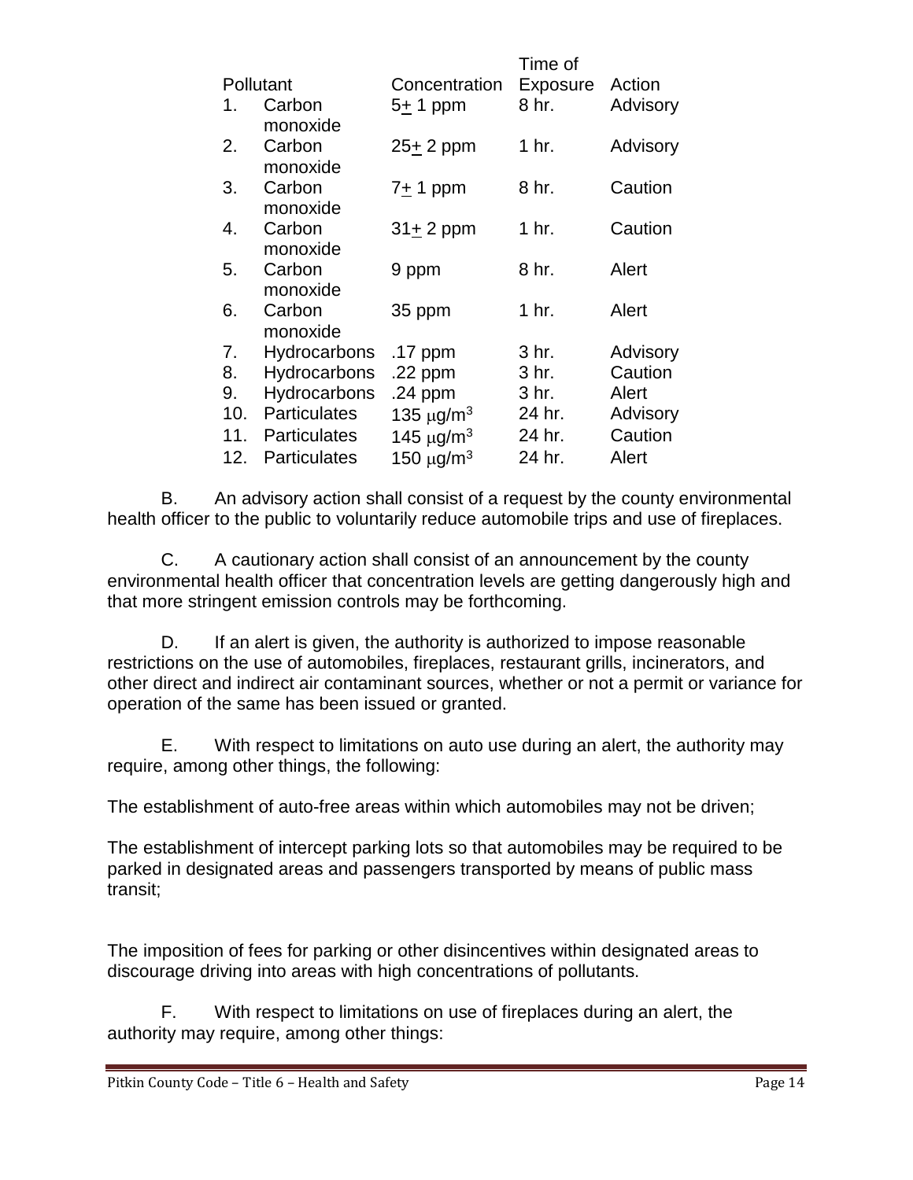|                     |                                                                            | Time of                                          |                                  |
|---------------------|----------------------------------------------------------------------------|--------------------------------------------------|----------------------------------|
| Pollutant           | Concentration                                                              | <b>Exposure</b>                                  | Action                           |
| Carbon              | 5 <u>+</u> 1 ppm                                                           | 8 hr.                                            | Advisory                         |
|                     |                                                                            |                                                  |                                  |
|                     |                                                                            |                                                  | Advisory                         |
|                     |                                                                            |                                                  |                                  |
|                     |                                                                            |                                                  | Caution                          |
|                     |                                                                            |                                                  |                                  |
|                     |                                                                            |                                                  | Caution                          |
|                     |                                                                            |                                                  |                                  |
| Carbon              | 9 ppm                                                                      | 8 hr.                                            | Alert                            |
| monoxide            |                                                                            |                                                  |                                  |
| Carbon              | 35 ppm                                                                     |                                                  | Alert                            |
| monoxide            |                                                                            |                                                  |                                  |
| Hydrocarbons        | .17 ppm                                                                    | 3 hr.                                            | Advisory                         |
| Hydrocarbons        | .22 ppm                                                                    | 3 hr.                                            | Caution                          |
| Hydrocarbons        | $.24$ ppm                                                                  | 3 hr.                                            | Alert                            |
| <b>Particulates</b> | 135 $\mu$ g/m <sup>3</sup>                                                 | 24 hr.                                           | Advisory                         |
| <b>Particulates</b> | 145 $\mu$ g/m <sup>3</sup>                                                 | 24 hr.                                           | Caution                          |
| <b>Particulates</b> | 150 $\mu$ g/m <sup>3</sup>                                                 | 24 hr.                                           | Alert                            |
|                     | monoxide<br>Carbon<br>monoxide<br>Carbon<br>monoxide<br>Carbon<br>monoxide | $25 + 2$ ppm<br>7 <u>+</u> 1 ppm<br>$31 + 2$ ppm | 1 hr.<br>8 hr.<br>1 hr.<br>1 hr. |

B. An advisory action shall consist of a request by the county environmental health officer to the public to voluntarily reduce automobile trips and use of fireplaces.

C. A cautionary action shall consist of an announcement by the county environmental health officer that concentration levels are getting dangerously high and that more stringent emission controls may be forthcoming.

D. If an alert is given, the authority is authorized to impose reasonable restrictions on the use of automobiles, fireplaces, restaurant grills, incinerators, and other direct and indirect air contaminant sources, whether or not a permit or variance for operation of the same has been issued or granted.

E. With respect to limitations on auto use during an alert, the authority may require, among other things, the following:

The establishment of auto-free areas within which automobiles may not be driven;

The establishment of intercept parking lots so that automobiles may be required to be parked in designated areas and passengers transported by means of public mass transit;

The imposition of fees for parking or other disincentives within designated areas to discourage driving into areas with high concentrations of pollutants.

F. With respect to limitations on use of fireplaces during an alert, the authority may require, among other things: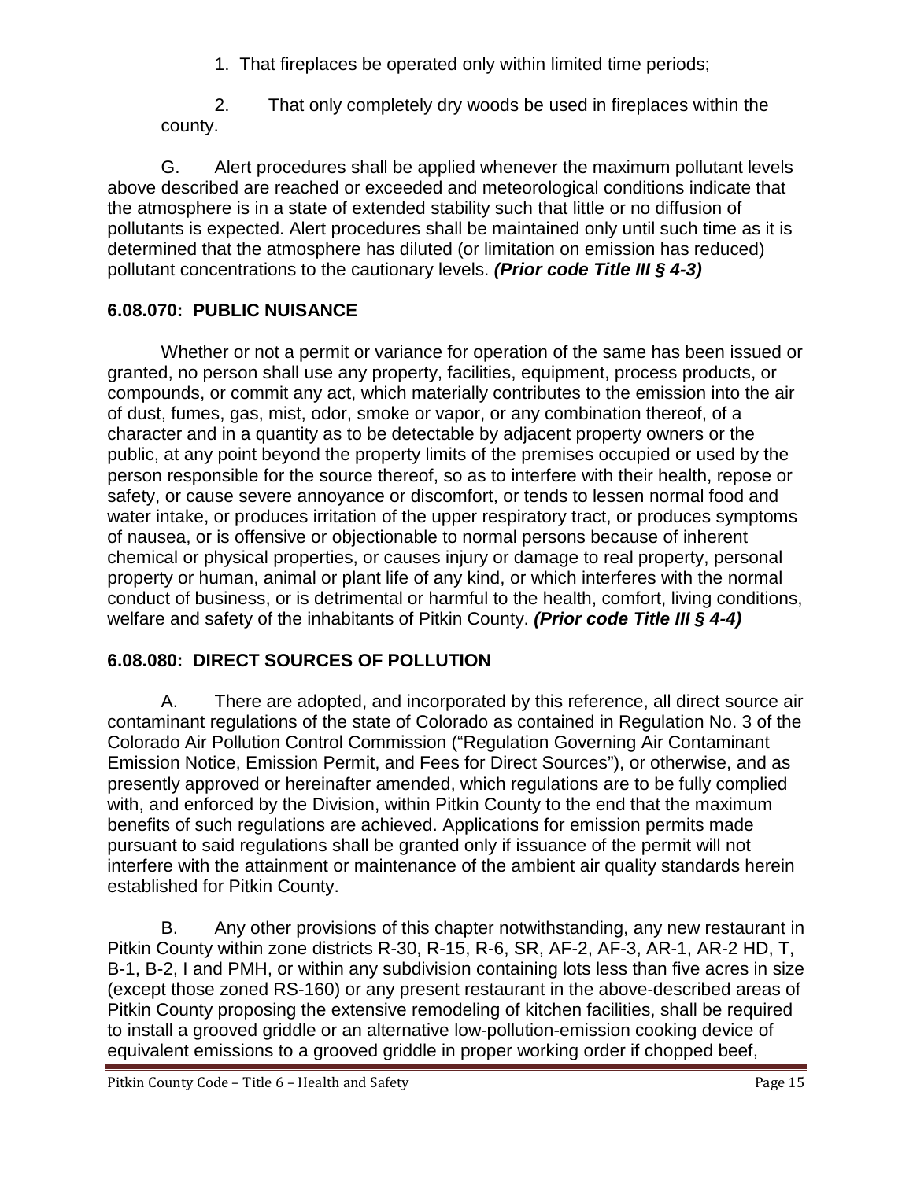1. That fireplaces be operated only within limited time periods;

2. That only completely dry woods be used in fireplaces within the county.

G. Alert procedures shall be applied whenever the maximum pollutant levels above described are reached or exceeded and meteorological conditions indicate that the atmosphere is in a state of extended stability such that little or no diffusion of pollutants is expected. Alert procedures shall be maintained only until such time as it is determined that the atmosphere has diluted (or limitation on emission has reduced) pollutant concentrations to the cautionary levels. *(Prior code Title III § 4-3)*

# <span id="page-14-0"></span>**6.08.070: PUBLIC NUISANCE**

Whether or not a permit or variance for operation of the same has been issued or granted, no person shall use any property, facilities, equipment, process products, or compounds, or commit any act, which materially contributes to the emission into the air of dust, fumes, gas, mist, odor, smoke or vapor, or any combination thereof, of a character and in a quantity as to be detectable by adjacent property owners or the public, at any point beyond the property limits of the premises occupied or used by the person responsible for the source thereof, so as to interfere with their health, repose or safety, or cause severe annoyance or discomfort, or tends to lessen normal food and water intake, or produces irritation of the upper respiratory tract, or produces symptoms of nausea, or is offensive or objectionable to normal persons because of inherent chemical or physical properties, or causes injury or damage to real property, personal property or human, animal or plant life of any kind, or which interferes with the normal conduct of business, or is detrimental or harmful to the health, comfort, living conditions, welfare and safety of the inhabitants of Pitkin County. *(Prior code Title III § 4-4)*

# <span id="page-14-1"></span>**6.08.080: DIRECT SOURCES OF POLLUTION**

A. There are adopted, and incorporated by this reference, all direct source air contaminant regulations of the state of Colorado as contained in Regulation No. 3 of the Colorado Air Pollution Control Commission ("Regulation Governing Air Contaminant Emission Notice, Emission Permit, and Fees for Direct Sources"), or otherwise, and as presently approved or hereinafter amended, which regulations are to be fully complied with, and enforced by the Division, within Pitkin County to the end that the maximum benefits of such regulations are achieved. Applications for emission permits made pursuant to said regulations shall be granted only if issuance of the permit will not interfere with the attainment or maintenance of the ambient air quality standards herein established for Pitkin County.

B. Any other provisions of this chapter notwithstanding, any new restaurant in Pitkin County within zone districts R-30, R-15, R-6, SR, AF-2, AF-3, AR-1, AR-2 HD, T, B-1, B-2, I and PMH, or within any subdivision containing lots less than five acres in size (except those zoned RS-160) or any present restaurant in the above-described areas of Pitkin County proposing the extensive remodeling of kitchen facilities, shall be required to install a grooved griddle or an alternative low-pollution-emission cooking device of equivalent emissions to a grooved griddle in proper working order if chopped beef,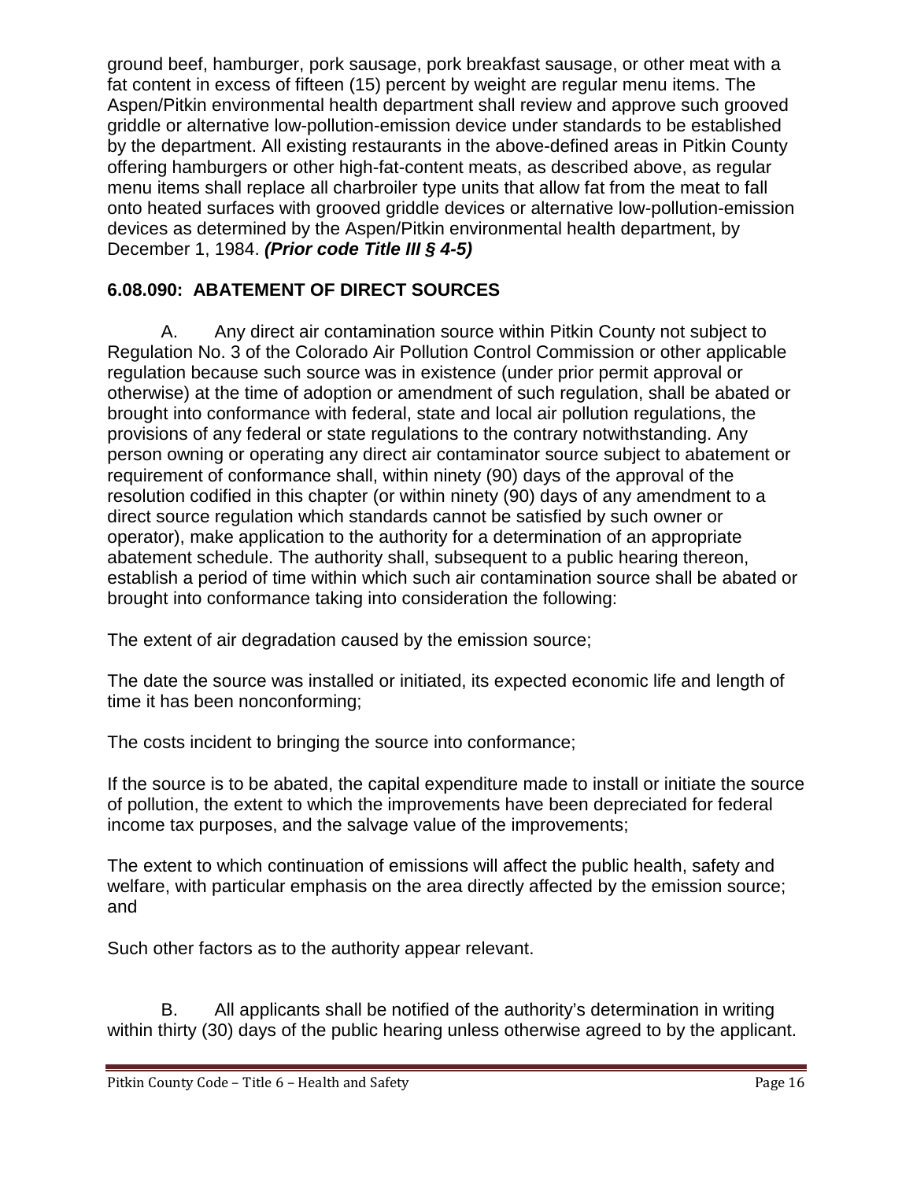ground beef, hamburger, pork sausage, pork breakfast sausage, or other meat with a fat content in excess of fifteen (15) percent by weight are regular menu items. The Aspen/Pitkin environmental health department shall review and approve such grooved griddle or alternative low-pollution-emission device under standards to be established by the department. All existing restaurants in the above-defined areas in Pitkin County offering hamburgers or other high-fat-content meats, as described above, as regular menu items shall replace all charbroiler type units that allow fat from the meat to fall onto heated surfaces with grooved griddle devices or alternative low-pollution-emission devices as determined by the Aspen/Pitkin environmental health department, by December 1, 1984. *(Prior code Title III § 4-5)*

# <span id="page-15-0"></span>**6.08.090: ABATEMENT OF DIRECT SOURCES**

A. Any direct air contamination source within Pitkin County not subject to Regulation No. 3 of the Colorado Air Pollution Control Commission or other applicable regulation because such source was in existence (under prior permit approval or otherwise) at the time of adoption or amendment of such regulation, shall be abated or brought into conformance with federal, state and local air pollution regulations, the provisions of any federal or state regulations to the contrary notwithstanding. Any person owning or operating any direct air contaminator source subject to abatement or requirement of conformance shall, within ninety (90) days of the approval of the resolution codified in this chapter (or within ninety (90) days of any amendment to a direct source regulation which standards cannot be satisfied by such owner or operator), make application to the authority for a determination of an appropriate abatement schedule. The authority shall, subsequent to a public hearing thereon, establish a period of time within which such air contamination source shall be abated or brought into conformance taking into consideration the following:

The extent of air degradation caused by the emission source;

The date the source was installed or initiated, its expected economic life and length of time it has been nonconforming;

The costs incident to bringing the source into conformance;

If the source is to be abated, the capital expenditure made to install or initiate the source of pollution, the extent to which the improvements have been depreciated for federal income tax purposes, and the salvage value of the improvements;

The extent to which continuation of emissions will affect the public health, safety and welfare, with particular emphasis on the area directly affected by the emission source; and

Such other factors as to the authority appear relevant.

B. All applicants shall be notified of the authority's determination in writing within thirty (30) days of the public hearing unless otherwise agreed to by the applicant.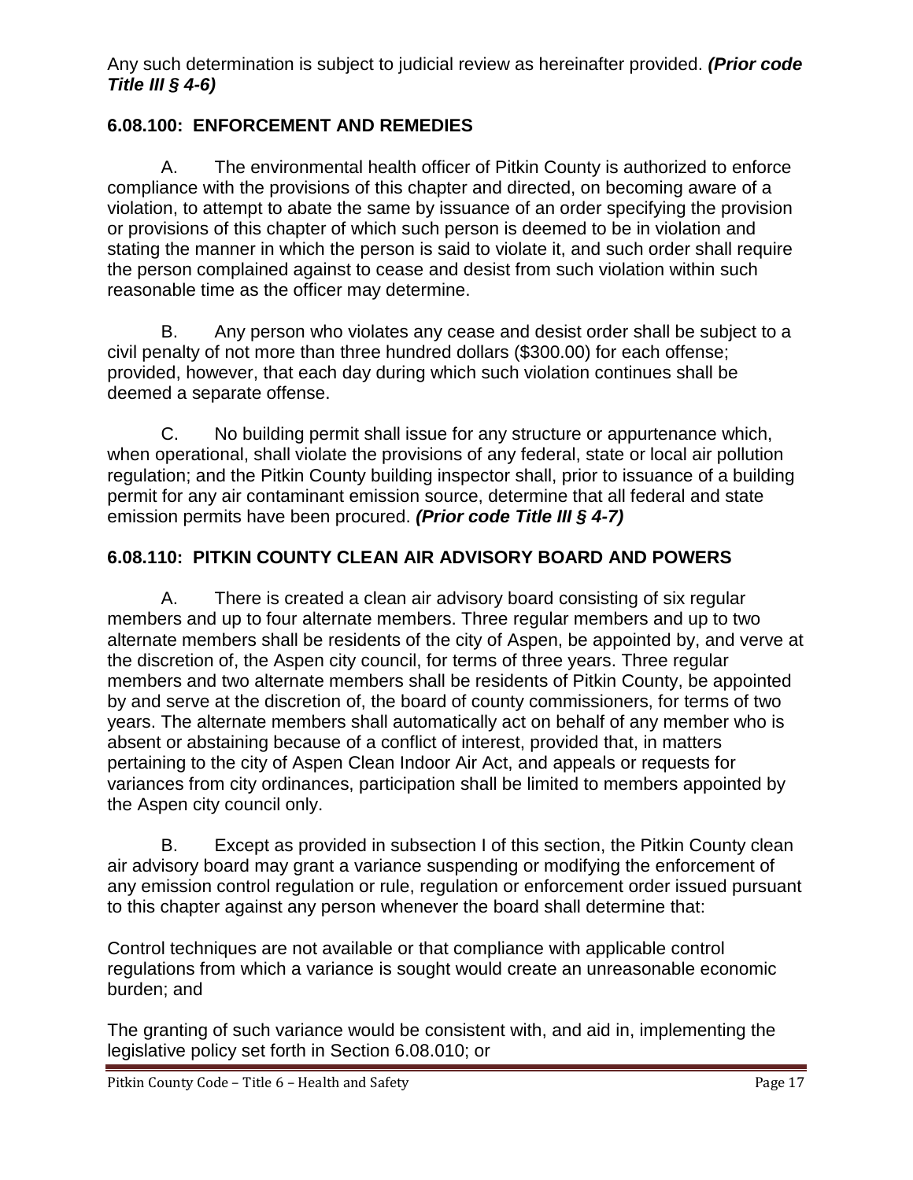Any such determination is subject to judicial review as hereinafter provided. *(Prior code Title III § 4-6)*

## <span id="page-16-0"></span>**6.08.100: ENFORCEMENT AND REMEDIES**

A. The environmental health officer of Pitkin County is authorized to enforce compliance with the provisions of this chapter and directed, on becoming aware of a violation, to attempt to abate the same by issuance of an order specifying the provision or provisions of this chapter of which such person is deemed to be in violation and stating the manner in which the person is said to violate it, and such order shall require the person complained against to cease and desist from such violation within such reasonable time as the officer may determine.

B. Any person who violates any cease and desist order shall be subject to a civil penalty of not more than three hundred dollars (\$300.00) for each offense; provided, however, that each day during which such violation continues shall be deemed a separate offense.

C. No building permit shall issue for any structure or appurtenance which, when operational, shall violate the provisions of any federal, state or local air pollution regulation; and the Pitkin County building inspector shall, prior to issuance of a building permit for any air contaminant emission source, determine that all federal and state emission permits have been procured. *(Prior code Title III § 4-7)*

## <span id="page-16-1"></span>**6.08.110: PITKIN COUNTY CLEAN AIR ADVISORY BOARD AND POWERS**

A. There is created a clean air advisory board consisting of six regular members and up to four alternate members. Three regular members and up to two alternate members shall be residents of the city of Aspen, be appointed by, and verve at the discretion of, the Aspen city council, for terms of three years. Three regular members and two alternate members shall be residents of Pitkin County, be appointed by and serve at the discretion of, the board of county commissioners, for terms of two years. The alternate members shall automatically act on behalf of any member who is absent or abstaining because of a conflict of interest, provided that, in matters pertaining to the city of Aspen Clean Indoor Air Act, and appeals or requests for variances from city ordinances, participation shall be limited to members appointed by the Aspen city council only.

B. Except as provided in subsection I of this section, the Pitkin County clean air advisory board may grant a variance suspending or modifying the enforcement of any emission control regulation or rule, regulation or enforcement order issued pursuant to this chapter against any person whenever the board shall determine that:

Control techniques are not available or that compliance with applicable control regulations from which a variance is sought would create an unreasonable economic burden; and

The granting of such variance would be consistent with, and aid in, implementing the legislative policy set forth in Section 6.08.010; or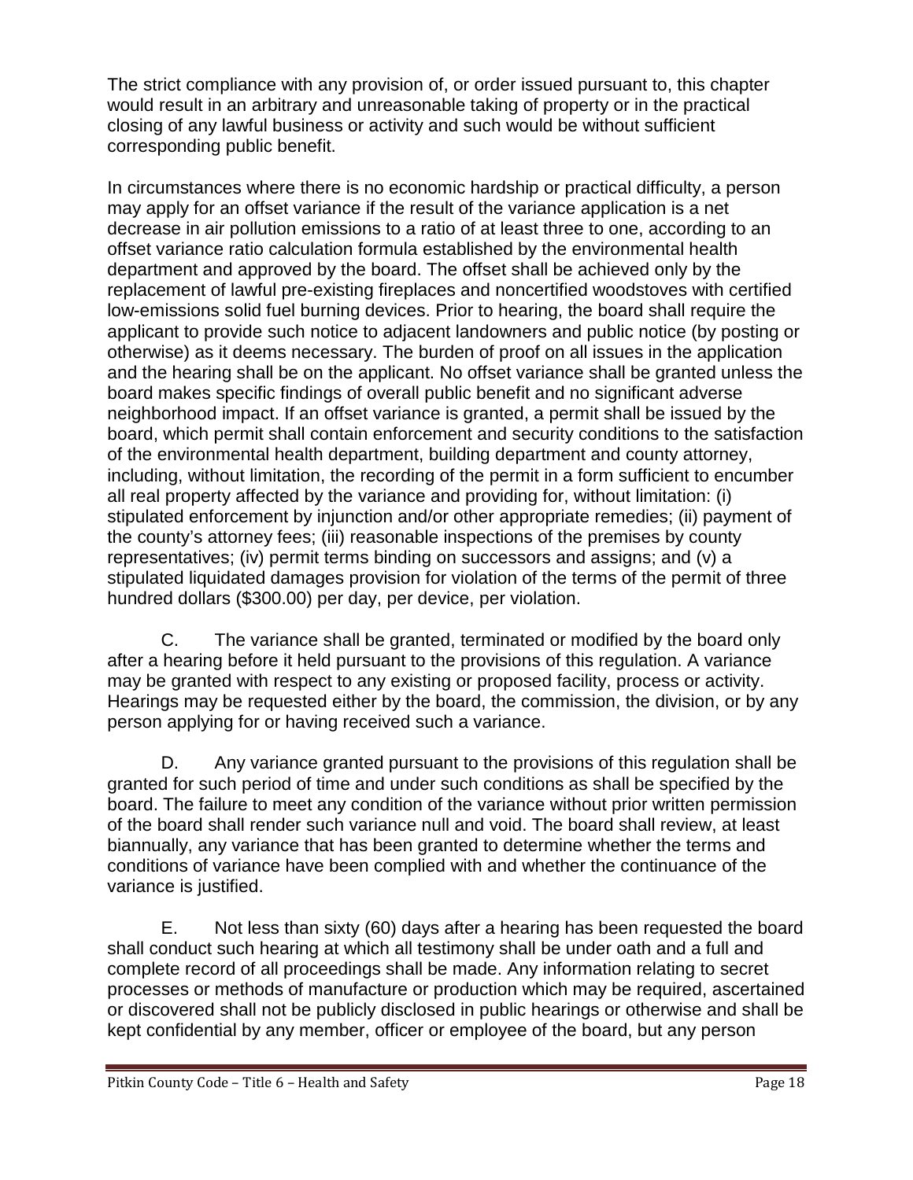The strict compliance with any provision of, or order issued pursuant to, this chapter would result in an arbitrary and unreasonable taking of property or in the practical closing of any lawful business or activity and such would be without sufficient corresponding public benefit.

In circumstances where there is no economic hardship or practical difficulty, a person may apply for an offset variance if the result of the variance application is a net decrease in air pollution emissions to a ratio of at least three to one, according to an offset variance ratio calculation formula established by the environmental health department and approved by the board. The offset shall be achieved only by the replacement of lawful pre-existing fireplaces and noncertified woodstoves with certified low-emissions solid fuel burning devices. Prior to hearing, the board shall require the applicant to provide such notice to adjacent landowners and public notice (by posting or otherwise) as it deems necessary. The burden of proof on all issues in the application and the hearing shall be on the applicant. No offset variance shall be granted unless the board makes specific findings of overall public benefit and no significant adverse neighborhood impact. If an offset variance is granted, a permit shall be issued by the board, which permit shall contain enforcement and security conditions to the satisfaction of the environmental health department, building department and county attorney, including, without limitation, the recording of the permit in a form sufficient to encumber all real property affected by the variance and providing for, without limitation: (i) stipulated enforcement by injunction and/or other appropriate remedies; (ii) payment of the county's attorney fees; (iii) reasonable inspections of the premises by county representatives; (iv) permit terms binding on successors and assigns; and (v) a stipulated liquidated damages provision for violation of the terms of the permit of three hundred dollars (\$300.00) per day, per device, per violation.

C. The variance shall be granted, terminated or modified by the board only after a hearing before it held pursuant to the provisions of this regulation. A variance may be granted with respect to any existing or proposed facility, process or activity. Hearings may be requested either by the board, the commission, the division, or by any person applying for or having received such a variance.

D. Any variance granted pursuant to the provisions of this regulation shall be granted for such period of time and under such conditions as shall be specified by the board. The failure to meet any condition of the variance without prior written permission of the board shall render such variance null and void. The board shall review, at least biannually, any variance that has been granted to determine whether the terms and conditions of variance have been complied with and whether the continuance of the variance is justified.

E. Not less than sixty (60) days after a hearing has been requested the board shall conduct such hearing at which all testimony shall be under oath and a full and complete record of all proceedings shall be made. Any information relating to secret processes or methods of manufacture or production which may be required, ascertained or discovered shall not be publicly disclosed in public hearings or otherwise and shall be kept confidential by any member, officer or employee of the board, but any person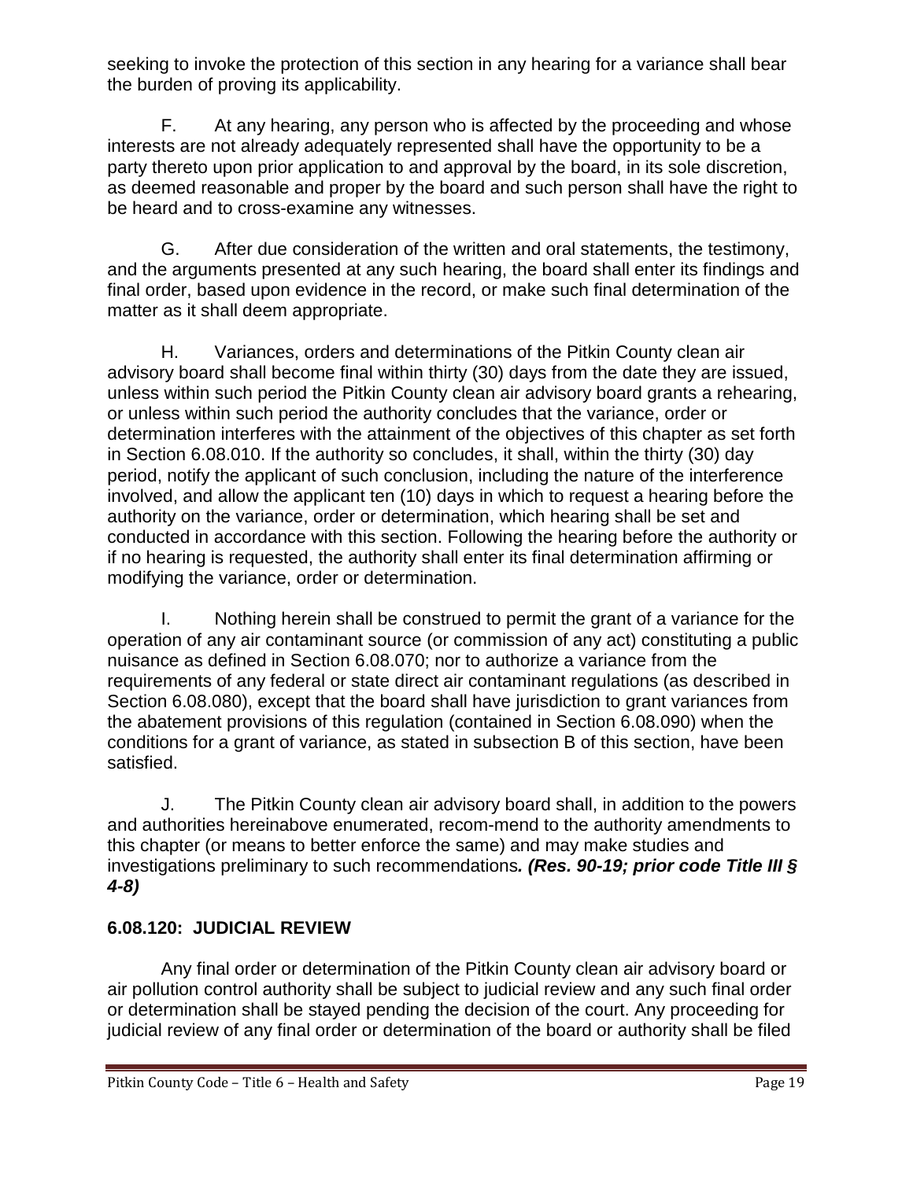seeking to invoke the protection of this section in any hearing for a variance shall bear the burden of proving its applicability.

F. At any hearing, any person who is affected by the proceeding and whose interests are not already adequately represented shall have the opportunity to be a party thereto upon prior application to and approval by the board, in its sole discretion, as deemed reasonable and proper by the board and such person shall have the right to be heard and to cross-examine any witnesses.

G. After due consideration of the written and oral statements, the testimony, and the arguments presented at any such hearing, the board shall enter its findings and final order, based upon evidence in the record, or make such final determination of the matter as it shall deem appropriate.

H. Variances, orders and determinations of the Pitkin County clean air advisory board shall become final within thirty (30) days from the date they are issued, unless within such period the Pitkin County clean air advisory board grants a rehearing, or unless within such period the authority concludes that the variance, order or determination interferes with the attainment of the objectives of this chapter as set forth in Section 6.08.010. If the authority so concludes, it shall, within the thirty (30) day period, notify the applicant of such conclusion, including the nature of the interference involved, and allow the applicant ten (10) days in which to request a hearing before the authority on the variance, order or determination, which hearing shall be set and conducted in accordance with this section. Following the hearing before the authority or if no hearing is requested, the authority shall enter its final determination affirming or modifying the variance, order or determination.

I. Nothing herein shall be construed to permit the grant of a variance for the operation of any air contaminant source (or commission of any act) constituting a public nuisance as defined in Section 6.08.070; nor to authorize a variance from the requirements of any federal or state direct air contaminant regulations (as described in Section 6.08.080), except that the board shall have jurisdiction to grant variances from the abatement provisions of this regulation (contained in Section 6.08.090) when the conditions for a grant of variance, as stated in subsection B of this section, have been satisfied.

J. The Pitkin County clean air advisory board shall, in addition to the powers and authorities hereinabove enumerated, recom-mend to the authority amendments to this chapter (or means to better enforce the same) and may make studies and investigations preliminary to such recommendations*. (Res. 90-19; prior code Title III § 4-8)*

# <span id="page-18-0"></span>**6.08.120: JUDICIAL REVIEW**

Any final order or determination of the Pitkin County clean air advisory board or air pollution control authority shall be subject to judicial review and any such final order or determination shall be stayed pending the decision of the court. Any proceeding for judicial review of any final order or determination of the board or authority shall be filed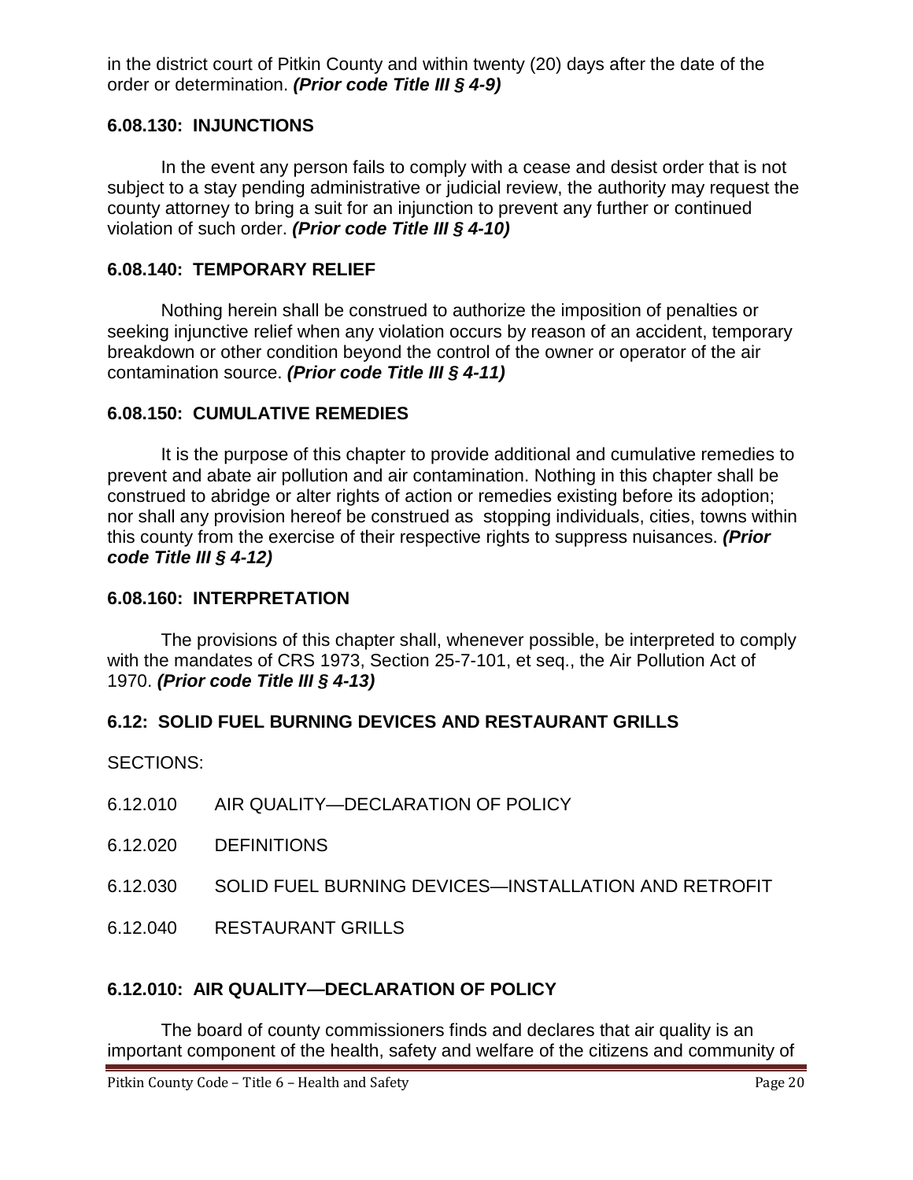in the district court of Pitkin County and within twenty (20) days after the date of the order or determination. *(Prior code Title III § 4-9)*

### <span id="page-19-0"></span>**6.08.130: INJUNCTIONS**

In the event any person fails to comply with a cease and desist order that is not subject to a stay pending administrative or judicial review, the authority may request the county attorney to bring a suit for an injunction to prevent any further or continued violation of such order. *(Prior code Title III § 4-10)*

### <span id="page-19-1"></span>**6.08.140: TEMPORARY RELIEF**

Nothing herein shall be construed to authorize the imposition of penalties or seeking injunctive relief when any violation occurs by reason of an accident, temporary breakdown or other condition beyond the control of the owner or operator of the air contamination source. *(Prior code Title III § 4-11)*

### <span id="page-19-2"></span>**6.08.150: CUMULATIVE REMEDIES**

It is the purpose of this chapter to provide additional and cumulative remedies to prevent and abate air pollution and air contamination. Nothing in this chapter shall be construed to abridge or alter rights of action or remedies existing before its adoption; nor shall any provision hereof be construed as stopping individuals, cities, towns within this county from the exercise of their respective rights to suppress nuisances. *(Prior code Title III § 4-12)*

### <span id="page-19-3"></span>**6.08.160: INTERPRETATION**

The provisions of this chapter shall, whenever possible, be interpreted to comply with the mandates of CRS 1973, Section 25-7-101, et seq., the Air Pollution Act of 1970. *(Prior code Title III § 4-13)*

## <span id="page-19-4"></span>**6.12: SOLID FUEL BURNING DEVICES AND RESTAURANT GRILLS**

SECTIONS:

- 6.12.010 AIR QUALITY—DECLARATION OF POLICY
- 6.12.020 DEFINITIONS
- 6.12.030 SOLID FUEL BURNING DEVICES—INSTALLATION AND RETROFIT
- 6.12.040 RESTAURANT GRILLS

## <span id="page-19-5"></span>**6.12.010: AIR QUALITY—DECLARATION OF POLICY**

The board of county commissioners finds and declares that air quality is an important component of the health, safety and welfare of the citizens and community of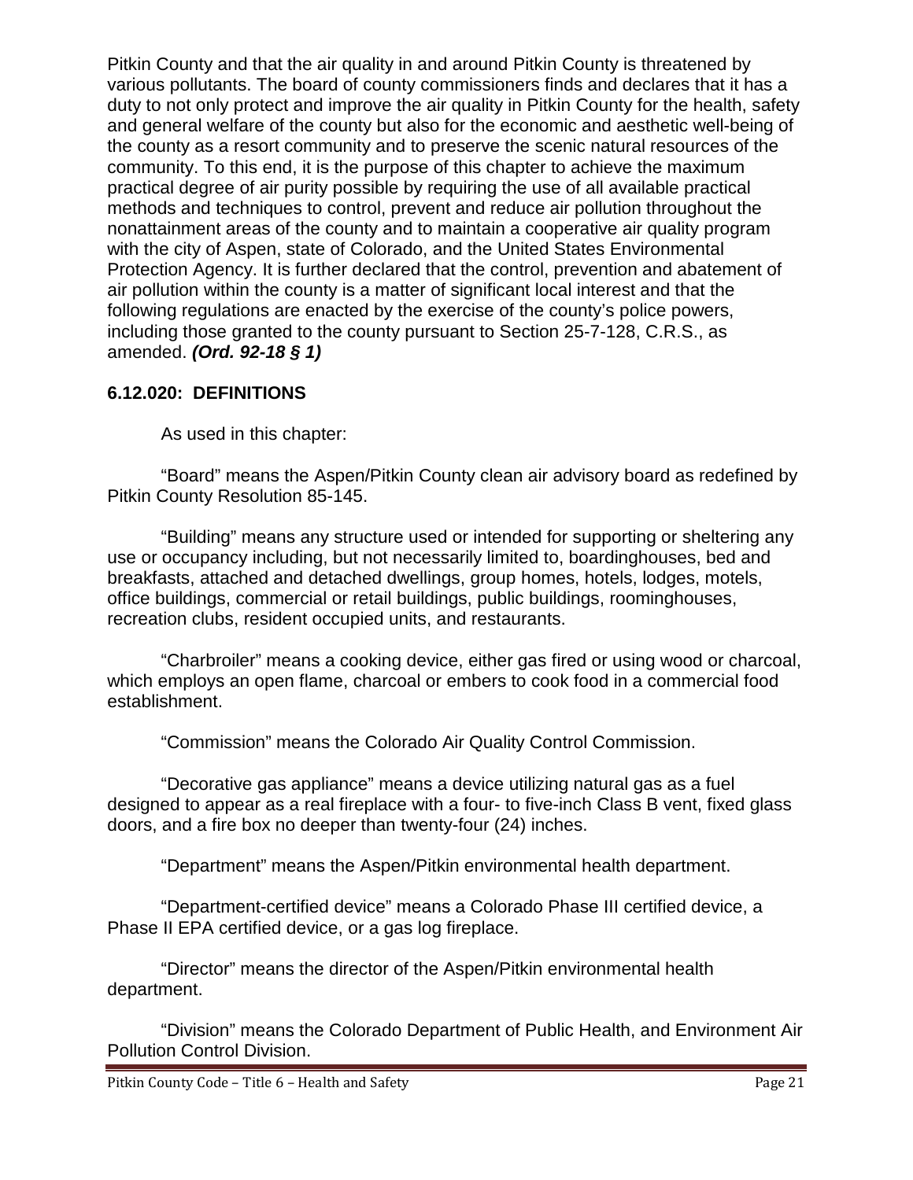Pitkin County and that the air quality in and around Pitkin County is threatened by various pollutants. The board of county commissioners finds and declares that it has a duty to not only protect and improve the air quality in Pitkin County for the health, safety and general welfare of the county but also for the economic and aesthetic well-being of the county as a resort community and to preserve the scenic natural resources of the community. To this end, it is the purpose of this chapter to achieve the maximum practical degree of air purity possible by requiring the use of all available practical methods and techniques to control, prevent and reduce air pollution throughout the nonattainment areas of the county and to maintain a cooperative air quality program with the city of Aspen, state of Colorado, and the United States Environmental Protection Agency. It is further declared that the control, prevention and abatement of air pollution within the county is a matter of significant local interest and that the following regulations are enacted by the exercise of the county's police powers, including those granted to the county pursuant to Section 25-7-128, C.R.S., as amended. *(Ord. 92-18 § 1)*

## <span id="page-20-0"></span>**6.12.020: DEFINITIONS**

As used in this chapter:

"Board" means the Aspen/Pitkin County clean air advisory board as redefined by Pitkin County Resolution 85-145.

"Building" means any structure used or intended for supporting or sheltering any use or occupancy including, but not necessarily limited to, boardinghouses, bed and breakfasts, attached and detached dwellings, group homes, hotels, lodges, motels, office buildings, commercial or retail buildings, public buildings, roominghouses, recreation clubs, resident occupied units, and restaurants.

"Charbroiler" means a cooking device, either gas fired or using wood or charcoal, which employs an open flame, charcoal or embers to cook food in a commercial food establishment.

"Commission" means the Colorado Air Quality Control Commission.

"Decorative gas appliance" means a device utilizing natural gas as a fuel designed to appear as a real fireplace with a four- to five-inch Class B vent, fixed glass doors, and a fire box no deeper than twenty-four (24) inches.

"Department" means the Aspen/Pitkin environmental health department.

"Department-certified device" means a Colorado Phase III certified device, a Phase II EPA certified device, or a gas log fireplace.

"Director" means the director of the Aspen/Pitkin environmental health department.

"Division" means the Colorado Department of Public Health, and Environment Air Pollution Control Division.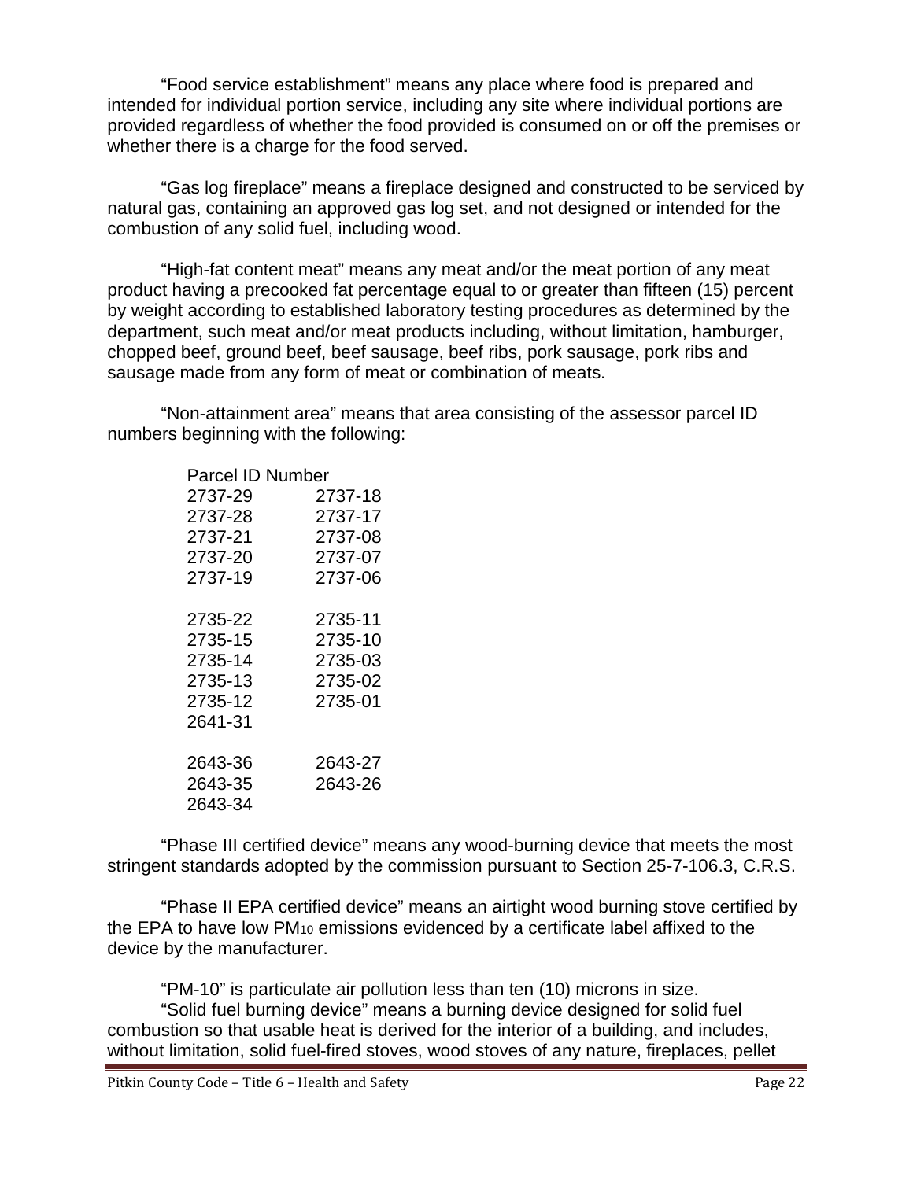"Food service establishment" means any place where food is prepared and intended for individual portion service, including any site where individual portions are provided regardless of whether the food provided is consumed on or off the premises or whether there is a charge for the food served.

"Gas log fireplace" means a fireplace designed and constructed to be serviced by natural gas, containing an approved gas log set, and not designed or intended for the combustion of any solid fuel, including wood.

"High-fat content meat" means any meat and/or the meat portion of any meat product having a precooked fat percentage equal to or greater than fifteen (15) percent by weight according to established laboratory testing procedures as determined by the department, such meat and/or meat products including, without limitation, hamburger, chopped beef, ground beef, beef sausage, beef ribs, pork sausage, pork ribs and sausage made from any form of meat or combination of meats.

"Non-attainment area" means that area consisting of the assessor parcel ID numbers beginning with the following:

| <b>Parcel ID Number</b> |         |
|-------------------------|---------|
| 2737-29                 | 2737-18 |
| 2737-28                 | 2737-17 |
| 2737-21                 | 2737-08 |
| 2737-20                 | 2737-07 |
| 2737-19                 | 2737-06 |
| 2735-22                 | 2735-11 |
| 2735-15                 | 2735-10 |
| 2735-14                 | 2735-03 |
| 2735-13                 | 2735-02 |
| 2735-12                 | 2735-01 |
| 2641-31                 |         |
| 2643-36                 | 2643-27 |
| 2643-35                 | 2643-26 |
| 2643-34                 |         |

"Phase III certified device" means any wood-burning device that meets the most stringent standards adopted by the commission pursuant to Section 25-7-106.3, C.R.S.

"Phase II EPA certified device" means an airtight wood burning stove certified by the EPA to have low  $PM_{10}$  emissions evidenced by a certificate label affixed to the device by the manufacturer.

"PM-10" is particulate air pollution less than ten (10) microns in size. "Solid fuel burning device" means a burning device designed for solid fuel combustion so that usable heat is derived for the interior of a building, and includes, without limitation, solid fuel-fired stoves, wood stoves of any nature, fireplaces, pellet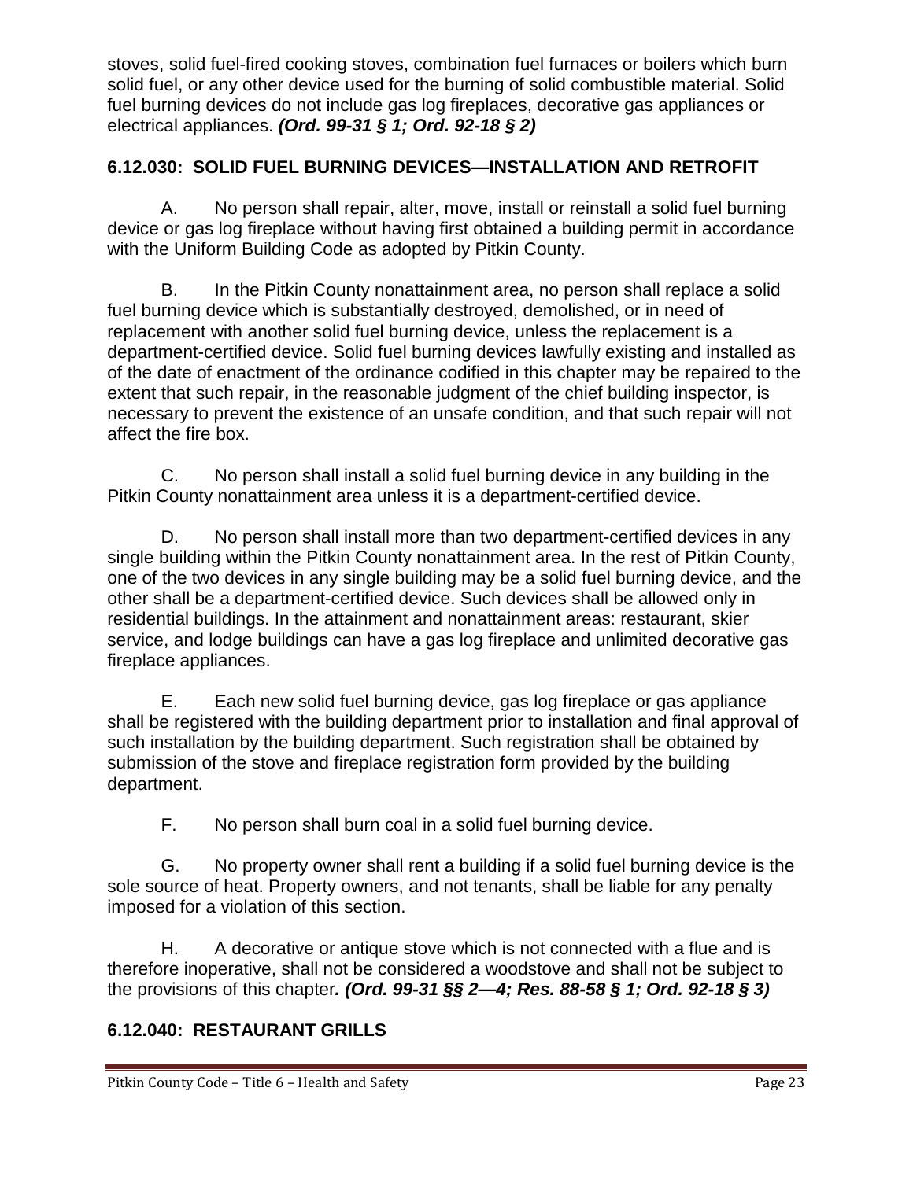stoves, solid fuel-fired cooking stoves, combination fuel furnaces or boilers which burn solid fuel, or any other device used for the burning of solid combustible material. Solid fuel burning devices do not include gas log fireplaces, decorative gas appliances or electrical appliances. *(Ord. 99-31 § 1; Ord. 92-18 § 2)*

## <span id="page-22-0"></span>**6.12.030: SOLID FUEL BURNING DEVICES—INSTALLATION AND RETROFIT**

A. No person shall repair, alter, move, install or reinstall a solid fuel burning device or gas log fireplace without having first obtained a building permit in accordance with the Uniform Building Code as adopted by Pitkin County.

B. In the Pitkin County nonattainment area, no person shall replace a solid fuel burning device which is substantially destroyed, demolished, or in need of replacement with another solid fuel burning device, unless the replacement is a department-certified device. Solid fuel burning devices lawfully existing and installed as of the date of enactment of the ordinance codified in this chapter may be repaired to the extent that such repair, in the reasonable judgment of the chief building inspector, is necessary to prevent the existence of an unsafe condition, and that such repair will not affect the fire box.

C. No person shall install a solid fuel burning device in any building in the Pitkin County nonattainment area unless it is a department-certified device.

D. No person shall install more than two department-certified devices in any single building within the Pitkin County nonattainment area. In the rest of Pitkin County, one of the two devices in any single building may be a solid fuel burning device, and the other shall be a department-certified device. Such devices shall be allowed only in residential buildings. In the attainment and nonattainment areas: restaurant, skier service, and lodge buildings can have a gas log fireplace and unlimited decorative gas fireplace appliances.

E. Each new solid fuel burning device, gas log fireplace or gas appliance shall be registered with the building department prior to installation and final approval of such installation by the building department. Such registration shall be obtained by submission of the stove and fireplace registration form provided by the building department.

F. No person shall burn coal in a solid fuel burning device.

G. No property owner shall rent a building if a solid fuel burning device is the sole source of heat. Property owners, and not tenants, shall be liable for any penalty imposed for a violation of this section.

H. A decorative or antique stove which is not connected with a flue and is therefore inoperative, shall not be considered a woodstove and shall not be subject to the provisions of this chapter*. (Ord. 99-31 §§ 2—4; Res. 88-58 § 1; Ord. 92-18 § 3)*

## <span id="page-22-1"></span>**6.12.040: RESTAURANT GRILLS**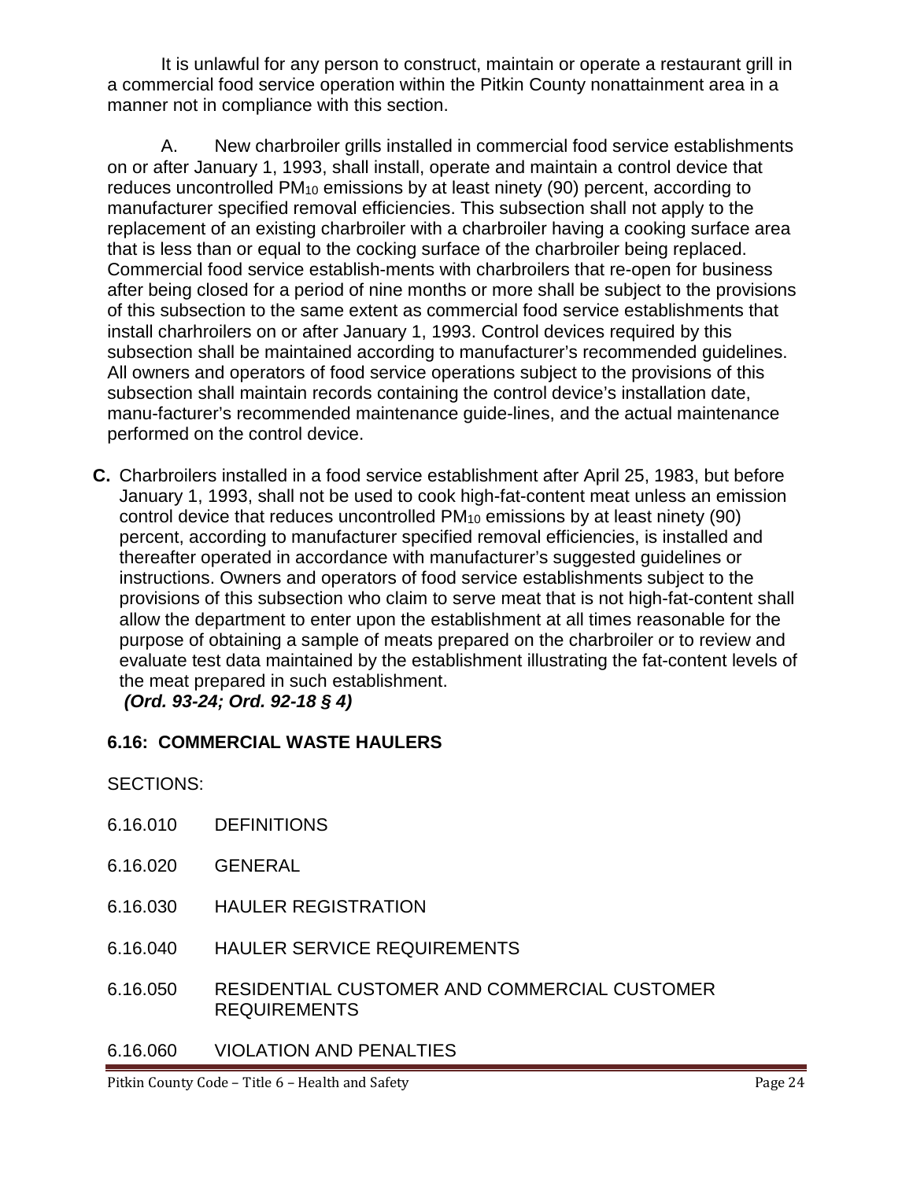It is unlawful for any person to construct, maintain or operate a restaurant grill in a commercial food service operation within the Pitkin County nonattainment area in a manner not in compliance with this section.

A. New charbroiler grills installed in commercial food service establishments on or after January 1, 1993, shall install, operate and maintain a control device that reduces uncontrolled PM10 emissions by at least ninety (90) percent, according to manufacturer specified removal efficiencies. This subsection shall not apply to the replacement of an existing charbroiler with a charbroiler having a cooking surface area that is less than or equal to the cocking surface of the charbroiler being replaced. Commercial food service establish-ments with charbroilers that re-open for business after being closed for a period of nine months or more shall be subject to the provisions of this subsection to the same extent as commercial food service establishments that install charhroilers on or after January 1, 1993. Control devices required by this subsection shall be maintained according to manufacturer's recommended guidelines. All owners and operators of food service operations subject to the provisions of this subsection shall maintain records containing the control device's installation date, manu-facturer's recommended maintenance guide-lines, and the actual maintenance performed on the control device.

**C.** Charbroilers installed in a food service establishment after April 25, 1983, but before January 1, 1993, shall not be used to cook high-fat-content meat unless an emission control device that reduces uncontrolled PM10 emissions by at least ninety (90) percent, according to manufacturer specified removal efficiencies, is installed and thereafter operated in accordance with manufacturer's suggested guidelines or instructions. Owners and operators of food service establishments subject to the provisions of this subsection who claim to serve meat that is not high-fat-content shall allow the department to enter upon the establishment at all times reasonable for the purpose of obtaining a sample of meats prepared on the charbroiler or to review and evaluate test data maintained by the establishment illustrating the fat-content levels of the meat prepared in such establishment.

*(Ord. 93-24; Ord. 92-18 § 4)*

## <span id="page-23-0"></span>**6.16: COMMERCIAL WASTE HAULERS**

SECTIONS:

- 6.16.010 DEFINITIONS
- 6.16.020 GENERAL
- 6.16.030 HAULER REGISTRATION
- 6.16.040 HAULER SERVICE REQUIREMENTS
- 6.16.050 RESIDENTIAL CUSTOMER AND COMMERCIAL CUSTOMER REQUIREMENTS
- 6.16.060 VIOLATION AND PENALTIES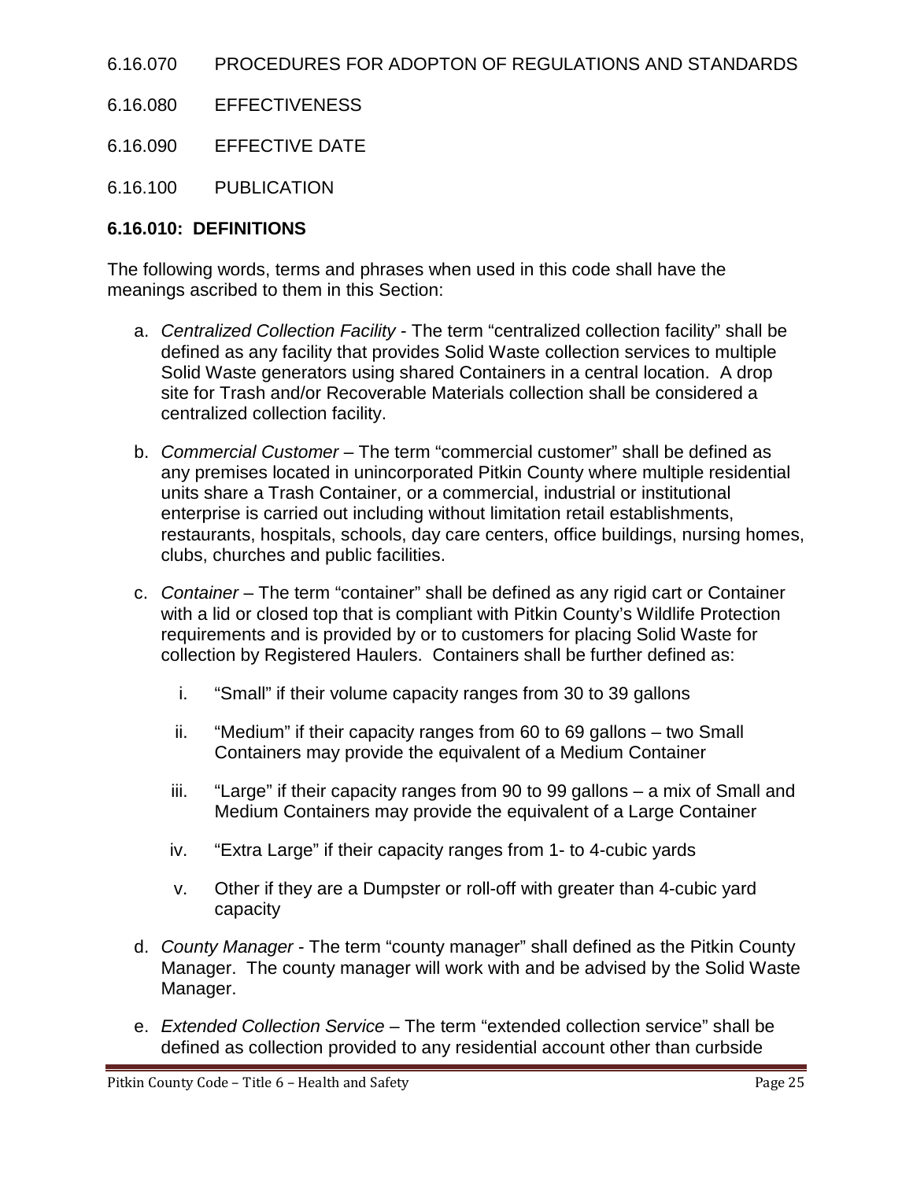- 6.16.070 PROCEDURES FOR ADOPTON OF REGULATIONS AND STANDARDS
- 6.16.080 EFFECTIVENESS
- 6.16.090 EFFECTIVE DATE
- 6.16.100 PUBLICATION

## <span id="page-24-0"></span>**6.16.010: DEFINITIONS**

The following words, terms and phrases when used in this code shall have the meanings ascribed to them in this Section:

- a. *Centralized Collection Facility*  The term "centralized collection facility" shall be defined as any facility that provides Solid Waste collection services to multiple Solid Waste generators using shared Containers in a central location. A drop site for Trash and/or Recoverable Materials collection shall be considered a centralized collection facility.
- b. *Commercial Customer* The term "commercial customer" shall be defined as any premises located in unincorporated Pitkin County where multiple residential units share a Trash Container, or a commercial, industrial or institutional enterprise is carried out including without limitation retail establishments, restaurants, hospitals, schools, day care centers, office buildings, nursing homes, clubs, churches and public facilities.
- c. *Container* The term "container" shall be defined as any rigid cart or Container with a lid or closed top that is compliant with Pitkin County's Wildlife Protection requirements and is provided by or to customers for placing Solid Waste for collection by Registered Haulers. Containers shall be further defined as:
	- i. "Small" if their volume capacity ranges from 30 to 39 gallons
	- ii. "Medium" if their capacity ranges from 60 to 69 gallons two Small Containers may provide the equivalent of a Medium Container
	- iii. "Large" if their capacity ranges from 90 to 99 gallons a mix of Small and Medium Containers may provide the equivalent of a Large Container
	- iv. "Extra Large" if their capacity ranges from 1- to 4-cubic yards
	- v. Other if they are a Dumpster or roll-off with greater than 4-cubic yard capacity
- d. *County Manager* The term "county manager" shall defined as the Pitkin County Manager. The county manager will work with and be advised by the Solid Waste Manager.
- e. *Extended Collection Service*  The term "extended collection service" shall be defined as collection provided to any residential account other than curbside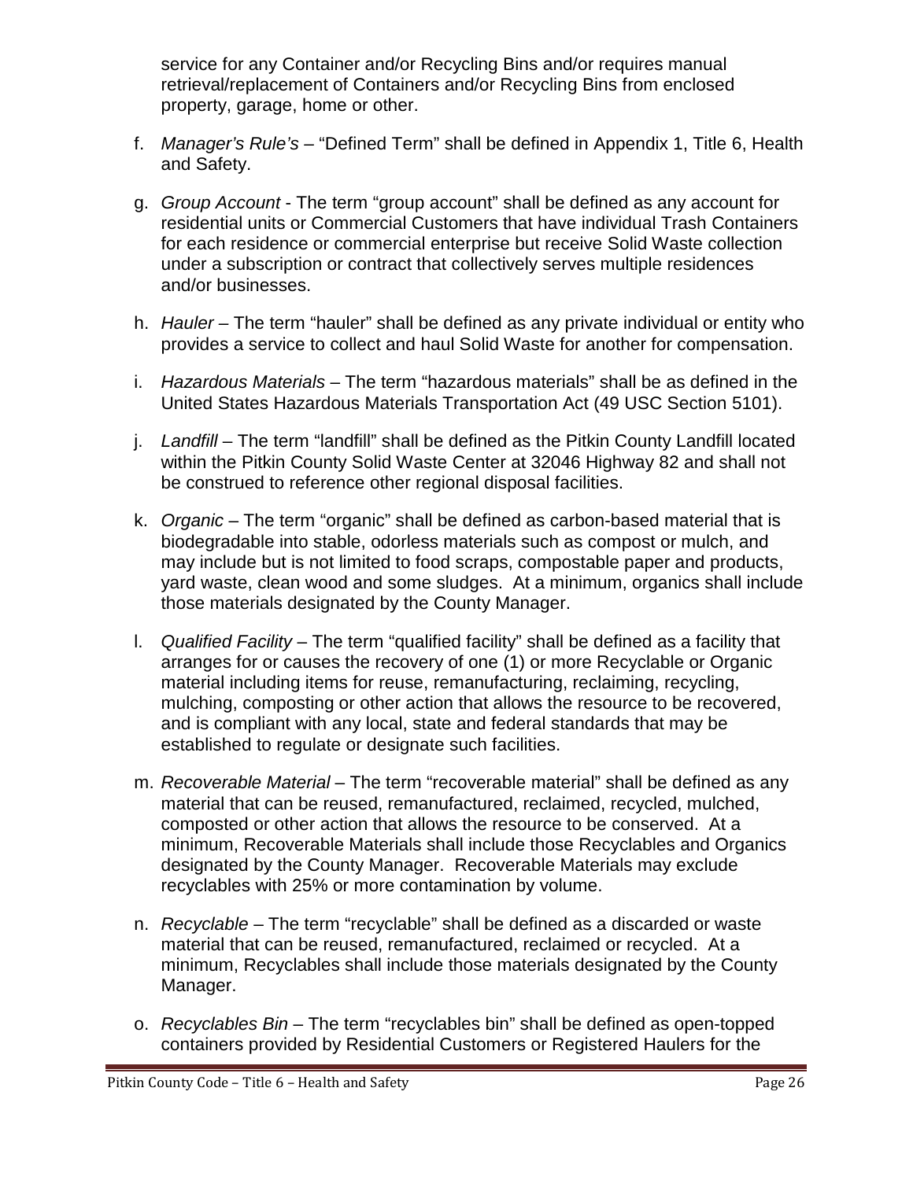service for any Container and/or Recycling Bins and/or requires manual retrieval/replacement of Containers and/or Recycling Bins from enclosed property, garage, home or other.

- f. *Manager's Rule's –* "Defined Term" shall be defined in Appendix 1, Title 6, Health and Safety.
- g. *Group Account* The term "group account" shall be defined as any account for residential units or Commercial Customers that have individual Trash Containers for each residence or commercial enterprise but receive Solid Waste collection under a subscription or contract that collectively serves multiple residences and/or businesses.
- h. *Hauler –* The term "hauler" shall be defined as any private individual or entity who provides a service to collect and haul Solid Waste for another for compensation.
- i. *Hazardous Materials* The term "hazardous materials" shall be as defined in the United States Hazardous Materials Transportation Act (49 USC Section 5101).
- j. *Landfill* The term "landfill" shall be defined as the Pitkin County Landfill located within the Pitkin County Solid Waste Center at 32046 Highway 82 and shall not be construed to reference other regional disposal facilities.
- k. *Organic* The term "organic" shall be defined as carbon-based material that is biodegradable into stable, odorless materials such as compost or mulch, and may include but is not limited to food scraps, compostable paper and products, yard waste, clean wood and some sludges. At a minimum, organics shall include those materials designated by the County Manager.
- l. *Qualified Facility* The term "qualified facility" shall be defined as a facility that arranges for or causes the recovery of one (1) or more Recyclable or Organic material including items for reuse, remanufacturing, reclaiming, recycling, mulching, composting or other action that allows the resource to be recovered, and is compliant with any local, state and federal standards that may be established to regulate or designate such facilities.
- m. *Recoverable Material* The term "recoverable material" shall be defined as any material that can be reused, remanufactured, reclaimed, recycled, mulched, composted or other action that allows the resource to be conserved. At a minimum, Recoverable Materials shall include those Recyclables and Organics designated by the County Manager. Recoverable Materials may exclude recyclables with 25% or more contamination by volume.
- n. *Recyclable* The term "recyclable" shall be defined as a discarded or waste material that can be reused, remanufactured, reclaimed or recycled. At a minimum, Recyclables shall include those materials designated by the County Manager.
- o. *Recyclables Bin*  The term "recyclables bin" shall be defined as open-topped containers provided by Residential Customers or Registered Haulers for the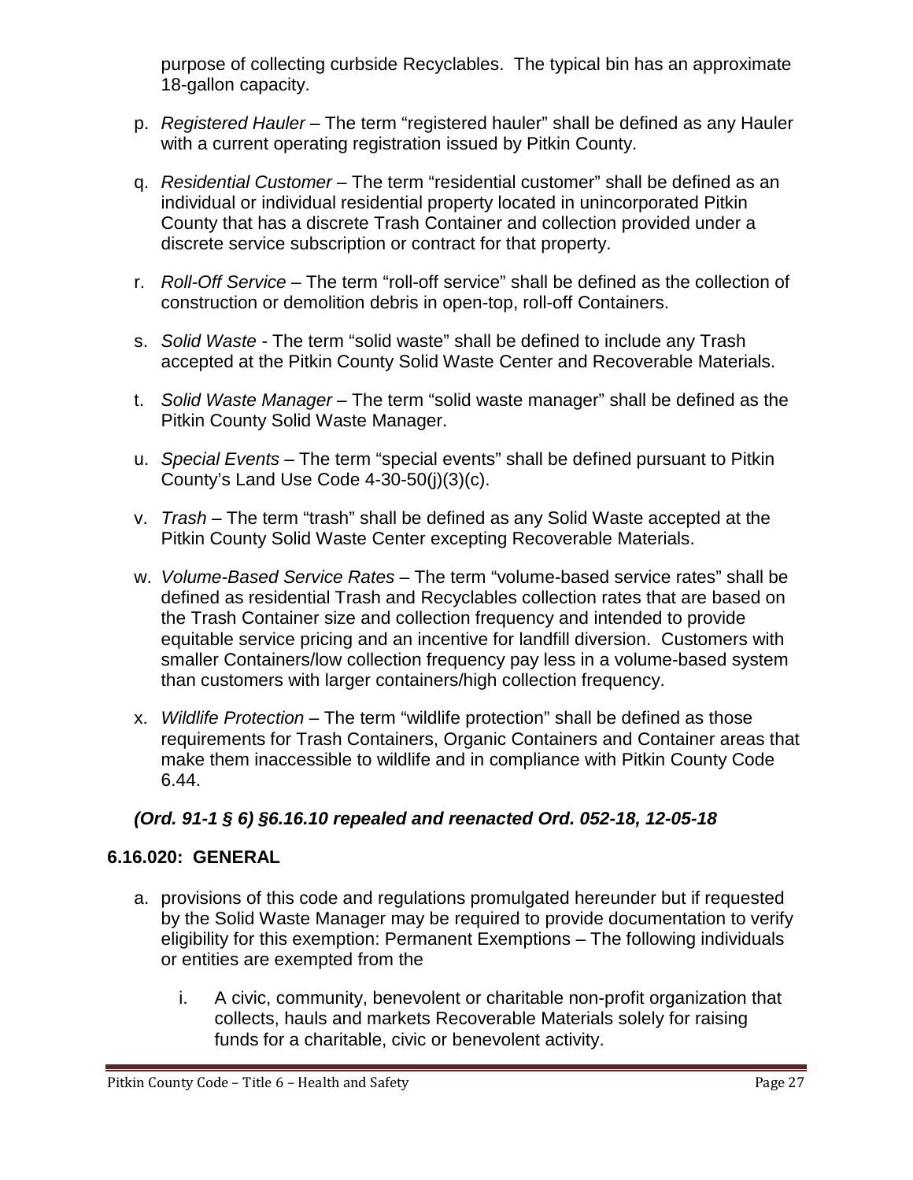purpose of collecting curbside Recyclables. The typical bin has an approximate 18-gallon capacity.

- p. *Registered Hauler*  The term "registered hauler" shall be defined as any Hauler with a current operating registration issued by Pitkin County.
- q. *Residential Customer*  The term "residential customer" shall be defined as an individual or individual residential property located in unincorporated Pitkin County that has a discrete Trash Container and collection provided under a discrete service subscription or contract for that property.
- r. *Roll-Off Service*  The term "roll-off service" shall be defined as the collection of construction or demolition debris in open-top, roll-off Containers.
- s. *Solid Waste -* The term "solid waste" shall be defined to include any Trash accepted at the Pitkin County Solid Waste Center and Recoverable Materials.
- t. *Solid Waste Manager* The term "solid waste manager" shall be defined as the Pitkin County Solid Waste Manager.
- u. *Special Events*  The term "special events" shall be defined pursuant to Pitkin County's Land Use Code 4-30-50(j)(3)(c).
- v. *Trash* The term "trash" shall be defined as any Solid Waste accepted at the Pitkin County Solid Waste Center excepting Recoverable Materials.
- w. *Volume-Based Service Rates* The term "volume-based service rates" shall be defined as residential Trash and Recyclables collection rates that are based on the Trash Container size and collection frequency and intended to provide equitable service pricing and an incentive for landfill diversion. Customers with smaller Containers/low collection frequency pay less in a volume-based system than customers with larger containers/high collection frequency.
- x. *Wildlife Protection*  The term "wildlife protection" shall be defined as those requirements for Trash Containers, Organic Containers and Container areas that make them inaccessible to wildlife and in compliance with Pitkin County Code 6.44.

## *(Ord. 91-1 § 6) §6.16.10 repealed and reenacted Ord. 052-18, 12-05-18*

## <span id="page-26-0"></span>**6.16.020: GENERAL**

- a. provisions of this code and regulations promulgated hereunder but if requested by the Solid Waste Manager may be required to provide documentation to verify eligibility for this exemption: Permanent Exemptions – The following individuals or entities are exempted from the
	- i. A civic, community, benevolent or charitable non-profit organization that collects, hauls and markets Recoverable Materials solely for raising funds for a charitable, civic or benevolent activity.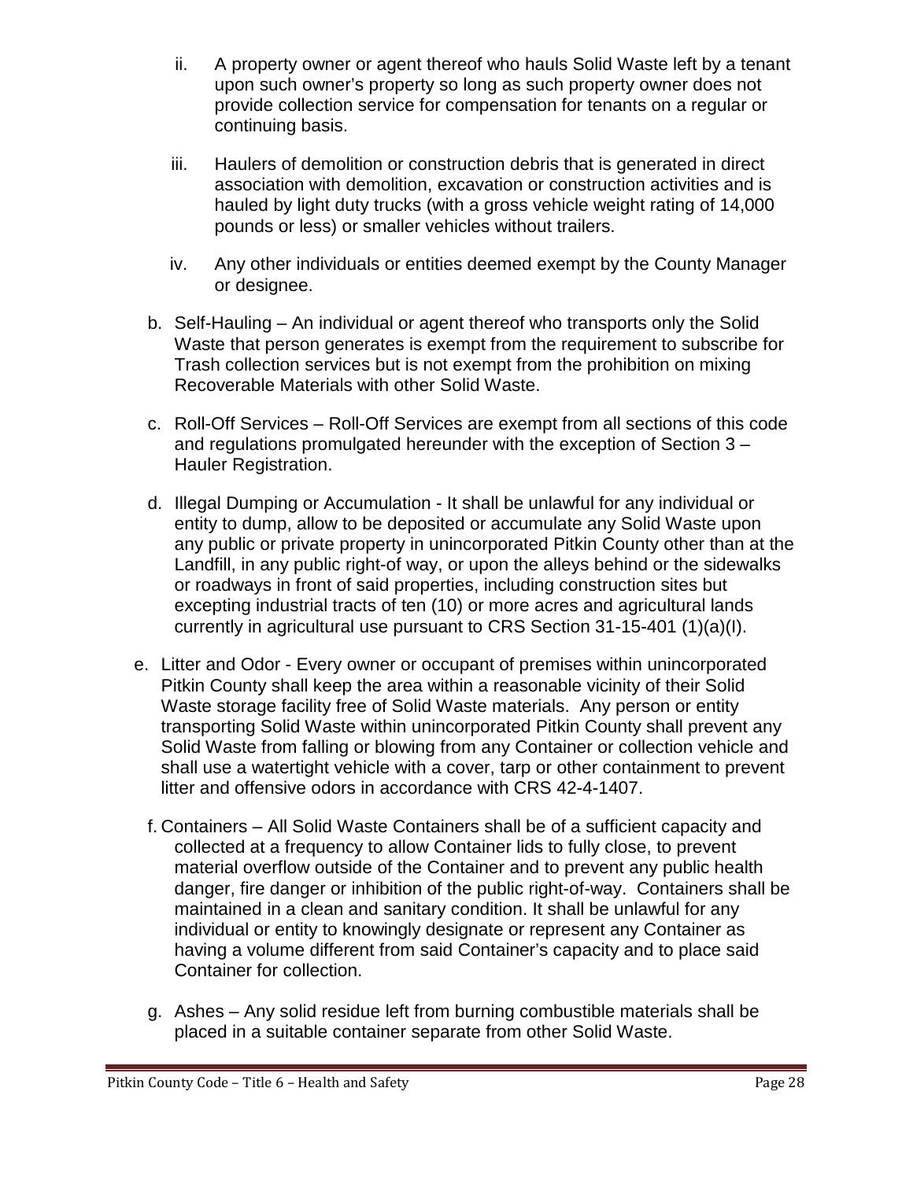- ii. A property owner or agent thereof who hauls Solid Waste left by a tenant upon such owner's property so long as such property owner does not provide collection service for compensation for tenants on a regular or continuing basis.
- iii. Haulers of demolition or construction debris that is generated in direct association with demolition, excavation or construction activities and is hauled by light duty trucks (with a gross vehicle weight rating of 14,000 pounds or less) or smaller vehicles without trailers.
- iv. Any other individuals or entities deemed exempt by the County Manager or designee.
- b. Self-Hauling An individual or agent thereof who transports only the Solid Waste that person generates is exempt from the requirement to subscribe for Trash collection services but is not exempt from the prohibition on mixing Recoverable Materials with other Solid Waste.
- c. Roll-Off Services Roll-Off Services are exempt from all sections of this code and regulations promulgated hereunder with the exception of Section 3 – Hauler Registration.
- d. Illegal Dumping or Accumulation It shall be unlawful for any individual or entity to dump, allow to be deposited or accumulate any Solid Waste upon any public or private property in unincorporated Pitkin County other than at the Landfill, in any public right-of way, or upon the alleys behind or the sidewalks or roadways in front of said properties, including construction sites but excepting industrial tracts of ten (10) or more acres and agricultural lands currently in agricultural use pursuant to CRS Section 31-15-401 (1)(a)(I).
- e. Litter and Odor Every owner or occupant of premises within unincorporated Pitkin County shall keep the area within a reasonable vicinity of their Solid Waste storage facility free of Solid Waste materials. Any person or entity transporting Solid Waste within unincorporated Pitkin County shall prevent any Solid Waste from falling or blowing from any Container or collection vehicle and shall use a watertight vehicle with a cover, tarp or other containment to prevent litter and offensive odors in accordance with CRS 42-4-1407.
	- f. Containers All Solid Waste Containers shall be of a sufficient capacity and collected at a frequency to allow Container lids to fully close, to prevent material overflow outside of the Container and to prevent any public health danger, fire danger or inhibition of the public right-of-way. Containers shall be maintained in a clean and sanitary condition. It shall be unlawful for any individual or entity to knowingly designate or represent any Container as having a volume different from said Container's capacity and to place said Container for collection.
	- g. Ashes Any solid residue left from burning combustible materials shall be placed in a suitable container separate from other Solid Waste.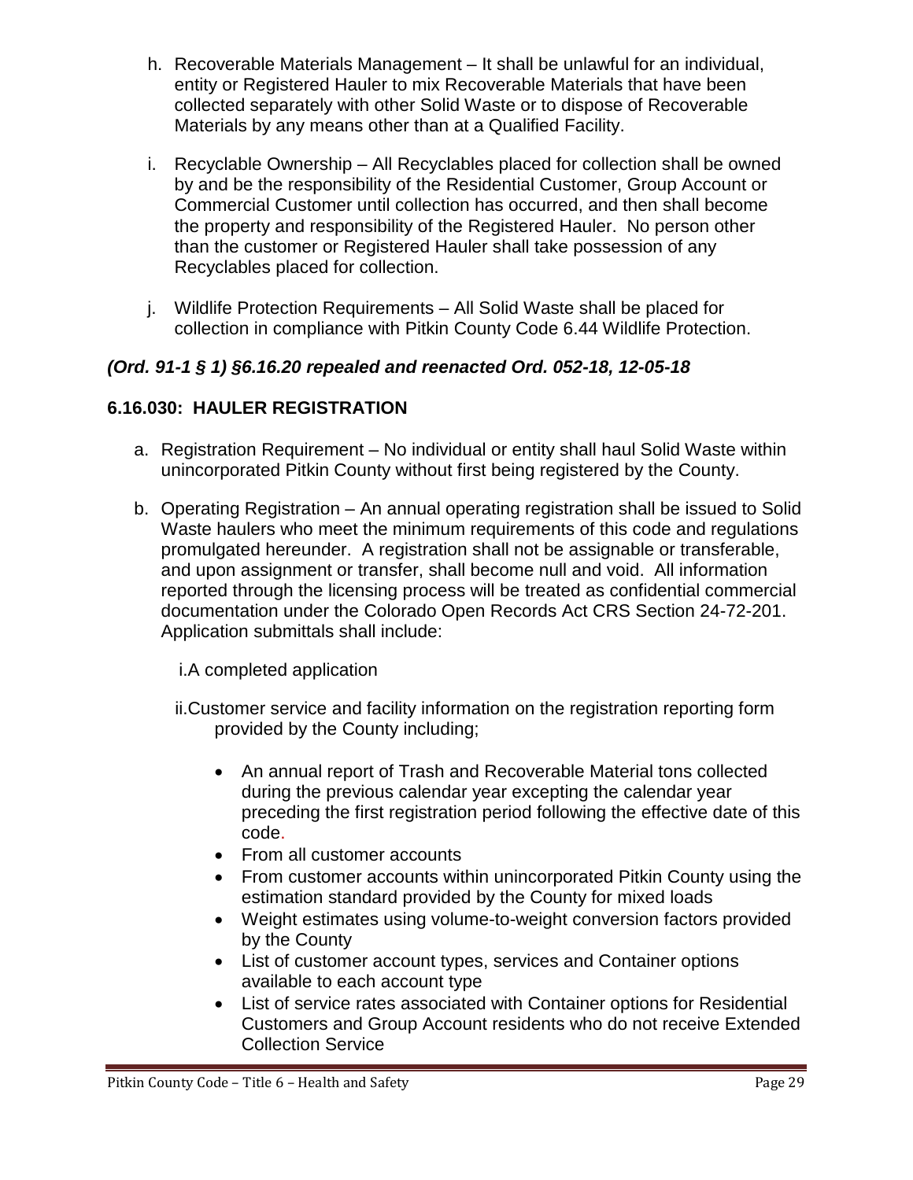- h. Recoverable Materials Management It shall be unlawful for an individual, entity or Registered Hauler to mix Recoverable Materials that have been collected separately with other Solid Waste or to dispose of Recoverable Materials by any means other than at a Qualified Facility.
- i. Recyclable Ownership All Recyclables placed for collection shall be owned by and be the responsibility of the Residential Customer, Group Account or Commercial Customer until collection has occurred, and then shall become the property and responsibility of the Registered Hauler. No person other than the customer or Registered Hauler shall take possession of any Recyclables placed for collection.
- j. Wildlife Protection Requirements All Solid Waste shall be placed for collection in compliance with Pitkin County Code 6.44 Wildlife Protection.

## *(Ord. 91-1 § 1) §6.16.20 repealed and reenacted Ord. 052-18, 12-05-18*

## <span id="page-28-0"></span>**6.16.030: HAULER REGISTRATION**

- a. Registration Requirement No individual or entity shall haul Solid Waste within unincorporated Pitkin County without first being registered by the County.
- b. Operating Registration An annual operating registration shall be issued to Solid Waste haulers who meet the minimum requirements of this code and regulations promulgated hereunder. A registration shall not be assignable or transferable, and upon assignment or transfer, shall become null and void. All information reported through the licensing process will be treated as confidential commercial documentation under the Colorado Open Records Act CRS Section 24-72-201. Application submittals shall include:

i.A completed application

- ii.Customer service and facility information on the registration reporting form provided by the County including;
	- An annual report of Trash and Recoverable Material tons collected during the previous calendar year excepting the calendar year preceding the first registration period following the effective date of this code.
	- From all customer accounts
	- From customer accounts within unincorporated Pitkin County using the estimation standard provided by the County for mixed loads
	- Weight estimates using volume-to-weight conversion factors provided by the County
	- List of customer account types, services and Container options available to each account type
	- List of service rates associated with Container options for Residential Customers and Group Account residents who do not receive Extended Collection Service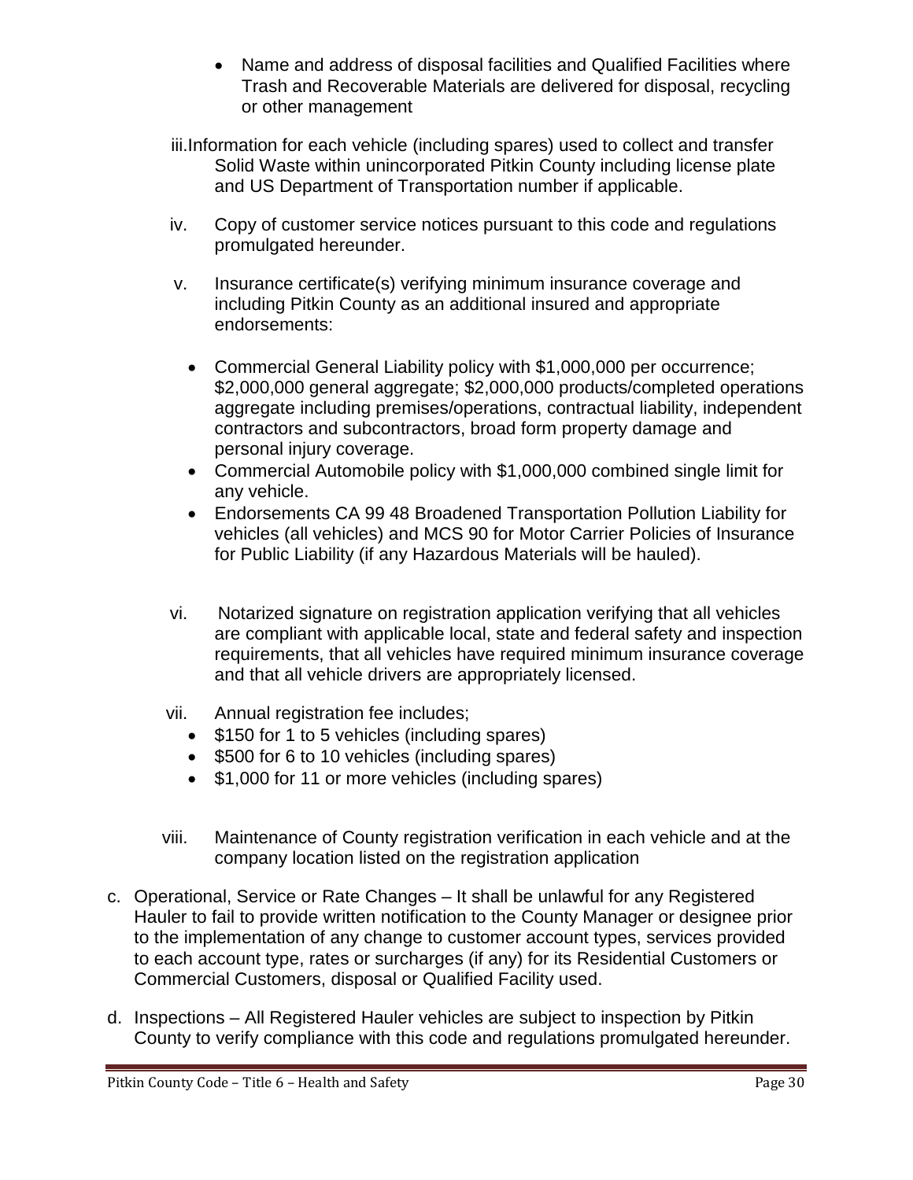- Name and address of disposal facilities and Qualified Facilities where Trash and Recoverable Materials are delivered for disposal, recycling or other management
- iii.Information for each vehicle (including spares) used to collect and transfer Solid Waste within unincorporated Pitkin County including license plate and US Department of Transportation number if applicable.
- iv. Copy of customer service notices pursuant to this code and regulations promulgated hereunder.
- v. Insurance certificate(s) verifying minimum insurance coverage and including Pitkin County as an additional insured and appropriate endorsements:
	- Commercial General Liability policy with \$1,000,000 per occurrence; \$2,000,000 general aggregate; \$2,000,000 products/completed operations aggregate including premises/operations, contractual liability, independent contractors and subcontractors, broad form property damage and personal injury coverage.
	- Commercial Automobile policy with \$1,000,000 combined single limit for any vehicle.
	- Endorsements CA 99 48 Broadened Transportation Pollution Liability for vehicles (all vehicles) and MCS 90 for Motor Carrier Policies of Insurance for Public Liability (if any Hazardous Materials will be hauled).
- vi. Notarized signature on registration application verifying that all vehicles are compliant with applicable local, state and federal safety and inspection requirements, that all vehicles have required minimum insurance coverage and that all vehicle drivers are appropriately licensed.
- vii. Annual registration fee includes;
	- \$150 for 1 to 5 vehicles (including spares)
	- \$500 for 6 to 10 vehicles (including spares)
	- \$1,000 for 11 or more vehicles (including spares)
- viii. Maintenance of County registration verification in each vehicle and at the company location listed on the registration application
- c. Operational, Service or Rate Changes It shall be unlawful for any Registered Hauler to fail to provide written notification to the County Manager or designee prior to the implementation of any change to customer account types, services provided to each account type, rates or surcharges (if any) for its Residential Customers or Commercial Customers, disposal or Qualified Facility used.
- d. Inspections All Registered Hauler vehicles are subject to inspection by Pitkin County to verify compliance with this code and regulations promulgated hereunder.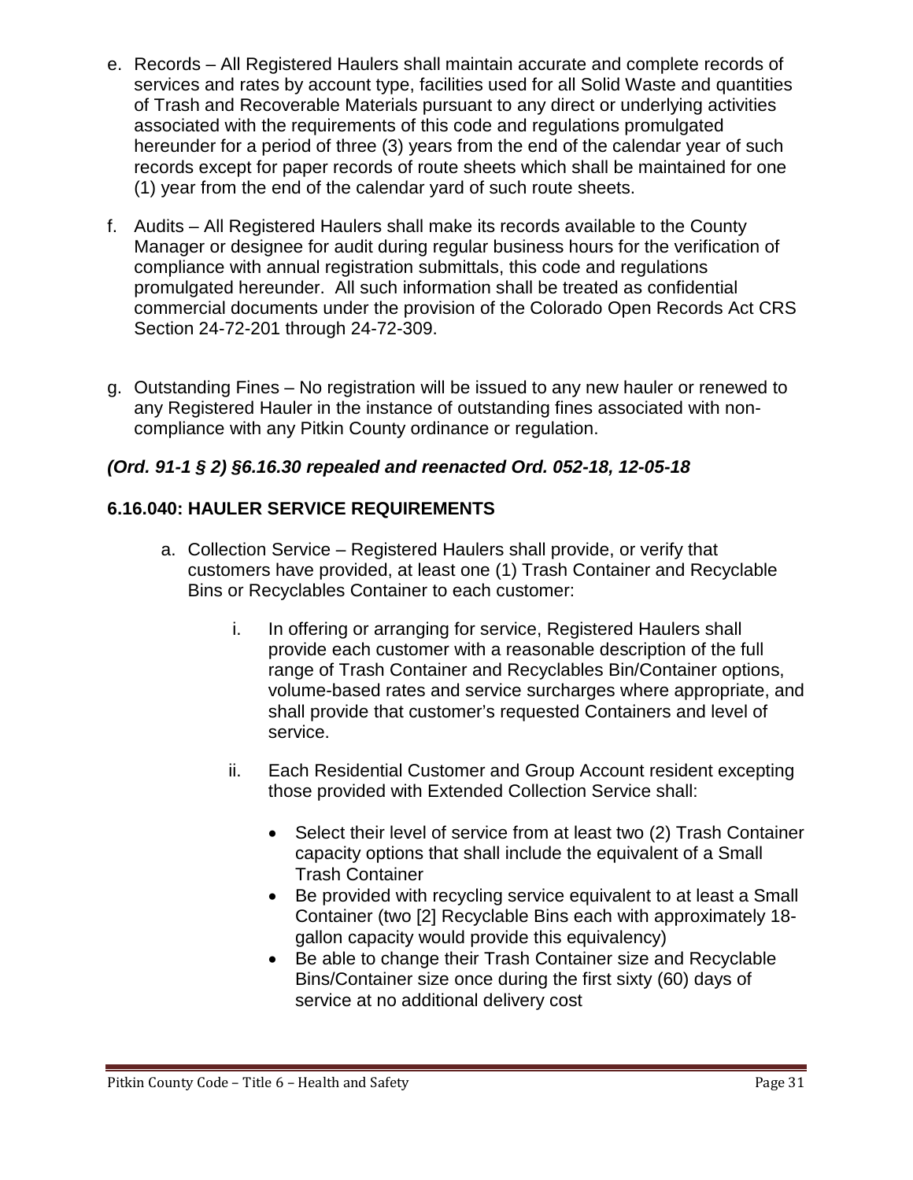- e. Records All Registered Haulers shall maintain accurate and complete records of services and rates by account type, facilities used for all Solid Waste and quantities of Trash and Recoverable Materials pursuant to any direct or underlying activities associated with the requirements of this code and regulations promulgated hereunder for a period of three (3) years from the end of the calendar year of such records except for paper records of route sheets which shall be maintained for one (1) year from the end of the calendar yard of such route sheets.
- f. Audits All Registered Haulers shall make its records available to the County Manager or designee for audit during regular business hours for the verification of compliance with annual registration submittals, this code and regulations promulgated hereunder. All such information shall be treated as confidential commercial documents under the provision of the Colorado Open Records Act CRS Section 24-72-201 through 24-72-309.
- g. Outstanding Fines No registration will be issued to any new hauler or renewed to any Registered Hauler in the instance of outstanding fines associated with noncompliance with any Pitkin County ordinance or regulation.

# *(Ord. 91-1 § 2) §6.16.30 repealed and reenacted Ord. 052-18, 12-05-18*

## <span id="page-30-0"></span>**6.16.040: HAULER SERVICE REQUIREMENTS**

- a. Collection Service Registered Haulers shall provide, or verify that customers have provided, at least one (1) Trash Container and Recyclable Bins or Recyclables Container to each customer:
	- i. In offering or arranging for service, Registered Haulers shall provide each customer with a reasonable description of the full range of Trash Container and Recyclables Bin/Container options, volume-based rates and service surcharges where appropriate, and shall provide that customer's requested Containers and level of service.
	- ii. Each Residential Customer and Group Account resident excepting those provided with Extended Collection Service shall:
		- Select their level of service from at least two (2) Trash Container capacity options that shall include the equivalent of a Small Trash Container
		- Be provided with recycling service equivalent to at least a Small Container (two [2] Recyclable Bins each with approximately 18 gallon capacity would provide this equivalency)
		- Be able to change their Trash Container size and Recyclable Bins/Container size once during the first sixty (60) days of service at no additional delivery cost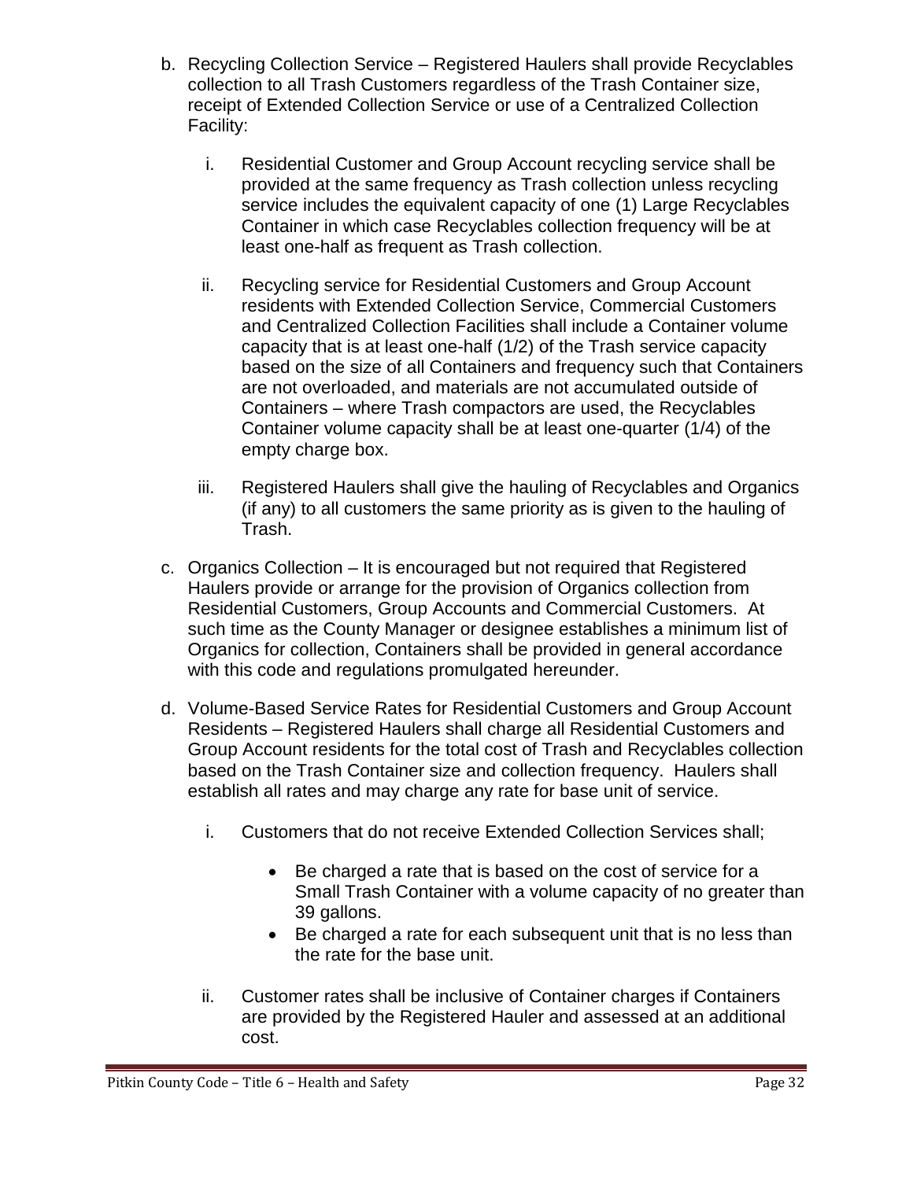- b. Recycling Collection Service Registered Haulers shall provide Recyclables collection to all Trash Customers regardless of the Trash Container size, receipt of Extended Collection Service or use of a Centralized Collection Facility:
	- i. Residential Customer and Group Account recycling service shall be provided at the same frequency as Trash collection unless recycling service includes the equivalent capacity of one (1) Large Recyclables Container in which case Recyclables collection frequency will be at least one-half as frequent as Trash collection.
	- ii. Recycling service for Residential Customers and Group Account residents with Extended Collection Service, Commercial Customers and Centralized Collection Facilities shall include a Container volume capacity that is at least one-half (1/2) of the Trash service capacity based on the size of all Containers and frequency such that Containers are not overloaded, and materials are not accumulated outside of Containers – where Trash compactors are used, the Recyclables Container volume capacity shall be at least one-quarter (1/4) of the empty charge box.
	- iii. Registered Haulers shall give the hauling of Recyclables and Organics (if any) to all customers the same priority as is given to the hauling of Trash.
- c. Organics Collection It is encouraged but not required that Registered Haulers provide or arrange for the provision of Organics collection from Residential Customers, Group Accounts and Commercial Customers. At such time as the County Manager or designee establishes a minimum list of Organics for collection, Containers shall be provided in general accordance with this code and regulations promulgated hereunder.
- d. Volume-Based Service Rates for Residential Customers and Group Account Residents – Registered Haulers shall charge all Residential Customers and Group Account residents for the total cost of Trash and Recyclables collection based on the Trash Container size and collection frequency. Haulers shall establish all rates and may charge any rate for base unit of service.
	- i. Customers that do not receive Extended Collection Services shall;
		- Be charged a rate that is based on the cost of service for a Small Trash Container with a volume capacity of no greater than 39 gallons.
		- Be charged a rate for each subsequent unit that is no less than the rate for the base unit.
	- ii. Customer rates shall be inclusive of Container charges if Containers are provided by the Registered Hauler and assessed at an additional cost.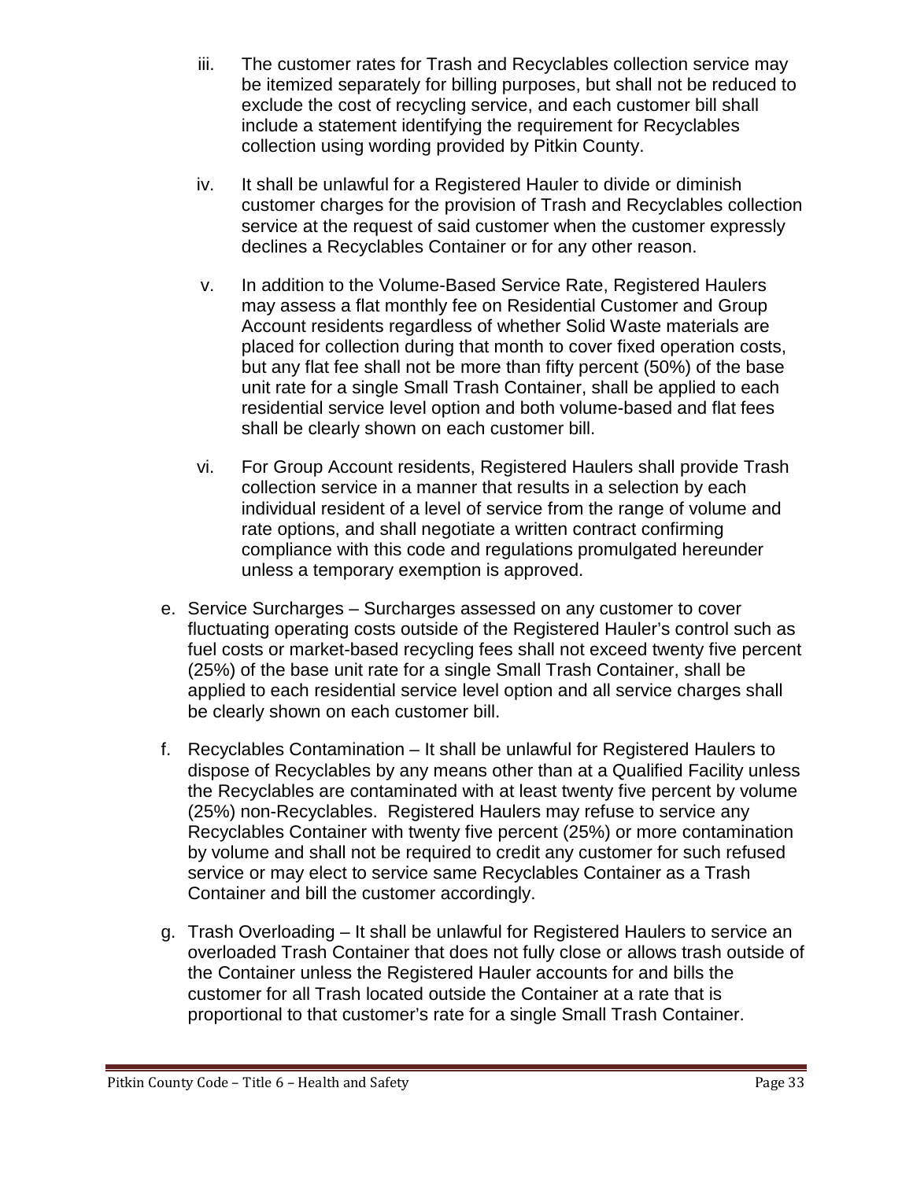- iii. The customer rates for Trash and Recyclables collection service may be itemized separately for billing purposes, but shall not be reduced to exclude the cost of recycling service, and each customer bill shall include a statement identifying the requirement for Recyclables collection using wording provided by Pitkin County.
- iv. It shall be unlawful for a Registered Hauler to divide or diminish customer charges for the provision of Trash and Recyclables collection service at the request of said customer when the customer expressly declines a Recyclables Container or for any other reason.
- v. In addition to the Volume-Based Service Rate, Registered Haulers may assess a flat monthly fee on Residential Customer and Group Account residents regardless of whether Solid Waste materials are placed for collection during that month to cover fixed operation costs, but any flat fee shall not be more than fifty percent (50%) of the base unit rate for a single Small Trash Container, shall be applied to each residential service level option and both volume-based and flat fees shall be clearly shown on each customer bill.
- vi. For Group Account residents, Registered Haulers shall provide Trash collection service in a manner that results in a selection by each individual resident of a level of service from the range of volume and rate options, and shall negotiate a written contract confirming compliance with this code and regulations promulgated hereunder unless a temporary exemption is approved.
- e. Service Surcharges Surcharges assessed on any customer to cover fluctuating operating costs outside of the Registered Hauler's control such as fuel costs or market-based recycling fees shall not exceed twenty five percent (25%) of the base unit rate for a single Small Trash Container, shall be applied to each residential service level option and all service charges shall be clearly shown on each customer bill.
- f. Recyclables Contamination It shall be unlawful for Registered Haulers to dispose of Recyclables by any means other than at a Qualified Facility unless the Recyclables are contaminated with at least twenty five percent by volume (25%) non-Recyclables. Registered Haulers may refuse to service any Recyclables Container with twenty five percent (25%) or more contamination by volume and shall not be required to credit any customer for such refused service or may elect to service same Recyclables Container as a Trash Container and bill the customer accordingly.
- g. Trash Overloading It shall be unlawful for Registered Haulers to service an overloaded Trash Container that does not fully close or allows trash outside of the Container unless the Registered Hauler accounts for and bills the customer for all Trash located outside the Container at a rate that is proportional to that customer's rate for a single Small Trash Container.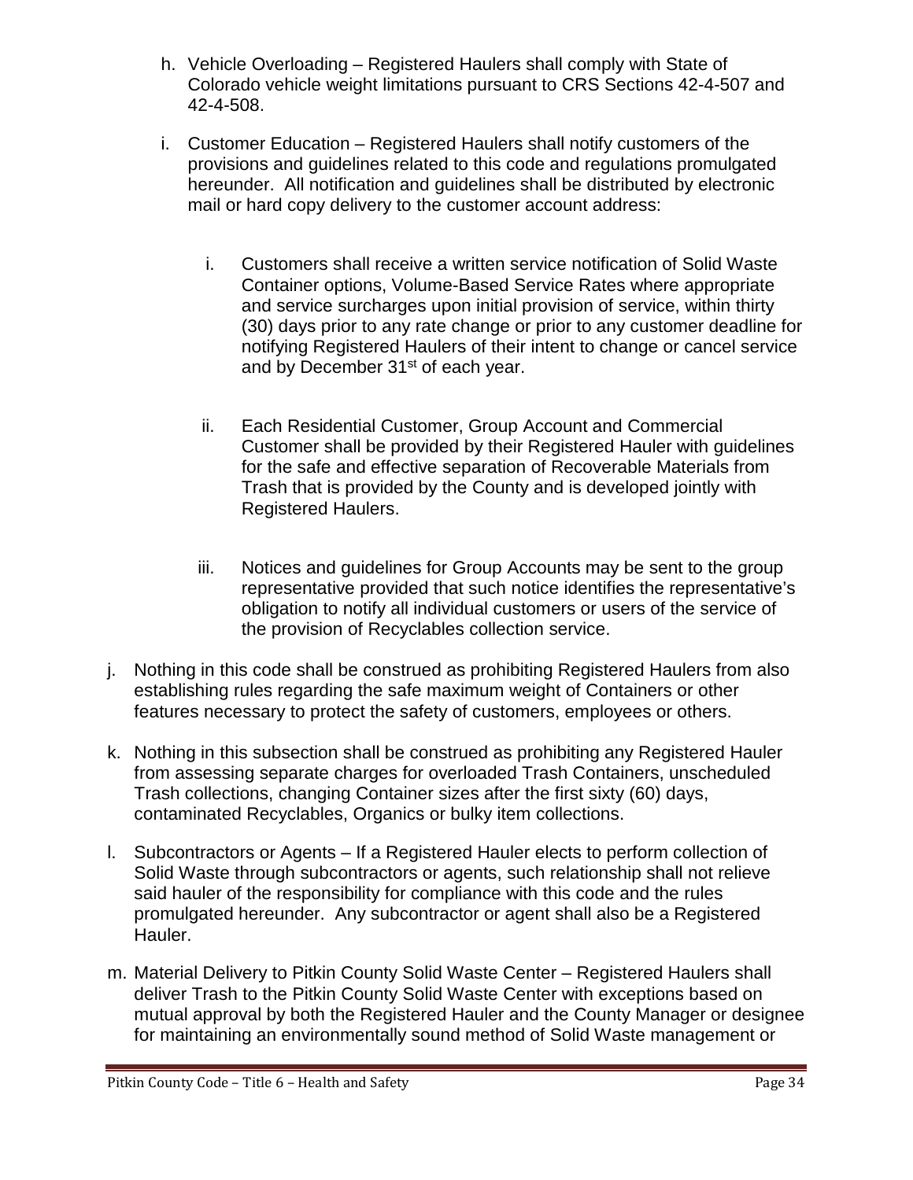- h. Vehicle Overloading Registered Haulers shall comply with State of Colorado vehicle weight limitations pursuant to CRS Sections 42-4-507 and 42-4-508.
- i. Customer Education Registered Haulers shall notify customers of the provisions and guidelines related to this code and regulations promulgated hereunder. All notification and guidelines shall be distributed by electronic mail or hard copy delivery to the customer account address:
	- i. Customers shall receive a written service notification of Solid Waste Container options, Volume-Based Service Rates where appropriate and service surcharges upon initial provision of service, within thirty (30) days prior to any rate change or prior to any customer deadline for notifying Registered Haulers of their intent to change or cancel service and by December 31<sup>st</sup> of each year.
	- ii. Each Residential Customer, Group Account and Commercial Customer shall be provided by their Registered Hauler with guidelines for the safe and effective separation of Recoverable Materials from Trash that is provided by the County and is developed jointly with Registered Haulers.
	- iii. Notices and guidelines for Group Accounts may be sent to the group representative provided that such notice identifies the representative's obligation to notify all individual customers or users of the service of the provision of Recyclables collection service.
- j. Nothing in this code shall be construed as prohibiting Registered Haulers from also establishing rules regarding the safe maximum weight of Containers or other features necessary to protect the safety of customers, employees or others.
- k. Nothing in this subsection shall be construed as prohibiting any Registered Hauler from assessing separate charges for overloaded Trash Containers, unscheduled Trash collections, changing Container sizes after the first sixty (60) days, contaminated Recyclables, Organics or bulky item collections.
- l. Subcontractors or Agents If a Registered Hauler elects to perform collection of Solid Waste through subcontractors or agents, such relationship shall not relieve said hauler of the responsibility for compliance with this code and the rules promulgated hereunder. Any subcontractor or agent shall also be a Registered Hauler.
- m. Material Delivery to Pitkin County Solid Waste Center Registered Haulers shall deliver Trash to the Pitkin County Solid Waste Center with exceptions based on mutual approval by both the Registered Hauler and the County Manager or designee for maintaining an environmentally sound method of Solid Waste management or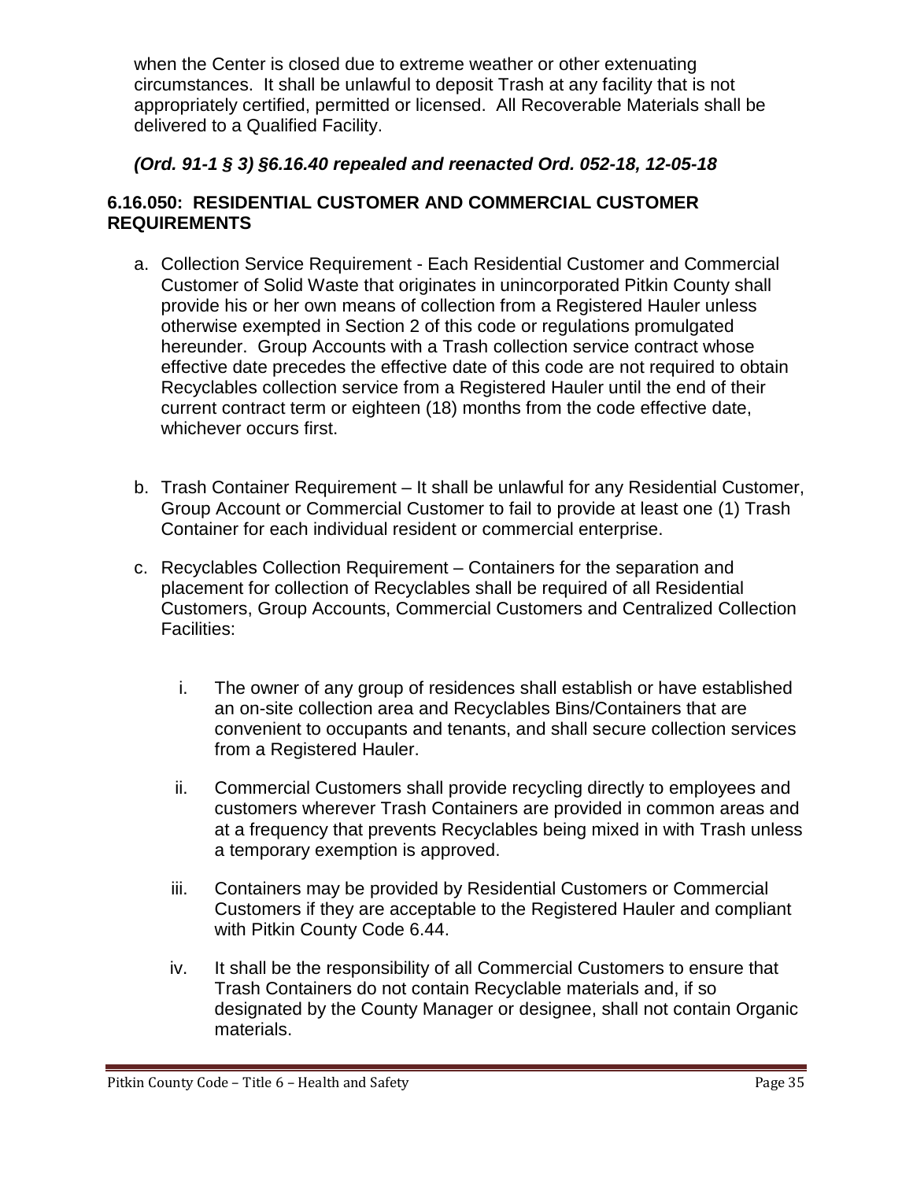when the Center is closed due to extreme weather or other extenuating circumstances. It shall be unlawful to deposit Trash at any facility that is not appropriately certified, permitted or licensed. All Recoverable Materials shall be delivered to a Qualified Facility.

## *(Ord. 91-1 § 3) §6.16.40 repealed and reenacted Ord. 052-18, 12-05-18*

#### <span id="page-34-0"></span>**6.16.050: RESIDENTIAL CUSTOMER AND COMMERCIAL CUSTOMER REQUIREMENTS**

- a. Collection Service Requirement Each Residential Customer and Commercial Customer of Solid Waste that originates in unincorporated Pitkin County shall provide his or her own means of collection from a Registered Hauler unless otherwise exempted in Section 2 of this code or regulations promulgated hereunder. Group Accounts with a Trash collection service contract whose effective date precedes the effective date of this code are not required to obtain Recyclables collection service from a Registered Hauler until the end of their current contract term or eighteen (18) months from the code effective date, whichever occurs first.
- b. Trash Container Requirement It shall be unlawful for any Residential Customer, Group Account or Commercial Customer to fail to provide at least one (1) Trash Container for each individual resident or commercial enterprise.
- c. Recyclables Collection Requirement Containers for the separation and placement for collection of Recyclables shall be required of all Residential Customers, Group Accounts, Commercial Customers and Centralized Collection Facilities:
	- i. The owner of any group of residences shall establish or have established an on-site collection area and Recyclables Bins/Containers that are convenient to occupants and tenants, and shall secure collection services from a Registered Hauler.
	- ii. Commercial Customers shall provide recycling directly to employees and customers wherever Trash Containers are provided in common areas and at a frequency that prevents Recyclables being mixed in with Trash unless a temporary exemption is approved.
	- iii. Containers may be provided by Residential Customers or Commercial Customers if they are acceptable to the Registered Hauler and compliant with Pitkin County Code 6.44.
	- iv. It shall be the responsibility of all Commercial Customers to ensure that Trash Containers do not contain Recyclable materials and, if so designated by the County Manager or designee, shall not contain Organic materials.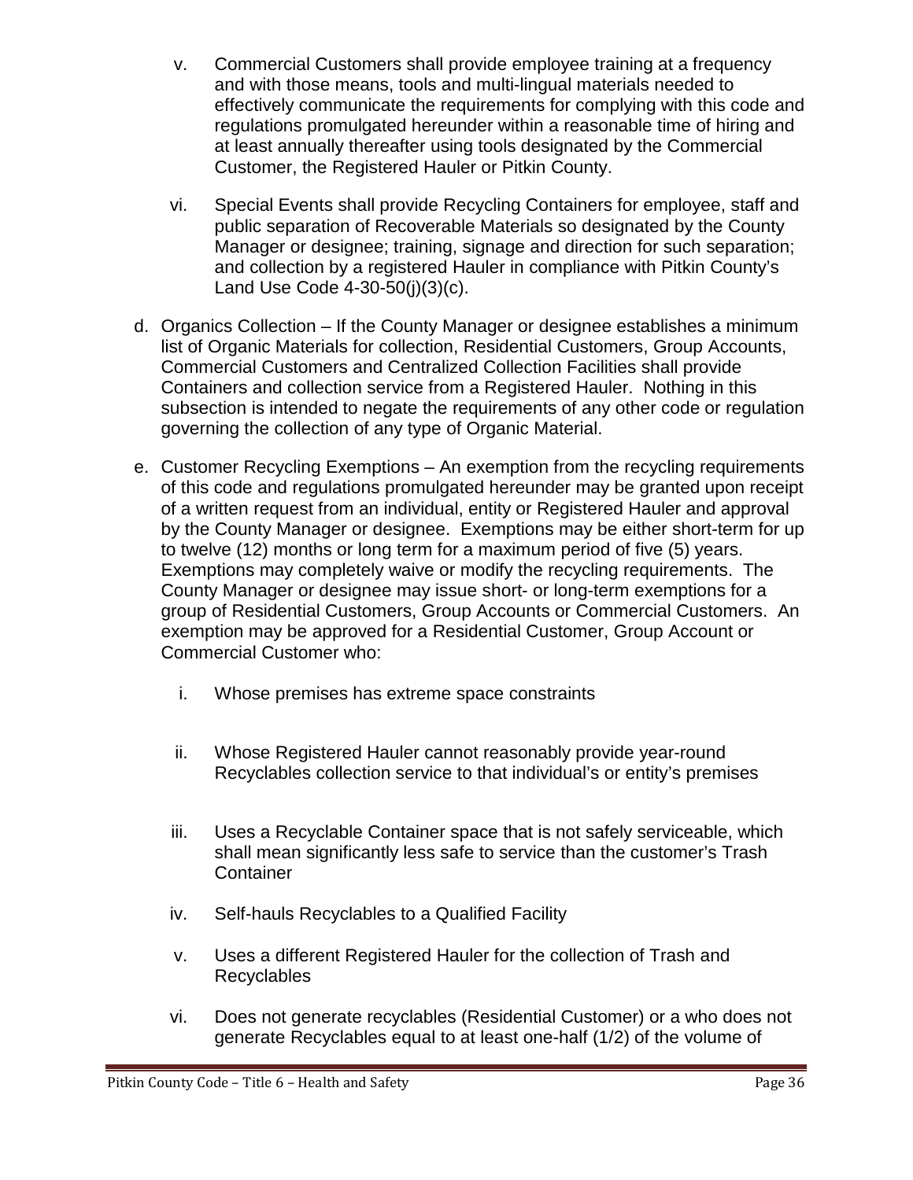- v. Commercial Customers shall provide employee training at a frequency and with those means, tools and multi-lingual materials needed to effectively communicate the requirements for complying with this code and regulations promulgated hereunder within a reasonable time of hiring and at least annually thereafter using tools designated by the Commercial Customer, the Registered Hauler or Pitkin County.
- vi. Special Events shall provide Recycling Containers for employee, staff and public separation of Recoverable Materials so designated by the County Manager or designee; training, signage and direction for such separation; and collection by a registered Hauler in compliance with Pitkin County's Land Use Code 4-30-50(j)(3)(c).
- d. Organics Collection If the County Manager or designee establishes a minimum list of Organic Materials for collection, Residential Customers, Group Accounts, Commercial Customers and Centralized Collection Facilities shall provide Containers and collection service from a Registered Hauler. Nothing in this subsection is intended to negate the requirements of any other code or regulation governing the collection of any type of Organic Material.
- e. Customer Recycling Exemptions An exemption from the recycling requirements of this code and regulations promulgated hereunder may be granted upon receipt of a written request from an individual, entity or Registered Hauler and approval by the County Manager or designee. Exemptions may be either short-term for up to twelve (12) months or long term for a maximum period of five (5) years. Exemptions may completely waive or modify the recycling requirements. The County Manager or designee may issue short- or long-term exemptions for a group of Residential Customers, Group Accounts or Commercial Customers. An exemption may be approved for a Residential Customer, Group Account or Commercial Customer who:
	- i. Whose premises has extreme space constraints
	- ii. Whose Registered Hauler cannot reasonably provide year-round Recyclables collection service to that individual's or entity's premises
	- iii. Uses a Recyclable Container space that is not safely serviceable, which shall mean significantly less safe to service than the customer's Trash **Container**
	- iv. Self-hauls Recyclables to a Qualified Facility
	- v. Uses a different Registered Hauler for the collection of Trash and Recyclables
	- vi. Does not generate recyclables (Residential Customer) or a who does not generate Recyclables equal to at least one-half (1/2) of the volume of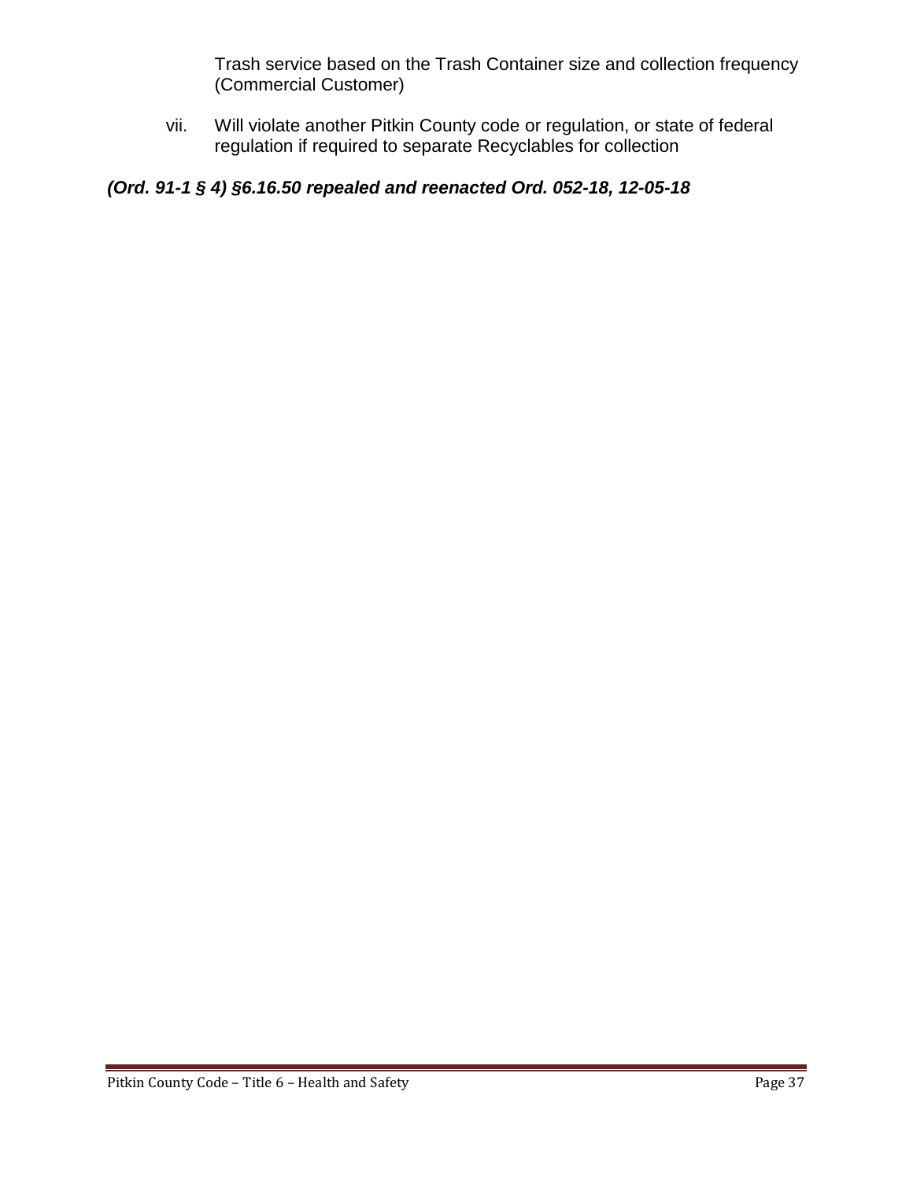Trash service based on the Trash Container size and collection frequency (Commercial Customer)

vii. Will violate another Pitkin County code or regulation, or state of federal regulation if required to separate Recyclables for collection

# *(Ord. 91-1 § 4) §6.16.50 repealed and reenacted Ord. 052-18, 12-05-18*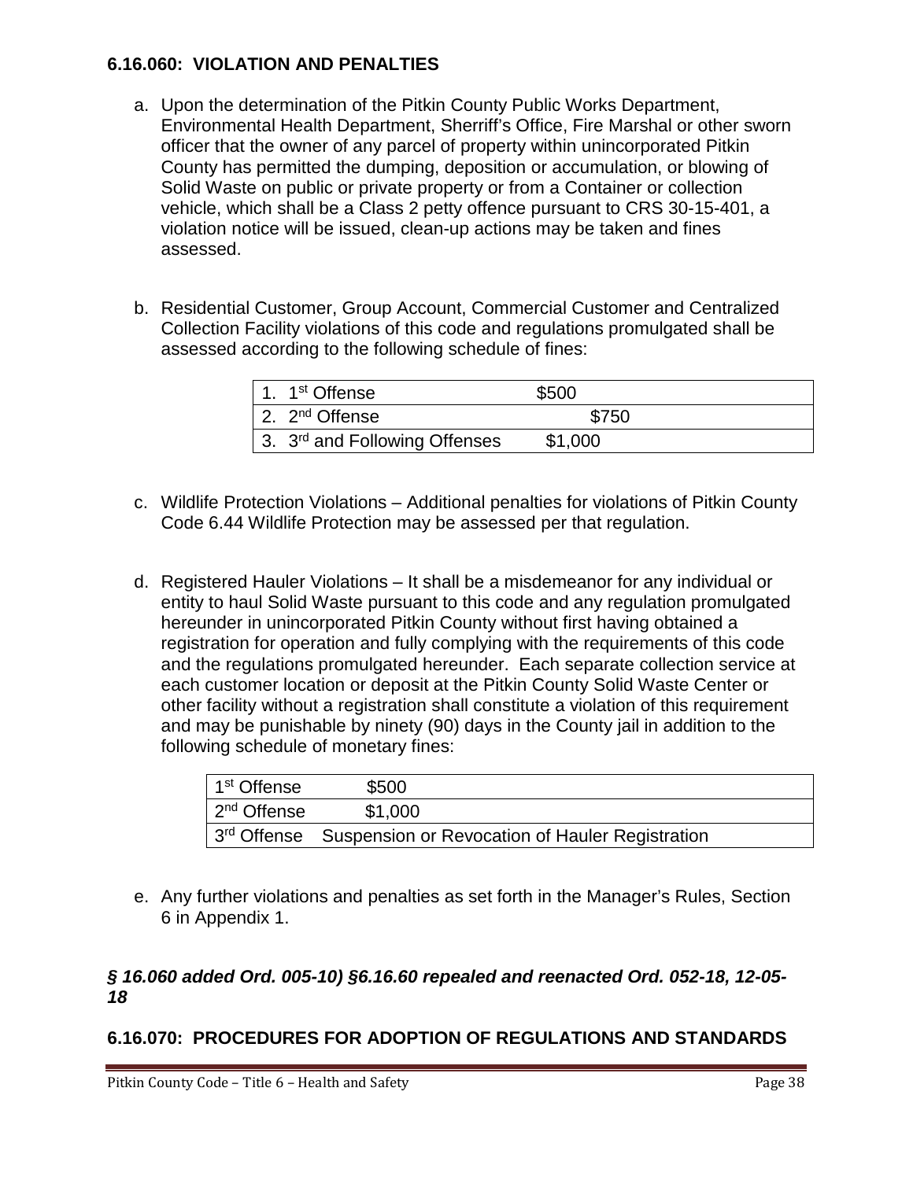### **6.16.060: VIOLATION AND PENALTIES**

- a. Upon the determination of the Pitkin County Public Works Department, Environmental Health Department, Sherriff's Office, Fire Marshal or other sworn officer that the owner of any parcel of property within unincorporated Pitkin County has permitted the dumping, deposition or accumulation, or blowing of Solid Waste on public or private property or from a Container or collection vehicle, which shall be a Class 2 petty offence pursuant to CRS 30-15-401, a violation notice will be issued, clean-up actions may be taken and fines assessed.
- b. Residential Customer, Group Account, Commercial Customer and Centralized Collection Facility violations of this code and regulations promulgated shall be assessed according to the following schedule of fines:

| 1. 1 <sup>st</sup> Offense                 | \$500   |
|--------------------------------------------|---------|
| 2. $2^{nd}$ Offense                        | \$750   |
| 13. 3 <sup>rd</sup> and Following Offenses | \$1,000 |

- c. Wildlife Protection Violations Additional penalties for violations of Pitkin County Code 6.44 Wildlife Protection may be assessed per that regulation.
- d. Registered Hauler Violations It shall be a misdemeanor for any individual or entity to haul Solid Waste pursuant to this code and any regulation promulgated hereunder in unincorporated Pitkin County without first having obtained a registration for operation and fully complying with the requirements of this code and the regulations promulgated hereunder. Each separate collection service at each customer location or deposit at the Pitkin County Solid Waste Center or other facility without a registration shall constitute a violation of this requirement and may be punishable by ninety (90) days in the County jail in addition to the following schedule of monetary fines:

| 1 <sup>st</sup> Offense | \$500                                                       |  |
|-------------------------|-------------------------------------------------------------|--|
| 2 <sup>nd</sup> Offense | \$1.000                                                     |  |
|                         | 3rd Offense Suspension or Revocation of Hauler Registration |  |

e. Any further violations and penalties as set forth in the Manager's Rules, Section 6 in Appendix 1.

## *§ 16.060 added Ord. 005-10) §6.16.60 repealed and reenacted Ord. 052-18, 12-05- 18*

# **6.16.070: PROCEDURES FOR ADOPTION OF REGULATIONS AND STANDARDS**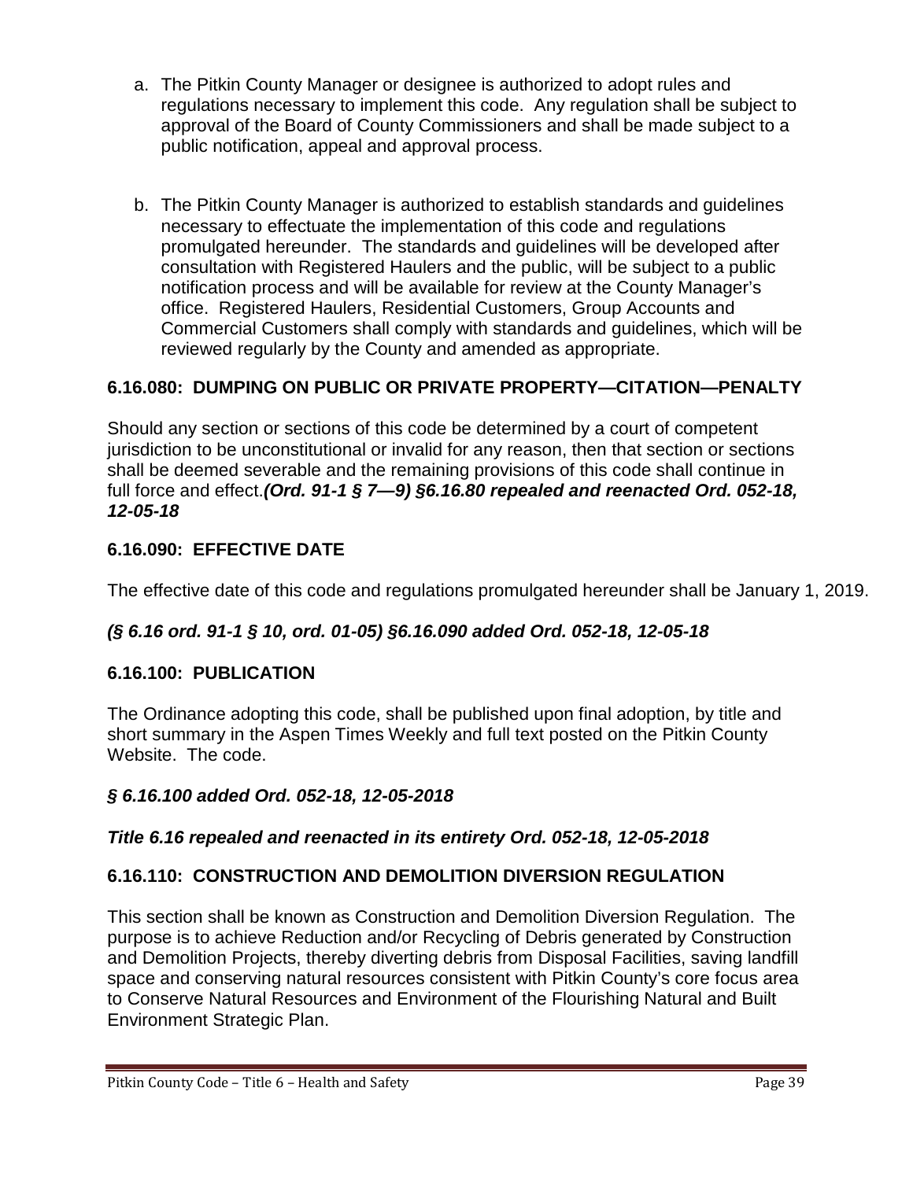- a. The Pitkin County Manager or designee is authorized to adopt rules and regulations necessary to implement this code. Any regulation shall be subject to approval of the Board of County Commissioners and shall be made subject to a public notification, appeal and approval process.
- b. The Pitkin County Manager is authorized to establish standards and guidelines necessary to effectuate the implementation of this code and regulations promulgated hereunder. The standards and guidelines will be developed after consultation with Registered Haulers and the public, will be subject to a public notification process and will be available for review at the County Manager's office. Registered Haulers, Residential Customers, Group Accounts and Commercial Customers shall comply with standards and guidelines, which will be reviewed regularly by the County and amended as appropriate.

# **6.16.080: DUMPING ON PUBLIC OR PRIVATE PROPERTY—CITATION—PENALTY**

Should any section or sections of this code be determined by a court of competent jurisdiction to be unconstitutional or invalid for any reason, then that section or sections shall be deemed severable and the remaining provisions of this code shall continue in full force and effect.*(Ord. 91-1 § 7—9) §6.16.80 repealed and reenacted Ord. 052-18, 12-05-18*

# **6.16.090: EFFECTIVE DATE**

The effective date of this code and regulations promulgated hereunder shall be January 1, 2019.

# *(§ 6.16 ord. 91-1 § 10, ord. 01-05) §6.16.090 added Ord. 052-18, 12-05-18*

## **6.16.100: PUBLICATION**

The Ordinance adopting this code, shall be published upon final adoption, by title and short summary in the Aspen Times Weekly and full text posted on the Pitkin County Website. The code.

## *§ 6.16.100 added Ord. 052-18, 12-05-2018*

## *Title 6.16 repealed and reenacted in its entirety Ord. 052-18, 12-05-2018*

## **6.16.110: CONSTRUCTION AND DEMOLITION DIVERSION REGULATION**

This section shall be known as Construction and Demolition Diversion Regulation. The purpose is to achieve Reduction and/or Recycling of Debris generated by Construction and Demolition Projects, thereby diverting debris from Disposal Facilities, saving landfill space and conserving natural resources consistent with Pitkin County's core focus area to Conserve Natural Resources and Environment of the Flourishing Natural and Built Environment Strategic Plan.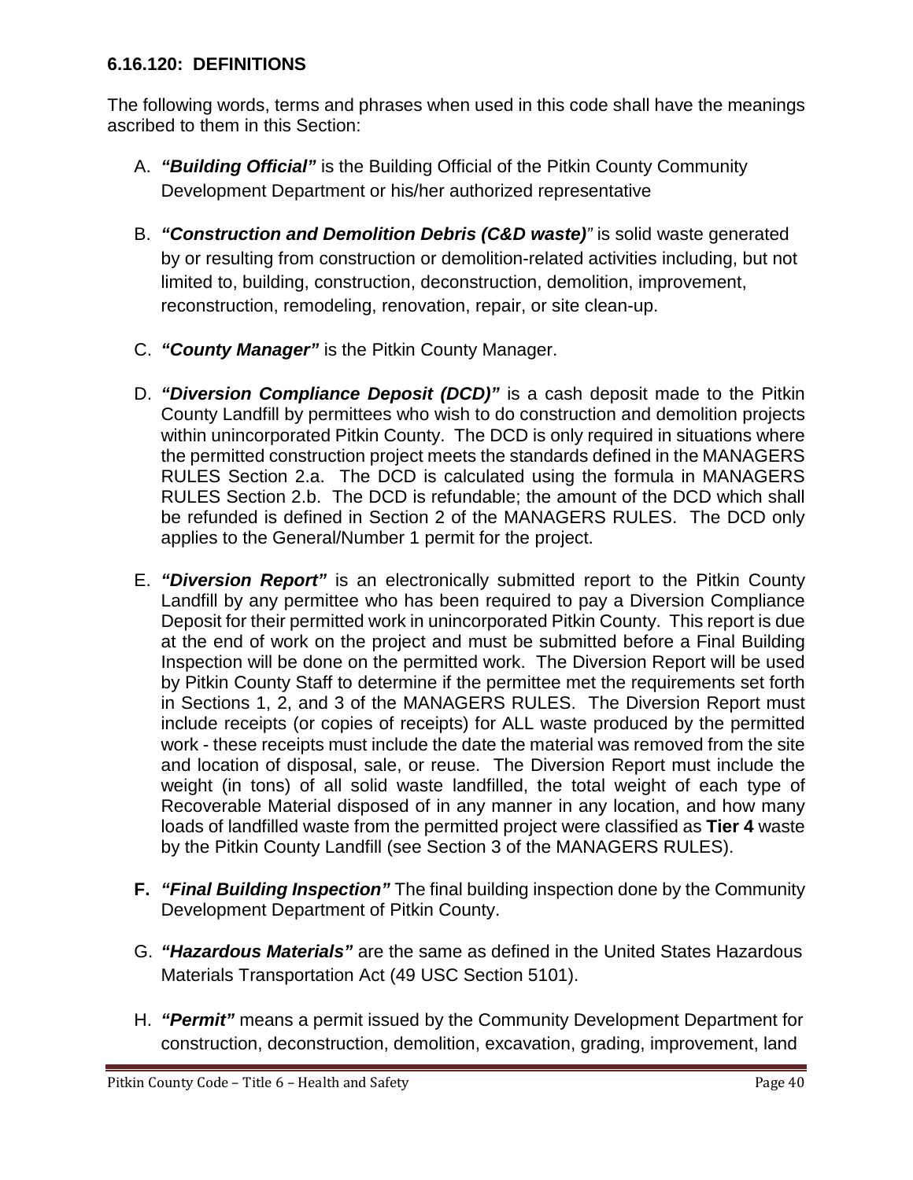### **6.16.120: DEFINITIONS**

The following words, terms and phrases when used in this code shall have the meanings ascribed to them in this Section:

- A. *"Building Official"* is the Building Official of the Pitkin County Community Development Department or his/her authorized representative
- B. *"Construction and Demolition Debris (C&D waste)"* is solid waste generated by or resulting from construction or demolition-related activities including, but not limited to, building, construction, deconstruction, demolition, improvement, reconstruction, remodeling, renovation, repair, or site clean-up.
- C. *"County Manager"* is the Pitkin County Manager.
- D. *"Diversion Compliance Deposit (DCD)"* is a cash deposit made to the Pitkin County Landfill by permittees who wish to do construction and demolition projects within unincorporated Pitkin County. The DCD is only required in situations where the permitted construction project meets the standards defined in the MANAGERS RULES Section 2.a. The DCD is calculated using the formula in MANAGERS RULES Section 2.b. The DCD is refundable; the amount of the DCD which shall be refunded is defined in Section 2 of the MANAGERS RULES. The DCD only applies to the General/Number 1 permit for the project.
- E. *"Diversion Report"* is an electronically submitted report to the Pitkin County Landfill by any permittee who has been required to pay a Diversion Compliance Deposit for their permitted work in unincorporated Pitkin County. This report is due at the end of work on the project and must be submitted before a Final Building Inspection will be done on the permitted work. The Diversion Report will be used by Pitkin County Staff to determine if the permittee met the requirements set forth in Sections 1, 2, and 3 of the MANAGERS RULES. The Diversion Report must include receipts (or copies of receipts) for ALL waste produced by the permitted work - these receipts must include the date the material was removed from the site and location of disposal, sale, or reuse. The Diversion Report must include the weight (in tons) of all solid waste landfilled, the total weight of each type of Recoverable Material disposed of in any manner in any location, and how many loads of landfilled waste from the permitted project were classified as **Tier 4** waste by the Pitkin County Landfill (see Section 3 of the MANAGERS RULES).
- **F.** *"Final Building Inspection"* The final building inspection done by the Community Development Department of Pitkin County.
- G. *"Hazardous Materials"* are the same as defined in the United States Hazardous Materials Transportation Act (49 USC Section 5101).
- H. *"Permit"* means a permit issued by the Community Development Department for construction, deconstruction, demolition, excavation, grading, improvement, land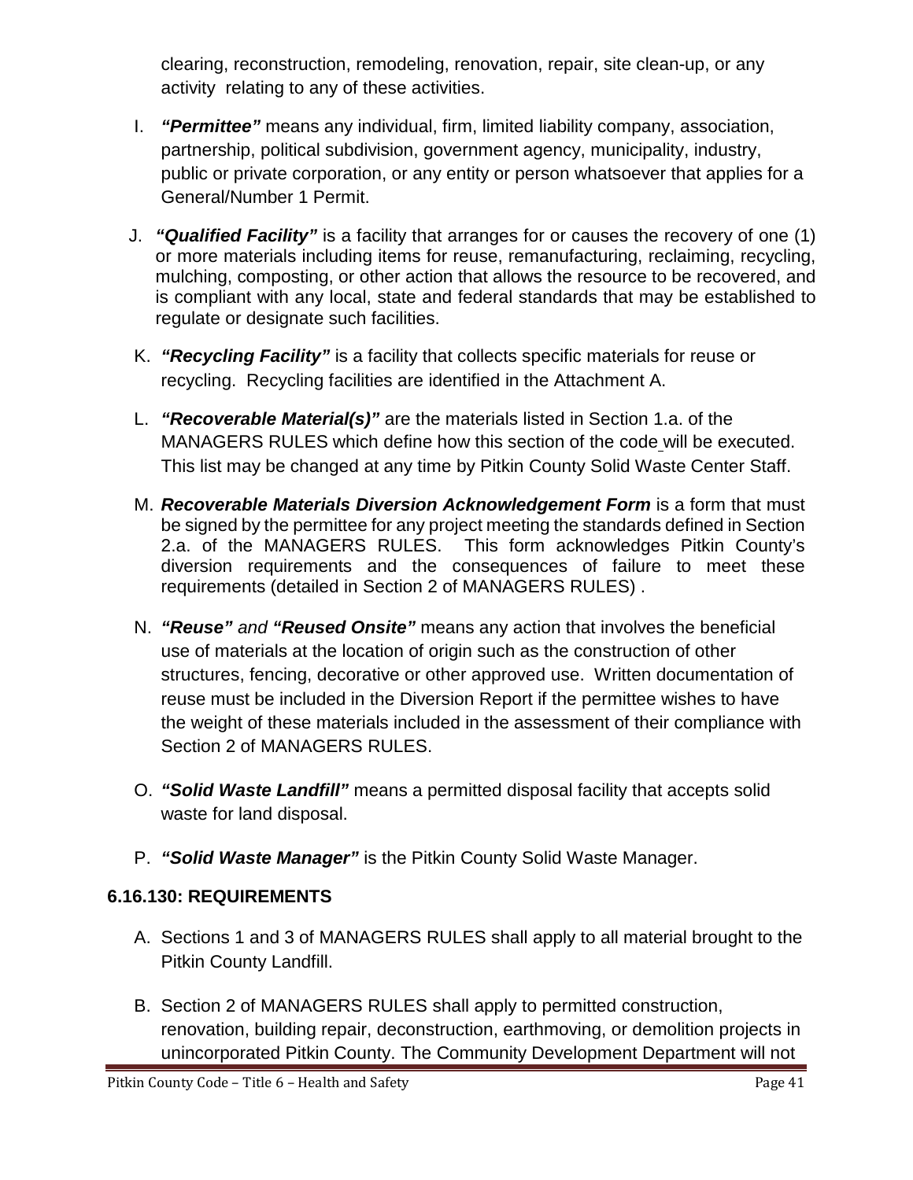clearing, reconstruction, remodeling, renovation, repair, site clean-up, or any activity relating to any of these activities.

- I. *"Permittee"* means any individual, firm, limited liability company, association, partnership, political subdivision, government agency, municipality, industry, public or private corporation, or any entity or person whatsoever that applies for a General/Number 1 Permit.
- J. *"Qualified Facility"* is a facility that arranges for or causes the recovery of one (1) or more materials including items for reuse, remanufacturing, reclaiming, recycling, mulching, composting, or other action that allows the resource to be recovered, and is compliant with any local, state and federal standards that may be established to regulate or designate such facilities.
- K. *"Recycling Facility"* is a facility that collects specific materials for reuse or recycling. Recycling facilities are identified in the Attachment A.
- L. *"Recoverable Material(s)"* are the materials listed in Section 1.a. of the MANAGERS RULES which define how this section of the code will be executed. This list may be changed at any time by Pitkin County Solid Waste Center Staff.
- M. *Recoverable Materials Diversion Acknowledgement Form* is a form that must be signed by the permittee for any project meeting the standards defined in Section 2.a. of the MANAGERS RULES. This form acknowledges Pitkin County's diversion requirements and the consequences of failure to meet these requirements (detailed in Section 2 of MANAGERS RULES) .
- N. *"Reuse" and "Reused Onsite"* means any action that involves the beneficial use of materials at the location of origin such as the construction of other structures, fencing, decorative or other approved use. Written documentation of reuse must be included in the Diversion Report if the permittee wishes to have the weight of these materials included in the assessment of their compliance with Section 2 of MANAGERS RULES.
- O. *"Solid Waste Landfill"* means a permitted disposal facility that accepts solid waste for land disposal.
- P. *"Solid Waste Manager"* is the Pitkin County Solid Waste Manager.

# **6.16.130: REQUIREMENTS**

- A. Sections 1 and 3 of MANAGERS RULES shall apply to all material brought to the Pitkin County Landfill.
- B. Section 2 of MANAGERS RULES shall apply to permitted construction, renovation, building repair, deconstruction, earthmoving, or demolition projects in unincorporated Pitkin County. The Community Development Department will not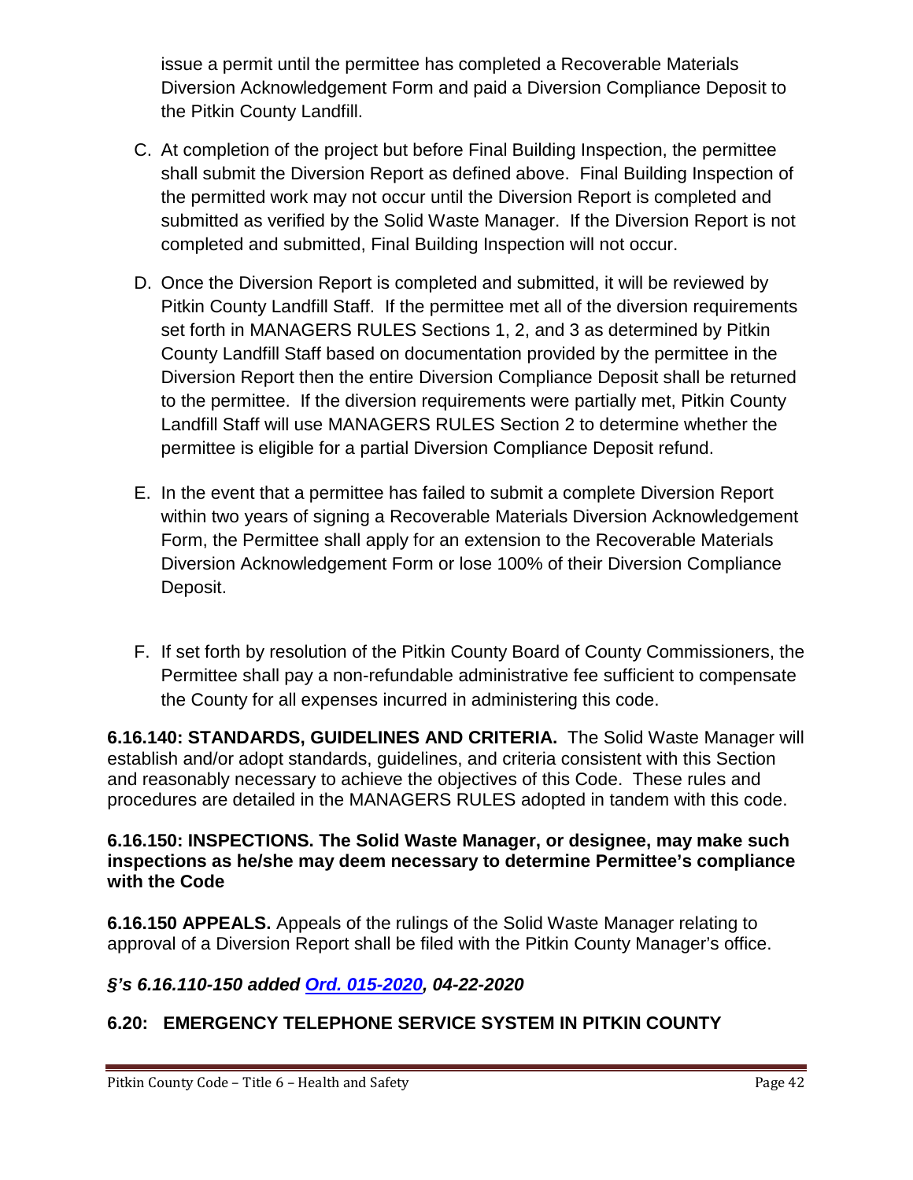issue a permit until the permittee has completed a Recoverable Materials Diversion Acknowledgement Form and paid a Diversion Compliance Deposit to the Pitkin County Landfill.

- C. At completion of the project but before Final Building Inspection, the permittee shall submit the Diversion Report as defined above. Final Building Inspection of the permitted work may not occur until the Diversion Report is completed and submitted as verified by the Solid Waste Manager. If the Diversion Report is not completed and submitted, Final Building Inspection will not occur.
- D. Once the Diversion Report is completed and submitted, it will be reviewed by Pitkin County Landfill Staff. If the permittee met all of the diversion requirements set forth in MANAGERS RULES Sections 1, 2, and 3 as determined by Pitkin County Landfill Staff based on documentation provided by the permittee in the Diversion Report then the entire Diversion Compliance Deposit shall be returned to the permittee. If the diversion requirements were partially met, Pitkin County Landfill Staff will use MANAGERS RULES Section 2 to determine whether the permittee is eligible for a partial Diversion Compliance Deposit refund.
- E. In the event that a permittee has failed to submit a complete Diversion Report within two years of signing a Recoverable Materials Diversion Acknowledgement Form, the Permittee shall apply for an extension to the Recoverable Materials Diversion Acknowledgement Form or lose 100% of their Diversion Compliance Deposit.
- F. If set forth by resolution of the Pitkin County Board of County Commissioners, the Permittee shall pay a non-refundable administrative fee sufficient to compensate the County for all expenses incurred in administering this code.

**6.16.140: STANDARDS, GUIDELINES AND CRITERIA.** The Solid Waste Manager will establish and/or adopt standards, guidelines, and criteria consistent with this Section and reasonably necessary to achieve the objectives of this Code. These rules and procedures are detailed in the MANAGERS RULES adopted in tandem with this code.

**6.16.150: INSPECTIONS. The Solid Waste Manager, or designee, may make such inspections as he/she may deem necessary to determine Permittee's compliance with the Code**

**6.16.150 APPEALS.** Appeals of the rulings of the Solid Waste Manager relating to approval of a Diversion Report shall be filed with the Pitkin County Manager's office.

# *§'s 6.16.110-150 added [Ord. 015-2020,](https://pitkincounty.com/DocumentCenter/View/26097/Ord0152020) 04-22-2020*

# **6.20: EMERGENCY TELEPHONE SERVICE SYSTEM IN PITKIN COUNTY**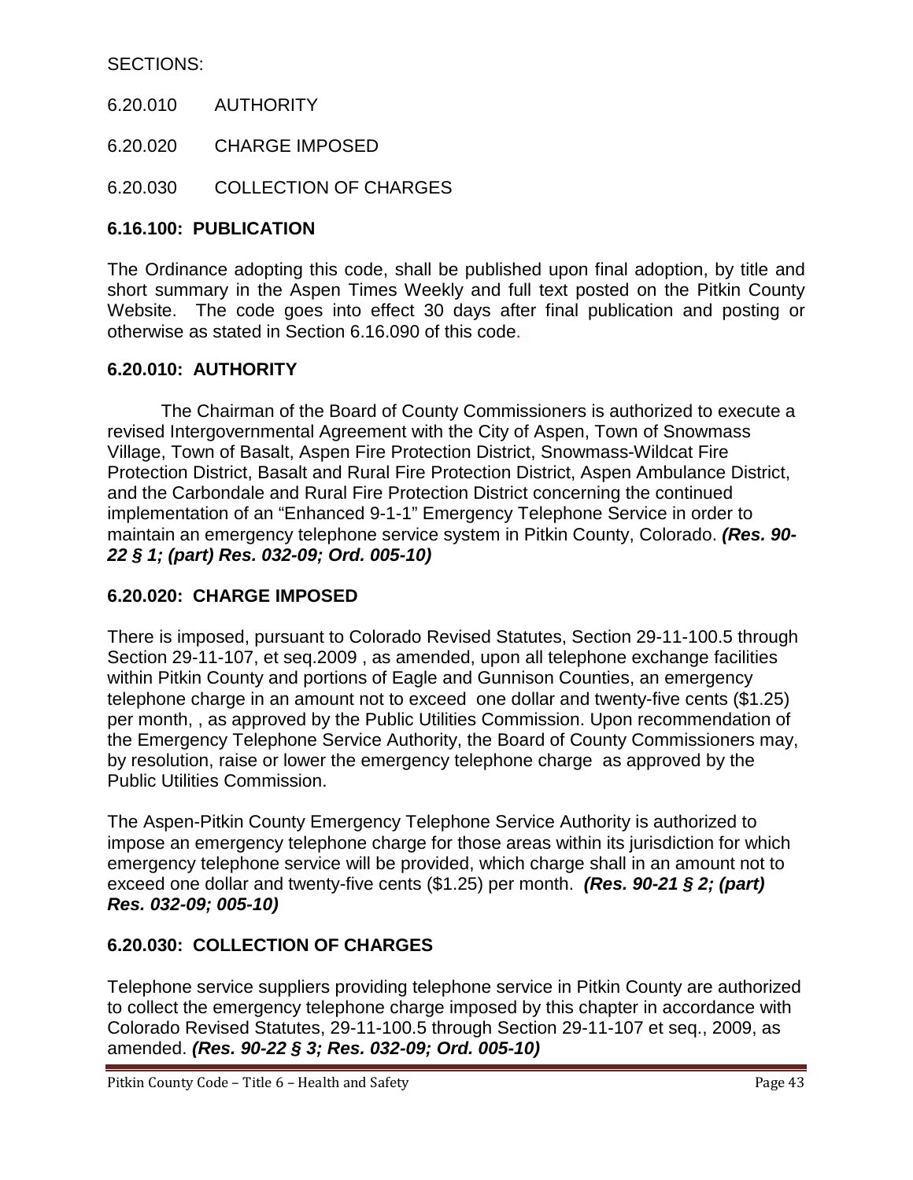### SECTIONS:

- 6.20.010 AUTHORITY
- 6.20.020 CHARGE IMPOSED
- 6.20.030 COLLECTION OF CHARGES

### **6.16.100: PUBLICATION**

The Ordinance adopting this code, shall be published upon final adoption, by title and short summary in the Aspen Times Weekly and full text posted on the Pitkin County Website. The code goes into effect 30 days after final publication and posting or otherwise as stated in Section 6.16.090 of this code.

#### **6.20.010: AUTHORITY**

The Chairman of the Board of County Commissioners is authorized to execute a revised Intergovernmental Agreement with the City of Aspen, Town of Snowmass Village, Town of Basalt, Aspen Fire Protection District, Snowmass-Wildcat Fire Protection District, Basalt and Rural Fire Protection District, Aspen Ambulance District, and the Carbondale and Rural Fire Protection District concerning the continued implementation of an "Enhanced 9-1-1" Emergency Telephone Service in order to maintain an emergency telephone service system in Pitkin County, Colorado. *(Res. 90- 22 § 1; (part) Res. 032-09; Ord. 005-10)*

#### **6.20.020: CHARGE IMPOSED**

There is imposed, pursuant to Colorado Revised Statutes, Section 29-11-100.5 through Section 29-11-107, et seq.2009 , as amended, upon all telephone exchange facilities within Pitkin County and portions of Eagle and Gunnison Counties, an emergency telephone charge in an amount not to exceed one dollar and twenty-five cents (\$1.25) per month, , as approved by the Public Utilities Commission. Upon recommendation of the Emergency Telephone Service Authority, the Board of County Commissioners may, by resolution, raise or lower the emergency telephone charge as approved by the Public Utilities Commission.

The Aspen-Pitkin County Emergency Telephone Service Authority is authorized to impose an emergency telephone charge for those areas within its jurisdiction for which emergency telephone service will be provided, which charge shall in an amount not to exceed one dollar and twenty-five cents (\$1.25) per month. *(Res. 90-21 § 2; (part) Res. 032-09; 005-10)*

#### **6.20.030: COLLECTION OF CHARGES**

Telephone service suppliers providing telephone service in Pitkin County are authorized to collect the emergency telephone charge imposed by this chapter in accordance with Colorado Revised Statutes, 29-11-100.5 through Section 29-11-107 et seq., 2009, as amended. *(Res. 90-22 § 3; Res. 032-09; Ord. 005-10)*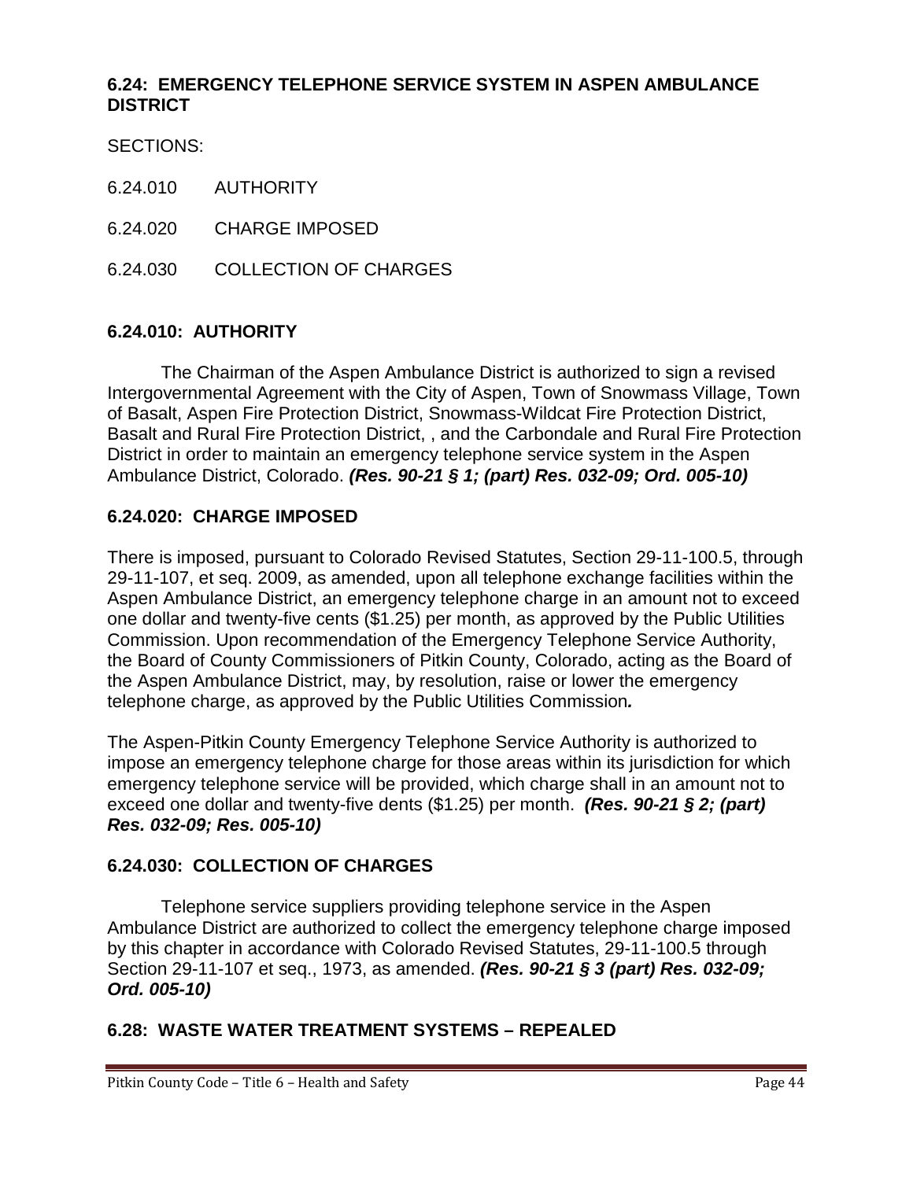### **6.24: EMERGENCY TELEPHONE SERVICE SYSTEM IN ASPEN AMBULANCE DISTRICT**

SECTIONS:

- 6.24.010 AUTHORITY
- 6.24.020 CHARGE IMPOSED
- 6.24.030 COLLECTION OF CHARGES

### **6.24.010: AUTHORITY**

The Chairman of the Aspen Ambulance District is authorized to sign a revised Intergovernmental Agreement with the City of Aspen, Town of Snowmass Village, Town of Basalt, Aspen Fire Protection District, Snowmass-Wildcat Fire Protection District, Basalt and Rural Fire Protection District, , and the Carbondale and Rural Fire Protection District in order to maintain an emergency telephone service system in the Aspen Ambulance District, Colorado. *(Res. 90-21 § 1; (part) Res. 032-09; Ord. 005-10)*

#### **6.24.020: CHARGE IMPOSED**

There is imposed, pursuant to Colorado Revised Statutes, Section 29-11-100.5, through 29-11-107, et seq. 2009, as amended, upon all telephone exchange facilities within the Aspen Ambulance District, an emergency telephone charge in an amount not to exceed one dollar and twenty-five cents (\$1.25) per month, as approved by the Public Utilities Commission. Upon recommendation of the Emergency Telephone Service Authority, the Board of County Commissioners of Pitkin County, Colorado, acting as the Board of the Aspen Ambulance District, may, by resolution, raise or lower the emergency telephone charge, as approved by the Public Utilities Commission*.* 

The Aspen-Pitkin County Emergency Telephone Service Authority is authorized to impose an emergency telephone charge for those areas within its jurisdiction for which emergency telephone service will be provided, which charge shall in an amount not to exceed one dollar and twenty-five dents (\$1.25) per month. *(Res. 90-21 § 2; (part) Res. 032-09; Res. 005-10)*

#### **6.24.030: COLLECTION OF CHARGES**

Telephone service suppliers providing telephone service in the Aspen Ambulance District are authorized to collect the emergency telephone charge imposed by this chapter in accordance with Colorado Revised Statutes, 29-11-100.5 through Section 29-11-107 et seq., 1973, as amended. *(Res. 90-21 § 3 (part) Res. 032-09; Ord. 005-10)*

## **6.28: WASTE WATER TREATMENT SYSTEMS – REPEALED**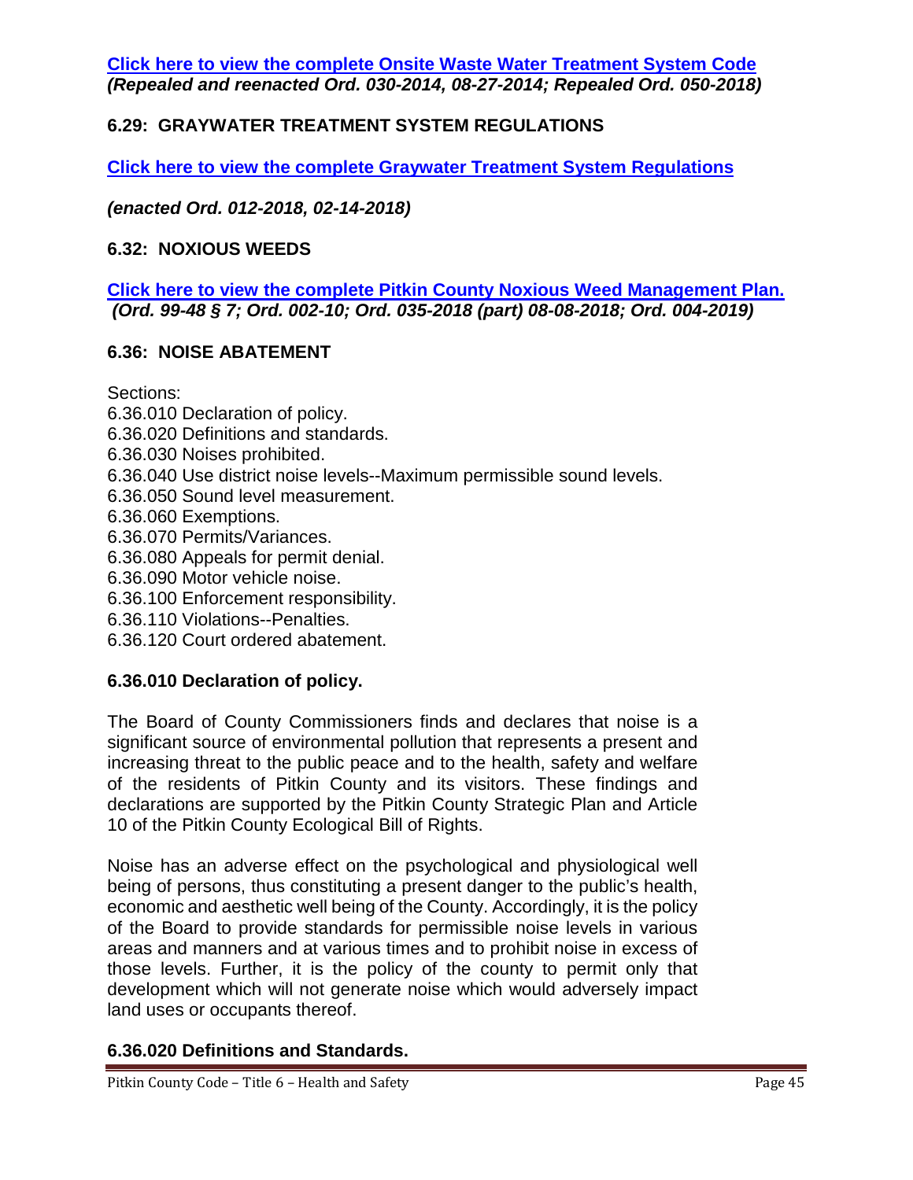**Click here to view the complete [Onsite Waste Water Treatment System Code](https://pitkincounty.com/DocumentCenter/View/17621/Pitkin-County-2018-OWTS-final-copy)** *(Repealed and reenacted Ord. 030-2014, 08-27-2014; Repealed Ord. 050-2018)*

## **6.29: GRAYWATER TREATMENT SYSTEM REGULATIONS**

**[Click here to view the complete Graywater Treatment System Regulations](https://pitkincounty.com/DocumentCenter/View/16912/Gray-Water-Regs)**

*(enacted Ord. 012-2018, 02-14-2018)*

#### **6.32: NOXIOUS WEEDS**

**[Click here to view the complete Pitkin County Noxious Weed Management Plan.](https://pitkincounty.com/DocumentCenter/View/18857/boccord0042019)** *(Ord. 99-48 § 7; Ord. 002-10; Ord. 035-2018 (part) 08-08-2018; Ord. 004-2019)*

#### **6.36: NOISE ABATEMENT**

Sections:

- 6.36.010 Declaration of policy.
- 6.36.020 Definitions and standards.
- 6.36.030 Noises prohibited.
- 6.36.040 Use district noise levels--Maximum permissible sound levels.
- 6.36.050 Sound level measurement.
- 6.36.060 Exemptions.
- 6.36.070 Permits/Variances.
- 6.36.080 Appeals for permit denial.
- 6.36.090 Motor vehicle noise.
- 6.36.100 Enforcement responsibility.
- 6.36.110 Violations--Penalties.
- 6.36.120 Court ordered abatement.

#### **6.36.010 Declaration of policy.**

The Board of County Commissioners finds and declares that noise is a significant source of environmental pollution that represents a present and increasing threat to the public peace and to the health, safety and welfare of the residents of Pitkin County and its visitors. These findings and declarations are supported by the Pitkin County Strategic Plan and Article 10 of the Pitkin County Ecological Bill of Rights.

Noise has an adverse effect on the psychological and physiological well being of persons, thus constituting a present danger to the public's health, economic and aesthetic well being of the County. Accordingly, it is the policy of the Board to provide standards for permissible noise levels in various areas and manners and at various times and to prohibit noise in excess of those levels. Further, it is the policy of the county to permit only that development which will not generate noise which would adversely impact land uses or occupants thereof.

#### **6.36.020 Definitions and Standards.**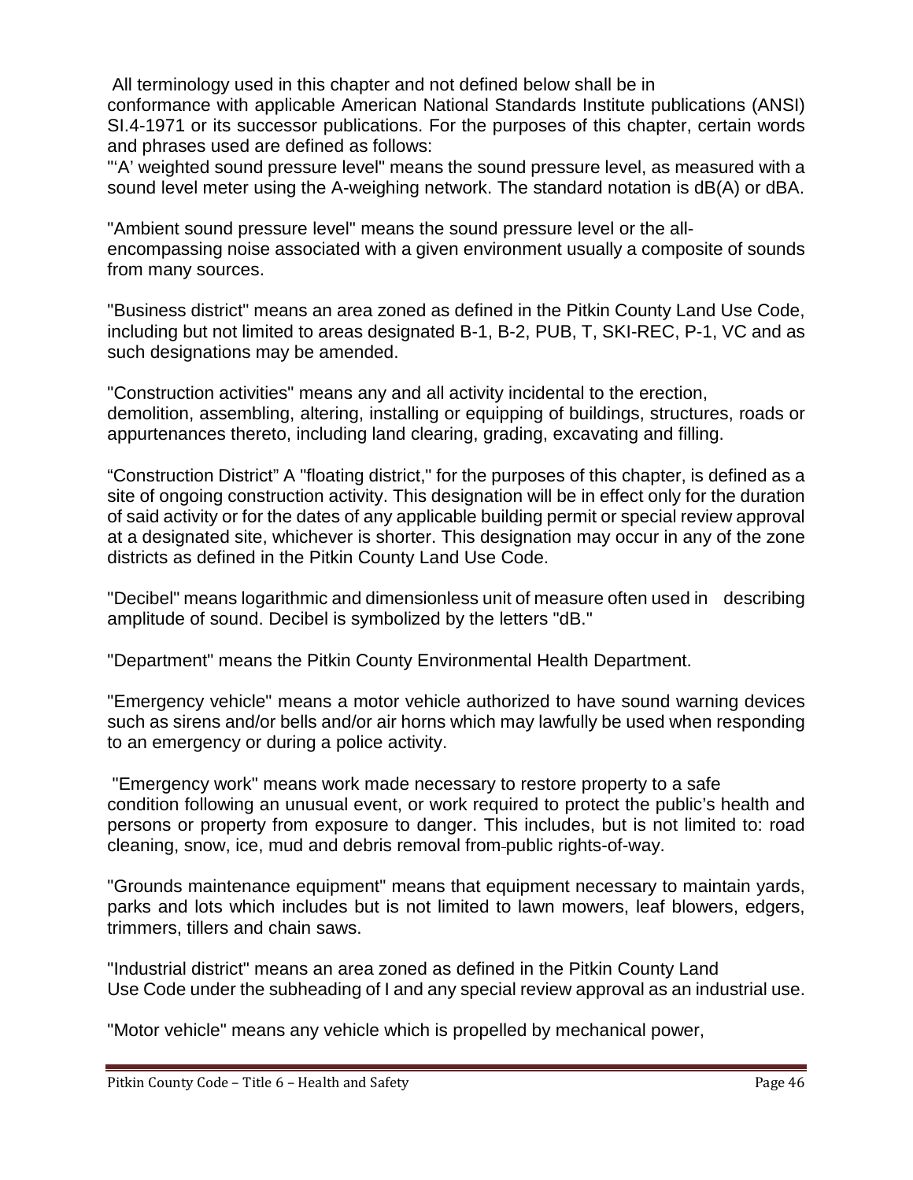All terminology used in this chapter and not defined below shall be in conformance with applicable American National Standards Institute publications (ANSI) SI.4-1971 or its successor publications. For the purposes of this chapter, certain words and phrases used are defined as follows:

"'A' weighted sound pressure level" means the sound pressure level, as measured with a sound level meter using the A-weighing network. The standard notation is dB(A) or dBA.

"Ambient sound pressure level" means the sound pressure level or the allencompassing noise associated with a given environment usually a composite of sounds from many sources.

"Business district" means an area zoned as defined in the Pitkin County Land Use Code, including but not limited to areas designated B-1, B-2, PUB, T, SKI-REC, P-1, VC and as such designations may be amended.

"Construction activities" means any and all activity incidental to the erection, demolition, assembling, altering, installing or equipping of buildings, structures, roads or appurtenances thereto, including land clearing, grading, excavating and filling.

"Construction District" A "floating district," for the purposes of this chapter, is defined as a site of ongoing construction activity. This designation will be in effect only for the duration of said activity or for the dates of any applicable building permit or special review approval at a designated site, whichever is shorter. This designation may occur in any of the zone districts as defined in the Pitkin County Land Use Code.

"Decibel" means logarithmic and dimensionless unit of measure often used in describing amplitude of sound. Decibel is symbolized by the letters "dB."

"Department" means the Pitkin County Environmental Health Department.

"Emergency vehicle" means a motor vehicle authorized to have sound warning devices such as sirens and/or bells and/or air horns which may lawfully be used when responding to an emergency or during a police activity.

"Emergency work" means work made necessary to restore property to a safe condition following an unusual event, or work required to protect the public's health and persons or property from exposure to danger. This includes, but is not limited to: road cleaning, snow, ice, mud and debris removal from public rights-of-way.

"Grounds maintenance equipment" means that equipment necessary to maintain yards, parks and lots which includes but is not limited to lawn mowers, leaf blowers, edgers, trimmers, tillers and chain saws.

"Industrial district" means an area zoned as defined in the Pitkin County Land Use Code under the subheading of I and any special review approval as an industrial use.

"Motor vehicle" means any vehicle which is propelled by mechanical power,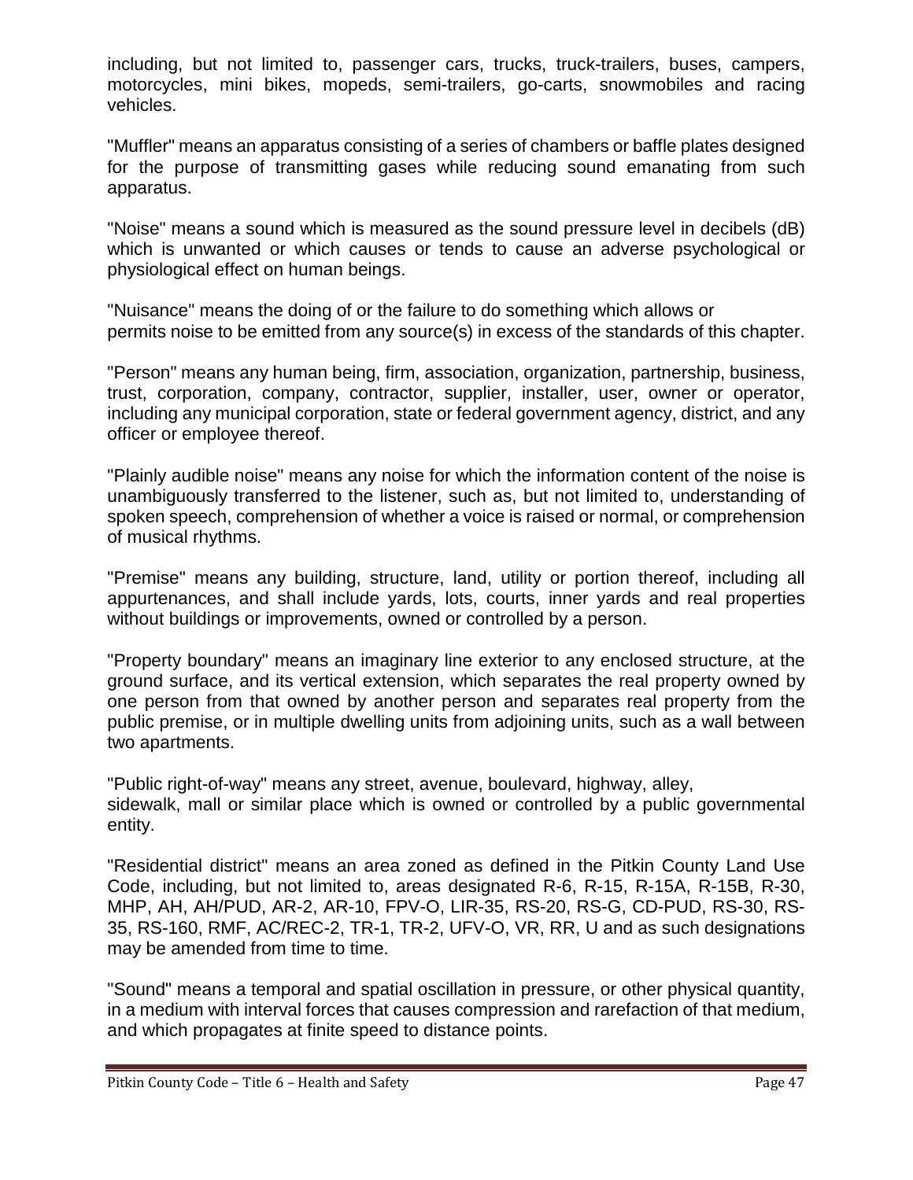including, but not limited to, passenger cars, trucks, truck-trailers, buses, campers, motorcycles, mini bikes, mopeds, semi-trailers, go-carts, snowmobiles and racing vehicles.

"Muffler" means an apparatus consisting of a series of chambers or baffle plates designed for the purpose of transmitting gases while reducing sound emanating from such apparatus.

"Noise" means a sound which is measured as the sound pressure level in decibels (dB) which is unwanted or which causes or tends to cause an adverse psychological or physiological effect on human beings.

"Nuisance" means the doing of or the failure to do something which allows or permits noise to be emitted from any source(s) in excess of the standards of this chapter.

"Person" means any human being, firm, association, organization, partnership, business, trust, corporation, company, contractor, supplier, installer, user, owner or operator, including any municipal corporation, state or federal government agency, district, and any officer or employee thereof.

"Plainly audible noise" means any noise for which the information content of the noise is unambiguously transferred to the listener, such as, but not limited to, understanding of spoken speech, comprehension of whether a voice is raised or normal, or comprehension of musical rhythms.

"Premise" means any building, structure, land, utility or portion thereof, including all appurtenances, and shall include yards, lots, courts, inner yards and real properties without buildings or improvements, owned or controlled by a person.

"Property boundary" means an imaginary line exterior to any enclosed structure, at the ground surface, and its vertical extension, which separates the real property owned by one person from that owned by another person and separates real property from the public premise, or in multiple dwelling units from adjoining units, such as a wall between two apartments.

"Public right-of-way" means any street, avenue, boulevard, highway, alley, sidewalk, mall or similar place which is owned or controlled by a public governmental entity.

"Residential district" means an area zoned as defined in the Pitkin County Land Use Code, including, but not limited to, areas designated R-6, R-15, R-15A, R-15B, R-30, MHP, AH, AH/PUD, AR-2, AR-10, FPV-O, LIR-35, RS-20, RS-G, CD-PUD, RS-30, RS-35, RS-160, RMF, AC/REC-2, TR-1, TR-2, UFV-O, VR, RR, U and as such designations may be amended from time to time.

"Sound" means a temporal and spatial oscillation in pressure, or other physical quantity, in a medium with interval forces that causes compression and rarefaction of that medium, and which propagates at finite speed to distance points.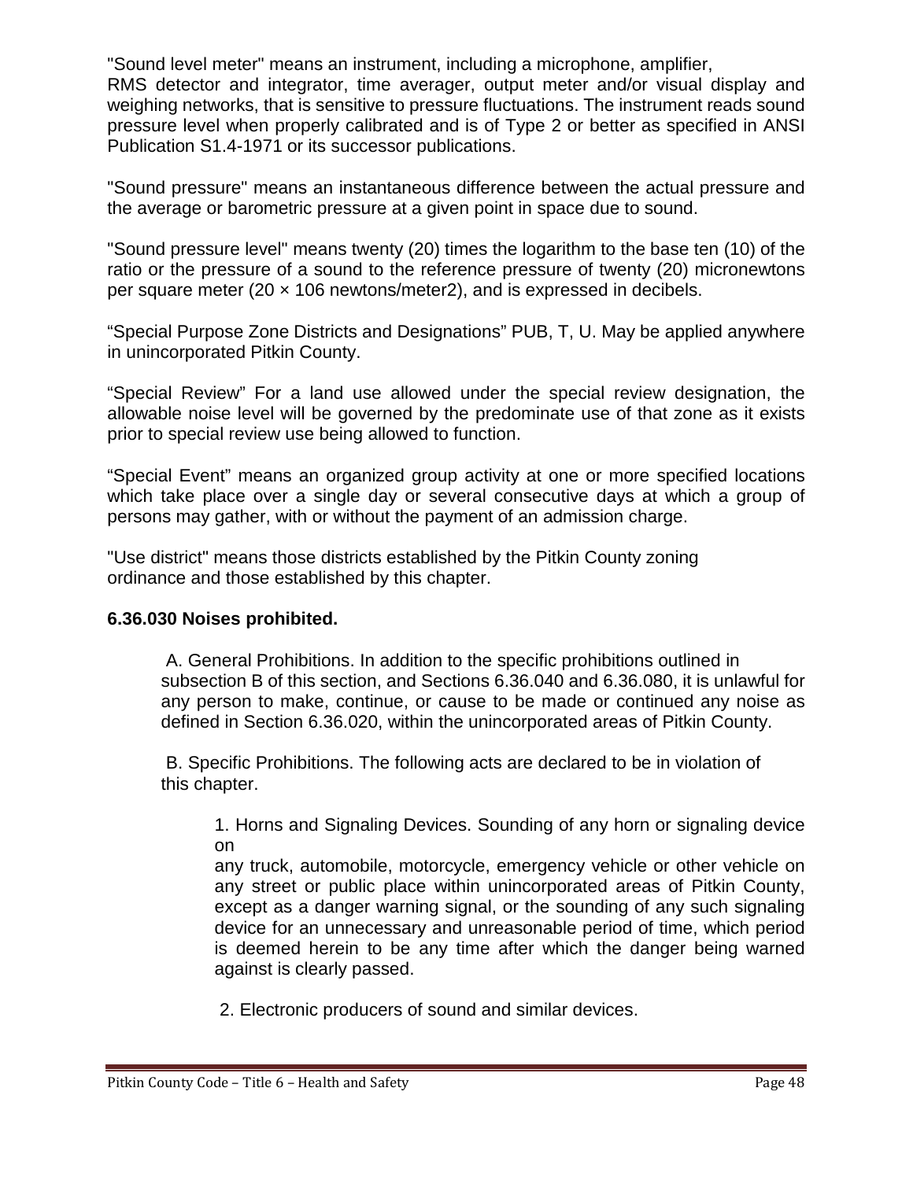"Sound level meter" means an instrument, including a microphone, amplifier,

RMS detector and integrator, time averager, output meter and/or visual display and weighing networks, that is sensitive to pressure fluctuations. The instrument reads sound pressure level when properly calibrated and is of Type 2 or better as specified in ANSI Publication S1.4-1971 or its successor publications.

"Sound pressure" means an instantaneous difference between the actual pressure and the average or barometric pressure at a given point in space due to sound.

"Sound pressure level" means twenty (20) times the logarithm to the base ten (10) of the ratio or the pressure of a sound to the reference pressure of twenty (20) micronewtons per square meter (20  $\times$  106 newtons/meter2), and is expressed in decibels.

"Special Purpose Zone Districts and Designations" PUB, T, U. May be applied anywhere in unincorporated Pitkin County.

"Special Review" For a land use allowed under the special review designation, the allowable noise level will be governed by the predominate use of that zone as it exists prior to special review use being allowed to function.

"Special Event" means an organized group activity at one or more specified locations which take place over a single day or several consecutive days at which a group of persons may gather, with or without the payment of an admission charge.

"Use district" means those districts established by the Pitkin County zoning ordinance and those established by this chapter.

## **6.36.030 Noises prohibited.**

A. General Prohibitions. In addition to the specific prohibitions outlined in subsection B of this section, and Sections 6.36.040 and 6.36.080, it is unlawful for any person to make, continue, or cause to be made or continued any noise as defined in Section 6.36.020, within the unincorporated areas of Pitkin County.

B. Specific Prohibitions. The following acts are declared to be in violation of this chapter.

1. Horns and Signaling Devices. Sounding of any horn or signaling device on

any truck, automobile, motorcycle, emergency vehicle or other vehicle on any street or public place within unincorporated areas of Pitkin County, except as a danger warning signal, or the sounding of any such signaling device for an unnecessary and unreasonable period of time, which period is deemed herein to be any time after which the danger being warned against is clearly passed.

2. Electronic producers of sound and similar devices.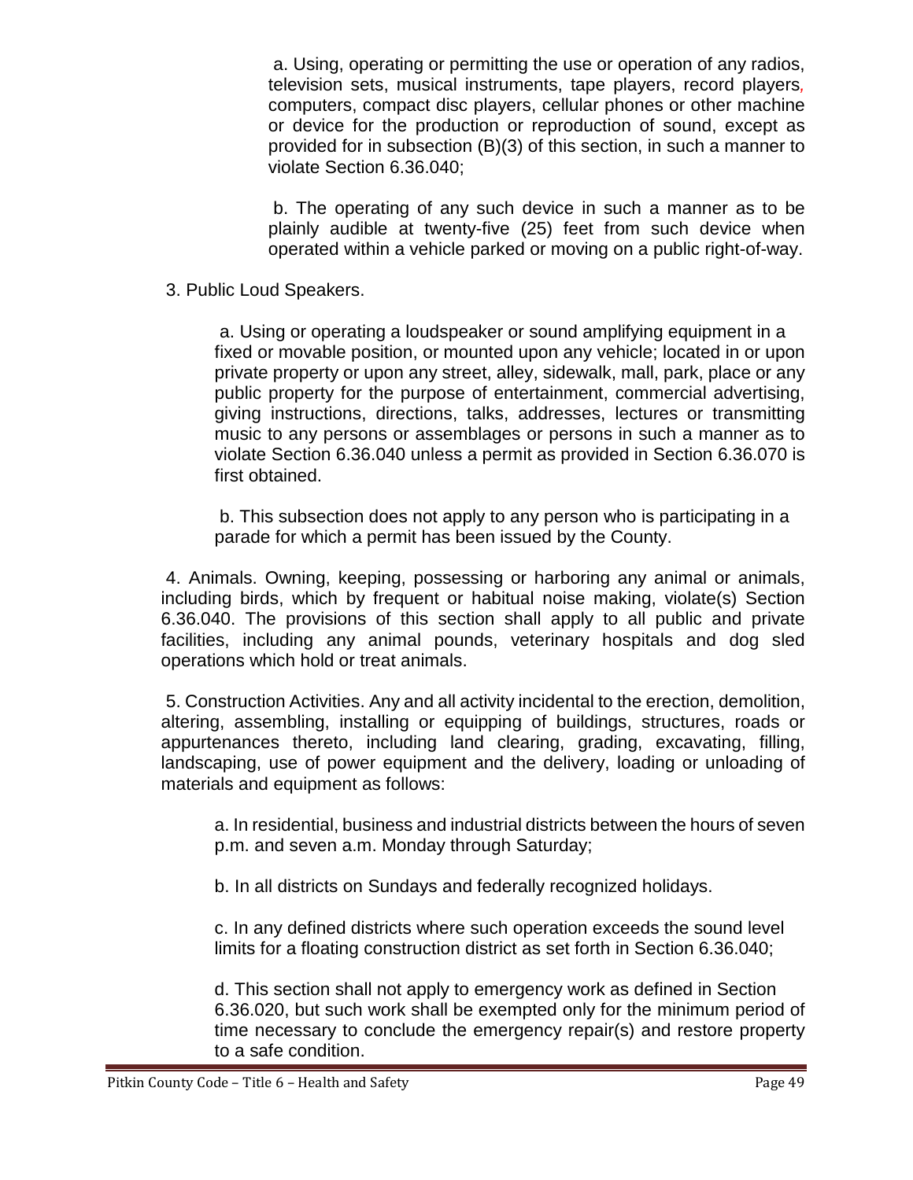a. Using, operating or permitting the use or operation of any radios, television sets, musical instruments, tape players, record players*,*  computers, compact disc players, cellular phones or other machine or device for the production or reproduction of sound, except as provided for in subsection (B)(3) of this section, in such a manner to violate Section 6.36.040;

b. The operating of any such device in such a manner as to be plainly audible at twenty-five (25) feet from such device when operated within a vehicle parked or moving on a public right-of-way.

3. Public Loud Speakers.

a. Using or operating a loudspeaker or sound amplifying equipment in a fixed or movable position, or mounted upon any vehicle; located in or upon private property or upon any street, alley, sidewalk, mall, park, place or any public property for the purpose of entertainment, commercial advertising, giving instructions, directions, talks, addresses, lectures or transmitting music to any persons or assemblages or persons in such a manner as to violate Section 6.36.040 unless a permit as provided in Section 6.36.070 is first obtained.

b. This subsection does not apply to any person who is participating in a parade for which a permit has been issued by the County.

4. Animals. Owning, keeping, possessing or harboring any animal or animals, including birds, which by frequent or habitual noise making, violate(s) Section 6.36.040. The provisions of this section shall apply to all public and private facilities, including any animal pounds, veterinary hospitals and dog sled operations which hold or treat animals.

5. Construction Activities. Any and all activity incidental to the erection, demolition, altering, assembling, installing or equipping of buildings, structures, roads or appurtenances thereto, including land clearing, grading, excavating, filling, landscaping, use of power equipment and the delivery, loading or unloading of materials and equipment as follows:

a. In residential, business and industrial districts between the hours of seven p.m. and seven a.m. Monday through Saturday;

b. In all districts on Sundays and federally recognized holidays.

c. In any defined districts where such operation exceeds the sound level limits for a floating construction district as set forth in Section 6.36.040;

d. This section shall not apply to emergency work as defined in Section 6.36.020, but such work shall be exempted only for the minimum period of time necessary to conclude the emergency repair(s) and restore property to a safe condition.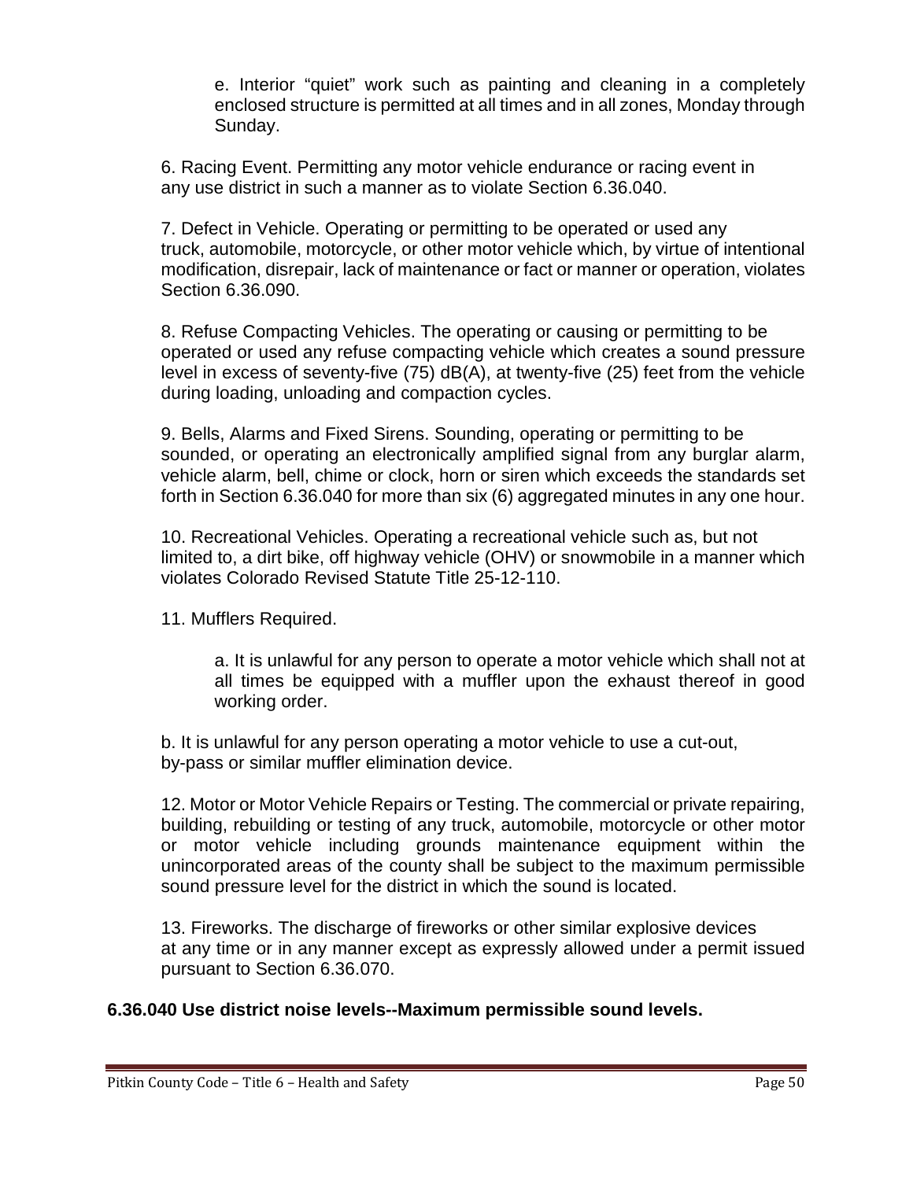e. Interior "quiet" work such as painting and cleaning in a completely enclosed structure is permitted at all times and in all zones, Monday through Sunday.

6. Racing Event. Permitting any motor vehicle endurance or racing event in any use district in such a manner as to violate Section 6.36.040.

7. Defect in Vehicle. Operating or permitting to be operated or used any truck, automobile, motorcycle, or other motor vehicle which, by virtue of intentional modification, disrepair, lack of maintenance or fact or manner or operation, violates Section 6.36.090.

8. Refuse Compacting Vehicles. The operating or causing or permitting to be operated or used any refuse compacting vehicle which creates a sound pressure level in excess of seventy-five (75) dB(A), at twenty-five (25) feet from the vehicle during loading, unloading and compaction cycles.

9. Bells, Alarms and Fixed Sirens. Sounding, operating or permitting to be sounded, or operating an electronically amplified signal from any burglar alarm, vehicle alarm, bell, chime or clock, horn or siren which exceeds the standards set forth in Section 6.36.040 for more than six (6) aggregated minutes in any one hour.

10. Recreational Vehicles. Operating a recreational vehicle such as, but not limited to, a dirt bike, off highway vehicle (OHV) or snowmobile in a manner which violates Colorado Revised Statute Title 25-12-110.

11. Mufflers Required.

a. It is unlawful for any person to operate a motor vehicle which shall not at all times be equipped with a muffler upon the exhaust thereof in good working order.

b. It is unlawful for any person operating a motor vehicle to use a cut-out, by-pass or similar muffler elimination device.

12. Motor or Motor Vehicle Repairs or Testing. The commercial or private repairing, building, rebuilding or testing of any truck, automobile, motorcycle or other motor or motor vehicle including grounds maintenance equipment within the unincorporated areas of the county shall be subject to the maximum permissible sound pressure level for the district in which the sound is located.

13. Fireworks. The discharge of fireworks or other similar explosive devices at any time or in any manner except as expressly allowed under a permit issued pursuant to Section 6.36.070.

#### **6.36.040 Use district noise levels--Maximum permissible sound levels.**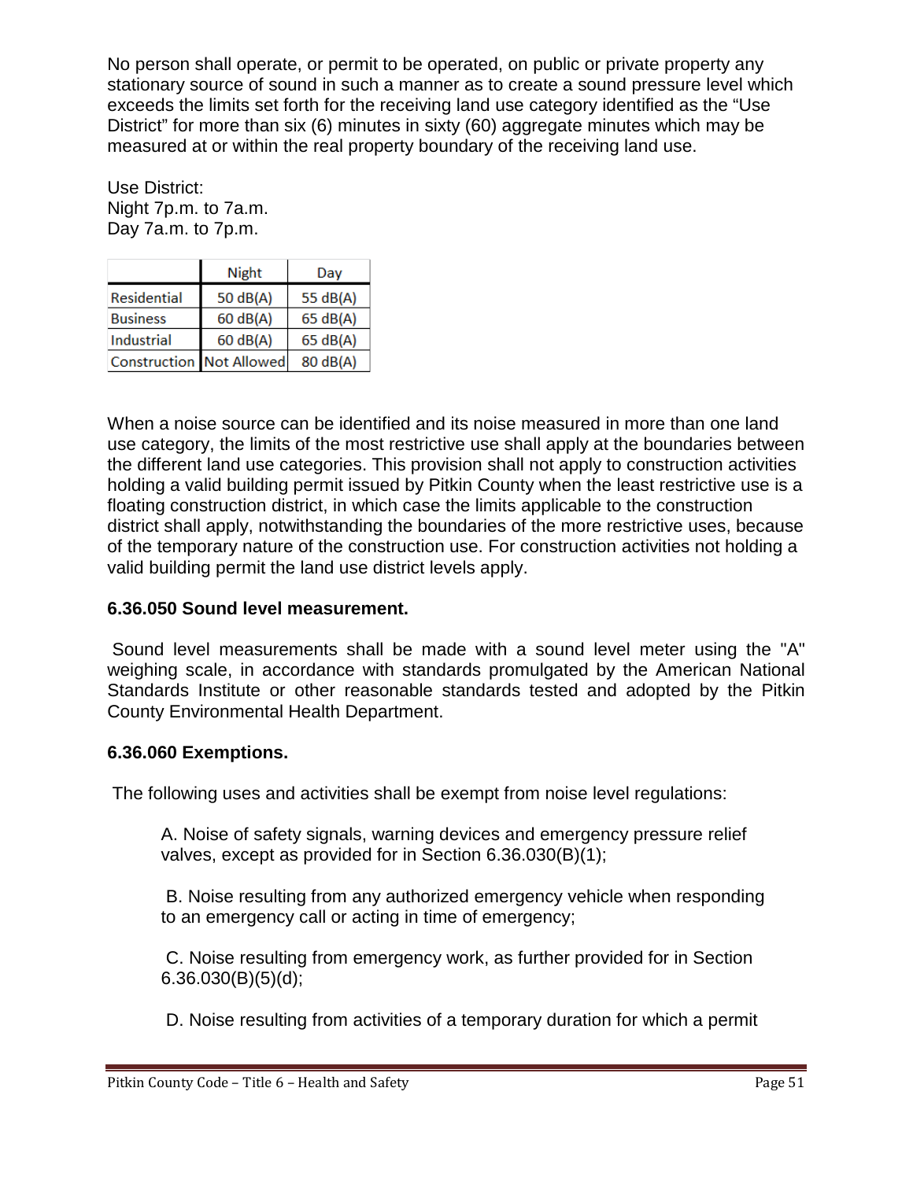No person shall operate, or permit to be operated, on public or private property any stationary source of sound in such a manner as to create a sound pressure level which exceeds the limits set forth for the receiving land use category identified as the "Use District" for more than six (6) minutes in sixty (60) aggregate minutes which may be measured at or within the real property boundary of the receiving land use.

Use District: Night 7p.m. to 7a.m. Day 7a.m. to 7p.m.

|                                 | <b>Night</b> | Day      |
|---------------------------------|--------------|----------|
| <b>Residential</b>              | 50 dB(A)     | 55 dB(A) |
| <b>Business</b>                 | 60 dB(A)     | 65 dB(A) |
| Industrial                      | 60 dB(A)     | 65 dB(A) |
| <b>Construction Not Allowed</b> |              | 80 dB(A) |

When a noise source can be identified and its noise measured in more than one land use category, the limits of the most restrictive use shall apply at the boundaries between the different land use categories. This provision shall not apply to construction activities holding a valid building permit issued by Pitkin County when the least restrictive use is a floating construction district, in which case the limits applicable to the construction district shall apply, notwithstanding the boundaries of the more restrictive uses, because of the temporary nature of the construction use. For construction activities not holding a valid building permit the land use district levels apply.

## **6.36.050 Sound level measurement.**

Sound level measurements shall be made with a sound level meter using the "A" weighing scale, in accordance with standards promulgated by the American National Standards Institute or other reasonable standards tested and adopted by the Pitkin County Environmental Health Department.

## **6.36.060 Exemptions.**

The following uses and activities shall be exempt from noise level regulations:

A. Noise of safety signals, warning devices and emergency pressure relief valves, except as provided for in Section 6.36.030(B)(1);

B. Noise resulting from any authorized emergency vehicle when responding to an emergency call or acting in time of emergency;

C. Noise resulting from emergency work, as further provided for in Section  $6.36.030(B)(5)(d);$ 

D. Noise resulting from activities of a temporary duration for which a permit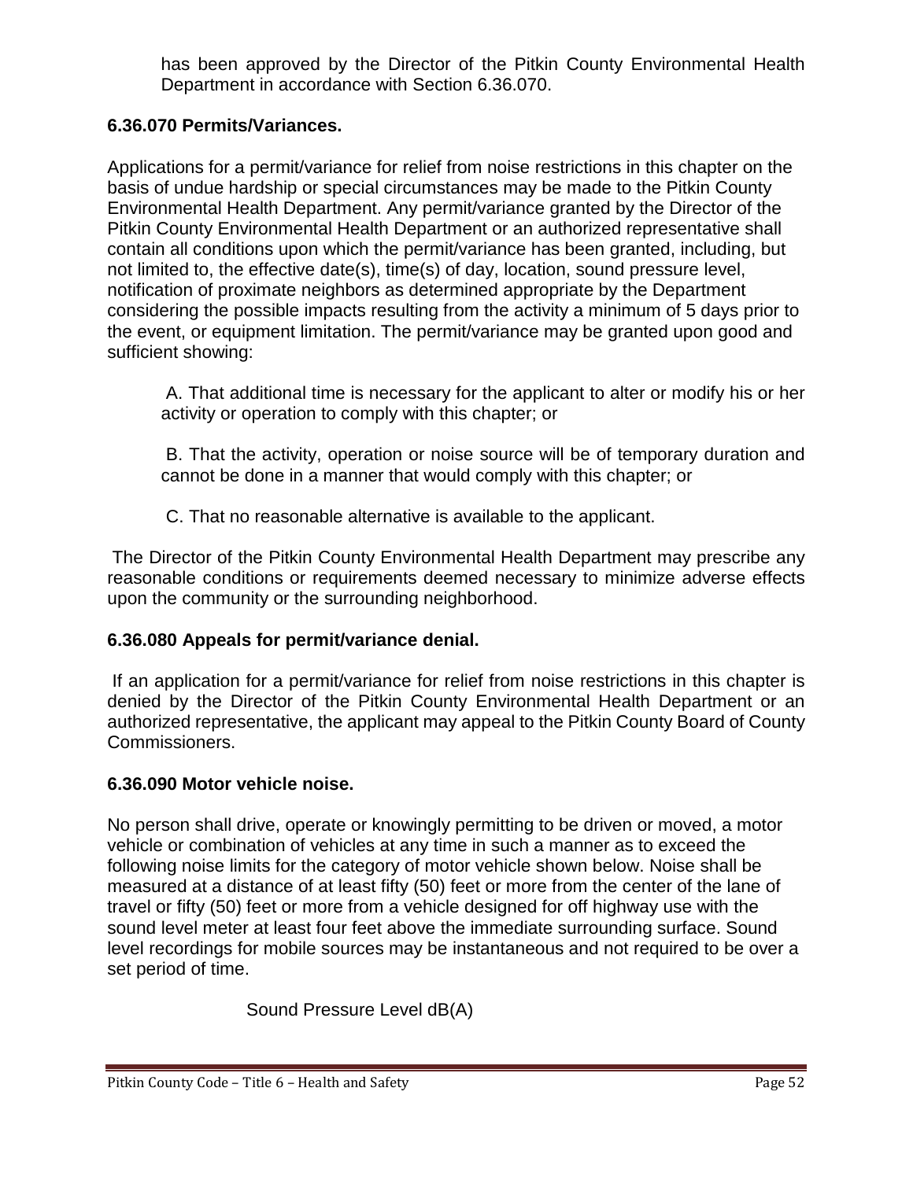has been approved by the Director of the Pitkin County Environmental Health Department in accordance with Section 6.36.070.

## **6.36.070 Permits/Variances.**

Applications for a permit/variance for relief from noise restrictions in this chapter on the basis of undue hardship or special circumstances may be made to the Pitkin County Environmental Health Department. Any permit/variance granted by the Director of the Pitkin County Environmental Health Department or an authorized representative shall contain all conditions upon which the permit/variance has been granted, including, but not limited to, the effective date(s), time(s) of day, location, sound pressure level, notification of proximate neighbors as determined appropriate by the Department considering the possible impacts resulting from the activity a minimum of 5 days prior to the event, or equipment limitation. The permit/variance may be granted upon good and sufficient showing:

A. That additional time is necessary for the applicant to alter or modify his or her activity or operation to comply with this chapter; or

B. That the activity, operation or noise source will be of temporary duration and cannot be done in a manner that would comply with this chapter; or

C. That no reasonable alternative is available to the applicant.

The Director of the Pitkin County Environmental Health Department may prescribe any reasonable conditions or requirements deemed necessary to minimize adverse effects upon the community or the surrounding neighborhood.

## **6.36.080 Appeals for permit/variance denial.**

If an application for a permit/variance for relief from noise restrictions in this chapter is denied by the Director of the Pitkin County Environmental Health Department or an authorized representative, the applicant may appeal to the Pitkin County Board of County Commissioners.

#### **6.36.090 Motor vehicle noise.**

No person shall drive, operate or knowingly permitting to be driven or moved, a motor vehicle or combination of vehicles at any time in such a manner as to exceed the following noise limits for the category of motor vehicle shown below. Noise shall be measured at a distance of at least fifty (50) feet or more from the center of the lane of travel or fifty (50) feet or more from a vehicle designed for off highway use with the sound level meter at least four feet above the immediate surrounding surface. Sound level recordings for mobile sources may be instantaneous and not required to be over a set period of time.

Sound Pressure Level dB(A)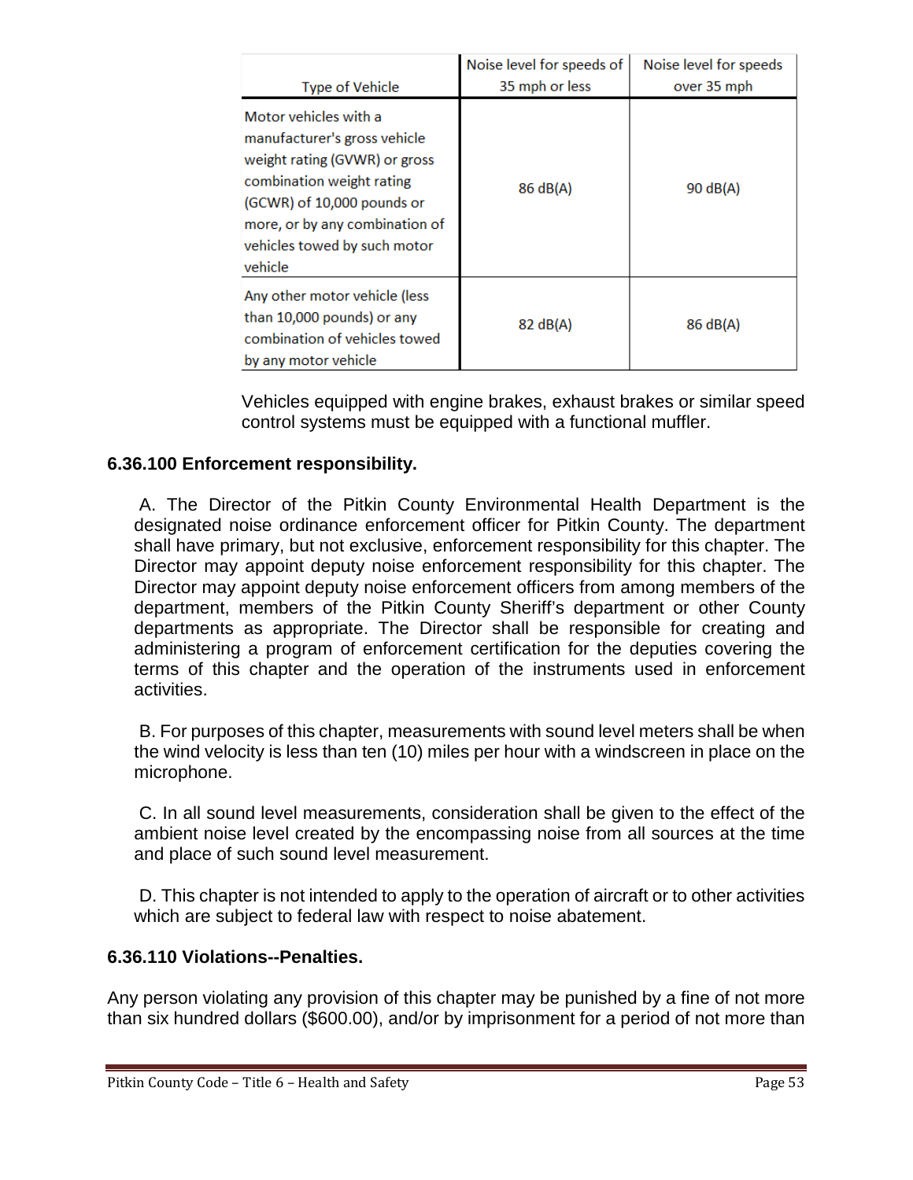|                                                                                                                                                                                                                                | Noise level for speeds of | Noise level for speeds |
|--------------------------------------------------------------------------------------------------------------------------------------------------------------------------------------------------------------------------------|---------------------------|------------------------|
| <b>Type of Vehicle</b>                                                                                                                                                                                                         | 35 mph or less            | over 35 mph            |
| Motor vehicles with a<br>manufacturer's gross vehicle<br>weight rating (GVWR) or gross<br>combination weight rating<br>(GCWR) of 10,000 pounds or<br>more, or by any combination of<br>vehicles towed by such motor<br>vehicle | 86 dB(A)                  | 90 dB(A)               |
| Any other motor vehicle (less<br>than 10,000 pounds) or any<br>combination of vehicles towed<br>by any motor vehicle                                                                                                           | 82 dB(A)                  | 86 dB(A)               |

Vehicles equipped with engine brakes, exhaust brakes or similar speed control systems must be equipped with a functional muffler.

### **6.36.100 Enforcement responsibility.**

A. The Director of the Pitkin County Environmental Health Department is the designated noise ordinance enforcement officer for Pitkin County. The department shall have primary, but not exclusive, enforcement responsibility for this chapter. The Director may appoint deputy noise enforcement responsibility for this chapter. The Director may appoint deputy noise enforcement officers from among members of the department, members of the Pitkin County Sheriff's department or other County departments as appropriate. The Director shall be responsible for creating and administering a program of enforcement certification for the deputies covering the terms of this chapter and the operation of the instruments used in enforcement activities.

B. For purposes of this chapter, measurements with sound level meters shall be when the wind velocity is less than ten (10) miles per hour with a windscreen in place on the microphone.

C. In all sound level measurements, consideration shall be given to the effect of the ambient noise level created by the encompassing noise from all sources at the time and place of such sound level measurement.

D. This chapter is not intended to apply to the operation of aircraft or to other activities which are subject to federal law with respect to noise abatement.

#### **6.36.110 Violations--Penalties.**

Any person violating any provision of this chapter may be punished by a fine of not more than six hundred dollars (\$600.00), and/or by imprisonment for a period of not more than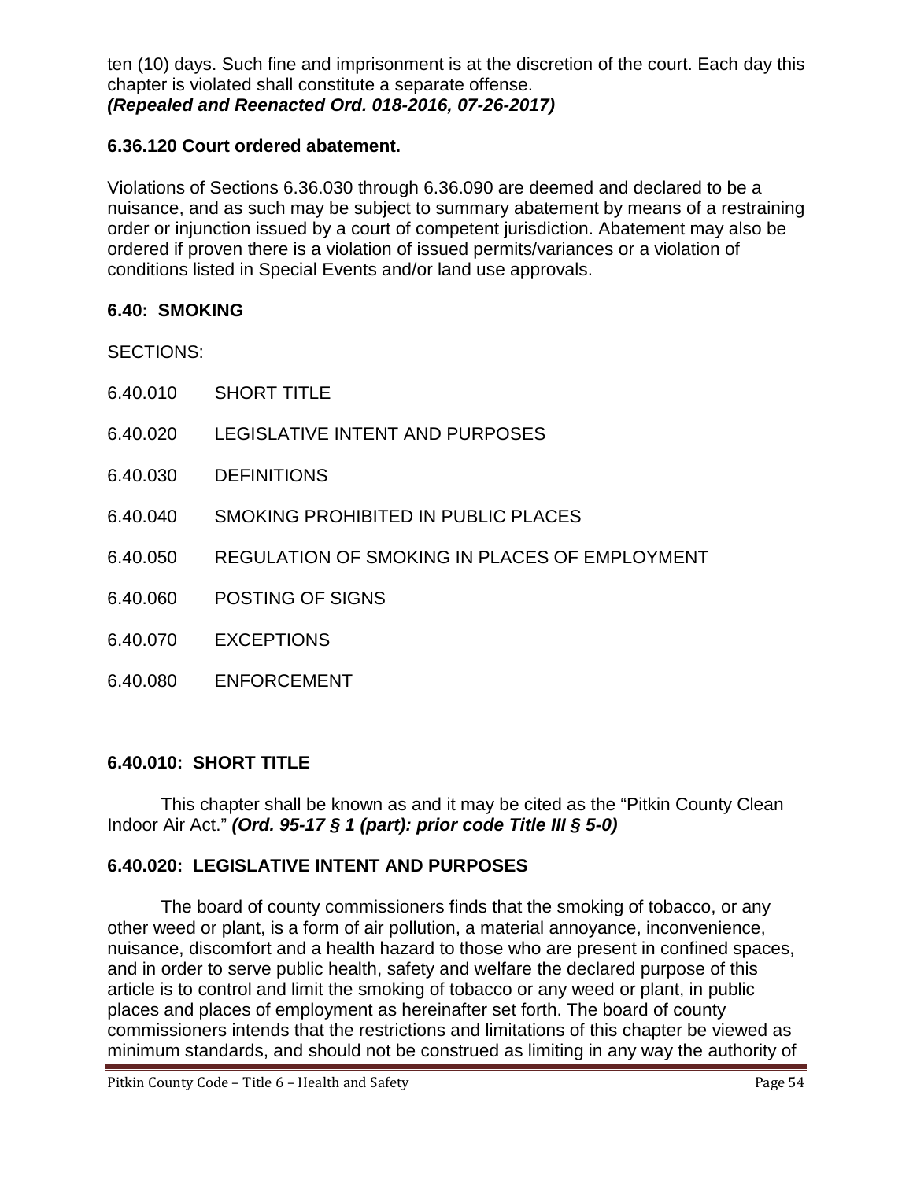ten (10) days. Such fine and imprisonment is at the discretion of the court. Each day this chapter is violated shall constitute a separate offense. *(Repealed and Reenacted Ord. 018-2016, 07-26-2017)*

## **6.36.120 Court ordered abatement.**

Violations of Sections 6.36.030 through 6.36.090 are deemed and declared to be a nuisance, and as such may be subject to summary abatement by means of a restraining order or injunction issued by a court of competent jurisdiction. Abatement may also be ordered if proven there is a violation of issued permits/variances or a violation of conditions listed in Special Events and/or land use approvals.

#### **6.40: SMOKING**

SECTIONS:

- 6.40.010 SHORT TITLE
- 6.40.020 LEGISLATIVE INTENT AND PURPOSES
- 6.40.030 DEFINITIONS
- 6.40.040 SMOKING PROHIBITED IN PUBLIC PLACES
- 6.40.050 REGULATION OF SMOKING IN PLACES OF EMPLOYMENT
- 6.40.060 POSTING OF SIGNS
- 6.40.070 EXCEPTIONS
- 6.40.080 ENFORCEMENT

#### **6.40.010: SHORT TITLE**

This chapter shall be known as and it may be cited as the "Pitkin County Clean Indoor Air Act." *(Ord. 95-17 § 1 (part): prior code Title III § 5-0)*

#### **6.40.020: LEGISLATIVE INTENT AND PURPOSES**

The board of county commissioners finds that the smoking of tobacco, or any other weed or plant, is a form of air pollution, a material annoyance, inconvenience, nuisance, discomfort and a health hazard to those who are present in confined spaces, and in order to serve public health, safety and welfare the declared purpose of this article is to control and limit the smoking of tobacco or any weed or plant, in public places and places of employment as hereinafter set forth. The board of county commissioners intends that the restrictions and limitations of this chapter be viewed as minimum standards, and should not be construed as limiting in any way the authority of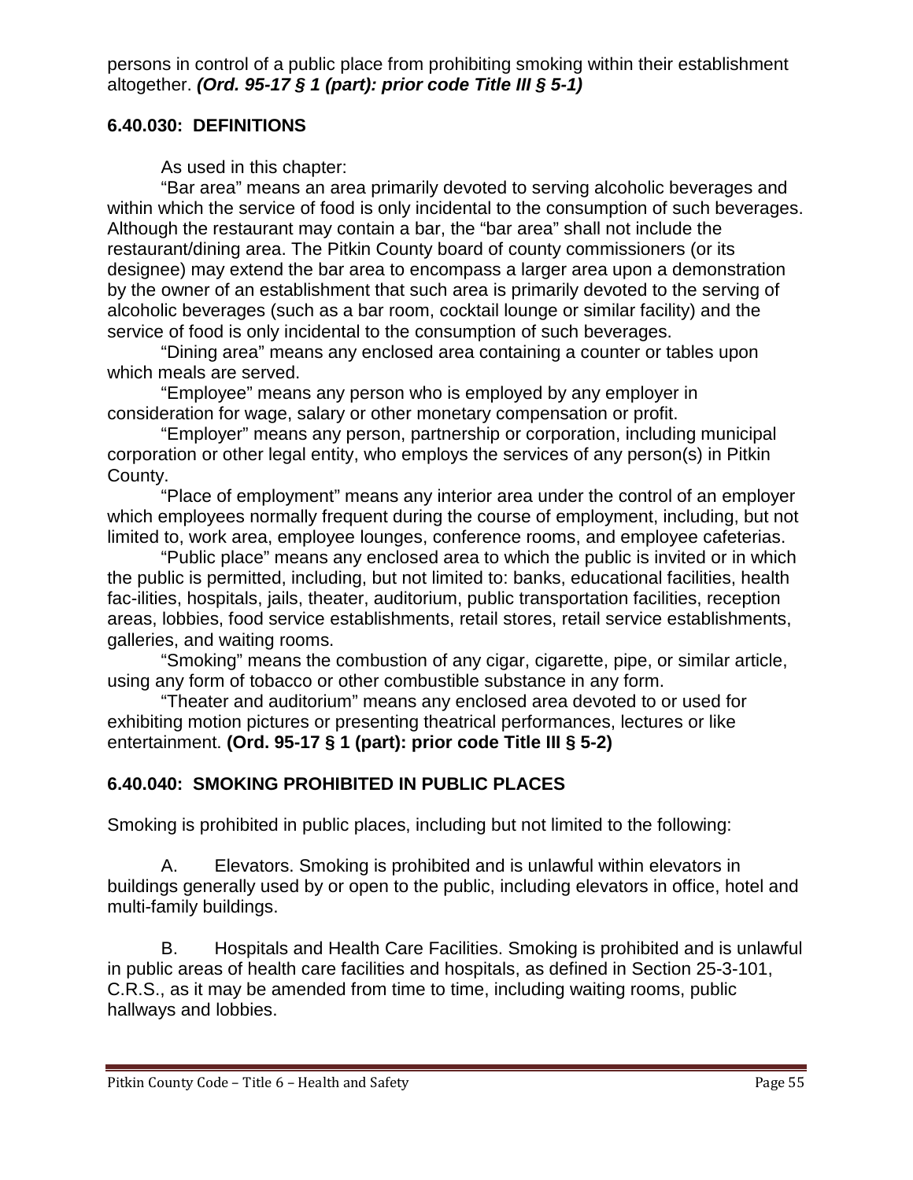persons in control of a public place from prohibiting smoking within their establishment altogether. *(Ord. 95-17 § 1 (part): prior code Title III § 5-1)*

### **6.40.030: DEFINITIONS**

As used in this chapter:

"Bar area" means an area primarily devoted to serving alcoholic beverages and within which the service of food is only incidental to the consumption of such beverages. Although the restaurant may contain a bar, the "bar area" shall not include the restaurant/dining area. The Pitkin County board of county commissioners (or its designee) may extend the bar area to encompass a larger area upon a demonstration by the owner of an establishment that such area is primarily devoted to the serving of alcoholic beverages (such as a bar room, cocktail lounge or similar facility) and the service of food is only incidental to the consumption of such beverages.

"Dining area" means any enclosed area containing a counter or tables upon which meals are served.

"Employee" means any person who is employed by any employer in consideration for wage, salary or other monetary compensation or profit.

"Employer" means any person, partnership or corporation, including municipal corporation or other legal entity, who employs the services of any person(s) in Pitkin County.

"Place of employment" means any interior area under the control of an employer which employees normally frequent during the course of employment, including, but not limited to, work area, employee lounges, conference rooms, and employee cafeterias.

"Public place" means any enclosed area to which the public is invited or in which the public is permitted, including, but not limited to: banks, educational facilities, health fac-ilities, hospitals, jails, theater, auditorium, public transportation facilities, reception areas, lobbies, food service establishments, retail stores, retail service establishments, galleries, and waiting rooms.

"Smoking" means the combustion of any cigar, cigarette, pipe, or similar article, using any form of tobacco or other combustible substance in any form.

"Theater and auditorium" means any enclosed area devoted to or used for exhibiting motion pictures or presenting theatrical performances, lectures or like entertainment. **(Ord. 95-17 § 1 (part): prior code Title III § 5-2)**

## **6.40.040: SMOKING PROHIBITED IN PUBLIC PLACES**

Smoking is prohibited in public places, including but not limited to the following:

A. Elevators. Smoking is prohibited and is unlawful within elevators in buildings generally used by or open to the public, including elevators in office, hotel and multi-family buildings.

B. Hospitals and Health Care Facilities. Smoking is prohibited and is unlawful in public areas of health care facilities and hospitals, as defined in Section 25-3-101, C.R.S., as it may be amended from time to time, including waiting rooms, public hallways and lobbies.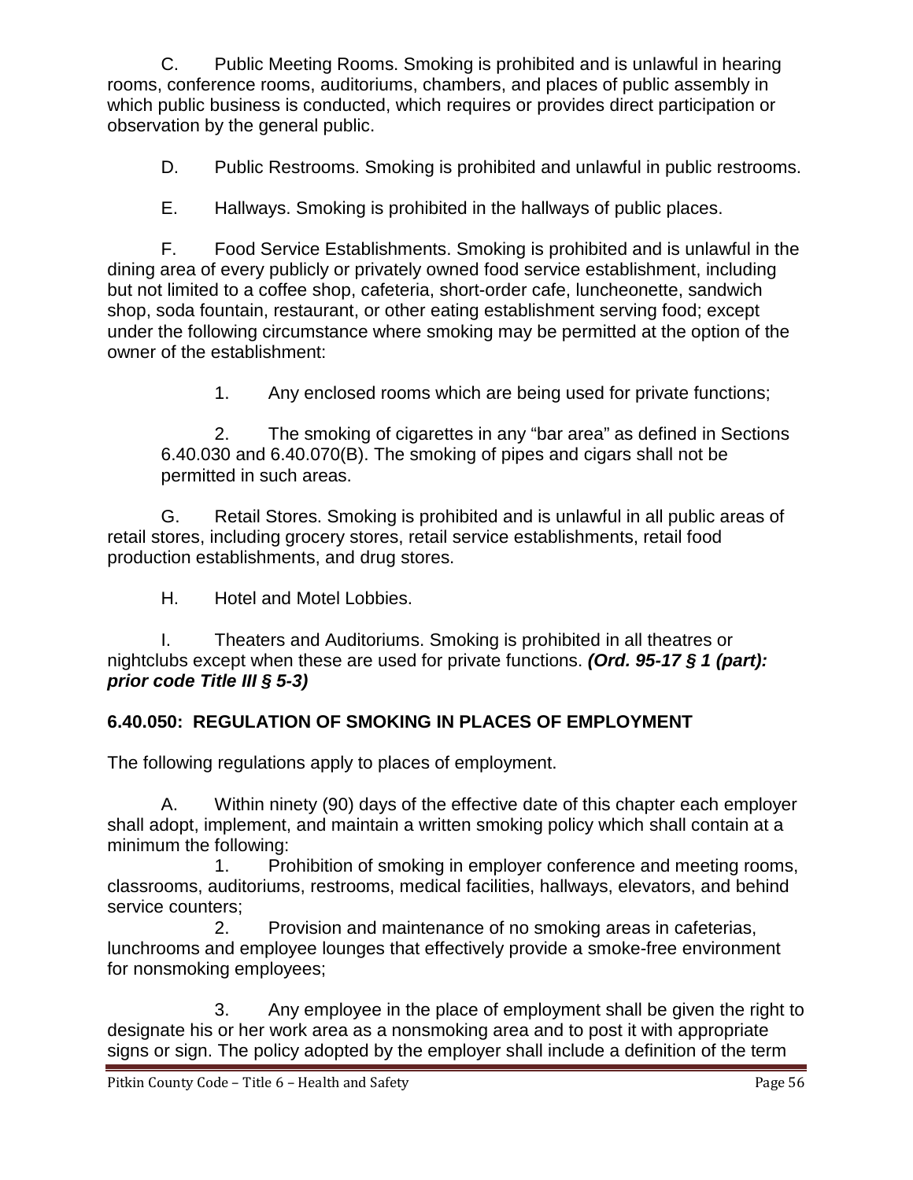C. Public Meeting Rooms. Smoking is prohibited and is unlawful in hearing rooms, conference rooms, auditoriums, chambers, and places of public assembly in which public business is conducted, which requires or provides direct participation or observation by the general public.

D. Public Restrooms. Smoking is prohibited and unlawful in public restrooms.

E. Hallways. Smoking is prohibited in the hallways of public places.

F. Food Service Establishments. Smoking is prohibited and is unlawful in the dining area of every publicly or privately owned food service establishment, including but not limited to a coffee shop, cafeteria, short-order cafe, luncheonette, sandwich shop, soda fountain, restaurant, or other eating establishment serving food; except under the following circumstance where smoking may be permitted at the option of the owner of the establishment:

1. Any enclosed rooms which are being used for private functions;

2. The smoking of cigarettes in any "bar area" as defined in Sections 6.40.030 and 6.40.070(B). The smoking of pipes and cigars shall not be permitted in such areas.

G. Retail Stores. Smoking is prohibited and is unlawful in all public areas of retail stores, including grocery stores, retail service establishments, retail food production establishments, and drug stores.

H. Hotel and Motel Lobbies.

I. Theaters and Auditoriums. Smoking is prohibited in all theatres or nightclubs except when these are used for private functions. *(Ord. 95-17 § 1 (part): prior code Title III § 5-3)*

# **6.40.050: REGULATION OF SMOKING IN PLACES OF EMPLOYMENT**

The following regulations apply to places of employment.

A. Within ninety (90) days of the effective date of this chapter each employer shall adopt, implement, and maintain a written smoking policy which shall contain at a minimum the following:

1. Prohibition of smoking in employer conference and meeting rooms, classrooms, auditoriums, restrooms, medical facilities, hallways, elevators, and behind service counters;

2. Provision and maintenance of no smoking areas in cafeterias, lunchrooms and employee lounges that effectively provide a smoke-free environment for nonsmoking employees;

3. Any employee in the place of employment shall be given the right to designate his or her work area as a nonsmoking area and to post it with appropriate signs or sign. The policy adopted by the employer shall include a definition of the term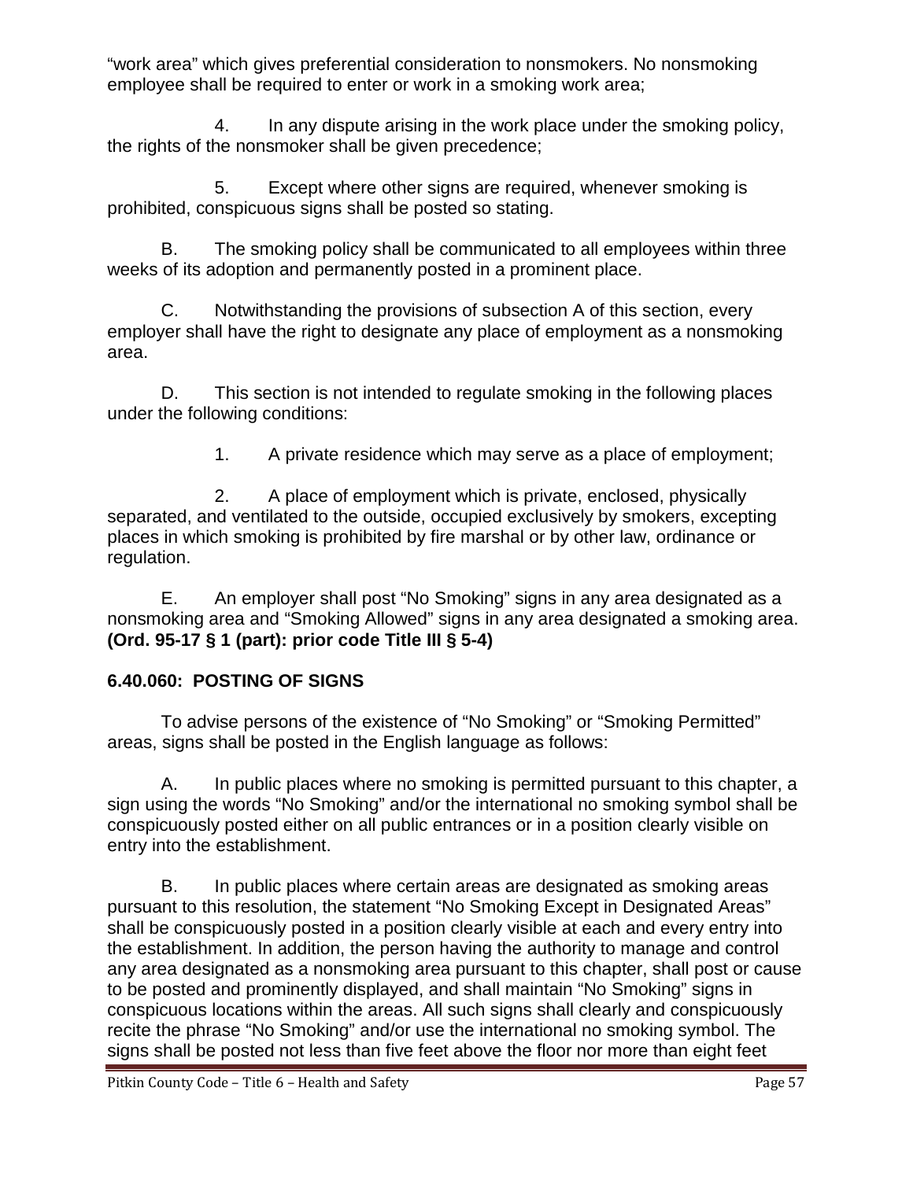"work area" which gives preferential consideration to nonsmokers. No nonsmoking employee shall be required to enter or work in a smoking work area;

4. In any dispute arising in the work place under the smoking policy, the rights of the nonsmoker shall be given precedence;

5. Except where other signs are required, whenever smoking is prohibited, conspicuous signs shall be posted so stating.

B. The smoking policy shall be communicated to all employees within three weeks of its adoption and permanently posted in a prominent place.

C. Notwithstanding the provisions of subsection A of this section, every employer shall have the right to designate any place of employment as a nonsmoking area.

D. This section is not intended to regulate smoking in the following places under the following conditions:

1. A private residence which may serve as a place of employment;

2. A place of employment which is private, enclosed, physically separated, and ventilated to the outside, occupied exclusively by smokers, excepting places in which smoking is prohibited by fire marshal or by other law, ordinance or regulation.

E. An employer shall post "No Smoking" signs in any area designated as a nonsmoking area and "Smoking Allowed" signs in any area designated a smoking area. **(Ord. 95-17 § 1 (part): prior code Title III § 5-4)**

# **6.40.060: POSTING OF SIGNS**

To advise persons of the existence of "No Smoking" or "Smoking Permitted" areas, signs shall be posted in the English language as follows:

A. In public places where no smoking is permitted pursuant to this chapter, a sign using the words "No Smoking" and/or the international no smoking symbol shall be conspicuously posted either on all public entrances or in a position clearly visible on entry into the establishment.

B. In public places where certain areas are designated as smoking areas pursuant to this resolution, the statement "No Smoking Except in Designated Areas" shall be conspicuously posted in a position clearly visible at each and every entry into the establishment. In addition, the person having the authority to manage and control any area designated as a nonsmoking area pursuant to this chapter, shall post or cause to be posted and prominently displayed, and shall maintain "No Smoking" signs in conspicuous locations within the areas. All such signs shall clearly and conspicuously recite the phrase "No Smoking" and/or use the international no smoking symbol. The signs shall be posted not less than five feet above the floor nor more than eight feet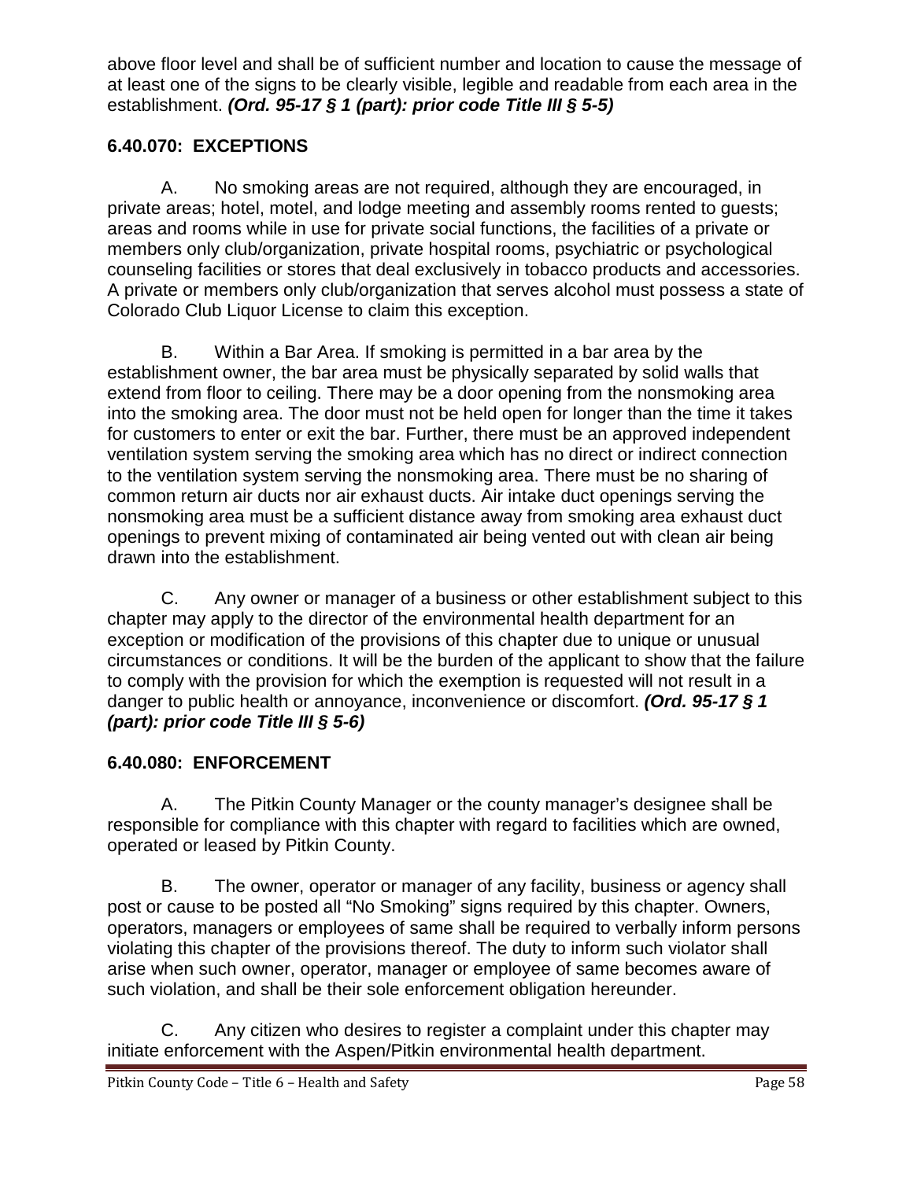above floor level and shall be of sufficient number and location to cause the message of at least one of the signs to be clearly visible, legible and readable from each area in the establishment. *(Ord. 95-17 § 1 (part): prior code Title III § 5-5)*

# **6.40.070: EXCEPTIONS**

A. No smoking areas are not required, although they are encouraged, in private areas; hotel, motel, and lodge meeting and assembly rooms rented to guests; areas and rooms while in use for private social functions, the facilities of a private or members only club/organization, private hospital rooms, psychiatric or psychological counseling facilities or stores that deal exclusively in tobacco products and accessories. A private or members only club/organization that serves alcohol must possess a state of Colorado Club Liquor License to claim this exception.

B. Within a Bar Area. If smoking is permitted in a bar area by the establishment owner, the bar area must be physically separated by solid walls that extend from floor to ceiling. There may be a door opening from the nonsmoking area into the smoking area. The door must not be held open for longer than the time it takes for customers to enter or exit the bar. Further, there must be an approved independent ventilation system serving the smoking area which has no direct or indirect connection to the ventilation system serving the nonsmoking area. There must be no sharing of common return air ducts nor air exhaust ducts. Air intake duct openings serving the nonsmoking area must be a sufficient distance away from smoking area exhaust duct openings to prevent mixing of contaminated air being vented out with clean air being drawn into the establishment.

C. Any owner or manager of a business or other establishment subject to this chapter may apply to the director of the environmental health department for an exception or modification of the provisions of this chapter due to unique or unusual circumstances or conditions. It will be the burden of the applicant to show that the failure to comply with the provision for which the exemption is requested will not result in a danger to public health or annoyance, inconvenience or discomfort. *(Ord. 95-17 § 1 (part): prior code Title III § 5-6)*

# **6.40.080: ENFORCEMENT**

A. The Pitkin County Manager or the county manager's designee shall be responsible for compliance with this chapter with regard to facilities which are owned, operated or leased by Pitkin County.

B. The owner, operator or manager of any facility, business or agency shall post or cause to be posted all "No Smoking" signs required by this chapter. Owners, operators, managers or employees of same shall be required to verbally inform persons violating this chapter of the provisions thereof. The duty to inform such violator shall arise when such owner, operator, manager or employee of same becomes aware of such violation, and shall be their sole enforcement obligation hereunder.

C. Any citizen who desires to register a complaint under this chapter may initiate enforcement with the Aspen/Pitkin environmental health department.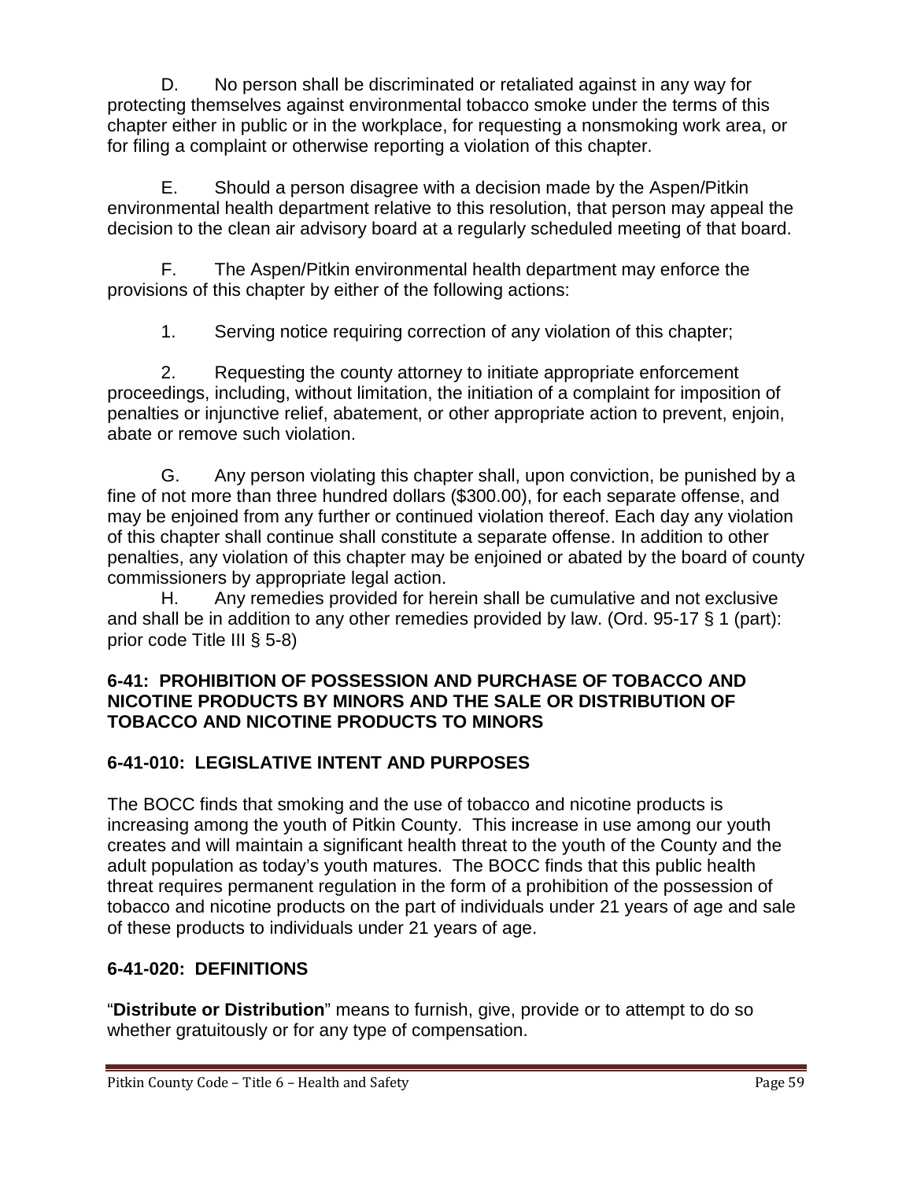D. No person shall be discriminated or retaliated against in any way for protecting themselves against environmental tobacco smoke under the terms of this chapter either in public or in the workplace, for requesting a nonsmoking work area, or for filing a complaint or otherwise reporting a violation of this chapter.

E. Should a person disagree with a decision made by the Aspen/Pitkin environmental health department relative to this resolution, that person may appeal the decision to the clean air advisory board at a regularly scheduled meeting of that board.

F. The Aspen/Pitkin environmental health department may enforce the provisions of this chapter by either of the following actions:

1. Serving notice requiring correction of any violation of this chapter;

2. Requesting the county attorney to initiate appropriate enforcement proceedings, including, without limitation, the initiation of a complaint for imposition of penalties or injunctive relief, abatement, or other appropriate action to prevent, enjoin, abate or remove such violation.

G. Any person violating this chapter shall, upon conviction, be punished by a fine of not more than three hundred dollars (\$300.00), for each separate offense, and may be enjoined from any further or continued violation thereof. Each day any violation of this chapter shall continue shall constitute a separate offense. In addition to other penalties, any violation of this chapter may be enjoined or abated by the board of county commissioners by appropriate legal action.

H. Any remedies provided for herein shall be cumulative and not exclusive and shall be in addition to any other remedies provided by law. (Ord. 95-17 § 1 (part): prior code Title III § 5-8)

## **6-41: PROHIBITION OF POSSESSION AND PURCHASE OF TOBACCO AND NICOTINE PRODUCTS BY MINORS AND THE SALE OR DISTRIBUTION OF TOBACCO AND NICOTINE PRODUCTS TO MINORS**

# **6-41-010: LEGISLATIVE INTENT AND PURPOSES**

The BOCC finds that smoking and the use of tobacco and nicotine products is increasing among the youth of Pitkin County. This increase in use among our youth creates and will maintain a significant health threat to the youth of the County and the adult population as today's youth matures. The BOCC finds that this public health threat requires permanent regulation in the form of a prohibition of the possession of tobacco and nicotine products on the part of individuals under 21 years of age and sale of these products to individuals under 21 years of age.

# **6-41-020: DEFINITIONS**

"**Distribute or Distribution**" means to furnish, give, provide or to attempt to do so whether gratuitously or for any type of compensation.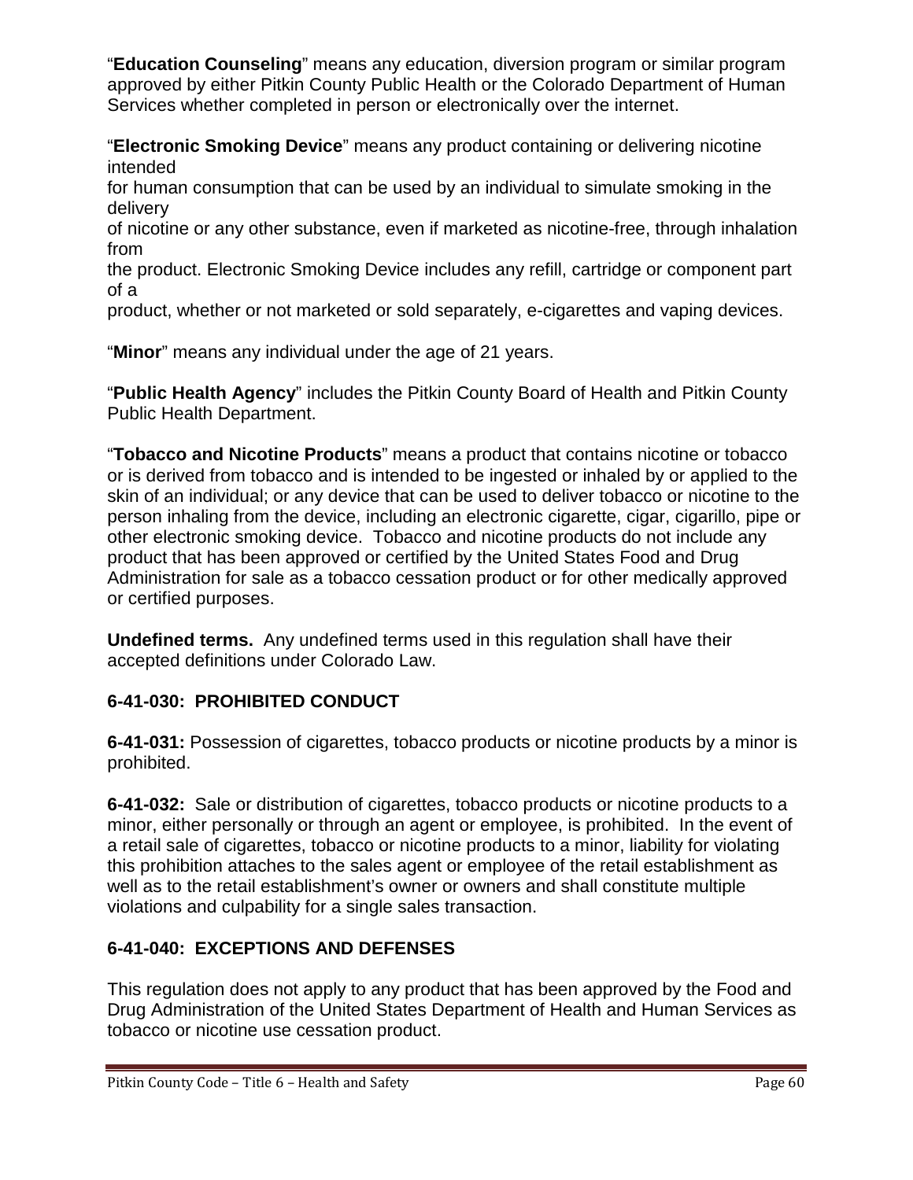"**Education Counseling**" means any education, diversion program or similar program approved by either Pitkin County Public Health or the Colorado Department of Human Services whether completed in person or electronically over the internet.

"**Electronic Smoking Device**" means any product containing or delivering nicotine intended

for human consumption that can be used by an individual to simulate smoking in the delivery

of nicotine or any other substance, even if marketed as nicotine-free, through inhalation from

the product. Electronic Smoking Device includes any refill, cartridge or component part of a

product, whether or not marketed or sold separately, e-cigarettes and vaping devices.

"**Minor**" means any individual under the age of 21 years.

"**Public Health Agency**" includes the Pitkin County Board of Health and Pitkin County Public Health Department.

"**Tobacco and Nicotine Products**" means a product that contains nicotine or tobacco or is derived from tobacco and is intended to be ingested or inhaled by or applied to the skin of an individual; or any device that can be used to deliver tobacco or nicotine to the person inhaling from the device, including an electronic cigarette, cigar, cigarillo, pipe or other electronic smoking device. Tobacco and nicotine products do not include any product that has been approved or certified by the United States Food and Drug Administration for sale as a tobacco cessation product or for other medically approved or certified purposes.

**Undefined terms.** Any undefined terms used in this regulation shall have their accepted definitions under Colorado Law.

# **6-41-030: PROHIBITED CONDUCT**

**6-41-031:** Possession of cigarettes, tobacco products or nicotine products by a minor is prohibited.

**6-41-032:** Sale or distribution of cigarettes, tobacco products or nicotine products to a minor, either personally or through an agent or employee, is prohibited. In the event of a retail sale of cigarettes, tobacco or nicotine products to a minor, liability for violating this prohibition attaches to the sales agent or employee of the retail establishment as well as to the retail establishment's owner or owners and shall constitute multiple violations and culpability for a single sales transaction.

# **6-41-040: EXCEPTIONS AND DEFENSES**

This regulation does not apply to any product that has been approved by the Food and Drug Administration of the United States Department of Health and Human Services as tobacco or nicotine use cessation product.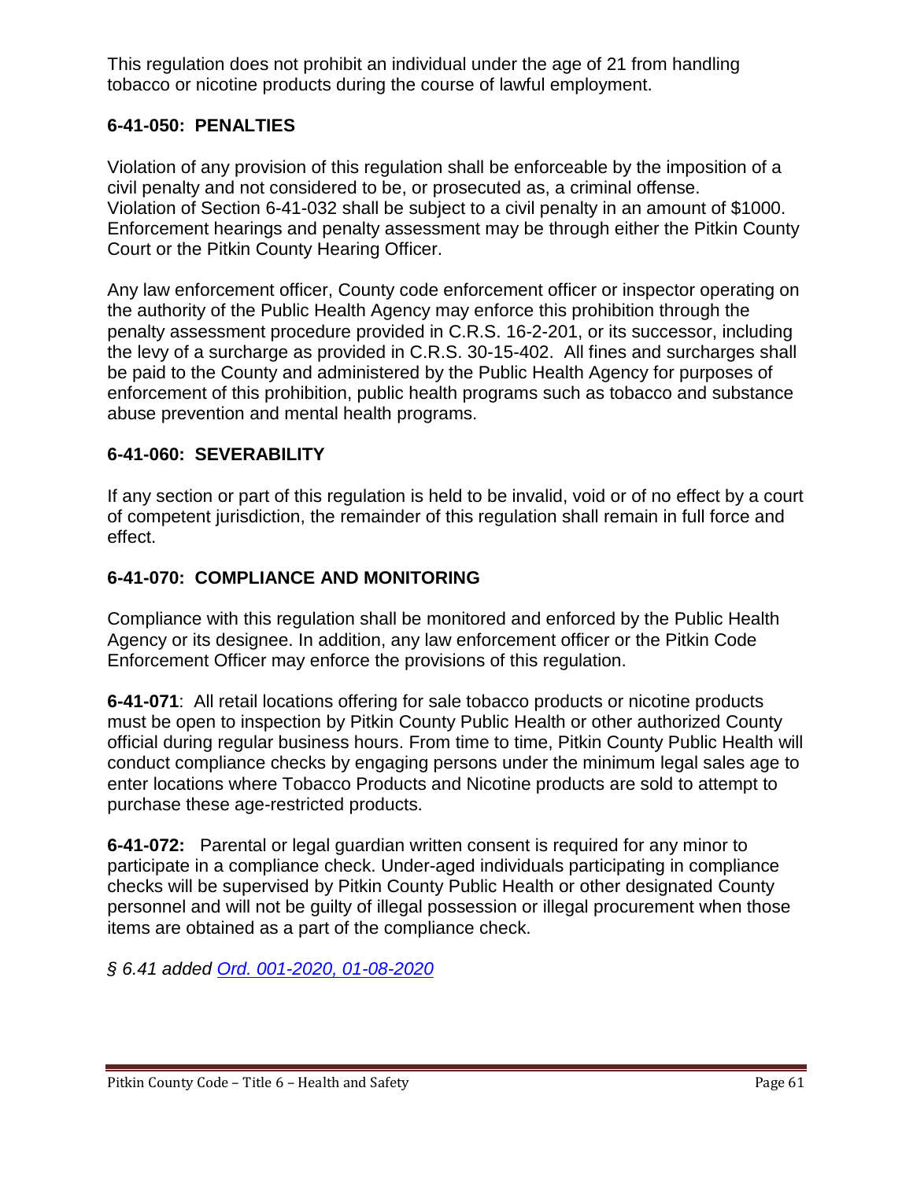This regulation does not prohibit an individual under the age of 21 from handling tobacco or nicotine products during the course of lawful employment.

## **6-41-050: PENALTIES**

Violation of any provision of this regulation shall be enforceable by the imposition of a civil penalty and not considered to be, or prosecuted as, a criminal offense. Violation of Section 6-41-032 shall be subject to a civil penalty in an amount of \$1000. Enforcement hearings and penalty assessment may be through either the Pitkin County Court or the Pitkin County Hearing Officer.

Any law enforcement officer, County code enforcement officer or inspector operating on the authority of the Public Health Agency may enforce this prohibition through the penalty assessment procedure provided in C.R.S. 16-2-201, or its successor, including the levy of a surcharge as provided in C.R.S. 30-15-402. All fines and surcharges shall be paid to the County and administered by the Public Health Agency for purposes of enforcement of this prohibition, public health programs such as tobacco and substance abuse prevention and mental health programs.

## **6-41-060: SEVERABILITY**

If any section or part of this regulation is held to be invalid, void or of no effect by a court of competent jurisdiction, the remainder of this regulation shall remain in full force and effect.

## **6-41-070: COMPLIANCE AND MONITORING**

Compliance with this regulation shall be monitored and enforced by the Public Health Agency or its designee. In addition, any law enforcement officer or the Pitkin Code Enforcement Officer may enforce the provisions of this regulation.

**6-41-071**: All retail locations offering for sale tobacco products or nicotine products must be open to inspection by Pitkin County Public Health or other authorized County official during regular business hours. From time to time, Pitkin County Public Health will conduct compliance checks by engaging persons under the minimum legal sales age to enter locations where Tobacco Products and Nicotine products are sold to attempt to purchase these age-restricted products.

**6-41-072:** Parental or legal guardian written consent is required for any minor to participate in a compliance check. Under-aged individuals participating in compliance checks will be supervised by Pitkin County Public Health or other designated County personnel and will not be guilty of illegal possession or illegal procurement when those items are obtained as a part of the compliance check.

*§ 6.41 added [Ord. 001-2020, 01-08-2020](https://pitkincounty.com/DocumentCenter/View/21645/boccord0012020)*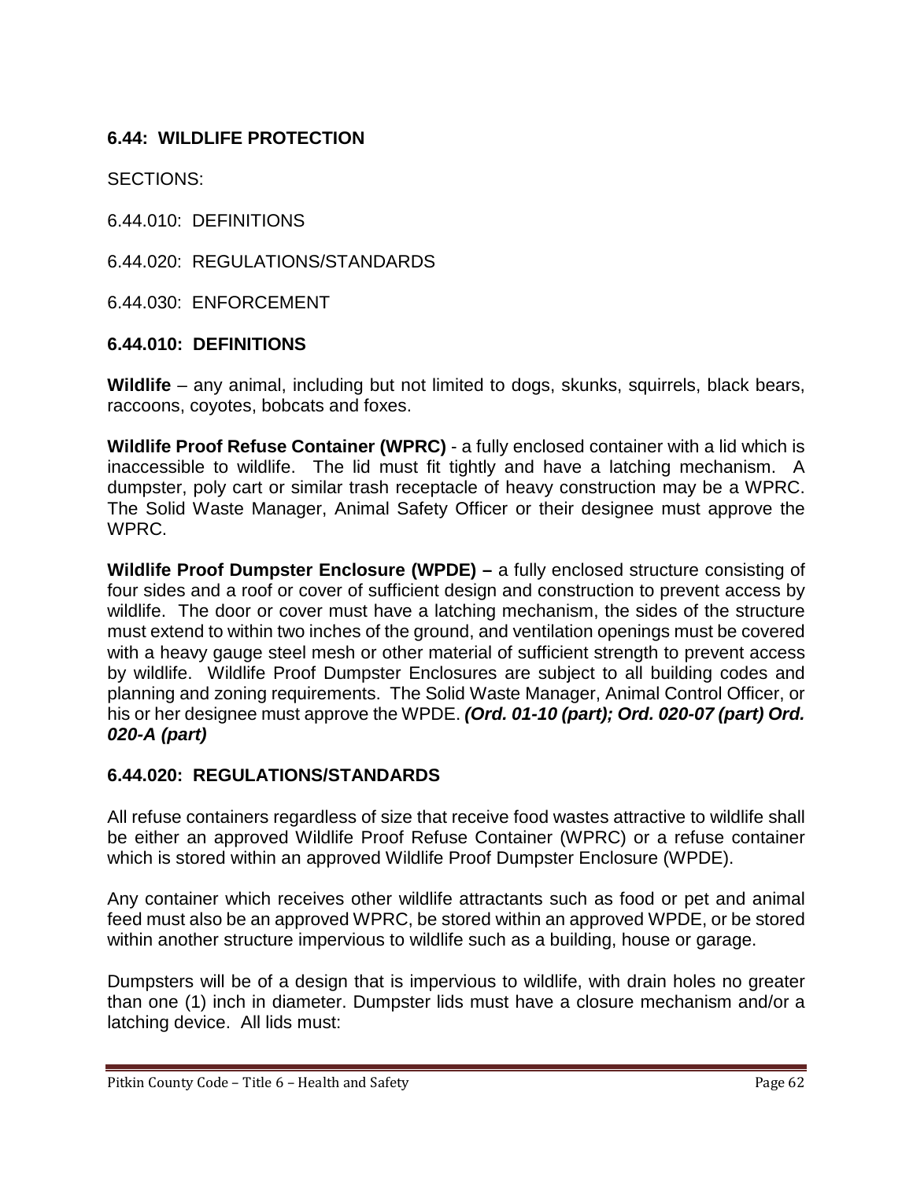## **6.44: WILDLIFE PROTECTION**

SECTIONS:

6.44.010: DEFINITIONS

6.44.020: REGULATIONS/STANDARDS

6.44.030: ENFORCEMENT

#### **6.44.010: DEFINITIONS**

**Wildlife** – any animal, including but not limited to dogs, skunks, squirrels, black bears, raccoons, coyotes, bobcats and foxes.

**Wildlife Proof Refuse Container (WPRC)** - a fully enclosed container with a lid which is inaccessible to wildlife. The lid must fit tightly and have a latching mechanism. A dumpster, poly cart or similar trash receptacle of heavy construction may be a WPRC. The Solid Waste Manager, Animal Safety Officer or their designee must approve the WPRC.

**Wildlife Proof Dumpster Enclosure (WPDE) –** a fully enclosed structure consisting of four sides and a roof or cover of sufficient design and construction to prevent access by wildlife. The door or cover must have a latching mechanism, the sides of the structure must extend to within two inches of the ground, and ventilation openings must be covered with a heavy gauge steel mesh or other material of sufficient strength to prevent access by wildlife. Wildlife Proof Dumpster Enclosures are subject to all building codes and planning and zoning requirements. The Solid Waste Manager, Animal Control Officer, or his or her designee must approve the WPDE. *(Ord. 01-10 (part); Ord. 020-07 (part) Ord. 020-A (part)*

#### **6.44.020: REGULATIONS/STANDARDS**

All refuse containers regardless of size that receive food wastes attractive to wildlife shall be either an approved Wildlife Proof Refuse Container (WPRC) or a refuse container which is stored within an approved Wildlife Proof Dumpster Enclosure (WPDE).

Any container which receives other wildlife attractants such as food or pet and animal feed must also be an approved WPRC, be stored within an approved WPDE, or be stored within another structure impervious to wildlife such as a building, house or garage.

Dumpsters will be of a design that is impervious to wildlife, with drain holes no greater than one (1) inch in diameter. Dumpster lids must have a closure mechanism and/or a latching device. All lids must: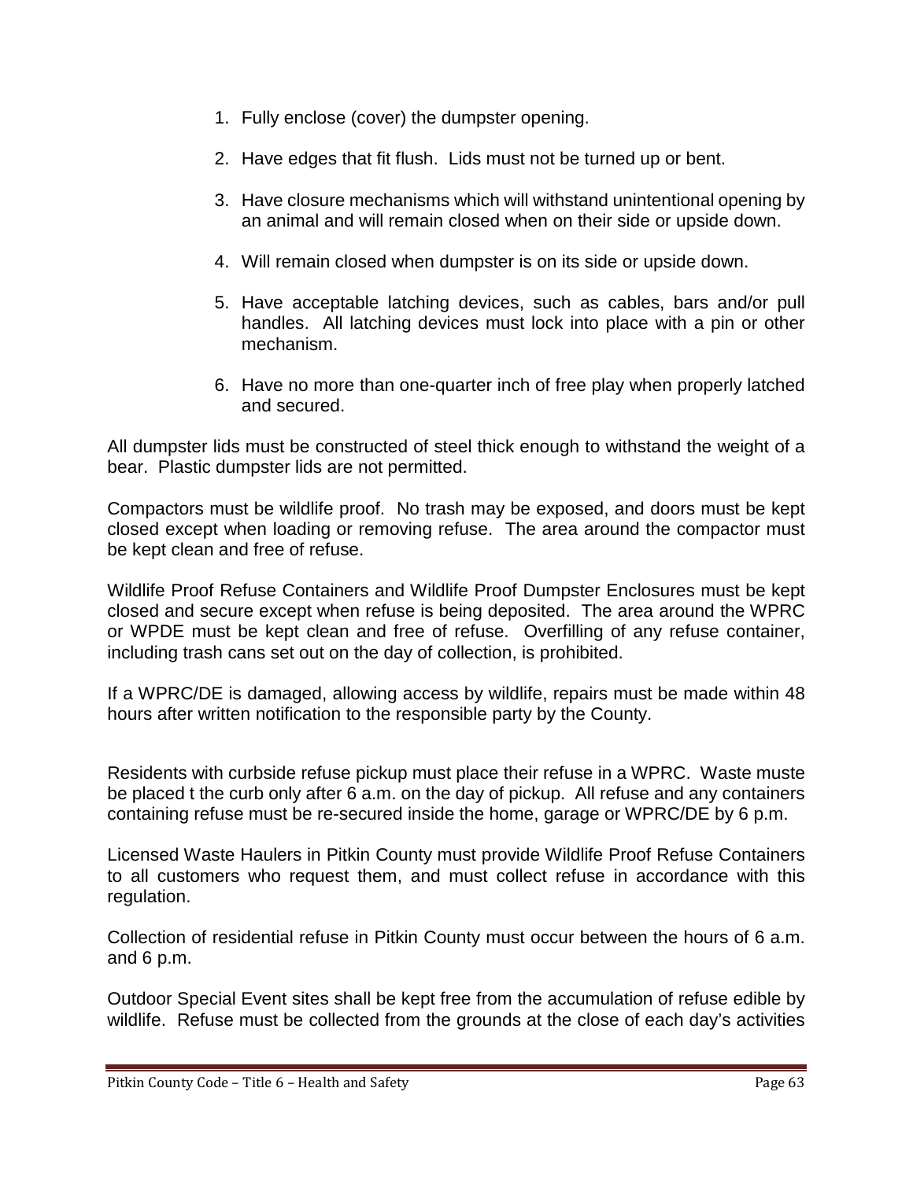- 1. Fully enclose (cover) the dumpster opening.
- 2. Have edges that fit flush. Lids must not be turned up or bent.
- 3. Have closure mechanisms which will withstand unintentional opening by an animal and will remain closed when on their side or upside down.
- 4. Will remain closed when dumpster is on its side or upside down.
- 5. Have acceptable latching devices, such as cables, bars and/or pull handles. All latching devices must lock into place with a pin or other mechanism.
- 6. Have no more than one-quarter inch of free play when properly latched and secured.

All dumpster lids must be constructed of steel thick enough to withstand the weight of a bear. Plastic dumpster lids are not permitted.

Compactors must be wildlife proof. No trash may be exposed, and doors must be kept closed except when loading or removing refuse. The area around the compactor must be kept clean and free of refuse.

Wildlife Proof Refuse Containers and Wildlife Proof Dumpster Enclosures must be kept closed and secure except when refuse is being deposited. The area around the WPRC or WPDE must be kept clean and free of refuse. Overfilling of any refuse container, including trash cans set out on the day of collection, is prohibited.

If a WPRC/DE is damaged, allowing access by wildlife, repairs must be made within 48 hours after written notification to the responsible party by the County.

Residents with curbside refuse pickup must place their refuse in a WPRC. Waste muste be placed t the curb only after 6 a.m. on the day of pickup. All refuse and any containers containing refuse must be re-secured inside the home, garage or WPRC/DE by 6 p.m.

Licensed Waste Haulers in Pitkin County must provide Wildlife Proof Refuse Containers to all customers who request them, and must collect refuse in accordance with this regulation.

Collection of residential refuse in Pitkin County must occur between the hours of 6 a.m. and 6 p.m.

Outdoor Special Event sites shall be kept free from the accumulation of refuse edible by wildlife. Refuse must be collected from the grounds at the close of each day's activities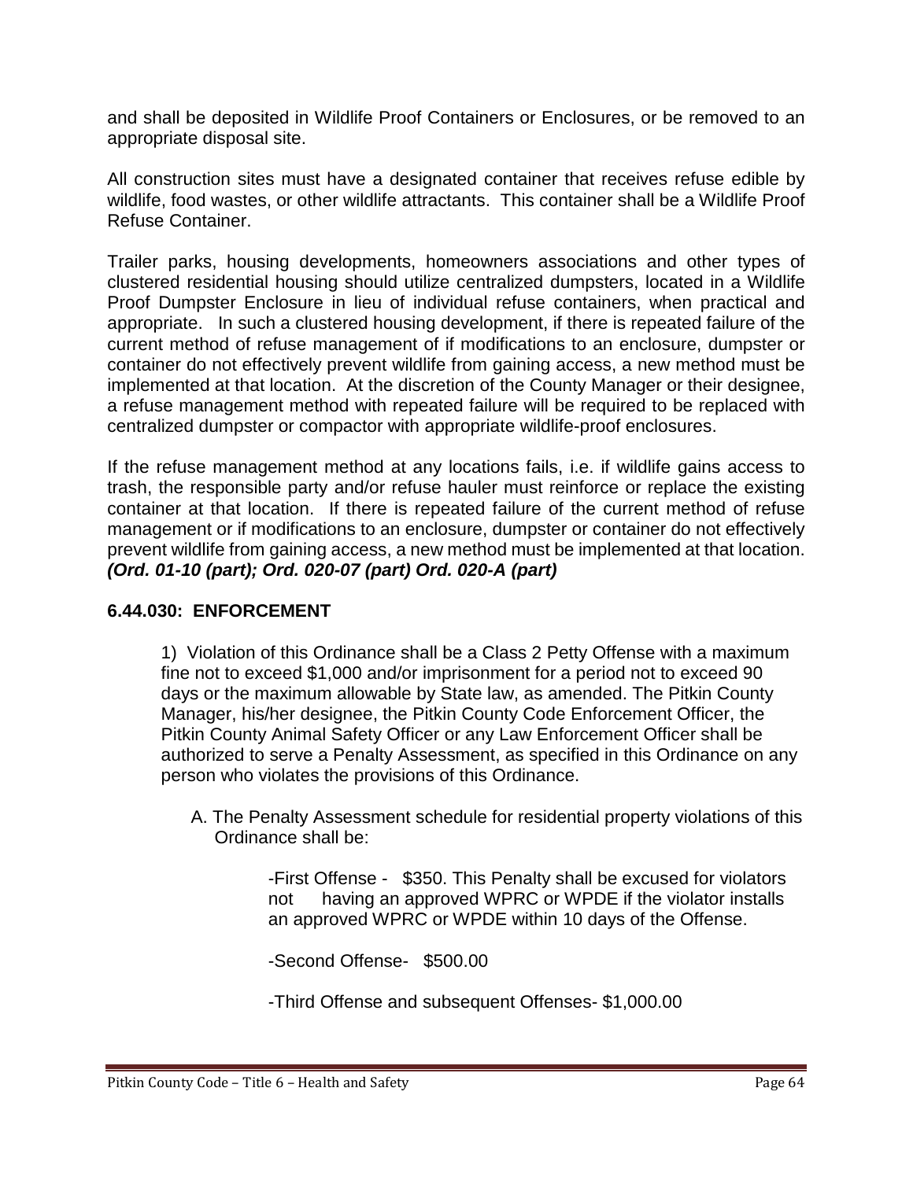and shall be deposited in Wildlife Proof Containers or Enclosures, or be removed to an appropriate disposal site.

All construction sites must have a designated container that receives refuse edible by wildlife, food wastes, or other wildlife attractants. This container shall be a Wildlife Proof Refuse Container.

Trailer parks, housing developments, homeowners associations and other types of clustered residential housing should utilize centralized dumpsters, located in a Wildlife Proof Dumpster Enclosure in lieu of individual refuse containers, when practical and appropriate. In such a clustered housing development, if there is repeated failure of the current method of refuse management of if modifications to an enclosure, dumpster or container do not effectively prevent wildlife from gaining access, a new method must be implemented at that location. At the discretion of the County Manager or their designee, a refuse management method with repeated failure will be required to be replaced with centralized dumpster or compactor with appropriate wildlife-proof enclosures.

If the refuse management method at any locations fails, i.e. if wildlife gains access to trash, the responsible party and/or refuse hauler must reinforce or replace the existing container at that location. If there is repeated failure of the current method of refuse management or if modifications to an enclosure, dumpster or container do not effectively prevent wildlife from gaining access, a new method must be implemented at that location. *(Ord. 01-10 (part); Ord. 020-07 (part) Ord. 020-A (part)*

#### **6.44.030: ENFORCEMENT**

1) Violation of this Ordinance shall be a Class 2 Petty Offense with a maximum fine not to exceed \$1,000 and/or imprisonment for a period not to exceed 90 days or the maximum allowable by State law, as amended. The Pitkin County Manager, his/her designee, the Pitkin County Code Enforcement Officer, the Pitkin County Animal Safety Officer or any Law Enforcement Officer shall be authorized to serve a Penalty Assessment, as specified in this Ordinance on any person who violates the provisions of this Ordinance.

 A. The Penalty Assessment schedule for residential property violations of this Ordinance shall be:

> -First Offense - \$350. This Penalty shall be excused for violators not having an approved WPRC or WPDE if the violator installs an approved WPRC or WPDE within 10 days of the Offense.

-Second Offense- \$500.00

-Third Offense and subsequent Offenses- \$1,000.00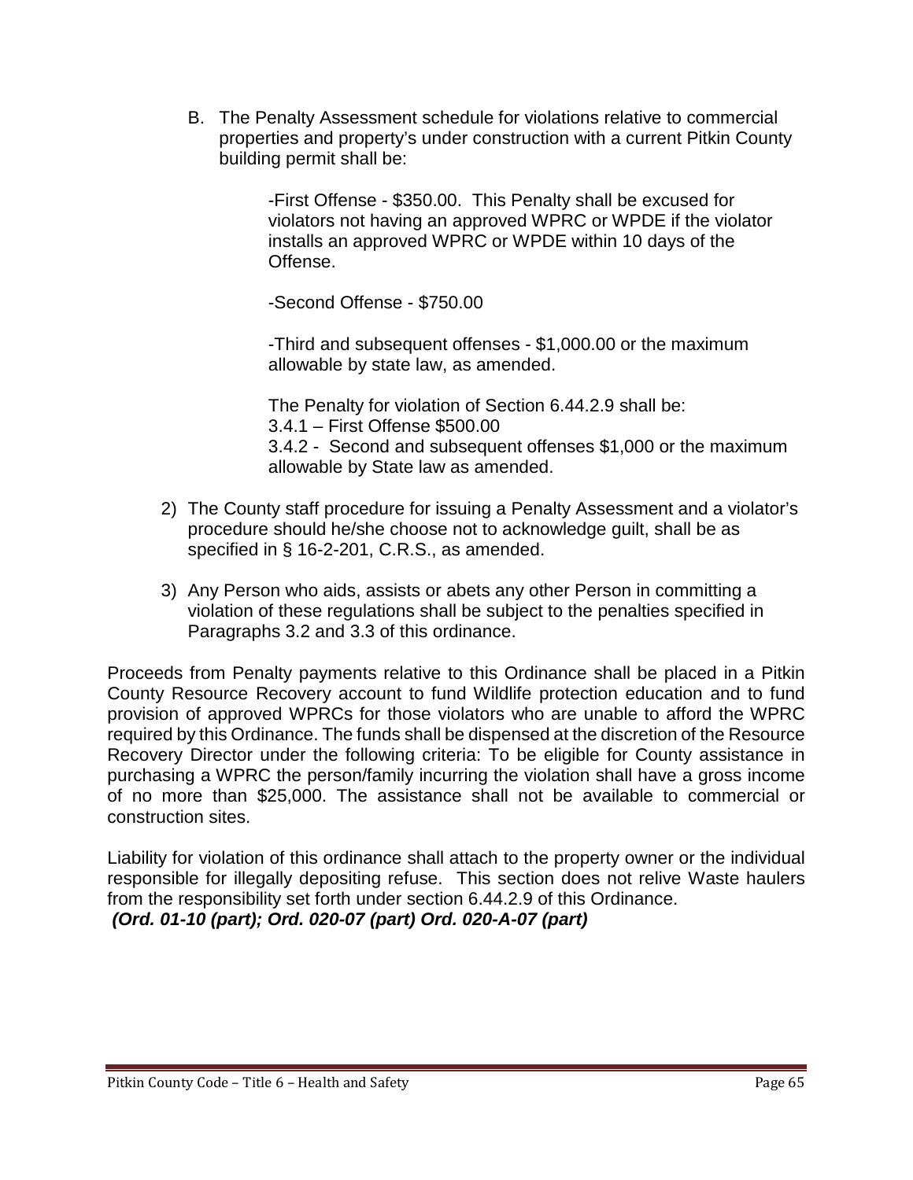B. The Penalty Assessment schedule for violations relative to commercial properties and property's under construction with a current Pitkin County building permit shall be:

> -First Offense - \$350.00. This Penalty shall be excused for violators not having an approved WPRC or WPDE if the violator installs an approved WPRC or WPDE within 10 days of the Offense.

-Second Offense - \$750.00

-Third and subsequent offenses - \$1,000.00 or the maximum allowable by state law, as amended.

The Penalty for violation of Section 6.44.2.9 shall be: 3.4.1 – First Offense \$500.00 3.4.2 - Second and subsequent offenses \$1,000 or the maximum allowable by State law as amended.

- 2) The County staff procedure for issuing a Penalty Assessment and a violator's procedure should he/she choose not to acknowledge guilt, shall be as specified in § 16-2-201, C.R.S., as amended.
- 3) Any Person who aids, assists or abets any other Person in committing a violation of these regulations shall be subject to the penalties specified in Paragraphs 3.2 and 3.3 of this ordinance.

Proceeds from Penalty payments relative to this Ordinance shall be placed in a Pitkin County Resource Recovery account to fund Wildlife protection education and to fund provision of approved WPRCs for those violators who are unable to afford the WPRC required by this Ordinance. The funds shall be dispensed at the discretion of the Resource Recovery Director under the following criteria: To be eligible for County assistance in purchasing a WPRC the person/family incurring the violation shall have a gross income of no more than \$25,000. The assistance shall not be available to commercial or construction sites.

Liability for violation of this ordinance shall attach to the property owner or the individual responsible for illegally depositing refuse. This section does not relive Waste haulers from the responsibility set forth under section 6.44.2.9 of this Ordinance.

*(Ord. 01-10 (part); Ord. 020-07 (part) Ord. 020-A-07 (part)*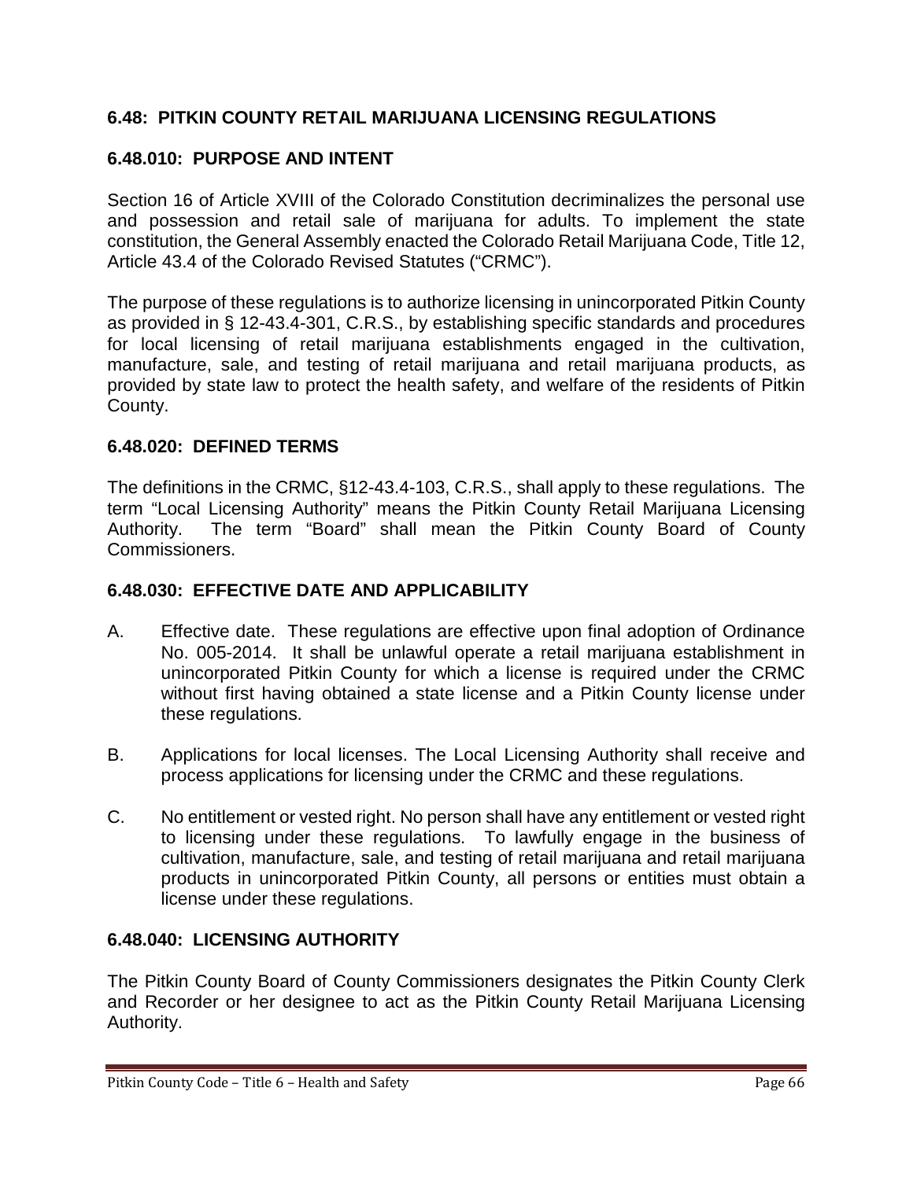## **6.48: PITKIN COUNTY RETAIL MARIJUANA LICENSING REGULATIONS**

## **6.48.010: PURPOSE AND INTENT**

Section 16 of Article XVIII of the Colorado Constitution decriminalizes the personal use and possession and retail sale of marijuana for adults. To implement the state constitution, the General Assembly enacted the Colorado Retail Marijuana Code, Title 12, Article 43.4 of the Colorado Revised Statutes ("CRMC").

The purpose of these regulations is to authorize licensing in unincorporated Pitkin County as provided in § 12-43.4-301, C.R.S., by establishing specific standards and procedures for local licensing of retail marijuana establishments engaged in the cultivation, manufacture, sale, and testing of retail marijuana and retail marijuana products, as provided by state law to protect the health safety, and welfare of the residents of Pitkin County.

### **6.48.020: DEFINED TERMS**

The definitions in the CRMC, §12-43.4-103, C.R.S., shall apply to these regulations. The term "Local Licensing Authority" means the Pitkin County Retail Marijuana Licensing Authority. The term "Board" shall mean the Pitkin County Board of County Commissioners.

### **6.48.030: EFFECTIVE DATE AND APPLICABILITY**

- A. Effective date. These regulations are effective upon final adoption of Ordinance No. 005-2014. It shall be unlawful operate a retail marijuana establishment in unincorporated Pitkin County for which a license is required under the CRMC without first having obtained a state license and a Pitkin County license under these regulations.
- B. Applications for local licenses. The Local Licensing Authority shall receive and process applications for licensing under the CRMC and these regulations.
- C. No entitlement or vested right. No person shall have any entitlement or vested right to licensing under these regulations. To lawfully engage in the business of cultivation, manufacture, sale, and testing of retail marijuana and retail marijuana products in unincorporated Pitkin County, all persons or entities must obtain a license under these regulations.

## **6.48.040: LICENSING AUTHORITY**

The Pitkin County Board of County Commissioners designates the Pitkin County Clerk and Recorder or her designee to act as the Pitkin County Retail Marijuana Licensing Authority.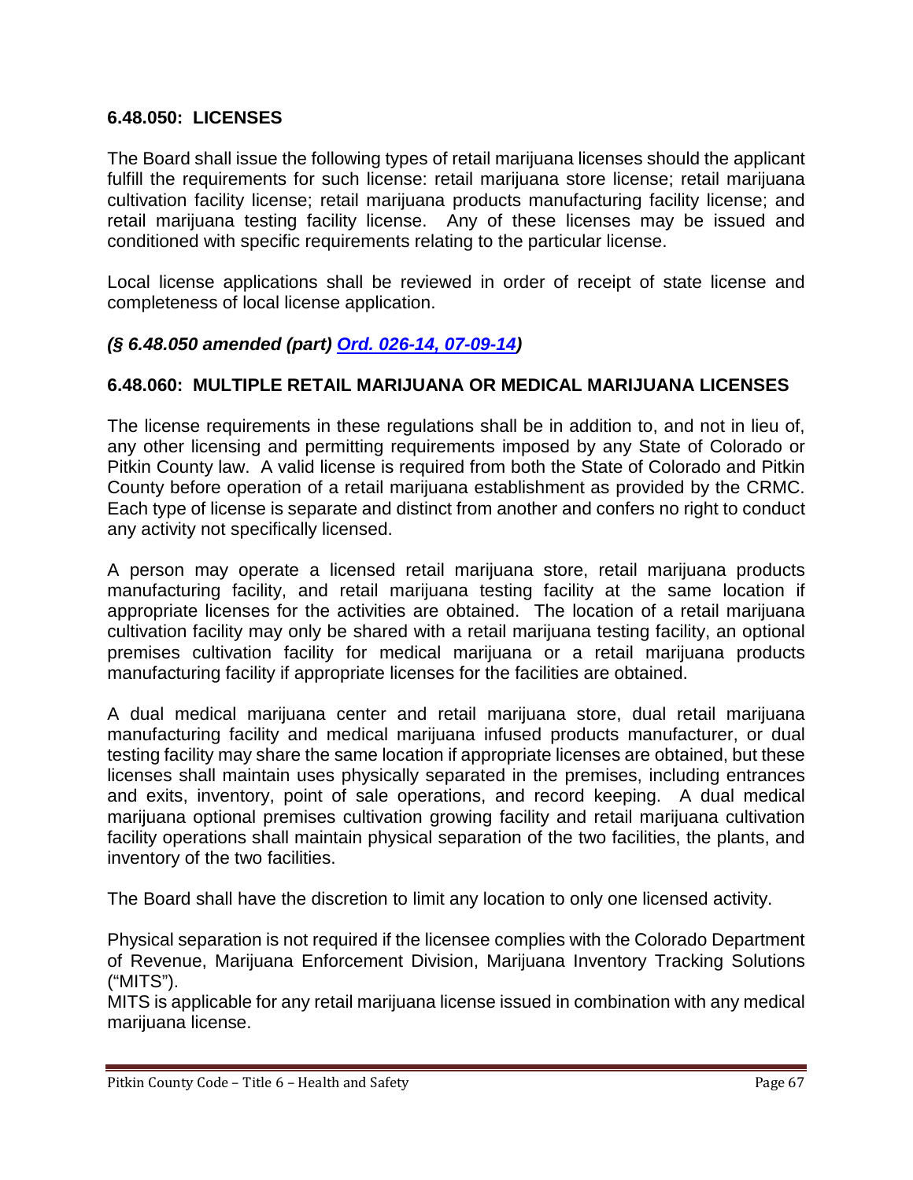### **6.48.050: LICENSES**

The Board shall issue the following types of retail marijuana licenses should the applicant fulfill the requirements for such license: retail marijuana store license; retail marijuana cultivation facility license; retail marijuana products manufacturing facility license; and retail marijuana testing facility license. Any of these licenses may be issued and conditioned with specific requirements relating to the particular license.

Local license applications shall be reviewed in order of receipt of state license and completeness of local license application.

## *(§ 6.48.050 amended (part) [Ord. 026-14, 07-09-14\)](http://records.pitkincounty.com/WebLink8/0/doc/200506/Page1.aspx)*

### **6.48.060: MULTIPLE RETAIL MARIJUANA OR MEDICAL MARIJUANA LICENSES**

The license requirements in these regulations shall be in addition to, and not in lieu of, any other licensing and permitting requirements imposed by any State of Colorado or Pitkin County law. A valid license is required from both the State of Colorado and Pitkin County before operation of a retail marijuana establishment as provided by the CRMC. Each type of license is separate and distinct from another and confers no right to conduct any activity not specifically licensed.

A person may operate a licensed retail marijuana store, retail marijuana products manufacturing facility, and retail marijuana testing facility at the same location if appropriate licenses for the activities are obtained. The location of a retail marijuana cultivation facility may only be shared with a retail marijuana testing facility, an optional premises cultivation facility for medical marijuana or a retail marijuana products manufacturing facility if appropriate licenses for the facilities are obtained.

A dual medical marijuana center and retail marijuana store, dual retail marijuana manufacturing facility and medical marijuana infused products manufacturer, or dual testing facility may share the same location if appropriate licenses are obtained, but these licenses shall maintain uses physically separated in the premises, including entrances and exits, inventory, point of sale operations, and record keeping. A dual medical marijuana optional premises cultivation growing facility and retail marijuana cultivation facility operations shall maintain physical separation of the two facilities, the plants, and inventory of the two facilities.

The Board shall have the discretion to limit any location to only one licensed activity.

Physical separation is not required if the licensee complies with the Colorado Department of Revenue, Marijuana Enforcement Division, Marijuana Inventory Tracking Solutions ("MITS").

MITS is applicable for any retail marijuana license issued in combination with any medical marijuana license.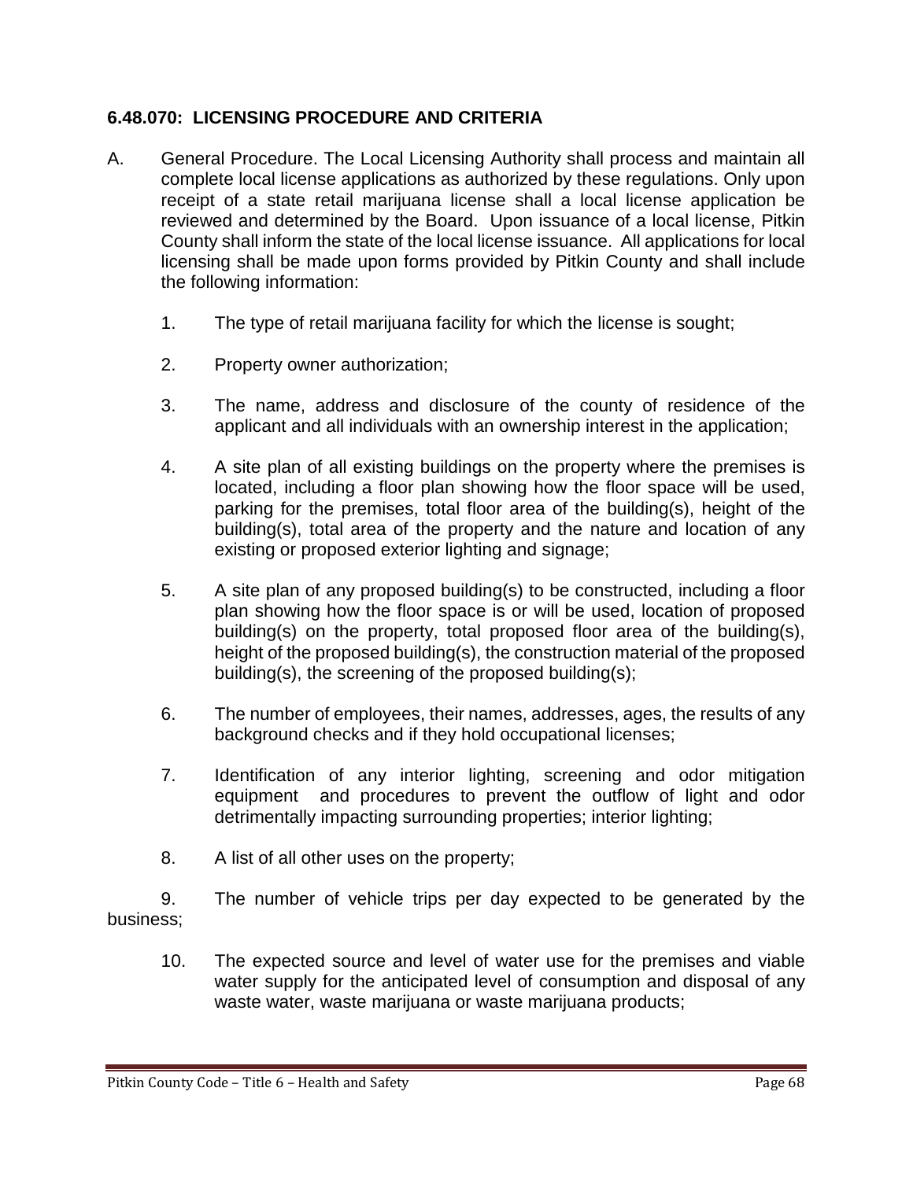### **6.48.070: LICENSING PROCEDURE AND CRITERIA**

- A. General Procedure. The Local Licensing Authority shall process and maintain all complete local license applications as authorized by these regulations. Only upon receipt of a state retail marijuana license shall a local license application be reviewed and determined by the Board. Upon issuance of a local license, Pitkin County shall inform the state of the local license issuance. All applications for local licensing shall be made upon forms provided by Pitkin County and shall include the following information:
	- 1. The type of retail marijuana facility for which the license is sought;
	- 2. Property owner authorization;
	- 3. The name, address and disclosure of the county of residence of the applicant and all individuals with an ownership interest in the application;
	- 4. A site plan of all existing buildings on the property where the premises is located, including a floor plan showing how the floor space will be used, parking for the premises, total floor area of the building(s), height of the building(s), total area of the property and the nature and location of any existing or proposed exterior lighting and signage;
	- 5. A site plan of any proposed building(s) to be constructed, including a floor plan showing how the floor space is or will be used, location of proposed building(s) on the property, total proposed floor area of the building(s), height of the proposed building(s), the construction material of the proposed building(s), the screening of the proposed building(s);
	- 6. The number of employees, their names, addresses, ages, the results of any background checks and if they hold occupational licenses;
	- 7. Identification of any interior lighting, screening and odor mitigation equipment and procedures to prevent the outflow of light and odor detrimentally impacting surrounding properties; interior lighting;
	- 8. A list of all other uses on the property;

9. The number of vehicle trips per day expected to be generated by the business;

10. The expected source and level of water use for the premises and viable water supply for the anticipated level of consumption and disposal of any waste water, waste marijuana or waste marijuana products;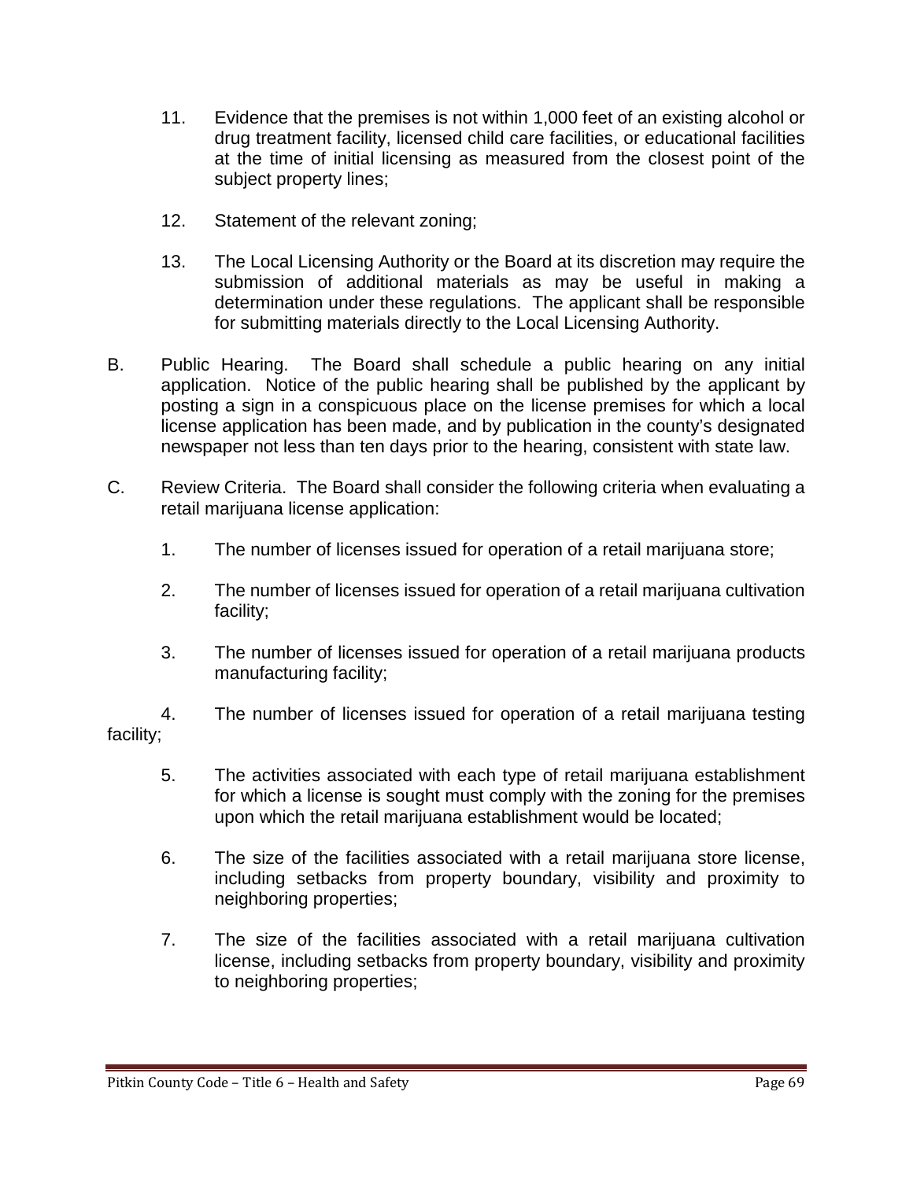- 11. Evidence that the premises is not within 1,000 feet of an existing alcohol or drug treatment facility, licensed child care facilities, or educational facilities at the time of initial licensing as measured from the closest point of the subject property lines;
- 12. Statement of the relevant zoning;
- 13. The Local Licensing Authority or the Board at its discretion may require the submission of additional materials as may be useful in making a determination under these regulations. The applicant shall be responsible for submitting materials directly to the Local Licensing Authority.
- B. Public Hearing. The Board shall schedule a public hearing on any initial application. Notice of the public hearing shall be published by the applicant by posting a sign in a conspicuous place on the license premises for which a local license application has been made, and by publication in the county's designated newspaper not less than ten days prior to the hearing, consistent with state law.
- C. Review Criteria. The Board shall consider the following criteria when evaluating a retail marijuana license application:
	- 1. The number of licenses issued for operation of a retail marijuana store;
	- 2. The number of licenses issued for operation of a retail marijuana cultivation facility;
	- 3. The number of licenses issued for operation of a retail marijuana products manufacturing facility;

4. The number of licenses issued for operation of a retail marijuana testing facility;

- 5. The activities associated with each type of retail marijuana establishment for which a license is sought must comply with the zoning for the premises upon which the retail marijuana establishment would be located;
- 6. The size of the facilities associated with a retail marijuana store license, including setbacks from property boundary, visibility and proximity to neighboring properties;
- 7. The size of the facilities associated with a retail marijuana cultivation license, including setbacks from property boundary, visibility and proximity to neighboring properties;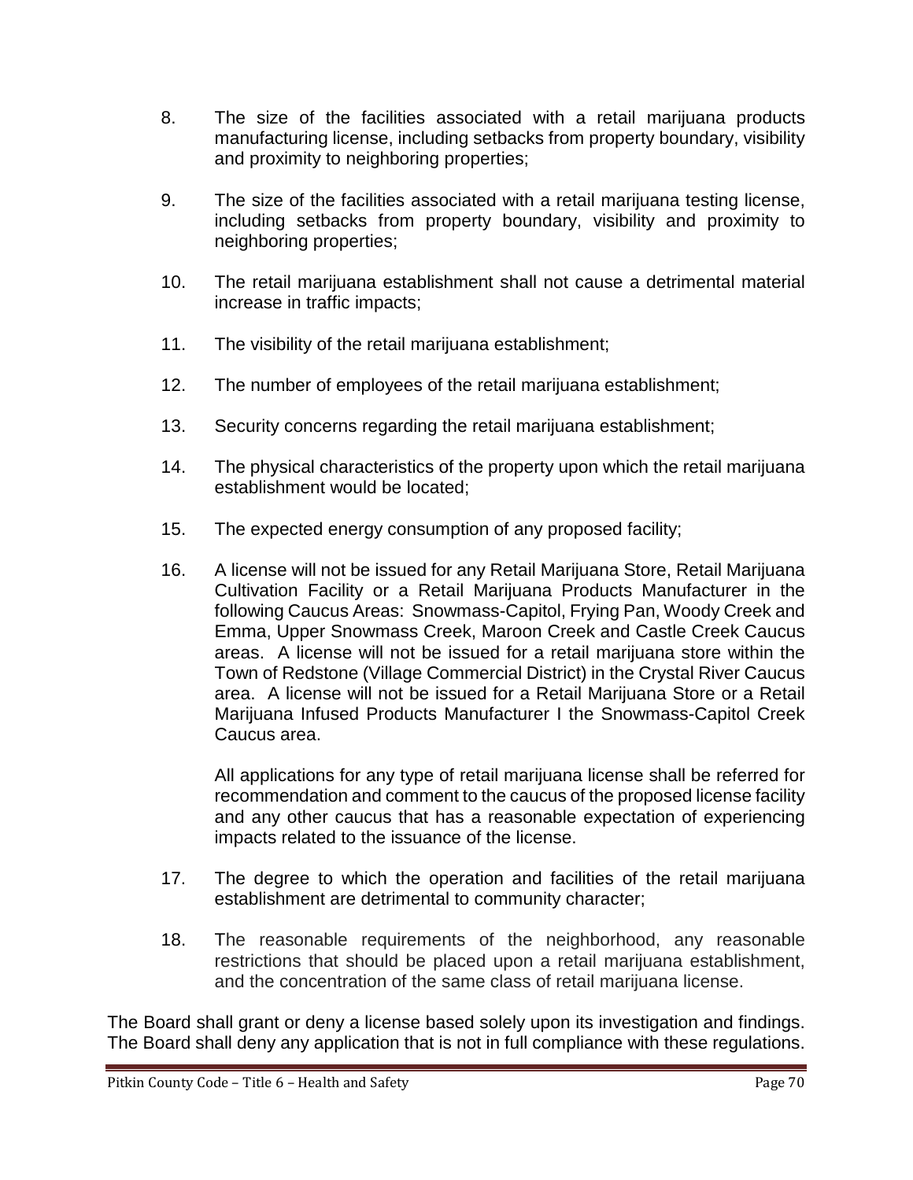- 8. The size of the facilities associated with a retail marijuana products manufacturing license, including setbacks from property boundary, visibility and proximity to neighboring properties;
- 9. The size of the facilities associated with a retail marijuana testing license, including setbacks from property boundary, visibility and proximity to neighboring properties;
- 10. The retail marijuana establishment shall not cause a detrimental material increase in traffic impacts;
- 11. The visibility of the retail marijuana establishment;
- 12. The number of employees of the retail marijuana establishment;
- 13. Security concerns regarding the retail marijuana establishment;
- 14. The physical characteristics of the property upon which the retail marijuana establishment would be located;
- 15. The expected energy consumption of any proposed facility;
- 16. A license will not be issued for any Retail Marijuana Store, Retail Marijuana Cultivation Facility or a Retail Marijuana Products Manufacturer in the following Caucus Areas: Snowmass-Capitol, Frying Pan, Woody Creek and Emma, Upper Snowmass Creek, Maroon Creek and Castle Creek Caucus areas. A license will not be issued for a retail marijuana store within the Town of Redstone (Village Commercial District) in the Crystal River Caucus area. A license will not be issued for a Retail Marijuana Store or a Retail Marijuana Infused Products Manufacturer I the Snowmass-Capitol Creek Caucus area.

All applications for any type of retail marijuana license shall be referred for recommendation and comment to the caucus of the proposed license facility and any other caucus that has a reasonable expectation of experiencing impacts related to the issuance of the license.

- 17. The degree to which the operation and facilities of the retail marijuana establishment are detrimental to community character;
- 18. The reasonable requirements of the neighborhood, any reasonable restrictions that should be placed upon a retail marijuana establishment, and the concentration of the same class of retail marijuana license.

The Board shall grant or deny a license based solely upon its investigation and findings. The Board shall deny any application that is not in full compliance with these regulations.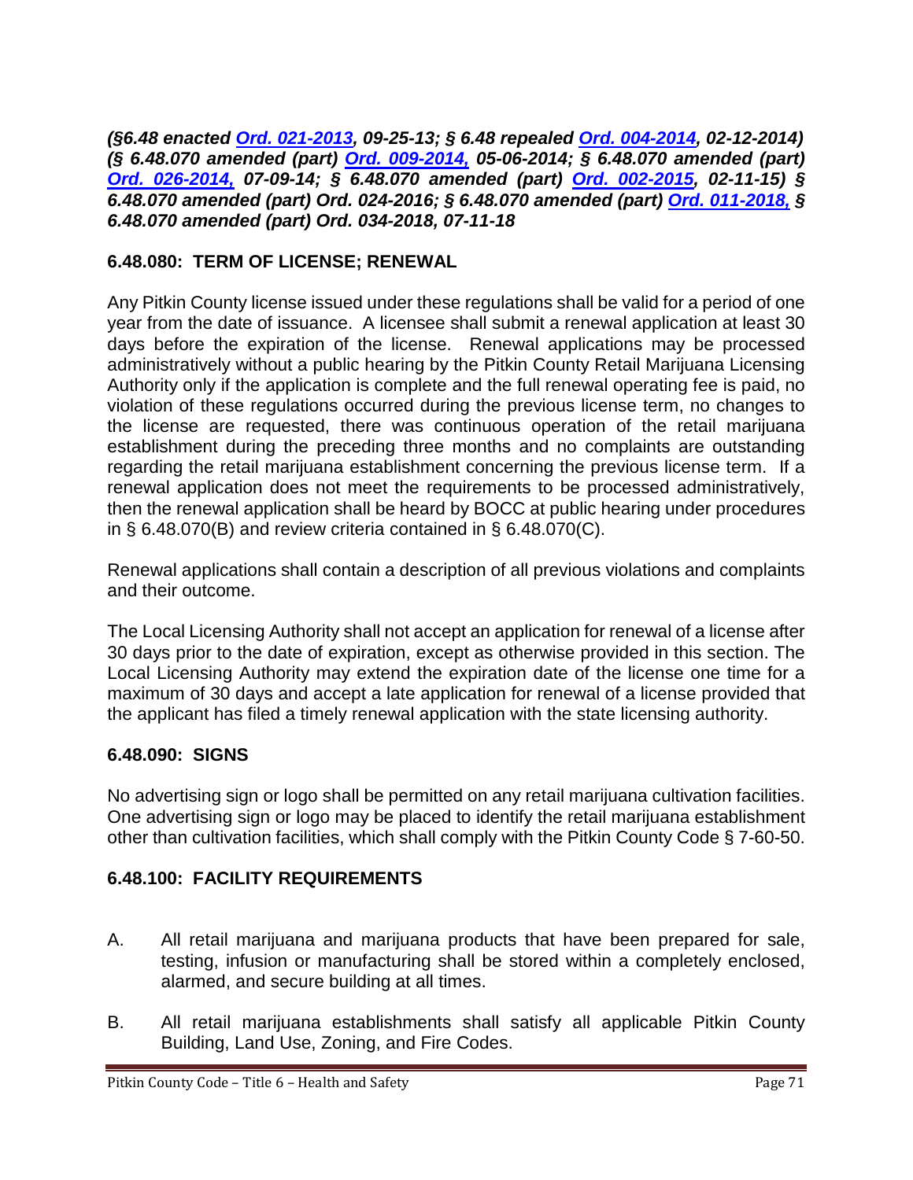*(§6.48 enacted [Ord. 021-2013,](http://records.pitkincounty.com/WebLink8/0/doc/190685/Page1.aspx) 09-25-13; § 6.48 repealed [Ord. 004-2014,](http://records.pitkincounty.com/WebLink8/0/doc/197146/Page1.aspx) 02-12-2014) (§ 6.48.070 amended (part) [Ord. 009-2014,](http://records.pitkincounty.com/WebLink8/0/doc/197146/Page1.aspx) 05-06-2014; § 6.48.070 amended (part) [Ord. 026-2014,](http://records.pitkincounty.com/WebLink8/0/doc/200506/Page1.aspx) 07-09-14; § 6.48.070 amended (part) [Ord. 002-2015,](http://records.pitkincounty.com/WebLink8/0/doc/208517/Page1.aspx) 02-11-15) § 6.48.070 amended (part) Ord. 024-2016; § 6.48.070 amended (part) [Ord. 011-2018,](https://pitkincounty.com/DocumentCenter/View/16911/Ord-011-2018) § 6.48.070 amended (part) Ord. 034-2018, 07-11-18*

## **6.48.080: TERM OF LICENSE; RENEWAL**

Any Pitkin County license issued under these regulations shall be valid for a period of one year from the date of issuance. A licensee shall submit a renewal application at least 30 days before the expiration of the license. Renewal applications may be processed administratively without a public hearing by the Pitkin County Retail Marijuana Licensing Authority only if the application is complete and the full renewal operating fee is paid, no violation of these regulations occurred during the previous license term, no changes to the license are requested, there was continuous operation of the retail marijuana establishment during the preceding three months and no complaints are outstanding regarding the retail marijuana establishment concerning the previous license term. If a renewal application does not meet the requirements to be processed administratively, then the renewal application shall be heard by BOCC at public hearing under procedures in  $\S$  6.48.070(B) and review criteria contained in  $\S$  6.48.070(C).

Renewal applications shall contain a description of all previous violations and complaints and their outcome.

The Local Licensing Authority shall not accept an application for renewal of a license after 30 days prior to the date of expiration, except as otherwise provided in this section. The Local Licensing Authority may extend the expiration date of the license one time for a maximum of 30 days and accept a late application for renewal of a license provided that the applicant has filed a timely renewal application with the state licensing authority.

# **6.48.090: SIGNS**

No advertising sign or logo shall be permitted on any retail marijuana cultivation facilities. One advertising sign or logo may be placed to identify the retail marijuana establishment other than cultivation facilities, which shall comply with the Pitkin County Code § 7-60-50.

# **6.48.100: FACILITY REQUIREMENTS**

- A. All retail marijuana and marijuana products that have been prepared for sale, testing, infusion or manufacturing shall be stored within a completely enclosed, alarmed, and secure building at all times.
- B. All retail marijuana establishments shall satisfy all applicable Pitkin County Building, Land Use, Zoning, and Fire Codes.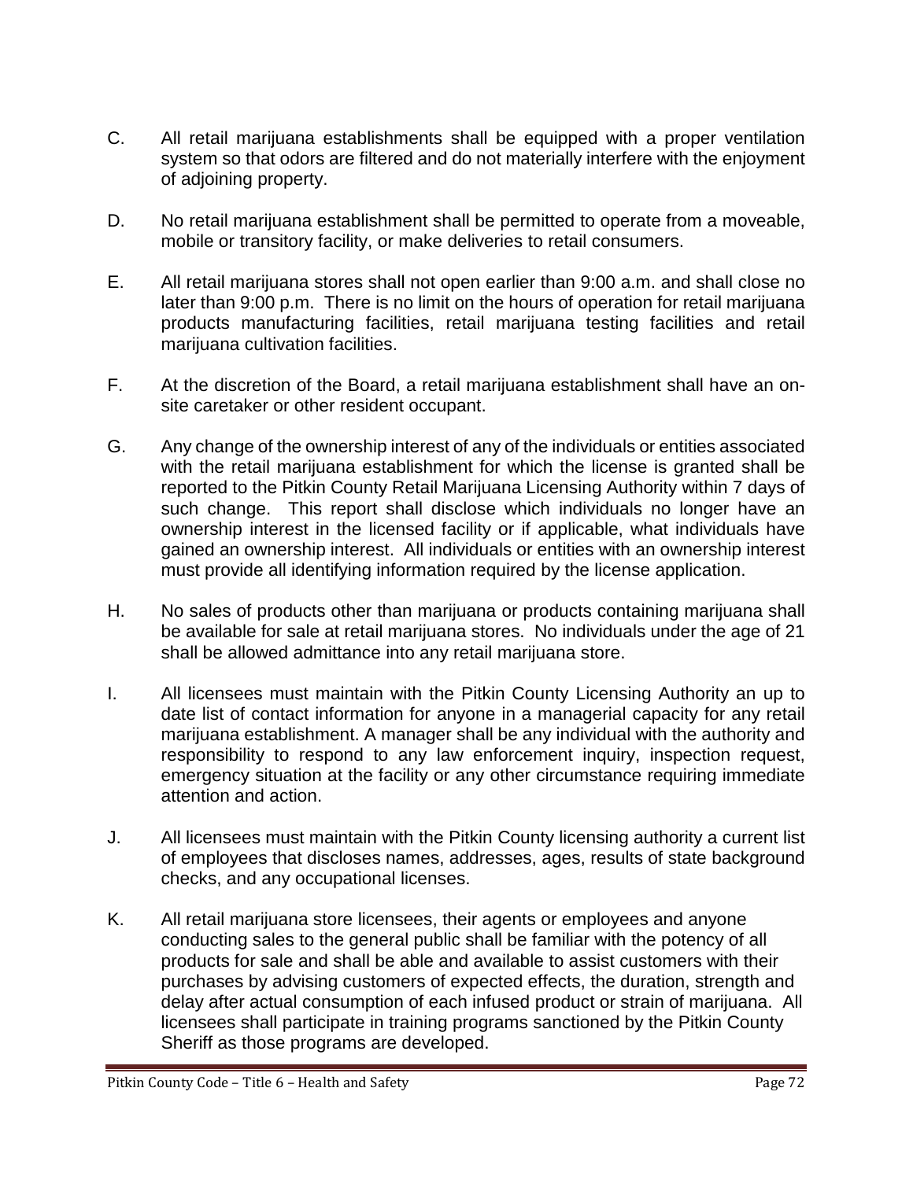- C. All retail marijuana establishments shall be equipped with a proper ventilation system so that odors are filtered and do not materially interfere with the enjoyment of adjoining property.
- D. No retail marijuana establishment shall be permitted to operate from a moveable, mobile or transitory facility, or make deliveries to retail consumers.
- E. All retail marijuana stores shall not open earlier than 9:00 a.m. and shall close no later than 9:00 p.m. There is no limit on the hours of operation for retail marijuana products manufacturing facilities, retail marijuana testing facilities and retail marijuana cultivation facilities.
- F. At the discretion of the Board, a retail marijuana establishment shall have an onsite caretaker or other resident occupant.
- G. Any change of the ownership interest of any of the individuals or entities associated with the retail marijuana establishment for which the license is granted shall be reported to the Pitkin County Retail Marijuana Licensing Authority within 7 days of such change. This report shall disclose which individuals no longer have an ownership interest in the licensed facility or if applicable, what individuals have gained an ownership interest. All individuals or entities with an ownership interest must provide all identifying information required by the license application.
- H. No sales of products other than marijuana or products containing marijuana shall be available for sale at retail marijuana stores. No individuals under the age of 21 shall be allowed admittance into any retail marijuana store.
- I. All licensees must maintain with the Pitkin County Licensing Authority an up to date list of contact information for anyone in a managerial capacity for any retail marijuana establishment. A manager shall be any individual with the authority and responsibility to respond to any law enforcement inquiry, inspection request, emergency situation at the facility or any other circumstance requiring immediate attention and action.
- J. All licensees must maintain with the Pitkin County licensing authority a current list of employees that discloses names, addresses, ages, results of state background checks, and any occupational licenses.
- K. All retail marijuana store licensees, their agents or employees and anyone conducting sales to the general public shall be familiar with the potency of all products for sale and shall be able and available to assist customers with their purchases by advising customers of expected effects, the duration, strength and delay after actual consumption of each infused product or strain of marijuana. All licensees shall participate in training programs sanctioned by the Pitkin County Sheriff as those programs are developed.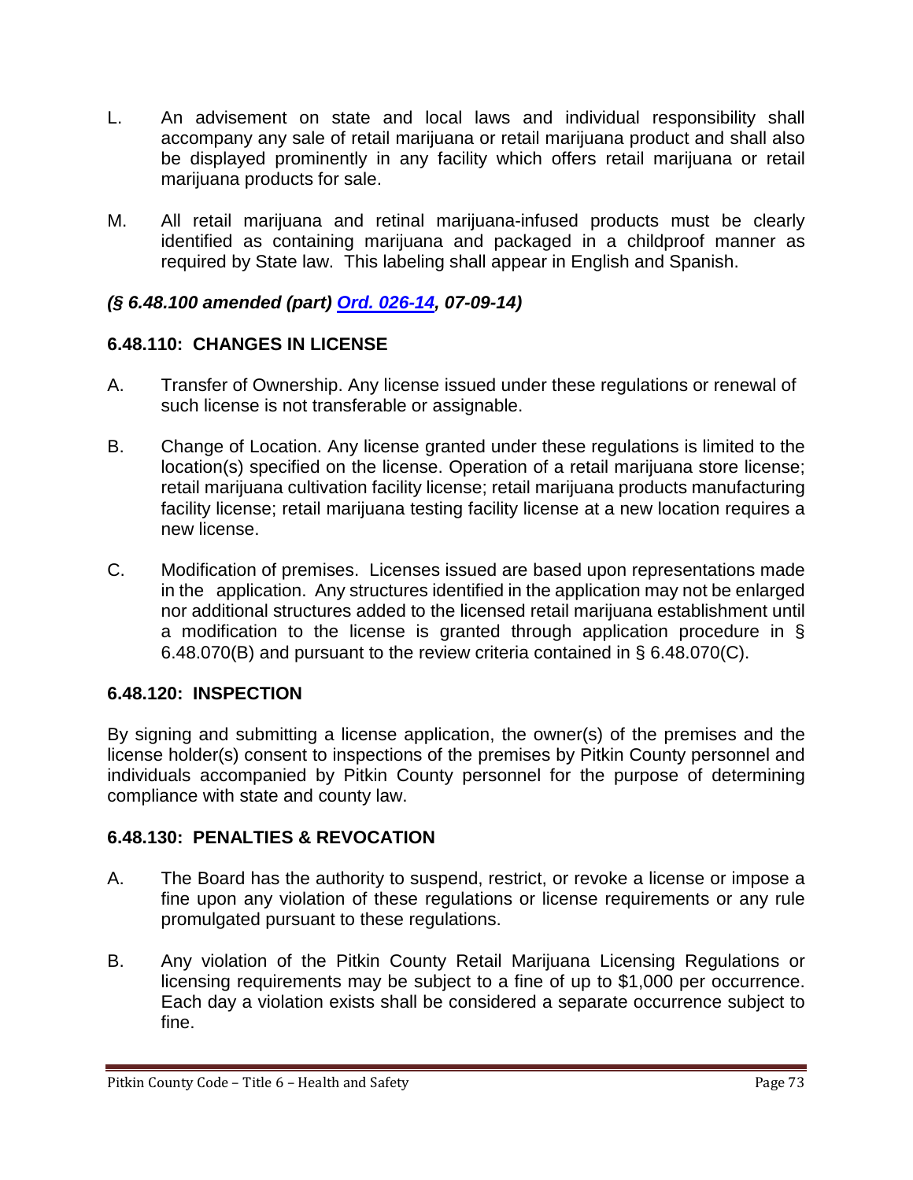- L. An advisement on state and local laws and individual responsibility shall accompany any sale of retail marijuana or retail marijuana product and shall also be displayed prominently in any facility which offers retail marijuana or retail marijuana products for sale.
- M. All retail marijuana and retinal marijuana-infused products must be clearly identified as containing marijuana and packaged in a childproof manner as required by State law. This labeling shall appear in English and Spanish.

# *(§ 6.48.100 amended (part) [Ord. 026-14,](http://records.pitkincounty.com/WebLink8/0/doc/200506/Page1.aspx) 07-09-14)*

# **6.48.110: CHANGES IN LICENSE**

- A. Transfer of Ownership. Any license issued under these regulations or renewal of such license is not transferable or assignable.
- B. Change of Location. Any license granted under these regulations is limited to the location(s) specified on the license. Operation of a retail marijuana store license; retail marijuana cultivation facility license; retail marijuana products manufacturing facility license; retail marijuana testing facility license at a new location requires a new license.
- C. Modification of premises. Licenses issued are based upon representations made in the application. Any structures identified in the application may not be enlarged nor additional structures added to the licensed retail marijuana establishment until a modification to the license is granted through application procedure in § 6.48.070(B) and pursuant to the review criteria contained in § 6.48.070(C).

#### **6.48.120: INSPECTION**

By signing and submitting a license application, the owner(s) of the premises and the license holder(s) consent to inspections of the premises by Pitkin County personnel and individuals accompanied by Pitkin County personnel for the purpose of determining compliance with state and county law.

#### **6.48.130: PENALTIES & REVOCATION**

- A. The Board has the authority to suspend, restrict, or revoke a license or impose a fine upon any violation of these regulations or license requirements or any rule promulgated pursuant to these regulations.
- B. Any violation of the Pitkin County Retail Marijuana Licensing Regulations or licensing requirements may be subject to a fine of up to \$1,000 per occurrence. Each day a violation exists shall be considered a separate occurrence subject to fine.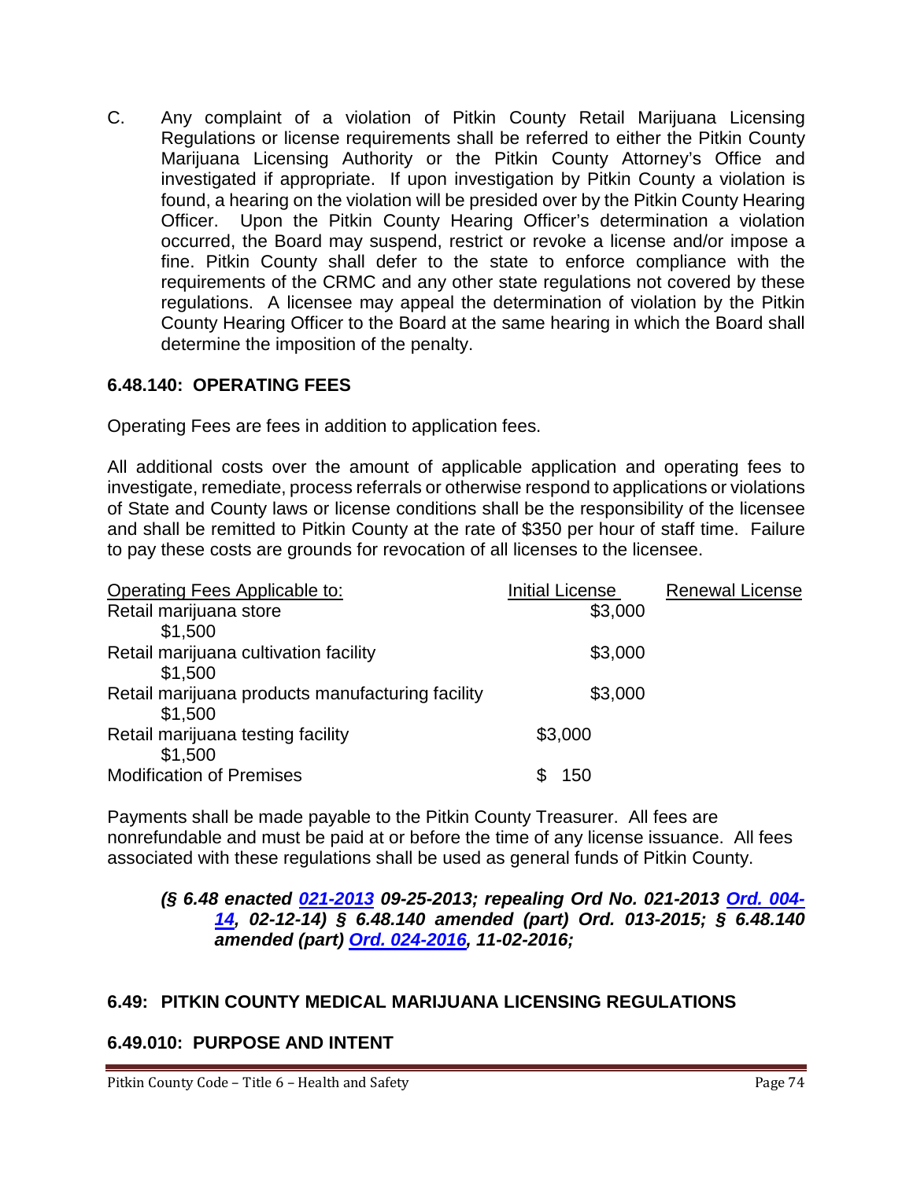C. Any complaint of a violation of Pitkin County Retail Marijuana Licensing Regulations or license requirements shall be referred to either the Pitkin County Marijuana Licensing Authority or the Pitkin County Attorney's Office and investigated if appropriate. If upon investigation by Pitkin County a violation is found, a hearing on the violation will be presided over by the Pitkin County Hearing Officer. Upon the Pitkin County Hearing Officer's determination a violation occurred, the Board may suspend, restrict or revoke a license and/or impose a fine. Pitkin County shall defer to the state to enforce compliance with the requirements of the CRMC and any other state regulations not covered by these regulations. A licensee may appeal the determination of violation by the Pitkin County Hearing Officer to the Board at the same hearing in which the Board shall determine the imposition of the penalty.

# **6.48.140: OPERATING FEES**

Operating Fees are fees in addition to application fees.

All additional costs over the amount of applicable application and operating fees to investigate, remediate, process referrals or otherwise respond to applications or violations of State and County laws or license conditions shall be the responsibility of the licensee and shall be remitted to Pitkin County at the rate of \$350 per hour of staff time. Failure to pay these costs are grounds for revocation of all licenses to the licensee.

| Operating Fees Applicable to:                    | <b>Initial License</b> | <b>Renewal License</b> |
|--------------------------------------------------|------------------------|------------------------|
| Retail marijuana store                           | \$3,000                |                        |
| \$1,500                                          |                        |                        |
| Retail marijuana cultivation facility            | \$3,000                |                        |
| \$1,500                                          |                        |                        |
| Retail marijuana products manufacturing facility | \$3,000                |                        |
| \$1,500                                          |                        |                        |
| Retail marijuana testing facility                | \$3,000                |                        |
| \$1,500                                          |                        |                        |
| <b>Modification of Premises</b>                  | 150                    |                        |

Payments shall be made payable to the Pitkin County Treasurer. All fees are nonrefundable and must be paid at or before the time of any license issuance. All fees associated with these regulations shall be used as general funds of Pitkin County.

### *(§ 6.48 enacted [021-2013](http://records.pitkincounty.com/WebLink8/0/doc/190685/Page1.aspx) 09-25-2013; repealing Ord No. 021-2013 [Ord. 004-](http://records.pitkincounty.com/WebLink8/0/doc/197146/Page1.aspx) [14,](http://records.pitkincounty.com/WebLink8/0/doc/197146/Page1.aspx) 02-12-14) § 6.48.140 amended (part) Ord. 013-2015; § 6.48.140 amended (part) [Ord. 024-2016,](http://pitkincounty.com/DocumentCenter/View/12791) 11-02-2016;*

# **6.49: PITKIN COUNTY MEDICAL MARIJUANA LICENSING REGULATIONS**

# **6.49.010: PURPOSE AND INTENT**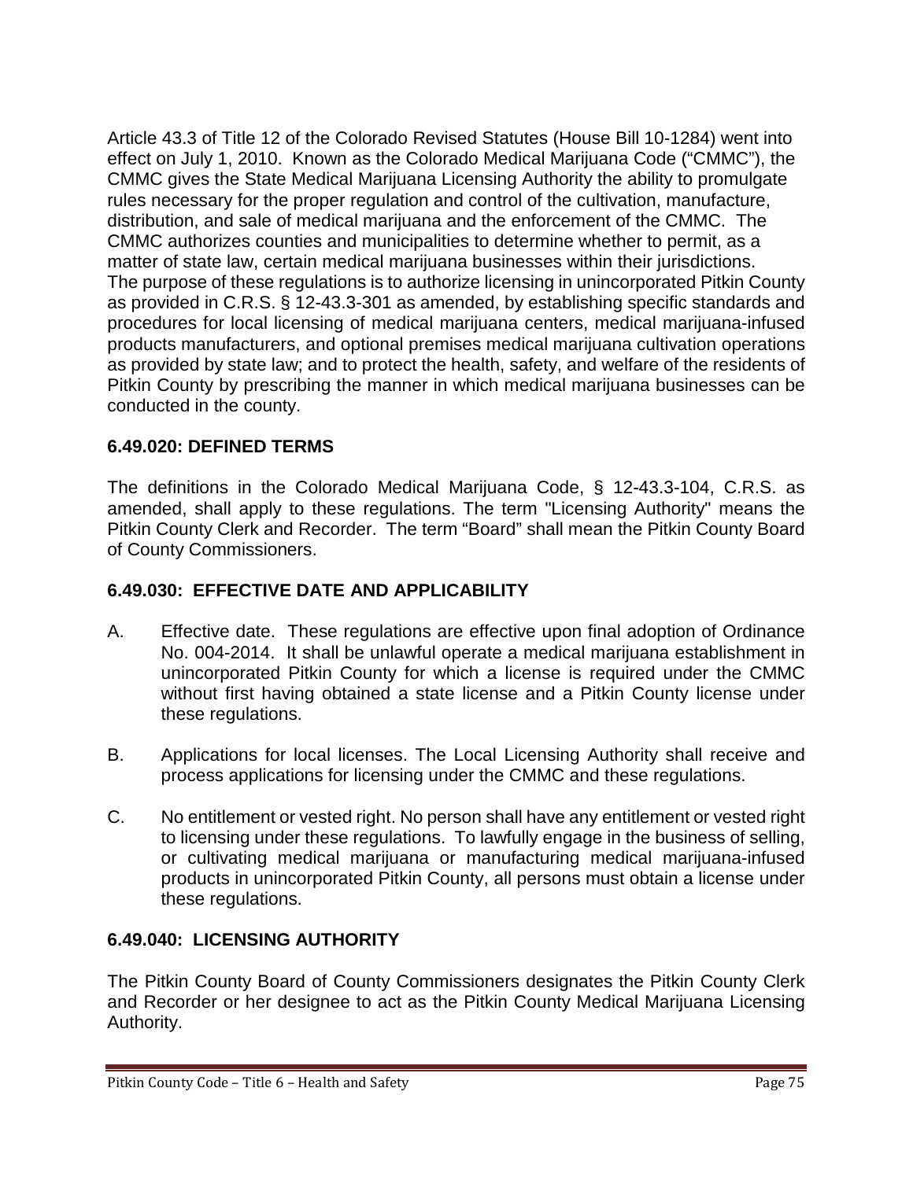Article 43.3 of Title 12 of the Colorado Revised Statutes (House Bill 10-1284) went into effect on July 1, 2010. Known as the Colorado Medical Marijuana Code ("CMMC"), the CMMC gives the State Medical Marijuana Licensing Authority the ability to promulgate rules necessary for the proper regulation and control of the cultivation, manufacture, distribution, and sale of medical marijuana and the enforcement of the CMMC. The CMMC authorizes counties and municipalities to determine whether to permit, as a matter of state law, certain medical marijuana businesses within their jurisdictions. The purpose of these regulations is to authorize licensing in unincorporated Pitkin County as provided in C.R.S. § 12-43.3-301 as amended, by establishing specific standards and procedures for local licensing of medical marijuana centers, medical marijuana-infused products manufacturers, and optional premises medical marijuana cultivation operations as provided by state law; and to protect the health, safety, and welfare of the residents of Pitkin County by prescribing the manner in which medical marijuana businesses can be conducted in the county.

# **6.49.020: DEFINED TERMS**

The definitions in the Colorado Medical Marijuana Code, § 12-43.3-104, C.R.S. as amended, shall apply to these regulations. The term "Licensing Authority" means the Pitkin County Clerk and Recorder. The term "Board" shall mean the Pitkin County Board of County Commissioners.

# **6.49.030: EFFECTIVE DATE AND APPLICABILITY**

- A. Effective date. These regulations are effective upon final adoption of Ordinance No. 004-2014. It shall be unlawful operate a medical marijuana establishment in unincorporated Pitkin County for which a license is required under the CMMC without first having obtained a state license and a Pitkin County license under these regulations.
- B. Applications for local licenses. The Local Licensing Authority shall receive and process applications for licensing under the CMMC and these regulations.
- C. No entitlement or vested right. No person shall have any entitlement or vested right to licensing under these regulations. To lawfully engage in the business of selling, or cultivating medical marijuana or manufacturing medical marijuana-infused products in unincorporated Pitkin County, all persons must obtain a license under these regulations.

# **6.49.040: LICENSING AUTHORITY**

The Pitkin County Board of County Commissioners designates the Pitkin County Clerk and Recorder or her designee to act as the Pitkin County Medical Marijuana Licensing Authority.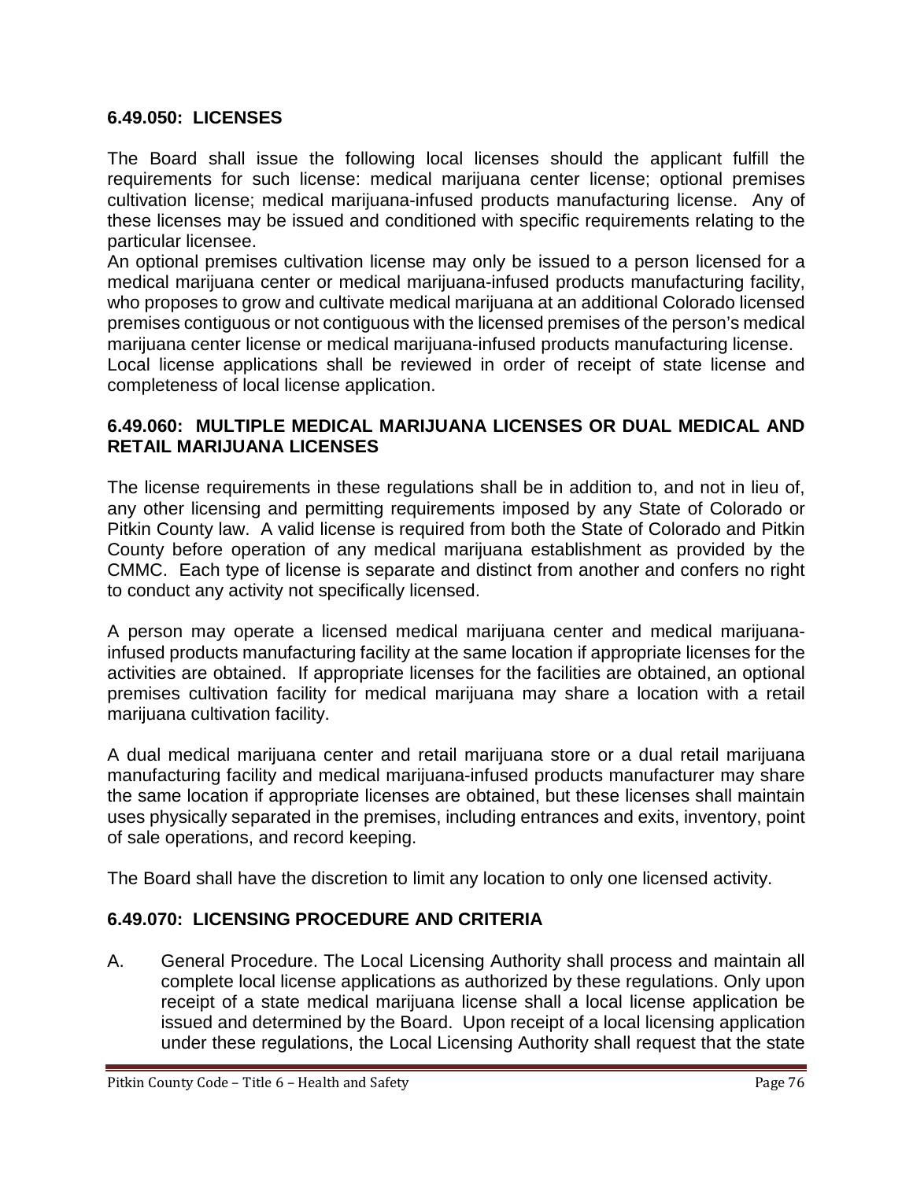### **6.49.050: LICENSES**

The Board shall issue the following local licenses should the applicant fulfill the requirements for such license: medical marijuana center license; optional premises cultivation license; medical marijuana-infused products manufacturing license. Any of these licenses may be issued and conditioned with specific requirements relating to the particular licensee.

An optional premises cultivation license may only be issued to a person licensed for a medical marijuana center or medical marijuana-infused products manufacturing facility, who proposes to grow and cultivate medical marijuana at an additional Colorado licensed premises contiguous or not contiguous with the licensed premises of the person's medical marijuana center license or medical marijuana-infused products manufacturing license. Local license applications shall be reviewed in order of receipt of state license and

completeness of local license application.

### **6.49.060: MULTIPLE MEDICAL MARIJUANA LICENSES OR DUAL MEDICAL AND RETAIL MARIJUANA LICENSES**

The license requirements in these regulations shall be in addition to, and not in lieu of, any other licensing and permitting requirements imposed by any State of Colorado or Pitkin County law. A valid license is required from both the State of Colorado and Pitkin County before operation of any medical marijuana establishment as provided by the CMMC. Each type of license is separate and distinct from another and confers no right to conduct any activity not specifically licensed.

A person may operate a licensed medical marijuana center and medical marijuanainfused products manufacturing facility at the same location if appropriate licenses for the activities are obtained. If appropriate licenses for the facilities are obtained, an optional premises cultivation facility for medical marijuana may share a location with a retail marijuana cultivation facility.

A dual medical marijuana center and retail marijuana store or a dual retail marijuana manufacturing facility and medical marijuana-infused products manufacturer may share the same location if appropriate licenses are obtained, but these licenses shall maintain uses physically separated in the premises, including entrances and exits, inventory, point of sale operations, and record keeping.

The Board shall have the discretion to limit any location to only one licensed activity.

# **6.49.070: LICENSING PROCEDURE AND CRITERIA**

A. General Procedure. The Local Licensing Authority shall process and maintain all complete local license applications as authorized by these regulations. Only upon receipt of a state medical marijuana license shall a local license application be issued and determined by the Board. Upon receipt of a local licensing application under these regulations, the Local Licensing Authority shall request that the state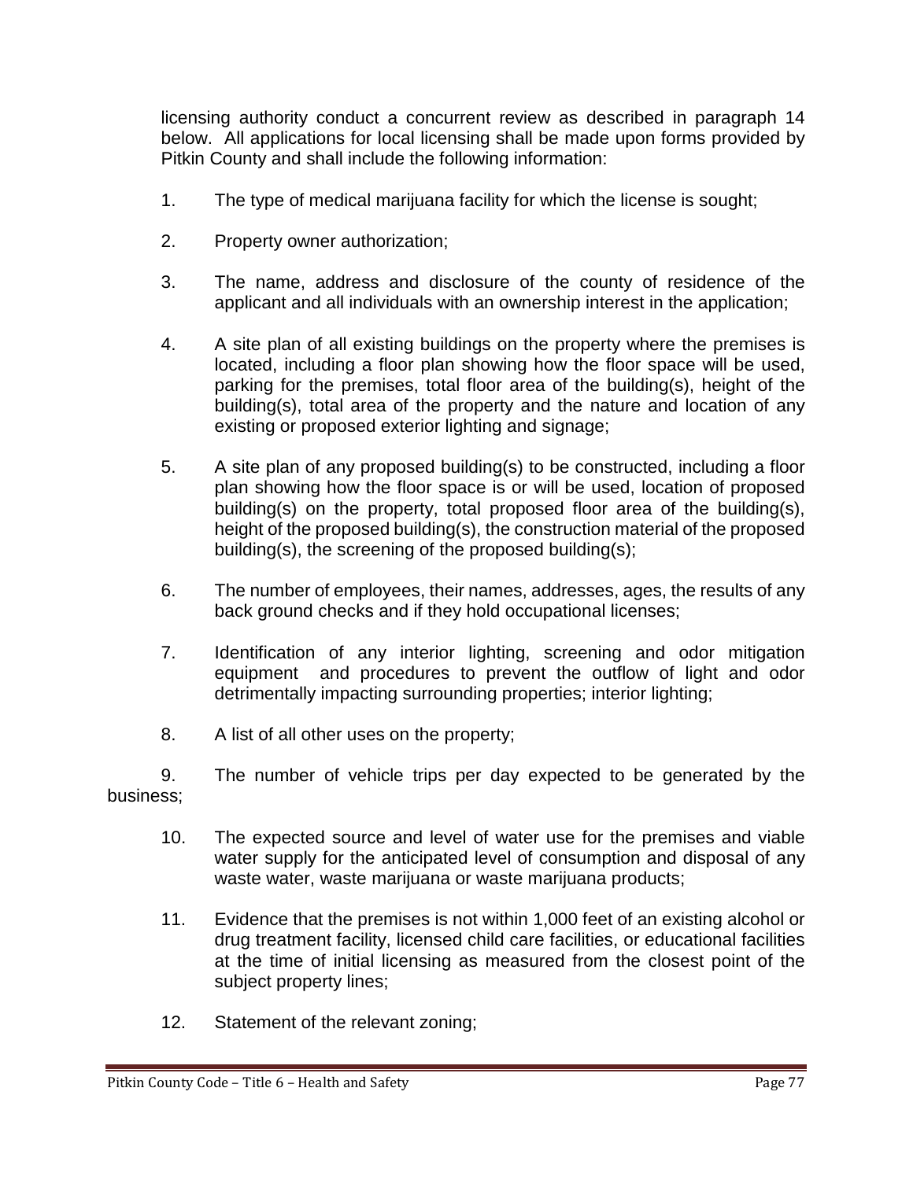licensing authority conduct a concurrent review as described in paragraph 14 below. All applications for local licensing shall be made upon forms provided by Pitkin County and shall include the following information:

- 1. The type of medical marijuana facility for which the license is sought;
- 2. Property owner authorization;
- 3. The name, address and disclosure of the county of residence of the applicant and all individuals with an ownership interest in the application;
- 4. A site plan of all existing buildings on the property where the premises is located, including a floor plan showing how the floor space will be used, parking for the premises, total floor area of the building(s), height of the building(s), total area of the property and the nature and location of any existing or proposed exterior lighting and signage;
- 5. A site plan of any proposed building(s) to be constructed, including a floor plan showing how the floor space is or will be used, location of proposed building(s) on the property, total proposed floor area of the building(s), height of the proposed building(s), the construction material of the proposed building(s), the screening of the proposed building(s);
- 6. The number of employees, their names, addresses, ages, the results of any back ground checks and if they hold occupational licenses;
- 7. Identification of any interior lighting, screening and odor mitigation equipment and procedures to prevent the outflow of light and odor detrimentally impacting surrounding properties; interior lighting;
- 8. A list of all other uses on the property;

9. The number of vehicle trips per day expected to be generated by the business;

- 10. The expected source and level of water use for the premises and viable water supply for the anticipated level of consumption and disposal of any waste water, waste marijuana or waste marijuana products;
- 11. Evidence that the premises is not within 1,000 feet of an existing alcohol or drug treatment facility, licensed child care facilities, or educational facilities at the time of initial licensing as measured from the closest point of the subject property lines;
- 12. Statement of the relevant zoning;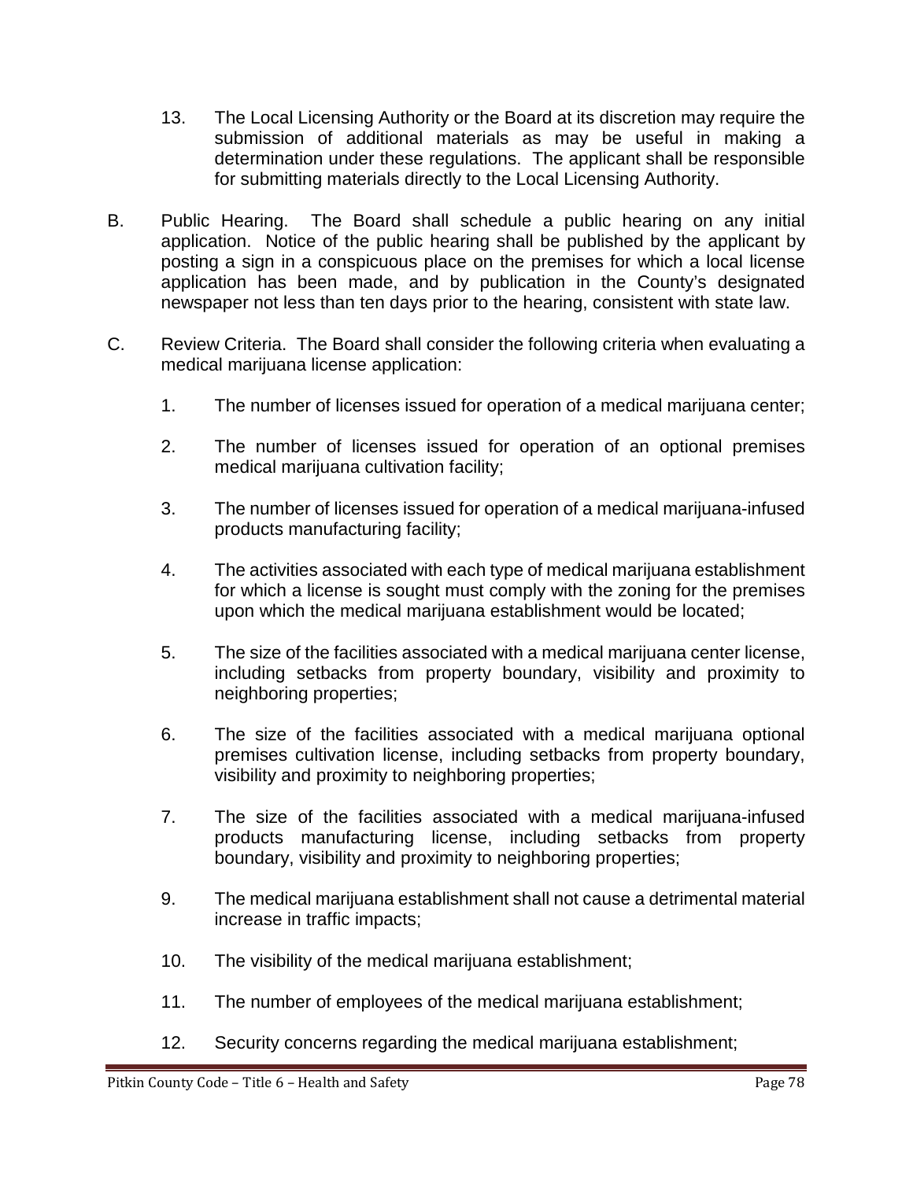- 13. The Local Licensing Authority or the Board at its discretion may require the submission of additional materials as may be useful in making a determination under these regulations. The applicant shall be responsible for submitting materials directly to the Local Licensing Authority.
- B. Public Hearing. The Board shall schedule a public hearing on any initial application. Notice of the public hearing shall be published by the applicant by posting a sign in a conspicuous place on the premises for which a local license application has been made, and by publication in the County's designated newspaper not less than ten days prior to the hearing, consistent with state law.
- C. Review Criteria. The Board shall consider the following criteria when evaluating a medical marijuana license application:
	- 1. The number of licenses issued for operation of a medical marijuana center;
	- 2. The number of licenses issued for operation of an optional premises medical marijuana cultivation facility;
	- 3. The number of licenses issued for operation of a medical marijuana-infused products manufacturing facility;
	- 4. The activities associated with each type of medical marijuana establishment for which a license is sought must comply with the zoning for the premises upon which the medical marijuana establishment would be located;
	- 5. The size of the facilities associated with a medical marijuana center license, including setbacks from property boundary, visibility and proximity to neighboring properties;
	- 6. The size of the facilities associated with a medical marijuana optional premises cultivation license, including setbacks from property boundary, visibility and proximity to neighboring properties;
	- 7. The size of the facilities associated with a medical marijuana-infused products manufacturing license, including setbacks from property boundary, visibility and proximity to neighboring properties;
	- 9. The medical marijuana establishment shall not cause a detrimental material increase in traffic impacts;
	- 10. The visibility of the medical marijuana establishment;
	- 11. The number of employees of the medical marijuana establishment;
	- 12. Security concerns regarding the medical marijuana establishment;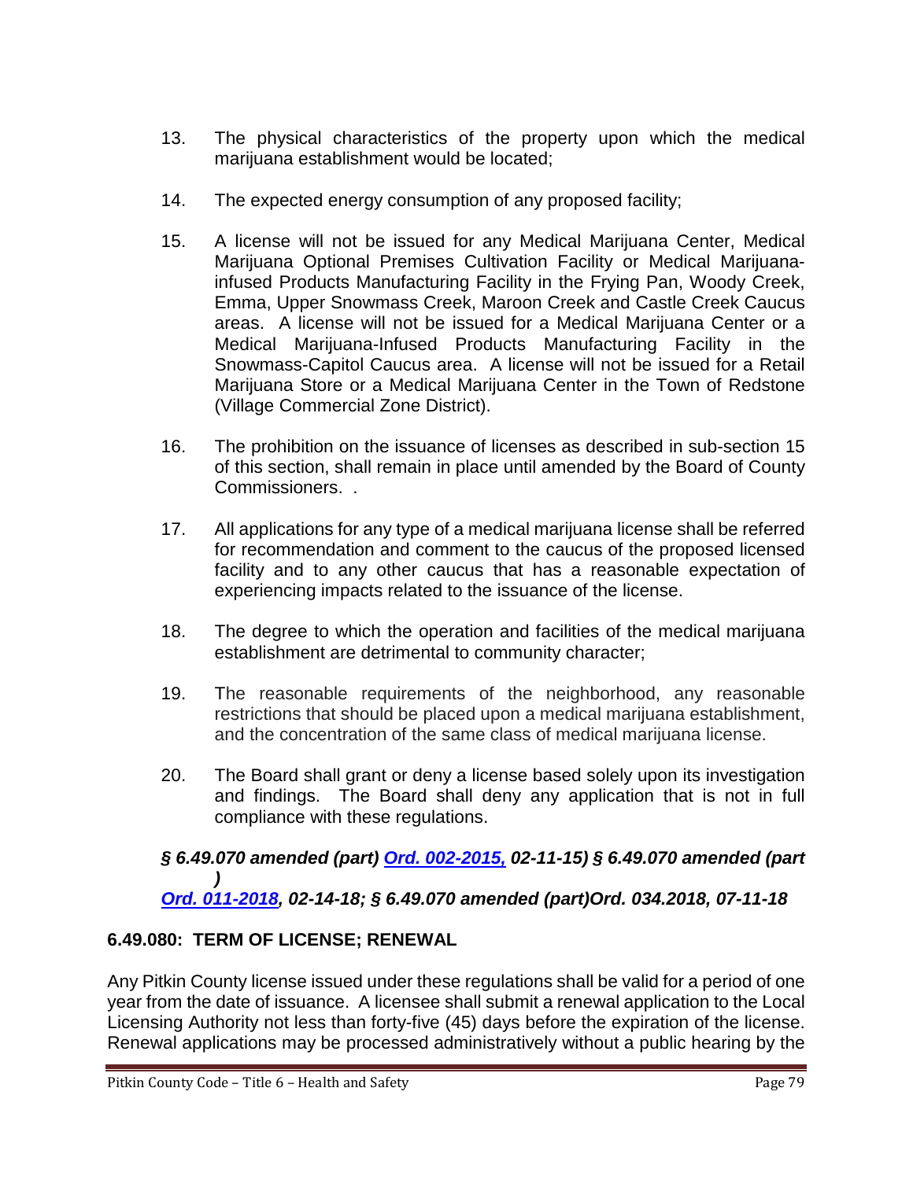- 13. The physical characteristics of the property upon which the medical marijuana establishment would be located;
- 14. The expected energy consumption of any proposed facility;
- 15. A license will not be issued for any Medical Marijuana Center, Medical Marijuana Optional Premises Cultivation Facility or Medical Marijuanainfused Products Manufacturing Facility in the Frying Pan, Woody Creek, Emma, Upper Snowmass Creek, Maroon Creek and Castle Creek Caucus areas. A license will not be issued for a Medical Marijuana Center or a Medical Marijuana-Infused Products Manufacturing Facility in the Snowmass-Capitol Caucus area. A license will not be issued for a Retail Marijuana Store or a Medical Marijuana Center in the Town of Redstone (Village Commercial Zone District).
- 16. The prohibition on the issuance of licenses as described in sub-section 15 of this section, shall remain in place until amended by the Board of County Commissioners. .
- 17. All applications for any type of a medical marijuana license shall be referred for recommendation and comment to the caucus of the proposed licensed facility and to any other caucus that has a reasonable expectation of experiencing impacts related to the issuance of the license.
- 18. The degree to which the operation and facilities of the medical marijuana establishment are detrimental to community character;
- 19. The reasonable requirements of the neighborhood, any reasonable restrictions that should be placed upon a medical marijuana establishment, and the concentration of the same class of medical marijuana license.
- 20. The Board shall grant or deny a license based solely upon its investigation and findings. The Board shall deny any application that is not in full compliance with these regulations.

*§ 6.49.070 amended (part) [Ord. 002-2015,](http://records.pitkincounty.com/WebLink8/0/doc/208517/Page1.aspx) 02-11-15) § 6.49.070 amended (part ) [Ord. 011-2018,](https://pitkincounty.com/DocumentCenter/View/16911/Ord-011-2018) 02-14-18; § 6.49.070 amended (part)Ord. 034.2018, 07-11-18*

# **6.49.080: TERM OF LICENSE; RENEWAL**

Any Pitkin County license issued under these regulations shall be valid for a period of one year from the date of issuance. A licensee shall submit a renewal application to the Local Licensing Authority not less than forty-five (45) days before the expiration of the license. Renewal applications may be processed administratively without a public hearing by the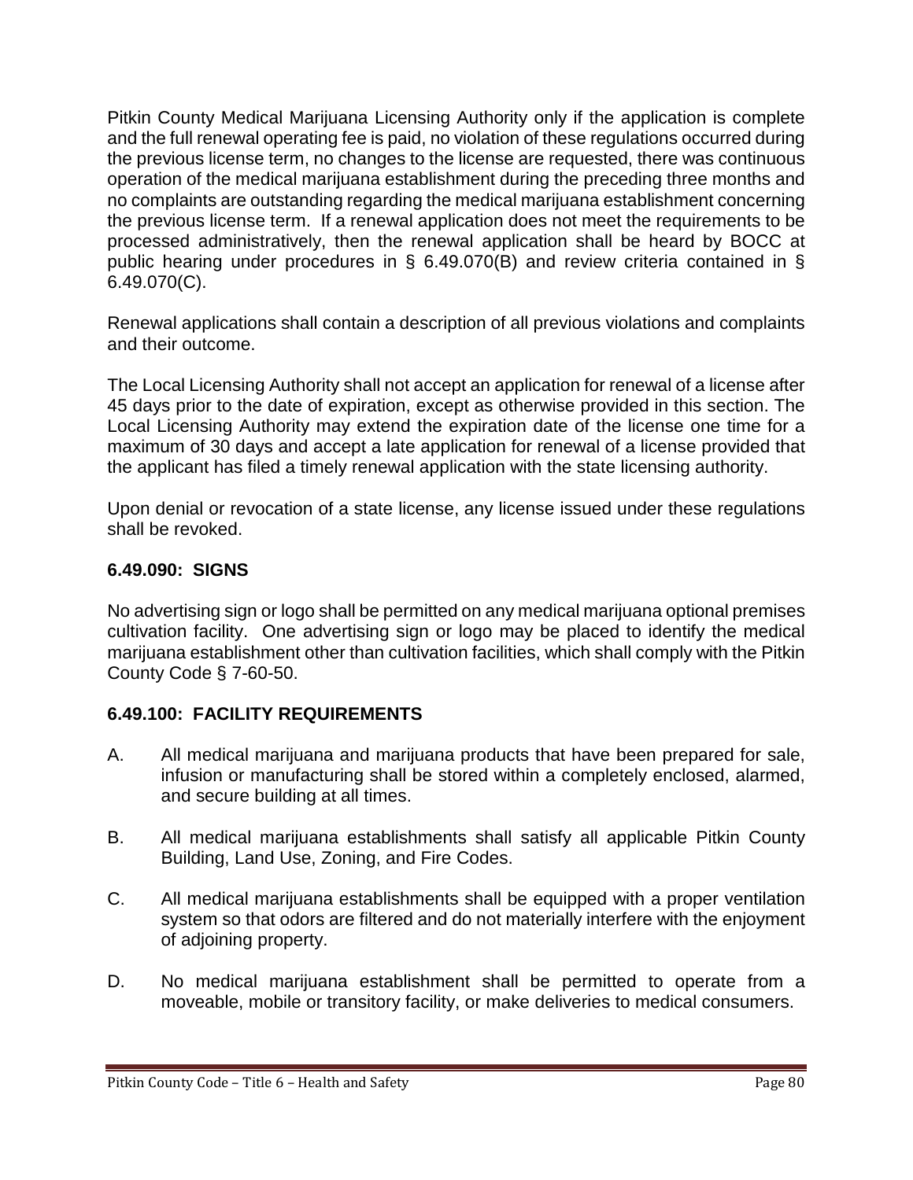Pitkin County Medical Marijuana Licensing Authority only if the application is complete and the full renewal operating fee is paid, no violation of these regulations occurred during the previous license term, no changes to the license are requested, there was continuous operation of the medical marijuana establishment during the preceding three months and no complaints are outstanding regarding the medical marijuana establishment concerning the previous license term. If a renewal application does not meet the requirements to be processed administratively, then the renewal application shall be heard by BOCC at public hearing under procedures in § 6.49.070(B) and review criteria contained in § 6.49.070(C).

Renewal applications shall contain a description of all previous violations and complaints and their outcome.

The Local Licensing Authority shall not accept an application for renewal of a license after 45 days prior to the date of expiration, except as otherwise provided in this section. The Local Licensing Authority may extend the expiration date of the license one time for a maximum of 30 days and accept a late application for renewal of a license provided that the applicant has filed a timely renewal application with the state licensing authority.

Upon denial or revocation of a state license, any license issued under these regulations shall be revoked.

# **6.49.090: SIGNS**

No advertising sign or logo shall be permitted on any medical marijuana optional premises cultivation facility. One advertising sign or logo may be placed to identify the medical marijuana establishment other than cultivation facilities, which shall comply with the Pitkin County Code § 7-60-50.

# **6.49.100: FACILITY REQUIREMENTS**

- A. All medical marijuana and marijuana products that have been prepared for sale, infusion or manufacturing shall be stored within a completely enclosed, alarmed, and secure building at all times.
- B. All medical marijuana establishments shall satisfy all applicable Pitkin County Building, Land Use, Zoning, and Fire Codes.
- C. All medical marijuana establishments shall be equipped with a proper ventilation system so that odors are filtered and do not materially interfere with the enjoyment of adjoining property.
- D. No medical marijuana establishment shall be permitted to operate from a moveable, mobile or transitory facility, or make deliveries to medical consumers.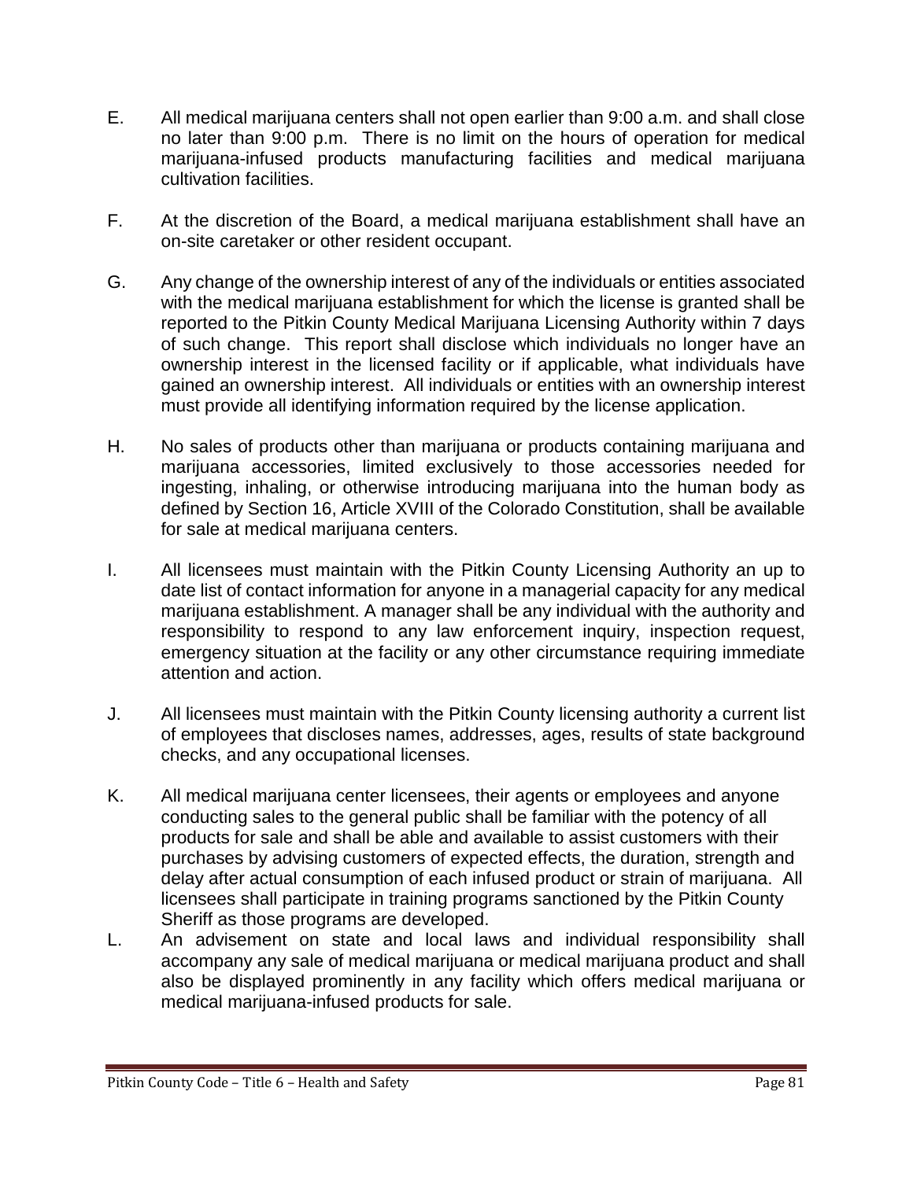- E. All medical marijuana centers shall not open earlier than 9:00 a.m. and shall close no later than 9:00 p.m. There is no limit on the hours of operation for medical marijuana-infused products manufacturing facilities and medical marijuana cultivation facilities.
- F. At the discretion of the Board, a medical marijuana establishment shall have an on-site caretaker or other resident occupant.
- G. Any change of the ownership interest of any of the individuals or entities associated with the medical marijuana establishment for which the license is granted shall be reported to the Pitkin County Medical Marijuana Licensing Authority within 7 days of such change. This report shall disclose which individuals no longer have an ownership interest in the licensed facility or if applicable, what individuals have gained an ownership interest. All individuals or entities with an ownership interest must provide all identifying information required by the license application.
- H. No sales of products other than marijuana or products containing marijuana and marijuana accessories, limited exclusively to those accessories needed for ingesting, inhaling, or otherwise introducing marijuana into the human body as defined by Section 16, Article XVIII of the Colorado Constitution, shall be available for sale at medical marijuana centers.
- I. All licensees must maintain with the Pitkin County Licensing Authority an up to date list of contact information for anyone in a managerial capacity for any medical marijuana establishment. A manager shall be any individual with the authority and responsibility to respond to any law enforcement inquiry, inspection request, emergency situation at the facility or any other circumstance requiring immediate attention and action.
- J. All licensees must maintain with the Pitkin County licensing authority a current list of employees that discloses names, addresses, ages, results of state background checks, and any occupational licenses.
- K. All medical marijuana center licensees, their agents or employees and anyone conducting sales to the general public shall be familiar with the potency of all products for sale and shall be able and available to assist customers with their purchases by advising customers of expected effects, the duration, strength and delay after actual consumption of each infused product or strain of marijuana. All licensees shall participate in training programs sanctioned by the Pitkin County Sheriff as those programs are developed.
- L. An advisement on state and local laws and individual responsibility shall accompany any sale of medical marijuana or medical marijuana product and shall also be displayed prominently in any facility which offers medical marijuana or medical marijuana-infused products for sale.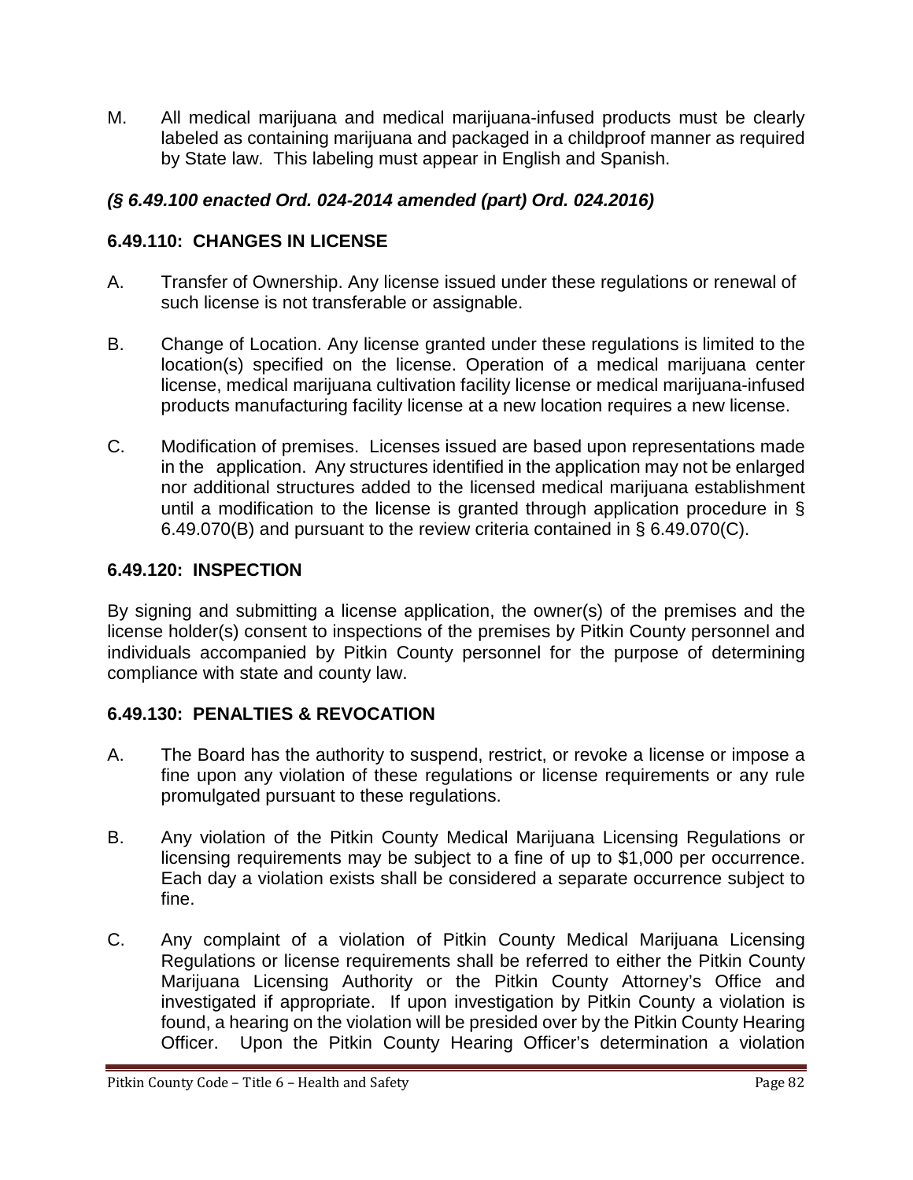M. All medical marijuana and medical marijuana-infused products must be clearly labeled as containing marijuana and packaged in a childproof manner as required by State law. This labeling must appear in English and Spanish.

# *(§ 6.49.100 enacted Ord. 024-2014 amended (part) Ord. 024.2016)*

# **6.49.110: CHANGES IN LICENSE**

- A. Transfer of Ownership. Any license issued under these regulations or renewal of such license is not transferable or assignable.
- B. Change of Location. Any license granted under these regulations is limited to the location(s) specified on the license. Operation of a medical marijuana center license, medical marijuana cultivation facility license or medical marijuana-infused products manufacturing facility license at a new location requires a new license.
- C. Modification of premises. Licenses issued are based upon representations made in the application. Any structures identified in the application may not be enlarged nor additional structures added to the licensed medical marijuana establishment until a modification to the license is granted through application procedure in § 6.49.070(B) and pursuant to the review criteria contained in § 6.49.070(C).

### **6.49.120: INSPECTION**

By signing and submitting a license application, the owner(s) of the premises and the license holder(s) consent to inspections of the premises by Pitkin County personnel and individuals accompanied by Pitkin County personnel for the purpose of determining compliance with state and county law.

# **6.49.130: PENALTIES & REVOCATION**

- A. The Board has the authority to suspend, restrict, or revoke a license or impose a fine upon any violation of these regulations or license requirements or any rule promulgated pursuant to these regulations.
- B. Any violation of the Pitkin County Medical Marijuana Licensing Regulations or licensing requirements may be subject to a fine of up to \$1,000 per occurrence. Each day a violation exists shall be considered a separate occurrence subject to fine.
- C. Any complaint of a violation of Pitkin County Medical Marijuana Licensing Regulations or license requirements shall be referred to either the Pitkin County Marijuana Licensing Authority or the Pitkin County Attorney's Office and investigated if appropriate. If upon investigation by Pitkin County a violation is found, a hearing on the violation will be presided over by the Pitkin County Hearing Officer. Upon the Pitkin County Hearing Officer's determination a violation